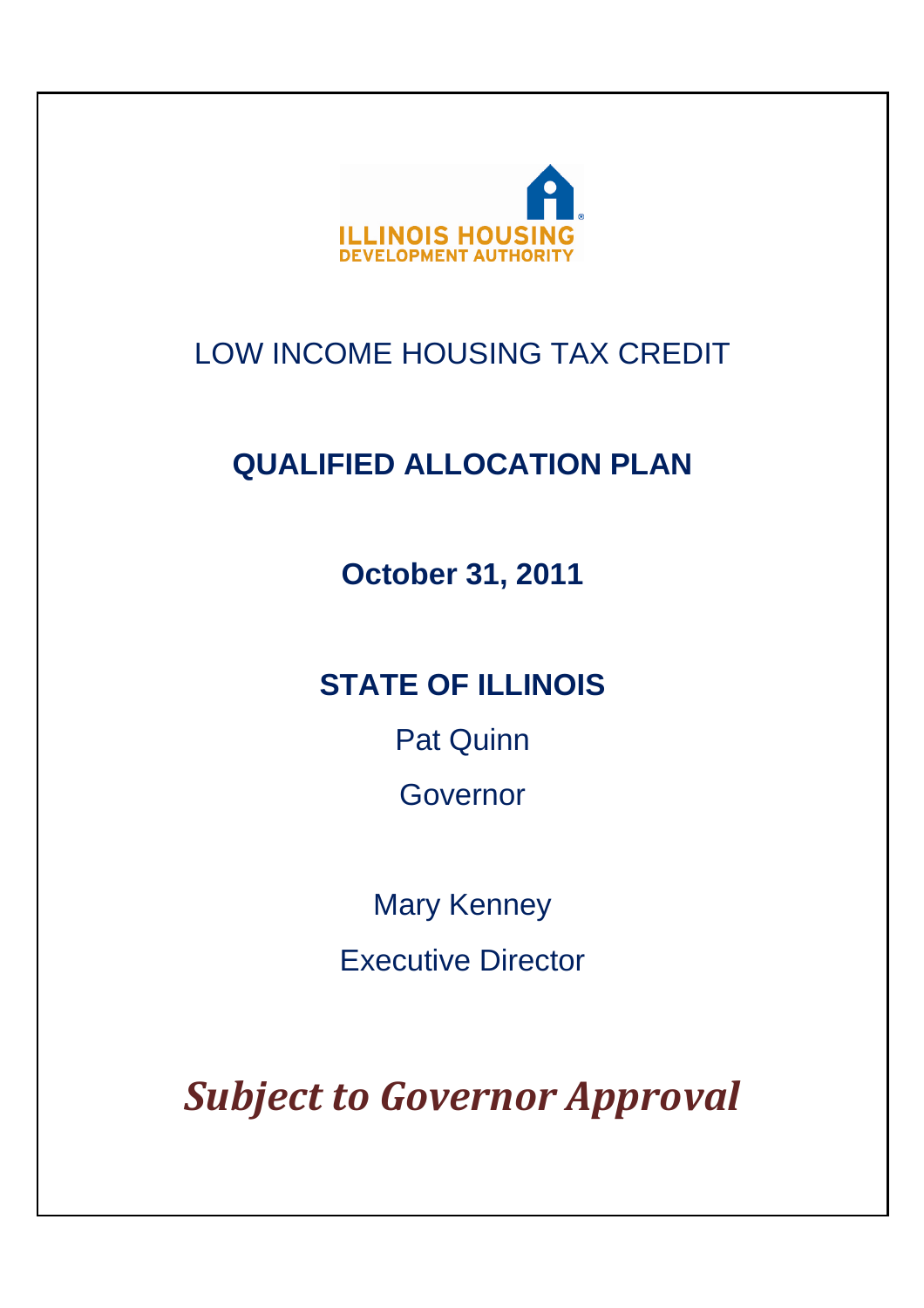

# LOW INCOME HOUSING TAX CREDIT

# **QUALIFIED ALLOCATION PLAN**

**October 31, 2011** 

# **STATE OF ILLINOIS**

Pat Quinn

Governor

Mary Kenney Executive Director

*Subject to Governor Approval*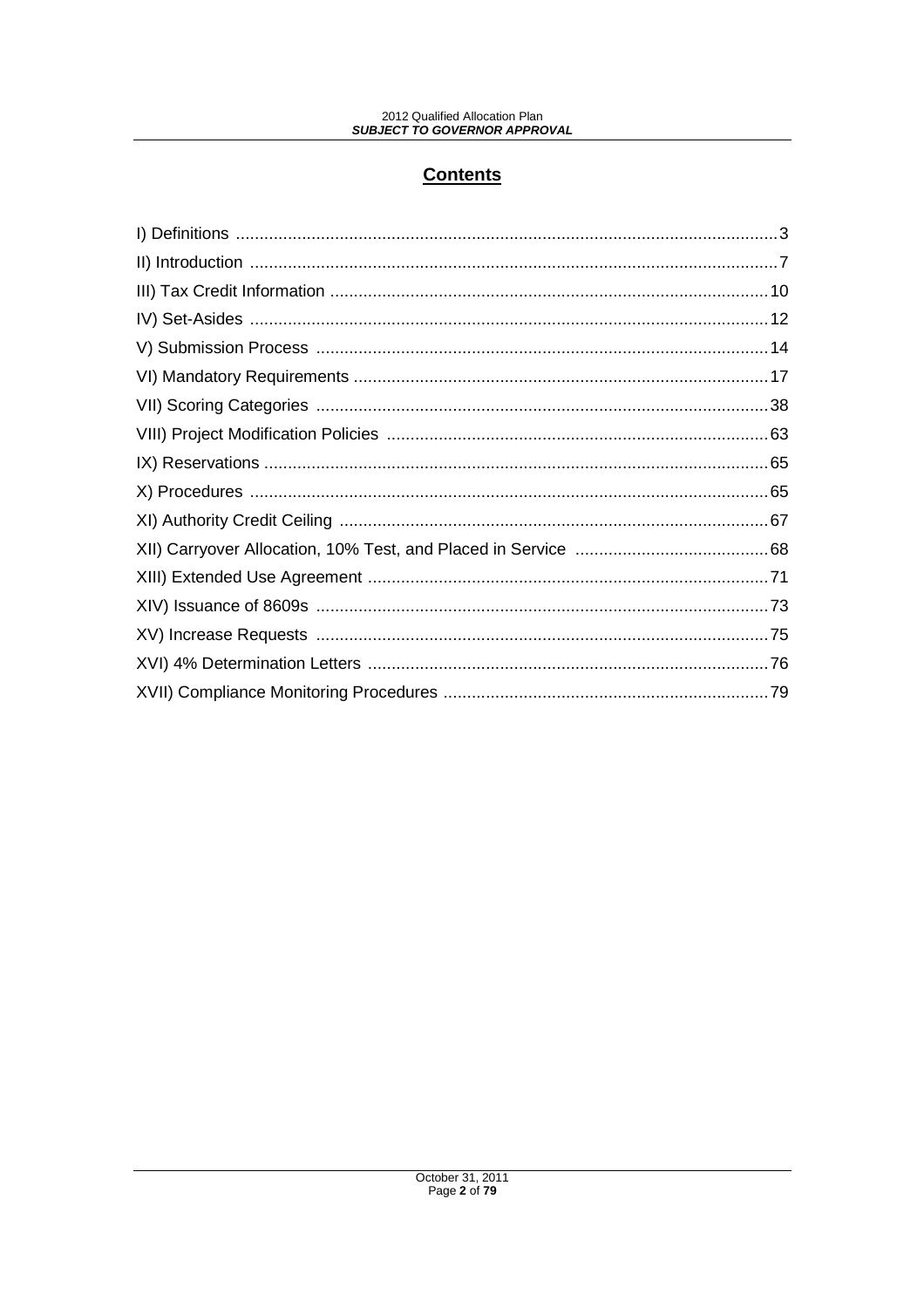# **Contents**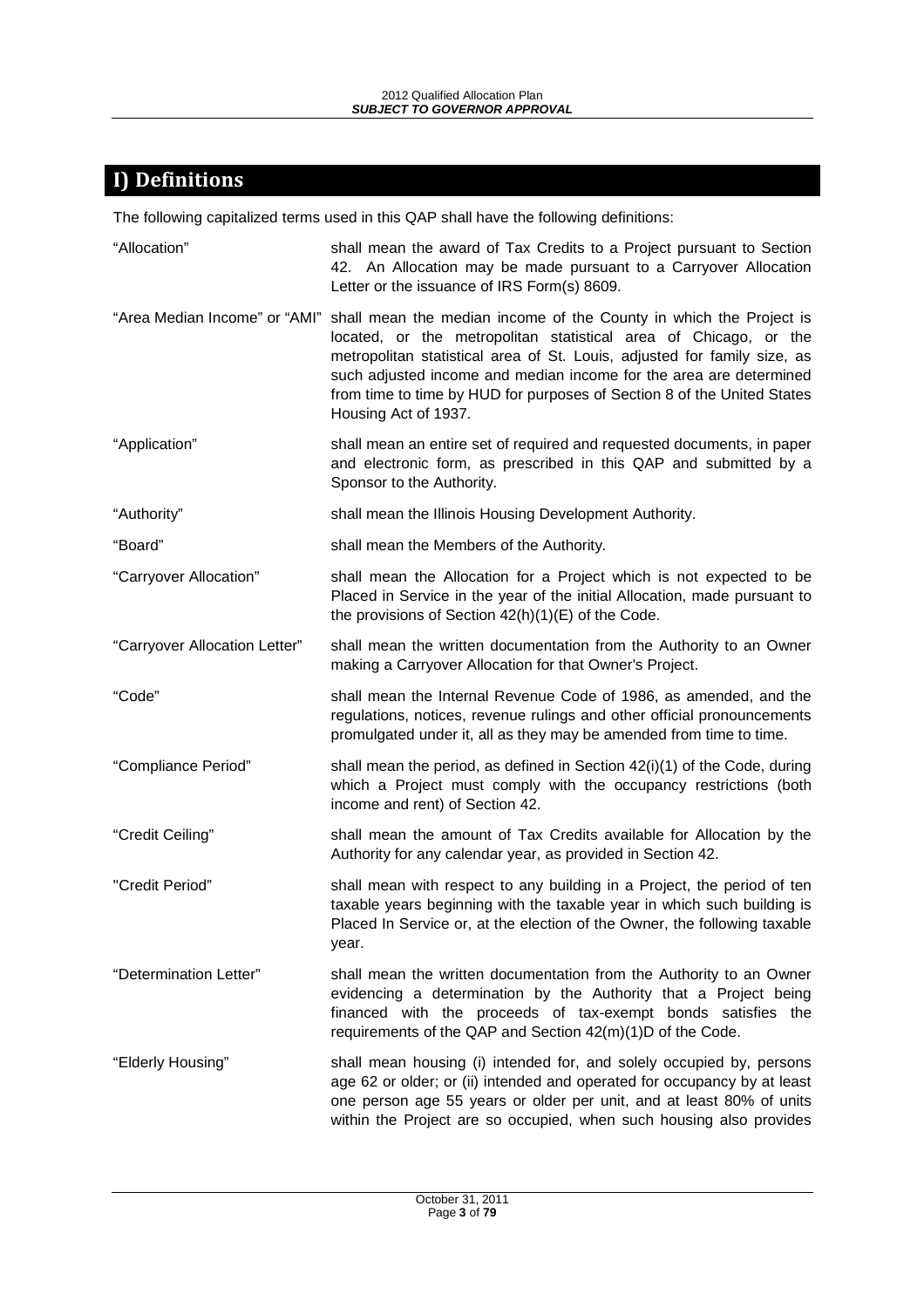# **I) Definitions**

The following capitalized terms used in this QAP shall have the following definitions:

| "Allocation"                  | shall mean the award of Tax Credits to a Project pursuant to Section<br>42. An Allocation may be made pursuant to a Carryover Allocation<br>Letter or the issuance of IRS Form(s) 8609.                                                                                                                                                                                                                                   |
|-------------------------------|---------------------------------------------------------------------------------------------------------------------------------------------------------------------------------------------------------------------------------------------------------------------------------------------------------------------------------------------------------------------------------------------------------------------------|
|                               | "Area Median Income" or "AMI" shall mean the median income of the County in which the Project is<br>located, or the metropolitan statistical area of Chicago, or the<br>metropolitan statistical area of St. Louis, adjusted for family size, as<br>such adjusted income and median income for the area are determined<br>from time to time by HUD for purposes of Section 8 of the United States<br>Housing Act of 1937. |
| "Application"                 | shall mean an entire set of required and requested documents, in paper<br>and electronic form, as prescribed in this QAP and submitted by a<br>Sponsor to the Authority.                                                                                                                                                                                                                                                  |
| "Authority"                   | shall mean the Illinois Housing Development Authority.                                                                                                                                                                                                                                                                                                                                                                    |
| "Board"                       | shall mean the Members of the Authority.                                                                                                                                                                                                                                                                                                                                                                                  |
| "Carryover Allocation"        | shall mean the Allocation for a Project which is not expected to be<br>Placed in Service in the year of the initial Allocation, made pursuant to<br>the provisions of Section 42(h)(1)(E) of the Code.                                                                                                                                                                                                                    |
| "Carryover Allocation Letter" | shall mean the written documentation from the Authority to an Owner<br>making a Carryover Allocation for that Owner's Project.                                                                                                                                                                                                                                                                                            |
| "Code"                        | shall mean the Internal Revenue Code of 1986, as amended, and the<br>regulations, notices, revenue rulings and other official pronouncements<br>promulgated under it, all as they may be amended from time to time.                                                                                                                                                                                                       |
| "Compliance Period"           | shall mean the period, as defined in Section 42(i)(1) of the Code, during<br>which a Project must comply with the occupancy restrictions (both<br>income and rent) of Section 42.                                                                                                                                                                                                                                         |
| "Credit Ceiling"              | shall mean the amount of Tax Credits available for Allocation by the<br>Authority for any calendar year, as provided in Section 42.                                                                                                                                                                                                                                                                                       |
| "Credit Period"               | shall mean with respect to any building in a Project, the period of ten<br>taxable years beginning with the taxable year in which such building is<br>Placed In Service or, at the election of the Owner, the following taxable<br>year.                                                                                                                                                                                  |
| "Determination Letter"        | shall mean the written documentation from the Authority to an Owner<br>evidencing a determination by the Authority that a Project being<br>financed with the proceeds of tax-exempt bonds satisfies the<br>requirements of the QAP and Section 42(m)(1)D of the Code.                                                                                                                                                     |
| "Elderly Housing"             | shall mean housing (i) intended for, and solely occupied by, persons<br>age 62 or older; or (ii) intended and operated for occupancy by at least<br>one person age 55 years or older per unit, and at least 80% of units<br>within the Project are so occupied, when such housing also provides                                                                                                                           |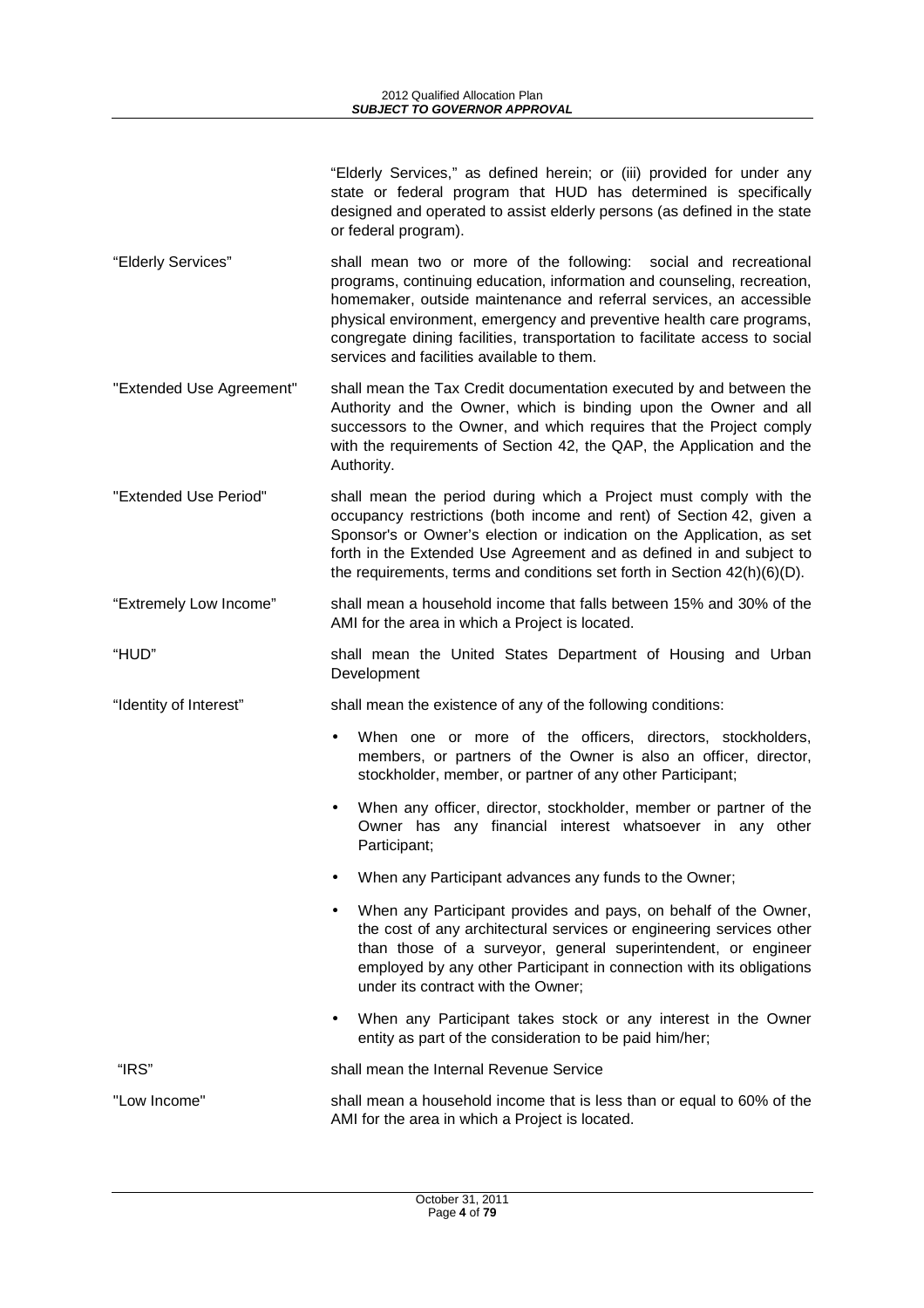| "Elderly Services," as defined herein; or (iii) provided for under any   |
|--------------------------------------------------------------------------|
| state or federal program that HUD has determined is specifically         |
| designed and operated to assist elderly persons (as defined in the state |
| or federal program).                                                     |

- "Elderly Services" shall mean two or more of the following: social and recreational programs, continuing education, information and counseling, recreation, homemaker, outside maintenance and referral services, an accessible physical environment, emergency and preventive health care programs, congregate dining facilities, transportation to facilitate access to social services and facilities available to them.
- "Extended Use Agreement" shall mean the Tax Credit documentation executed by and between the Authority and the Owner, which is binding upon the Owner and all successors to the Owner, and which requires that the Project comply with the requirements of Section 42, the QAP, the Application and the Authority.
- "Extended Use Period" shall mean the period during which a Project must comply with the occupancy restrictions (both income and rent) of Section 42, given a Sponsor's or Owner's election or indication on the Application, as set forth in the Extended Use Agreement and as defined in and subject to the requirements, terms and conditions set forth in Section 42(h)(6)(D).
- "Extremely Low Income" shall mean a household income that falls between 15% and 30% of the AMI for the area in which a Project is located.
- "HUD" shall mean the United States Department of Housing and Urban Development
- "Identity of Interest" shall mean the existence of any of the following conditions:
	- When one or more of the officers, directors, stockholders, members, or partners of the Owner is also an officer, director, stockholder, member, or partner of any other Participant;
	- When any officer, director, stockholder, member or partner of the Owner has any financial interest whatsoever in any other Participant;
	- When any Participant advances any funds to the Owner;
	- When any Participant provides and pays, on behalf of the Owner, the cost of any architectural services or engineering services other than those of a surveyor, general superintendent, or engineer employed by any other Participant in connection with its obligations under its contract with the Owner;
	- When any Participant takes stock or any interest in the Owner entity as part of the consideration to be paid him/her;

"IRS" shall mean the Internal Revenue Service

"Low Income" shall mean a household income that is less than or equal to 60% of the AMI for the area in which a Project is located.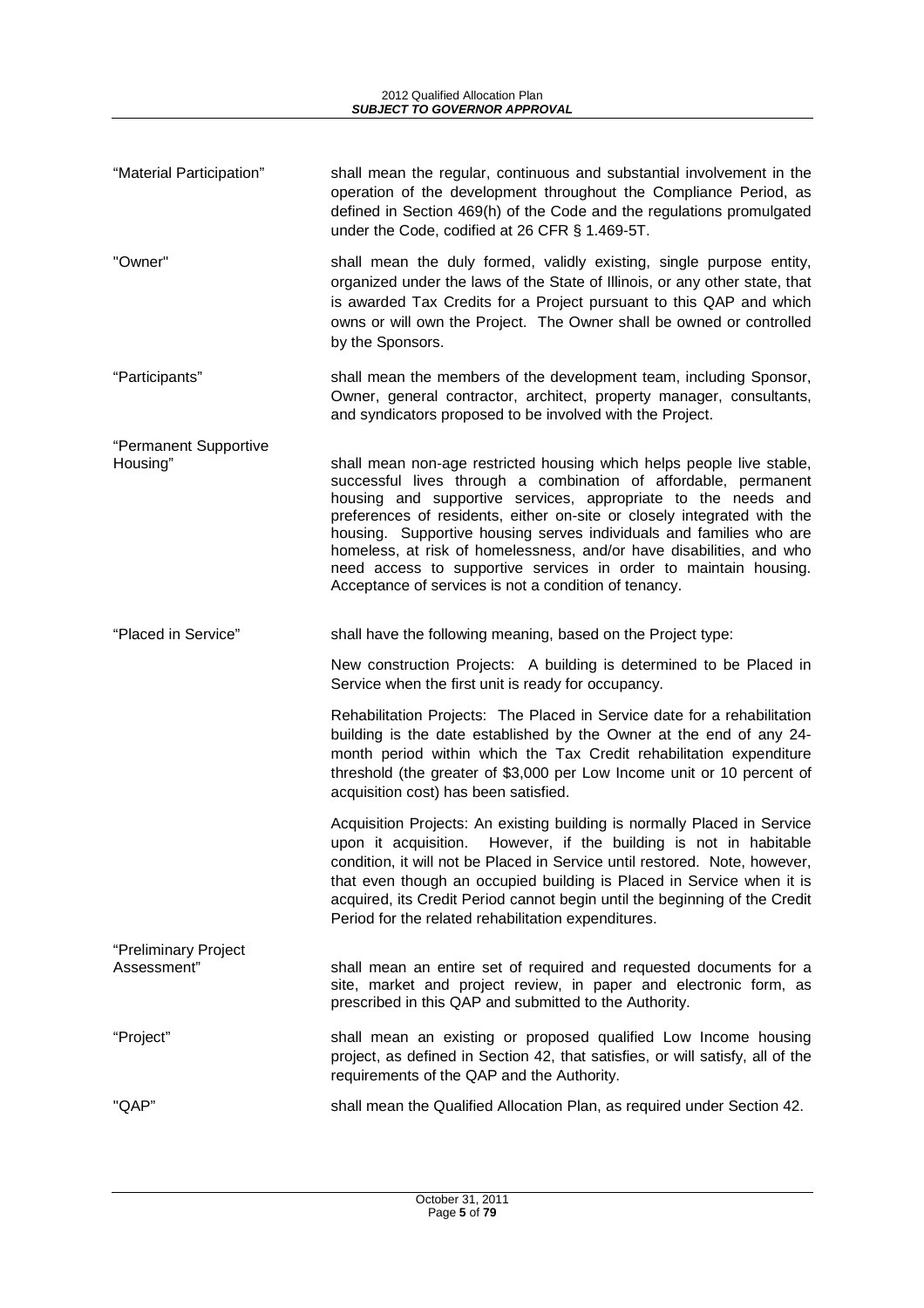| "Material Participation" | shall mean the regular, continuous and substantial involvement in the<br>operation of the development throughout the Compliance Period, as<br>defined in Section 469(h) of the Code and the regulations promulgated<br>under the Code, codified at 26 CFR § 1.469-5T. |
|--------------------------|-----------------------------------------------------------------------------------------------------------------------------------------------------------------------------------------------------------------------------------------------------------------------|
|                          |                                                                                                                                                                                                                                                                       |

- "Owner" shall mean the duly formed, validly existing, single purpose entity, organized under the laws of the State of Illinois, or any other state, that is awarded Tax Credits for a Project pursuant to this QAP and which owns or will own the Project. The Owner shall be owned or controlled by the Sponsors.
- "Participants" shall mean the members of the development team, including Sponsor, Owner, general contractor, architect, property manager, consultants, and syndicators proposed to be involved with the Project.
- "Permanent Supportive Housing" shall mean non-age restricted housing which helps people live stable, successful lives through a combination of affordable, permanent housing and supportive services, appropriate to the needs and preferences of residents, either on-site or closely integrated with the housing. Supportive housing serves individuals and families who are homeless, at risk of homelessness, and/or have disabilities, and who need access to supportive services in order to maintain housing. Acceptance of services is not a condition of tenancy.

"Placed in Service" shall have the following meaning, based on the Project type:

New construction Projects: A building is determined to be Placed in Service when the first unit is ready for occupancy.

Rehabilitation Projects: The Placed in Service date for a rehabilitation building is the date established by the Owner at the end of any 24 month period within which the Tax Credit rehabilitation expenditure threshold (the greater of \$3,000 per Low Income unit or 10 percent of acquisition cost) has been satisfied.

Acquisition Projects: An existing building is normally Placed in Service upon it acquisition. However, if the building is not in habitable condition, it will not be Placed in Service until restored. Note, however, that even though an occupied building is Placed in Service when it is acquired, its Credit Period cannot begin until the beginning of the Credit Period for the related rehabilitation expenditures.

- "Preliminary Project Assessment" shall mean an entire set of required and requested documents for a site, market and project review, in paper and electronic form, as prescribed in this QAP and submitted to the Authority.
- "Project" shall mean an existing or proposed qualified Low Income housing project, as defined in Section 42, that satisfies, or will satisfy, all of the requirements of the QAP and the Authority.

"QAP" shall mean the Qualified Allocation Plan, as required under Section 42.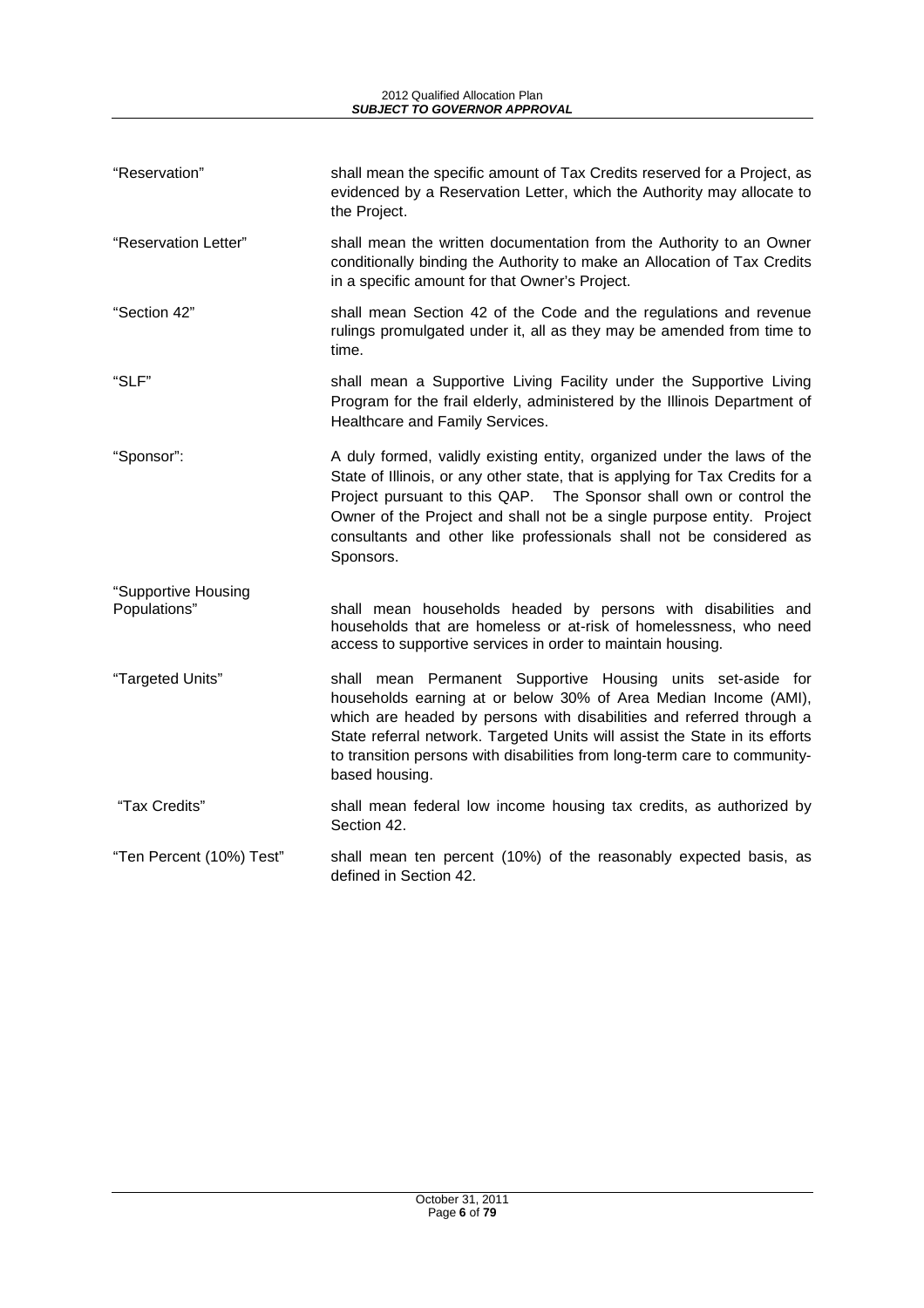| "Reservation"                       | shall mean the specific amount of Tax Credits reserved for a Project, as<br>evidenced by a Reservation Letter, which the Authority may allocate to<br>the Project.                                                                                                                                                                                                                           |
|-------------------------------------|----------------------------------------------------------------------------------------------------------------------------------------------------------------------------------------------------------------------------------------------------------------------------------------------------------------------------------------------------------------------------------------------|
| "Reservation Letter"                | shall mean the written documentation from the Authority to an Owner<br>conditionally binding the Authority to make an Allocation of Tax Credits<br>in a specific amount for that Owner's Project.                                                                                                                                                                                            |
| "Section 42"                        | shall mean Section 42 of the Code and the regulations and revenue<br>rulings promulgated under it, all as they may be amended from time to<br>time.                                                                                                                                                                                                                                          |
| "SLF"                               | shall mean a Supportive Living Facility under the Supportive Living<br>Program for the frail elderly, administered by the Illinois Department of<br>Healthcare and Family Services.                                                                                                                                                                                                          |
| "Sponsor":                          | A duly formed, validly existing entity, organized under the laws of the<br>State of Illinois, or any other state, that is applying for Tax Credits for a<br>Project pursuant to this QAP. The Sponsor shall own or control the<br>Owner of the Project and shall not be a single purpose entity. Project<br>consultants and other like professionals shall not be considered as<br>Sponsors. |
| "Supportive Housing<br>Populations" | shall mean households headed by persons with disabilities and<br>households that are homeless or at-risk of homelessness, who need<br>access to supportive services in order to maintain housing.                                                                                                                                                                                            |
| "Targeted Units"                    | shall mean Permanent Supportive Housing units set-aside for<br>households earning at or below 30% of Area Median Income (AMI),<br>which are headed by persons with disabilities and referred through a<br>State referral network. Targeted Units will assist the State in its efforts<br>to transition persons with disabilities from long-term care to community-<br>based housing.         |
| "Tax Credits"                       | shall mean federal low income housing tax credits, as authorized by<br>Section 42.                                                                                                                                                                                                                                                                                                           |
| "Ten Percent (10%) Test"            | shall mean ten percent (10%) of the reasonably expected basis, as<br>defined in Section 42.                                                                                                                                                                                                                                                                                                  |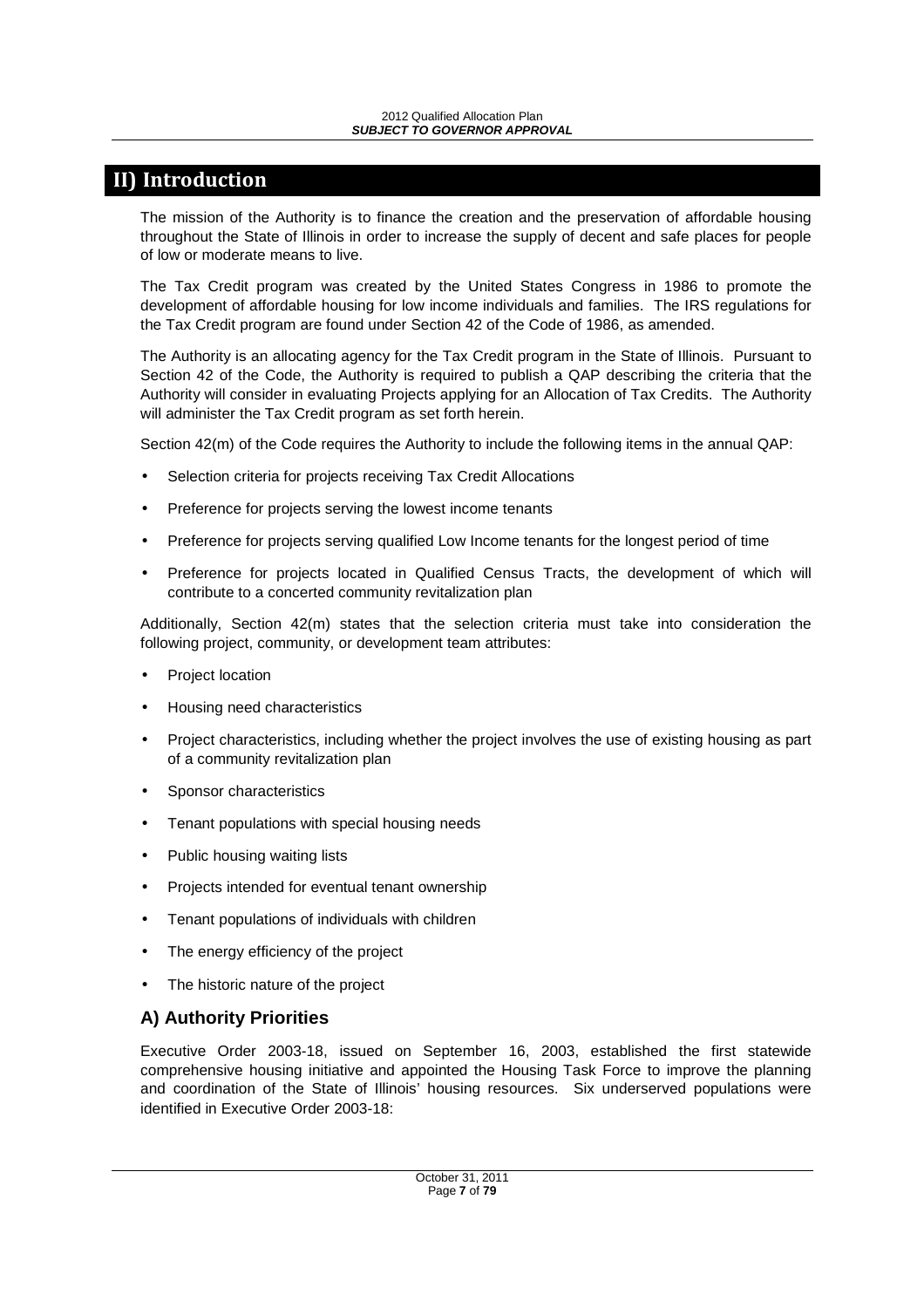## **II) Introduction**

The mission of the Authority is to finance the creation and the preservation of affordable housing throughout the State of Illinois in order to increase the supply of decent and safe places for people of low or moderate means to live.

The Tax Credit program was created by the United States Congress in 1986 to promote the development of affordable housing for low income individuals and families. The IRS regulations for the Tax Credit program are found under Section 42 of the Code of 1986, as amended.

The Authority is an allocating agency for the Tax Credit program in the State of Illinois. Pursuant to Section 42 of the Code, the Authority is required to publish a QAP describing the criteria that the Authority will consider in evaluating Projects applying for an Allocation of Tax Credits. The Authority will administer the Tax Credit program as set forth herein.

Section 42(m) of the Code requires the Authority to include the following items in the annual QAP:

- Selection criteria for projects receiving Tax Credit Allocations
- Preference for projects serving the lowest income tenants
- Preference for projects serving qualified Low Income tenants for the longest period of time
- Preference for projects located in Qualified Census Tracts, the development of which will contribute to a concerted community revitalization plan

Additionally, Section 42(m) states that the selection criteria must take into consideration the following project, community, or development team attributes:

- Project location
- Housing need characteristics
- Project characteristics, including whether the project involves the use of existing housing as part of a community revitalization plan
- Sponsor characteristics
- Tenant populations with special housing needs
- Public housing waiting lists
- Projects intended for eventual tenant ownership
- Tenant populations of individuals with children
- The energy efficiency of the project
- The historic nature of the project

## **A) Authority Priorities**

Executive Order 2003-18, issued on September 16, 2003, established the first statewide comprehensive housing initiative and appointed the Housing Task Force to improve the planning and coordination of the State of Illinois' housing resources. Six underserved populations were identified in Executive Order 2003-18: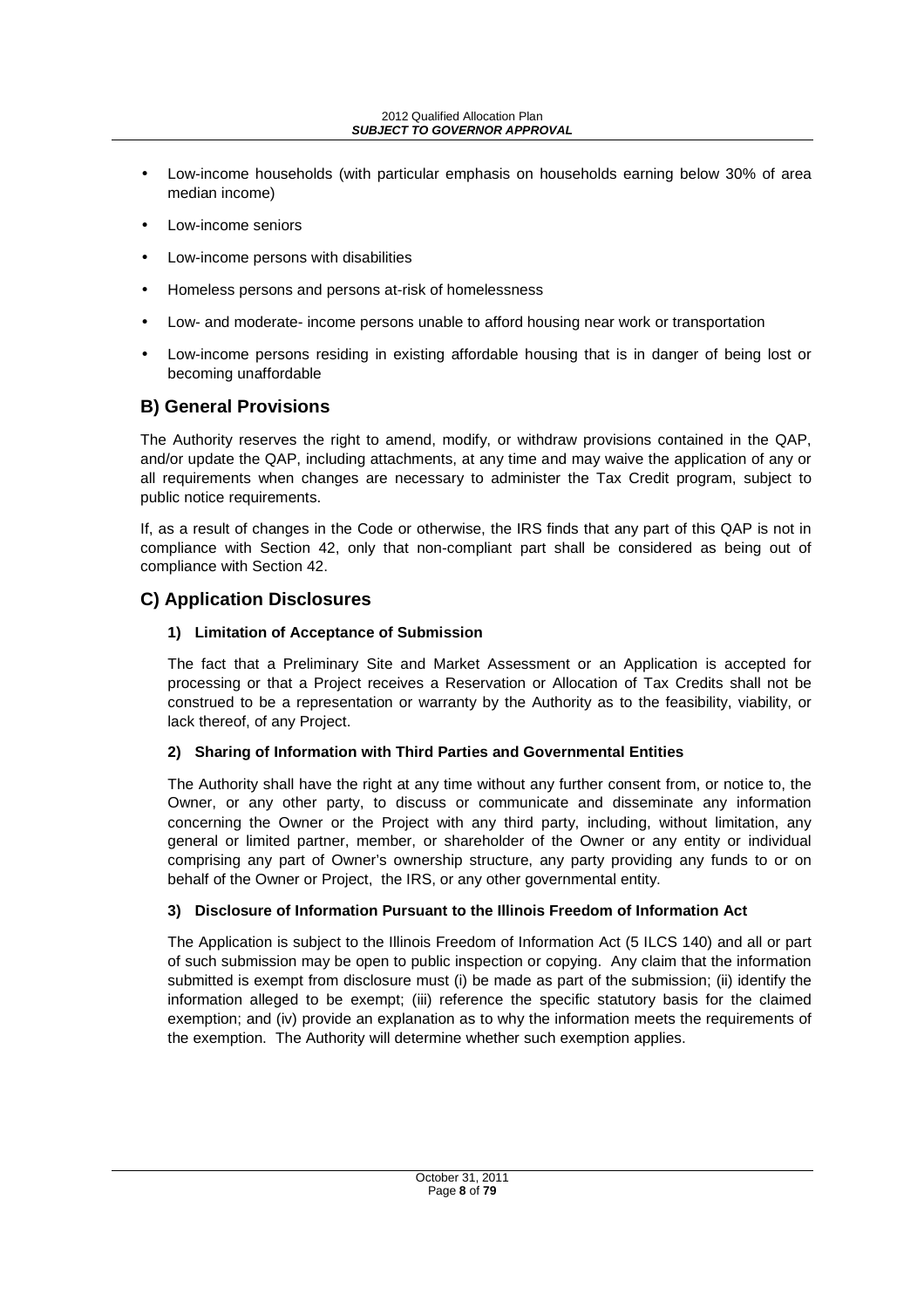- Low-income households (with particular emphasis on households earning below 30% of area median income)
- Low-income seniors
- Low-income persons with disabilities
- Homeless persons and persons at-risk of homelessness
- Low- and moderate- income persons unable to afford housing near work or transportation
- Low-income persons residing in existing affordable housing that is in danger of being lost or becoming unaffordable

## **B) General Provisions**

The Authority reserves the right to amend, modify, or withdraw provisions contained in the QAP, and/or update the QAP, including attachments, at any time and may waive the application of any or all requirements when changes are necessary to administer the Tax Credit program, subject to public notice requirements.

If, as a result of changes in the Code or otherwise, the IRS finds that any part of this QAP is not in compliance with Section 42, only that non-compliant part shall be considered as being out of compliance with Section 42.

## **C) Application Disclosures**

## **1) Limitation of Acceptance of Submission**

The fact that a Preliminary Site and Market Assessment or an Application is accepted for processing or that a Project receives a Reservation or Allocation of Tax Credits shall not be construed to be a representation or warranty by the Authority as to the feasibility, viability, or lack thereof, of any Project.

## **2) Sharing of Information with Third Parties and Governmental Entities**

The Authority shall have the right at any time without any further consent from, or notice to, the Owner, or any other party, to discuss or communicate and disseminate any information concerning the Owner or the Project with any third party, including, without limitation, any general or limited partner, member, or shareholder of the Owner or any entity or individual comprising any part of Owner's ownership structure, any party providing any funds to or on behalf of the Owner or Project, the IRS, or any other governmental entity.

## **3) Disclosure of Information Pursuant to the Illinois Freedom of Information Act**

The Application is subject to the Illinois Freedom of Information Act (5 ILCS 140) and all or part of such submission may be open to public inspection or copying. Any claim that the information submitted is exempt from disclosure must (i) be made as part of the submission; (ii) identify the information alleged to be exempt; (iii) reference the specific statutory basis for the claimed exemption; and (iv) provide an explanation as to why the information meets the requirements of the exemption. The Authority will determine whether such exemption applies.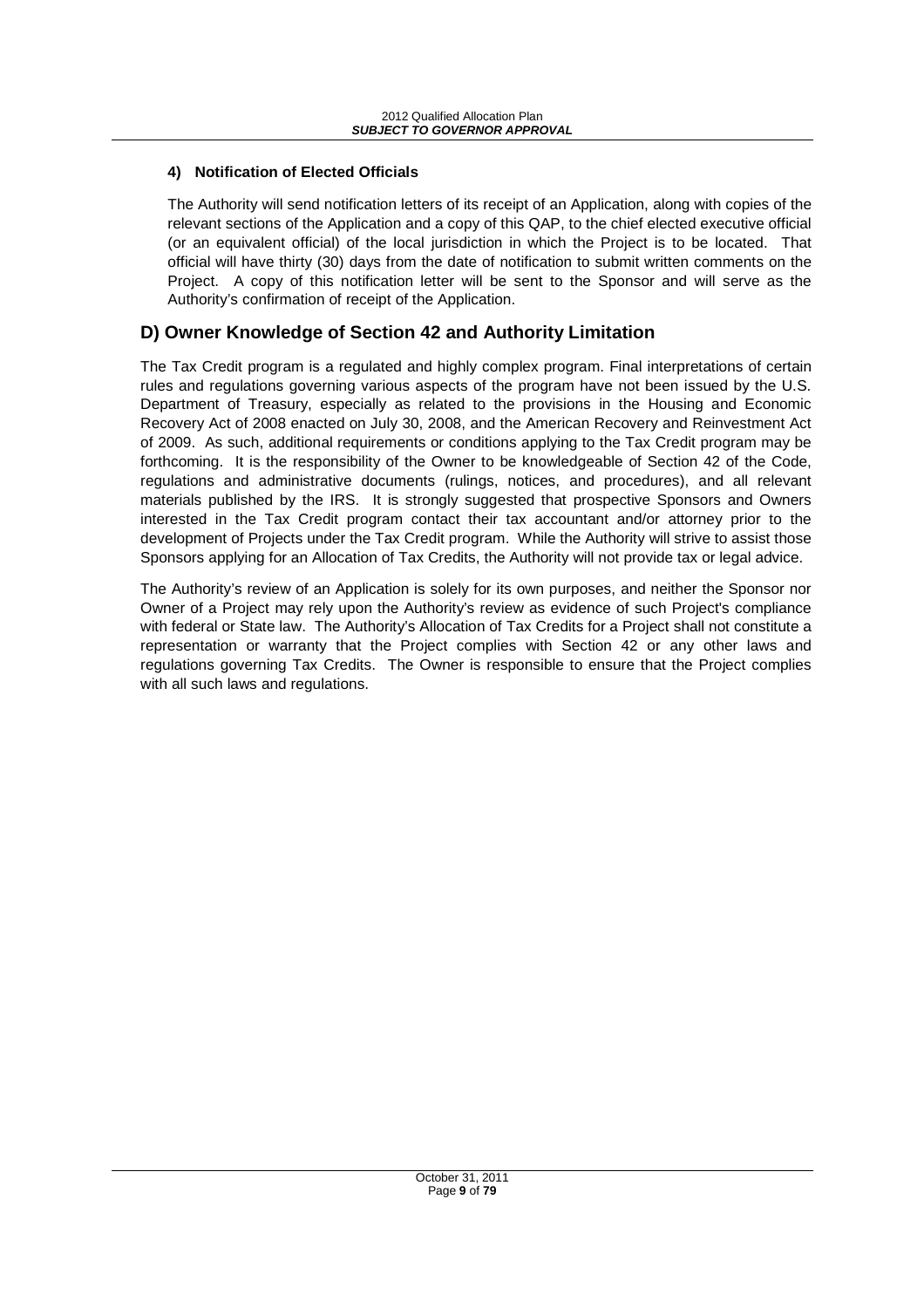## **4) Notification of Elected Officials**

The Authority will send notification letters of its receipt of an Application, along with copies of the relevant sections of the Application and a copy of this QAP, to the chief elected executive official (or an equivalent official) of the local jurisdiction in which the Project is to be located. That official will have thirty (30) days from the date of notification to submit written comments on the Project. A copy of this notification letter will be sent to the Sponsor and will serve as the Authority's confirmation of receipt of the Application.

## **D) Owner Knowledge of Section 42 and Authority Limitation**

The Tax Credit program is a regulated and highly complex program. Final interpretations of certain rules and regulations governing various aspects of the program have not been issued by the U.S. Department of Treasury, especially as related to the provisions in the Housing and Economic Recovery Act of 2008 enacted on July 30, 2008, and the American Recovery and Reinvestment Act of 2009. As such, additional requirements or conditions applying to the Tax Credit program may be forthcoming. It is the responsibility of the Owner to be knowledgeable of Section 42 of the Code, regulations and administrative documents (rulings, notices, and procedures), and all relevant materials published by the IRS. It is strongly suggested that prospective Sponsors and Owners interested in the Tax Credit program contact their tax accountant and/or attorney prior to the development of Projects under the Tax Credit program. While the Authority will strive to assist those Sponsors applying for an Allocation of Tax Credits, the Authority will not provide tax or legal advice.

The Authority's review of an Application is solely for its own purposes, and neither the Sponsor nor Owner of a Project may rely upon the Authority's review as evidence of such Project's compliance with federal or State law. The Authority's Allocation of Tax Credits for a Project shall not constitute a representation or warranty that the Project complies with Section 42 or any other laws and regulations governing Tax Credits. The Owner is responsible to ensure that the Project complies with all such laws and regulations.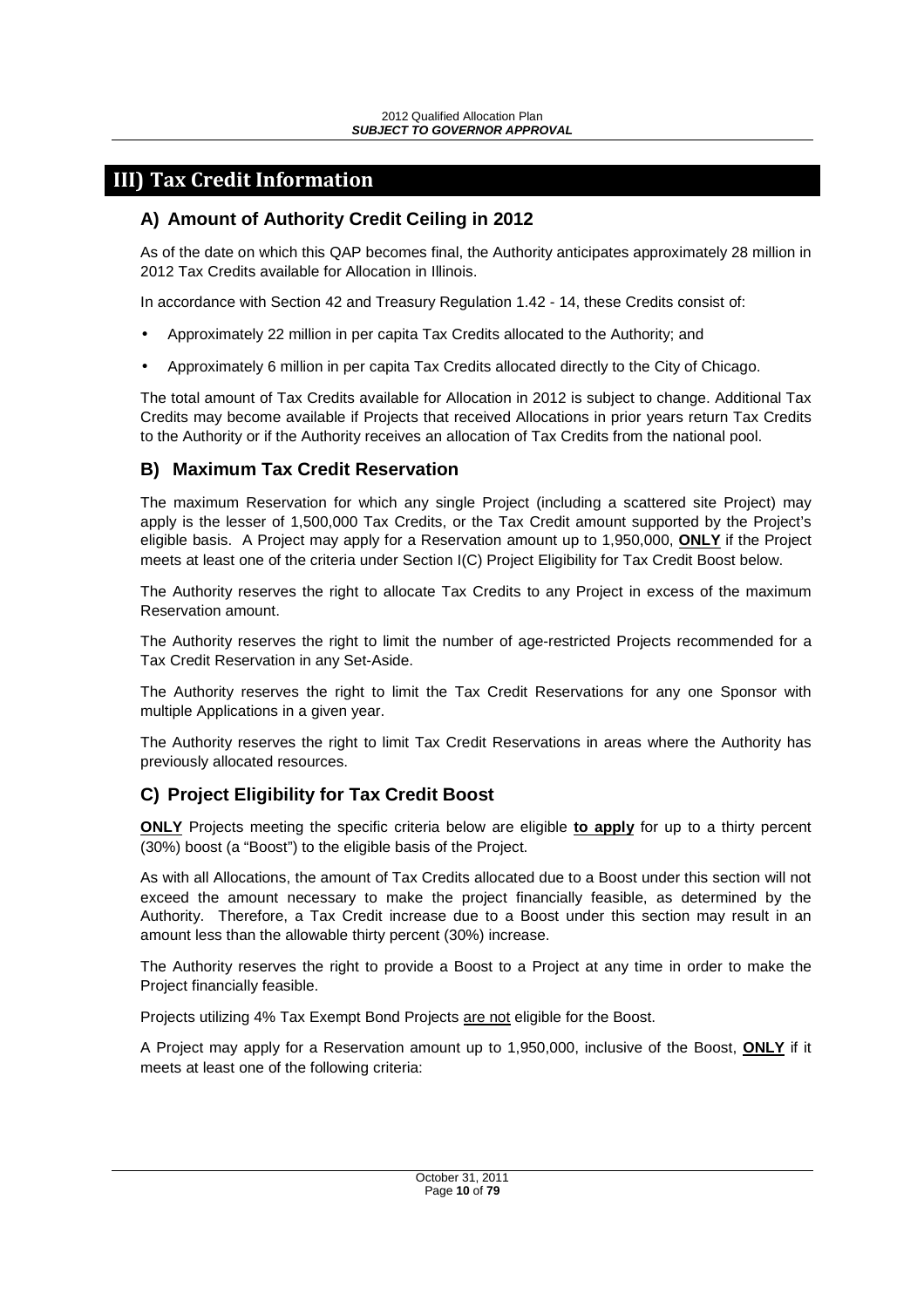## **III) Tax Credit Information**

## **A) Amount of Authority Credit Ceiling in 2012**

As of the date on which this QAP becomes final, the Authority anticipates approximately 28 million in 2012 Tax Credits available for Allocation in Illinois.

In accordance with Section 42 and Treasury Regulation 1.42 - 14, these Credits consist of:

- Approximately 22 million in per capita Tax Credits allocated to the Authority; and
- Approximately 6 million in per capita Tax Credits allocated directly to the City of Chicago.

The total amount of Tax Credits available for Allocation in 2012 is subject to change. Additional Tax Credits may become available if Projects that received Allocations in prior years return Tax Credits to the Authority or if the Authority receives an allocation of Tax Credits from the national pool.

## **B) Maximum Tax Credit Reservation**

The maximum Reservation for which any single Project (including a scattered site Project) may apply is the lesser of 1,500,000 Tax Credits, or the Tax Credit amount supported by the Project's eligible basis. A Project may apply for a Reservation amount up to 1,950,000, **ONLY** if the Project meets at least one of the criteria under Section I(C) Project Eligibility for Tax Credit Boost below.

The Authority reserves the right to allocate Tax Credits to any Project in excess of the maximum Reservation amount.

The Authority reserves the right to limit the number of age-restricted Projects recommended for a Tax Credit Reservation in any Set-Aside.

The Authority reserves the right to limit the Tax Credit Reservations for any one Sponsor with multiple Applications in a given year.

The Authority reserves the right to limit Tax Credit Reservations in areas where the Authority has previously allocated resources.

## **C) Project Eligibility for Tax Credit Boost**

**ONLY** Projects meeting the specific criteria below are eligible **to apply** for up to a thirty percent (30%) boost (a "Boost") to the eligible basis of the Project.

As with all Allocations, the amount of Tax Credits allocated due to a Boost under this section will not exceed the amount necessary to make the project financially feasible, as determined by the Authority. Therefore, a Tax Credit increase due to a Boost under this section may result in an amount less than the allowable thirty percent (30%) increase.

The Authority reserves the right to provide a Boost to a Project at any time in order to make the Project financially feasible.

Projects utilizing 4% Tax Exempt Bond Projects are not eligible for the Boost.

A Project may apply for a Reservation amount up to 1,950,000, inclusive of the Boost, **ONLY** if it meets at least one of the following criteria: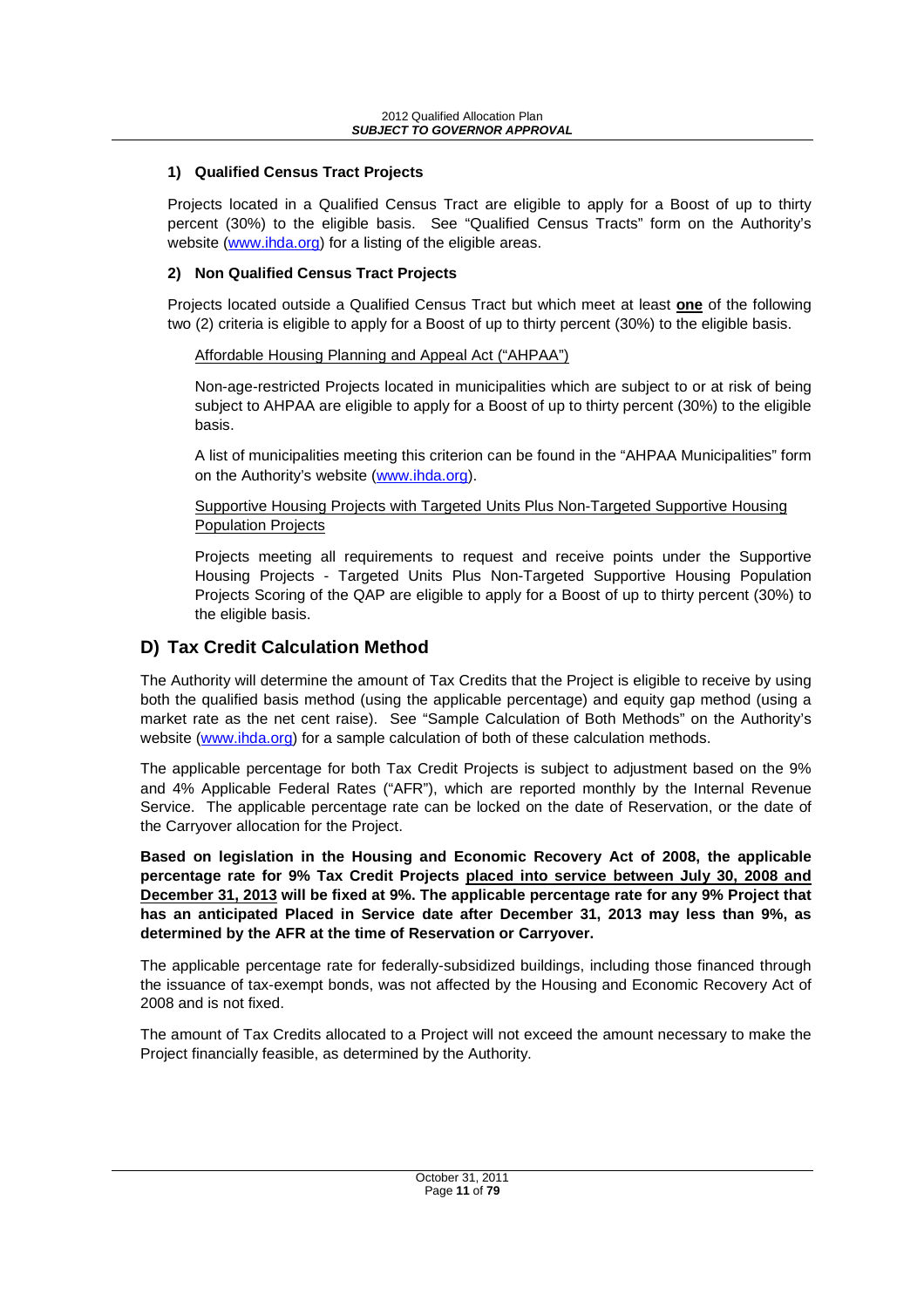## **1) Qualified Census Tract Projects**

Projects located in a Qualified Census Tract are eligible to apply for a Boost of up to thirty percent (30%) to the eligible basis. See "Qualified Census Tracts" form on the Authority's website (www.ihda.org) for a listing of the eligible areas.

## **2) Non Qualified Census Tract Projects**

Projects located outside a Qualified Census Tract but which meet at least **one** of the following two (2) criteria is eligible to apply for a Boost of up to thirty percent (30%) to the eligible basis.

## Affordable Housing Planning and Appeal Act ("AHPAA")

Non-age-restricted Projects located in municipalities which are subject to or at risk of being subject to AHPAA are eligible to apply for a Boost of up to thirty percent (30%) to the eligible basis.

A list of municipalities meeting this criterion can be found in the "AHPAA Municipalities" form on the Authority's website (www.ihda.org).

#### Supportive Housing Projects with Targeted Units Plus Non-Targeted Supportive Housing Population Projects

Projects meeting all requirements to request and receive points under the Supportive Housing Projects - Targeted Units Plus Non-Targeted Supportive Housing Population Projects Scoring of the QAP are eligible to apply for a Boost of up to thirty percent (30%) to the eligible basis.

## **D) Tax Credit Calculation Method**

The Authority will determine the amount of Tax Credits that the Project is eligible to receive by using both the qualified basis method (using the applicable percentage) and equity gap method (using a market rate as the net cent raise). See "Sample Calculation of Both Methods" on the Authority's website (www.ihda.org) for a sample calculation of both of these calculation methods.

The applicable percentage for both Tax Credit Projects is subject to adjustment based on the 9% and 4% Applicable Federal Rates ("AFR"), which are reported monthly by the Internal Revenue Service. The applicable percentage rate can be locked on the date of Reservation, or the date of the Carryover allocation for the Project.

**Based on legislation in the Housing and Economic Recovery Act of 2008, the applicable percentage rate for 9% Tax Credit Projects placed into service between July 30, 2008 and December 31, 2013 will be fixed at 9%. The applicable percentage rate for any 9% Project that has an anticipated Placed in Service date after December 31, 2013 may less than 9%, as determined by the AFR at the time of Reservation or Carryover.** 

The applicable percentage rate for federally-subsidized buildings, including those financed through the issuance of tax-exempt bonds, was not affected by the Housing and Economic Recovery Act of 2008 and is not fixed.

The amount of Tax Credits allocated to a Project will not exceed the amount necessary to make the Project financially feasible, as determined by the Authority.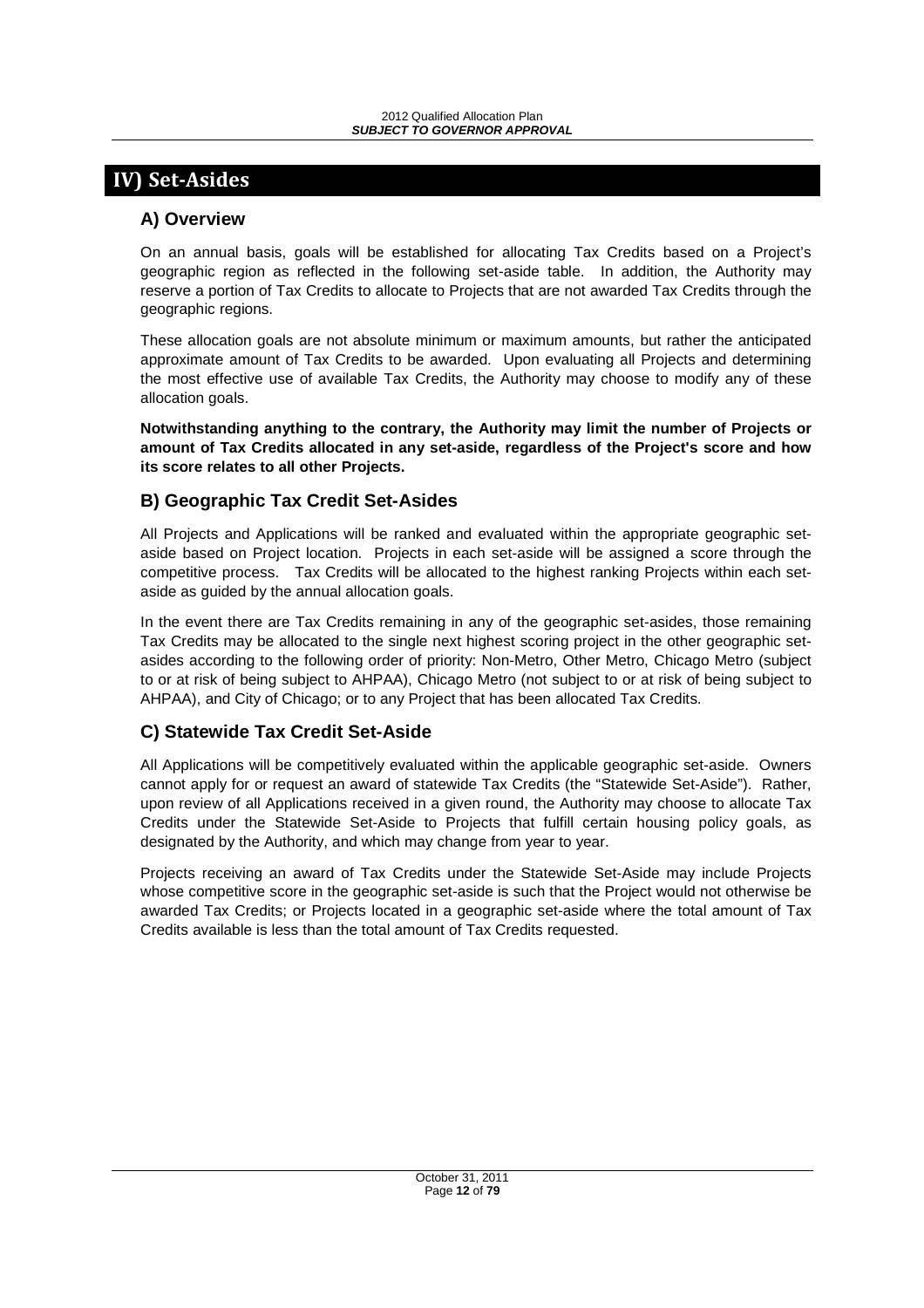# **IV) Set-Asides**

## **A) Overview**

On an annual basis, goals will be established for allocating Tax Credits based on a Project's geographic region as reflected in the following set-aside table. In addition, the Authority may reserve a portion of Tax Credits to allocate to Projects that are not awarded Tax Credits through the geographic regions.

These allocation goals are not absolute minimum or maximum amounts, but rather the anticipated approximate amount of Tax Credits to be awarded. Upon evaluating all Projects and determining the most effective use of available Tax Credits, the Authority may choose to modify any of these allocation goals.

**Notwithstanding anything to the contrary, the Authority may limit the number of Projects or amount of Tax Credits allocated in any set-aside, regardless of the Project's score and how its score relates to all other Projects.** 

## **B) Geographic Tax Credit Set-Asides**

All Projects and Applications will be ranked and evaluated within the appropriate geographic setaside based on Project location. Projects in each set-aside will be assigned a score through the competitive process. Tax Credits will be allocated to the highest ranking Projects within each setaside as guided by the annual allocation goals.

In the event there are Tax Credits remaining in any of the geographic set-asides, those remaining Tax Credits may be allocated to the single next highest scoring project in the other geographic setasides according to the following order of priority: Non-Metro, Other Metro, Chicago Metro (subject to or at risk of being subject to AHPAA), Chicago Metro (not subject to or at risk of being subject to AHPAA), and City of Chicago; or to any Project that has been allocated Tax Credits.

## **C) Statewide Tax Credit Set-Aside**

All Applications will be competitively evaluated within the applicable geographic set-aside. Owners cannot apply for or request an award of statewide Tax Credits (the "Statewide Set-Aside"). Rather, upon review of all Applications received in a given round, the Authority may choose to allocate Tax Credits under the Statewide Set-Aside to Projects that fulfill certain housing policy goals, as designated by the Authority, and which may change from year to year.

Projects receiving an award of Tax Credits under the Statewide Set-Aside may include Projects whose competitive score in the geographic set-aside is such that the Project would not otherwise be awarded Tax Credits; or Projects located in a geographic set-aside where the total amount of Tax Credits available is less than the total amount of Tax Credits requested.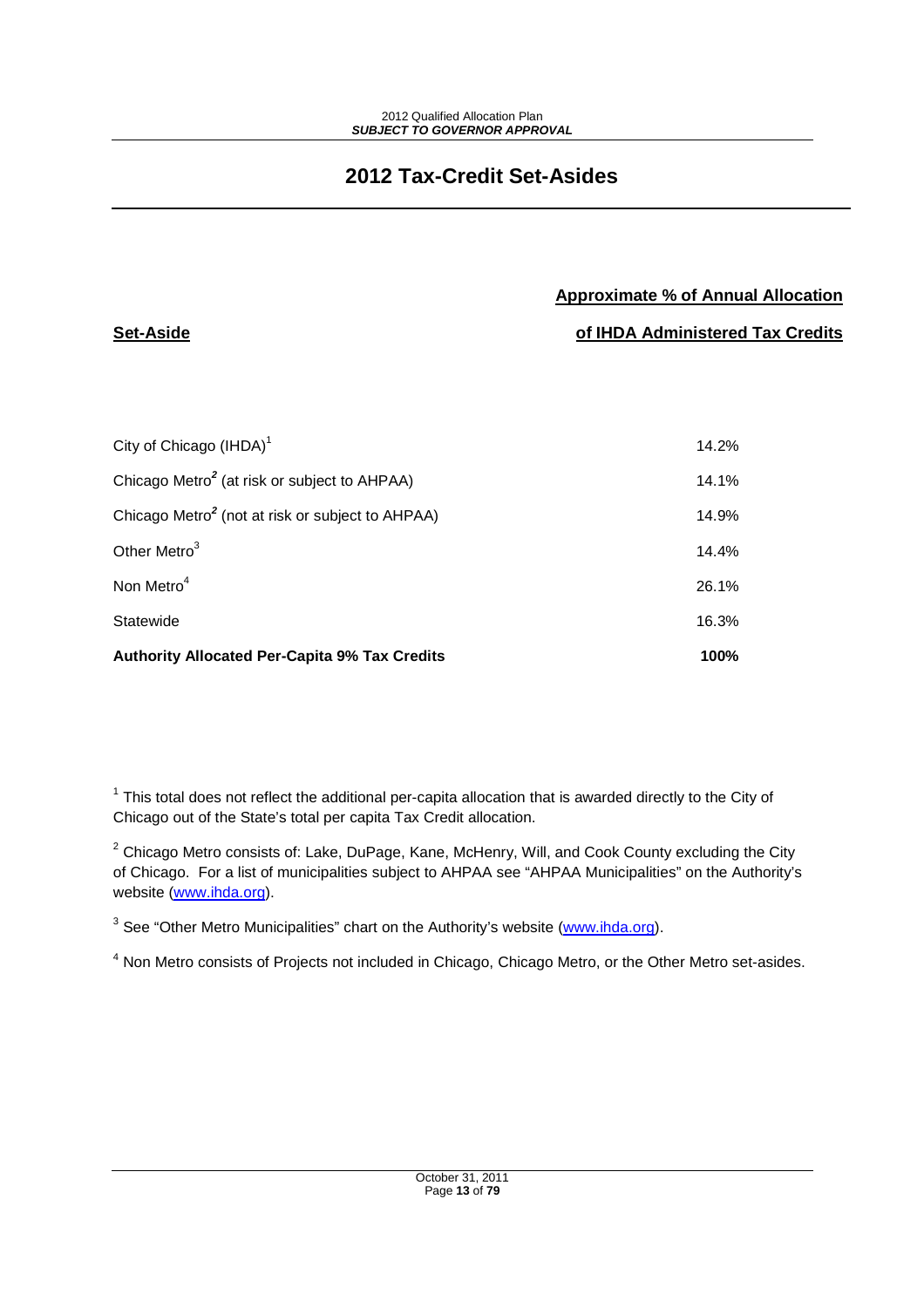# **2012 Tax-Credit Set-Asides**

## **Approximate % of Annual Allocation**

**of IHDA Administered Tax Credits**

| <b>Authority Allocated Per-Capita 9% Tax Credits</b>         | 100%  |
|--------------------------------------------------------------|-------|
| Statewide                                                    | 16.3% |
| Non Metro <sup>4</sup>                                       | 26.1% |
| Other Metro <sup>3</sup>                                     | 14.4% |
| Chicago Metro <sup>2</sup> (not at risk or subject to AHPAA) | 14.9% |
| Chicago Metro <sup>2</sup> (at risk or subject to AHPAA)     | 14.1% |
| City of Chicago $(HDA)^1$                                    | 14.2% |

**Set-Aside** 

 $1$  This total does not reflect the additional per-capita allocation that is awarded directly to the City of Chicago out of the State's total per capita Tax Credit allocation.

 $2$  Chicago Metro consists of: Lake, DuPage, Kane, McHenry, Will, and Cook County excluding the City of Chicago. For a list of municipalities subject to AHPAA see "AHPAA Municipalities" on the Authority's website (www.ihda.org).

<sup>3</sup> See "Other Metro Municipalities" chart on the Authority's website (www.ihda.org).

<sup>4</sup> Non Metro consists of Projects not included in Chicago, Chicago Metro, or the Other Metro set-asides.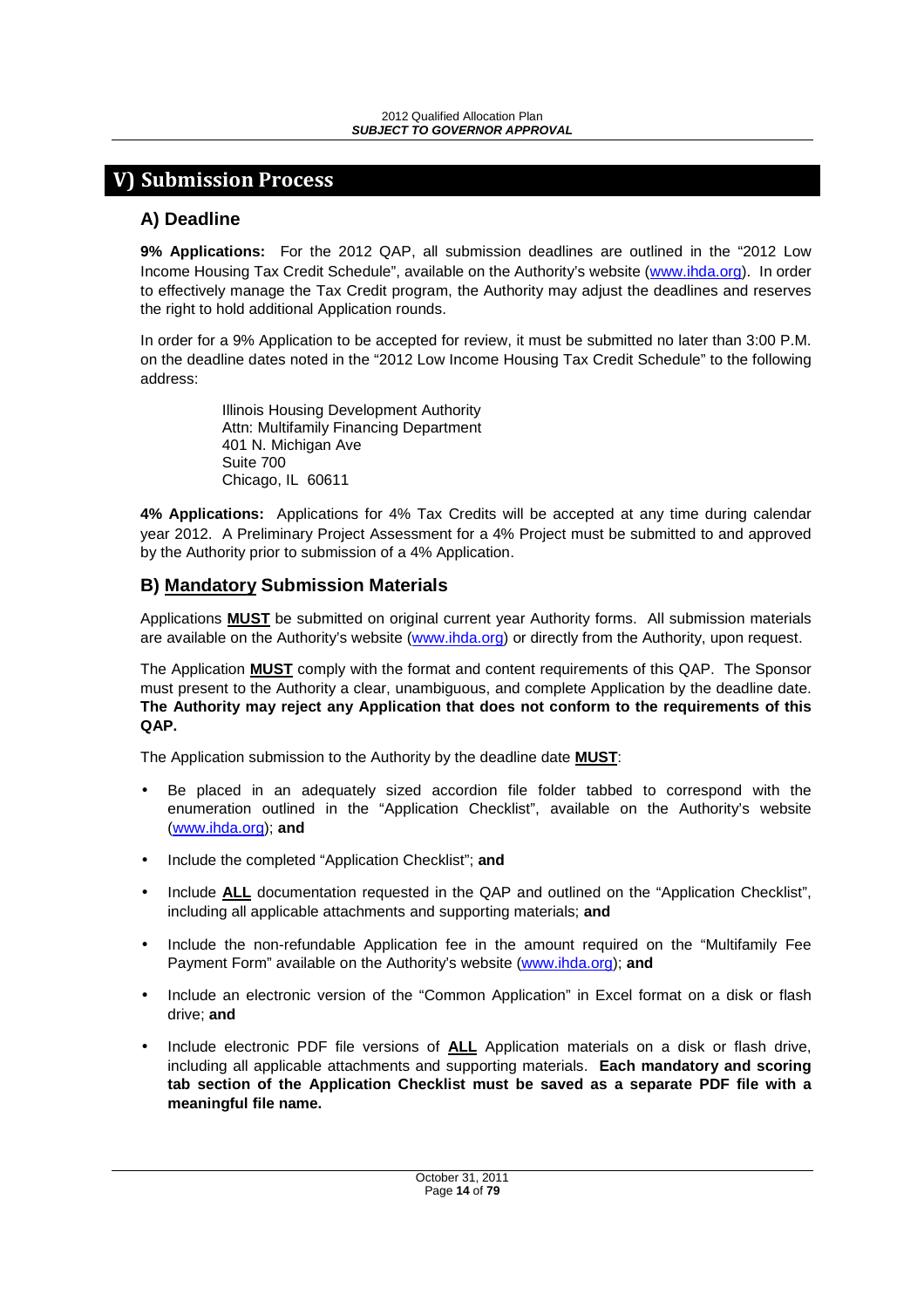# **V) Submission Process**

## **A) Deadline**

**9% Applications:** For the 2012 QAP, all submission deadlines are outlined in the "2012 Low Income Housing Tax Credit Schedule", available on the Authority's website (www.ihda.org). In order to effectively manage the Tax Credit program, the Authority may adjust the deadlines and reserves the right to hold additional Application rounds.

In order for a 9% Application to be accepted for review, it must be submitted no later than 3:00 P.M. on the deadline dates noted in the "2012 Low Income Housing Tax Credit Schedule" to the following address:

> Illinois Housing Development Authority Attn: Multifamily Financing Department 401 N. Michigan Ave Suite 700 Chicago, IL 60611

**4% Applications:** Applications for 4% Tax Credits will be accepted at any time during calendar year 2012. A Preliminary Project Assessment for a 4% Project must be submitted to and approved by the Authority prior to submission of a 4% Application.

## **B) Mandatory Submission Materials**

Applications **MUST** be submitted on original current year Authority forms. All submission materials are available on the Authority's website (www.ihda.org) or directly from the Authority, upon request.

The Application **MUST** comply with the format and content requirements of this QAP. The Sponsor must present to the Authority a clear, unambiguous, and complete Application by the deadline date. **The Authority may reject any Application that does not conform to the requirements of this QAP.**

The Application submission to the Authority by the deadline date **MUST**:

- Be placed in an adequately sized accordion file folder tabbed to correspond with the enumeration outlined in the "Application Checklist", available on the Authority's website (www.ihda.org); **and**
- Include the completed "Application Checklist"; **and**
- Include **ALL** documentation requested in the QAP and outlined on the "Application Checklist", including all applicable attachments and supporting materials; **and**
- Include the non-refundable Application fee in the amount required on the "Multifamily Fee Payment Form" available on the Authority's website (www.ihda.org); **and**
- Include an electronic version of the "Common Application" in Excel format on a disk or flash drive; **and**
- Include electronic PDF file versions of **ALL** Application materials on a disk or flash drive, including all applicable attachments and supporting materials. **Each mandatory and scoring tab section of the Application Checklist must be saved as a separate PDF file with a meaningful file name.**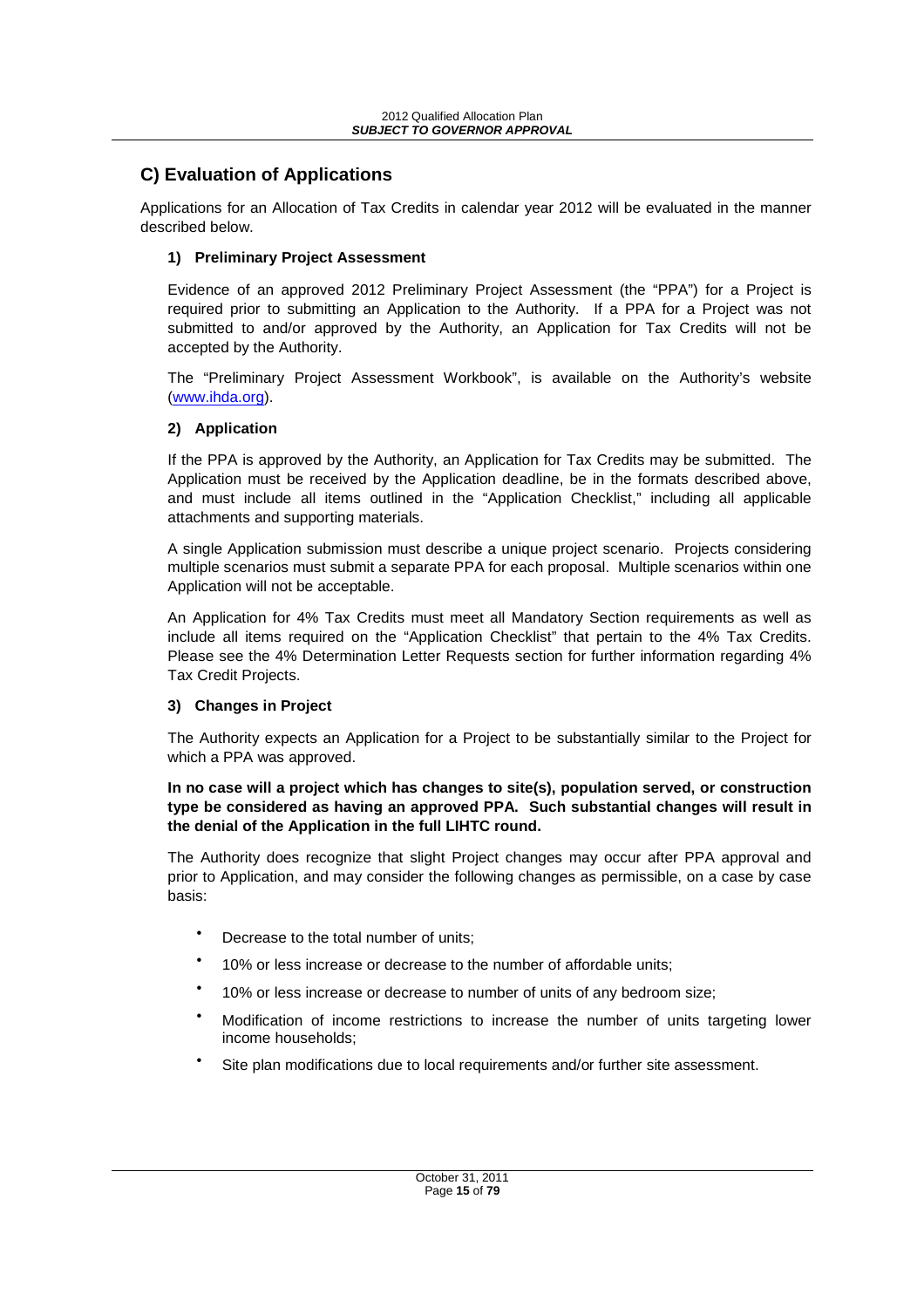## **C) Evaluation of Applications**

Applications for an Allocation of Tax Credits in calendar year 2012 will be evaluated in the manner described below.

## **1) Preliminary Project Assessment**

Evidence of an approved 2012 Preliminary Project Assessment (the "PPA") for a Project is required prior to submitting an Application to the Authority. If a PPA for a Project was not submitted to and/or approved by the Authority, an Application for Tax Credits will not be accepted by the Authority.

The "Preliminary Project Assessment Workbook", is available on the Authority's website (www.ihda.org).

## **2) Application**

If the PPA is approved by the Authority, an Application for Tax Credits may be submitted. The Application must be received by the Application deadline, be in the formats described above, and must include all items outlined in the "Application Checklist," including all applicable attachments and supporting materials.

A single Application submission must describe a unique project scenario. Projects considering multiple scenarios must submit a separate PPA for each proposal. Multiple scenarios within one Application will not be acceptable.

An Application for 4% Tax Credits must meet all Mandatory Section requirements as well as include all items required on the "Application Checklist" that pertain to the 4% Tax Credits. Please see the 4% Determination Letter Requests section for further information regarding 4% Tax Credit Projects.

## **3) Changes in Project**

The Authority expects an Application for a Project to be substantially similar to the Project for which a PPA was approved.

#### **In no case will a project which has changes to site(s), population served, or construction type be considered as having an approved PPA. Such substantial changes will result in the denial of the Application in the full LIHTC round.**

The Authority does recognize that slight Project changes may occur after PPA approval and prior to Application, and may consider the following changes as permissible, on a case by case basis:

- Decrease to the total number of units;
- 10% or less increase or decrease to the number of affordable units;
- 10% or less increase or decrease to number of units of any bedroom size;
- Modification of income restrictions to increase the number of units targeting lower income households;
- Site plan modifications due to local requirements and/or further site assessment.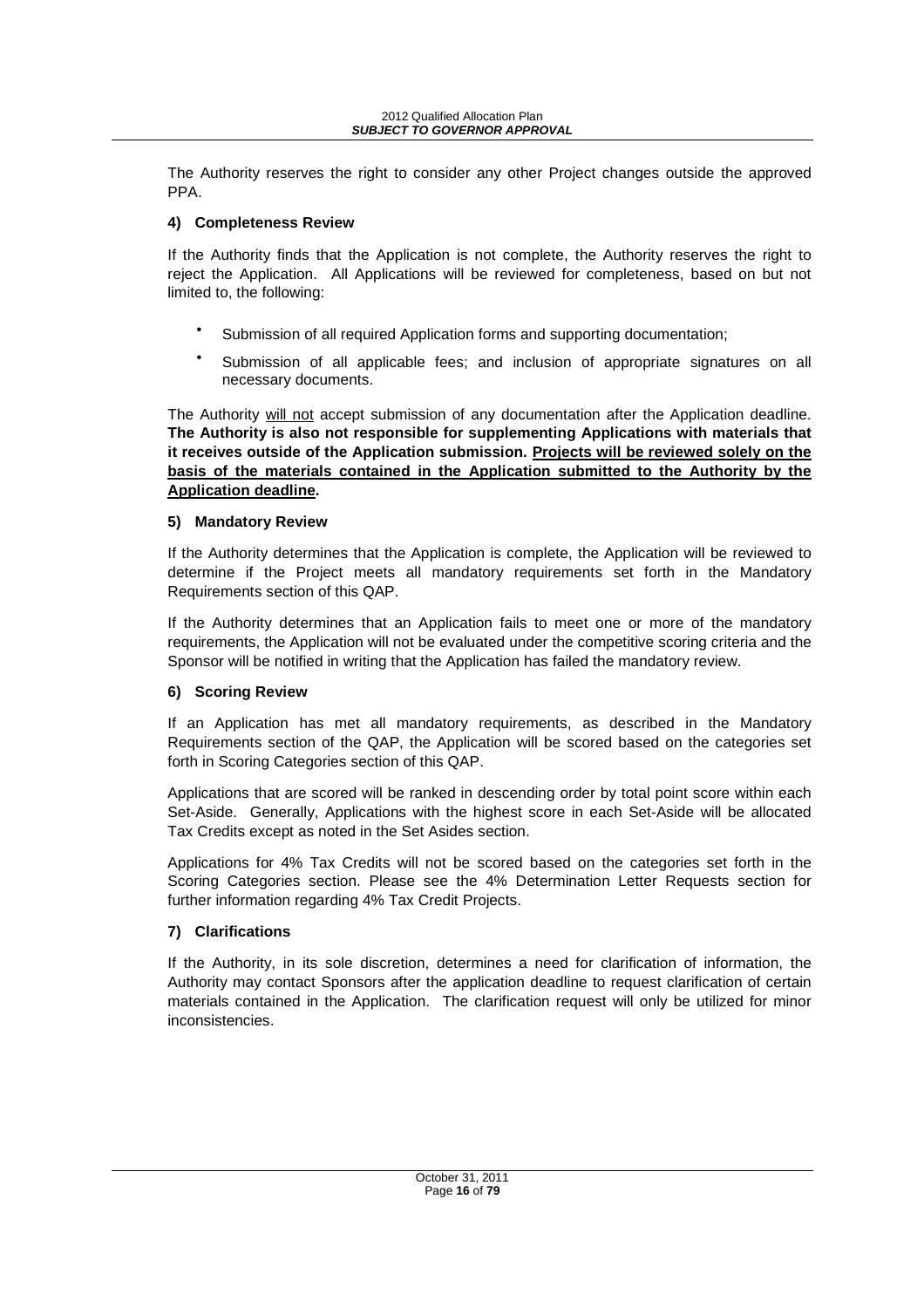The Authority reserves the right to consider any other Project changes outside the approved PPA.

#### **4) Completeness Review**

If the Authority finds that the Application is not complete, the Authority reserves the right to reject the Application. All Applications will be reviewed for completeness, based on but not limited to, the following:

- Submission of all required Application forms and supporting documentation;
- Submission of all applicable fees; and inclusion of appropriate signatures on all necessary documents.

The Authority will not accept submission of any documentation after the Application deadline. **The Authority is also not responsible for supplementing Applications with materials that it receives outside of the Application submission. Projects will be reviewed solely on the basis of the materials contained in the Application submitted to the Authority by the Application deadline.**

#### **5) Mandatory Review**

If the Authority determines that the Application is complete, the Application will be reviewed to determine if the Project meets all mandatory requirements set forth in the Mandatory Requirements section of this QAP.

If the Authority determines that an Application fails to meet one or more of the mandatory requirements, the Application will not be evaluated under the competitive scoring criteria and the Sponsor will be notified in writing that the Application has failed the mandatory review.

## **6) Scoring Review**

If an Application has met all mandatory requirements, as described in the Mandatory Requirements section of the QAP, the Application will be scored based on the categories set forth in Scoring Categories section of this QAP.

Applications that are scored will be ranked in descending order by total point score within each Set-Aside. Generally, Applications with the highest score in each Set-Aside will be allocated Tax Credits except as noted in the Set Asides section.

Applications for 4% Tax Credits will not be scored based on the categories set forth in the Scoring Categories section. Please see the 4% Determination Letter Requests section for further information regarding 4% Tax Credit Projects.

## **7) Clarifications**

If the Authority, in its sole discretion, determines a need for clarification of information, the Authority may contact Sponsors after the application deadline to request clarification of certain materials contained in the Application. The clarification request will only be utilized for minor inconsistencies.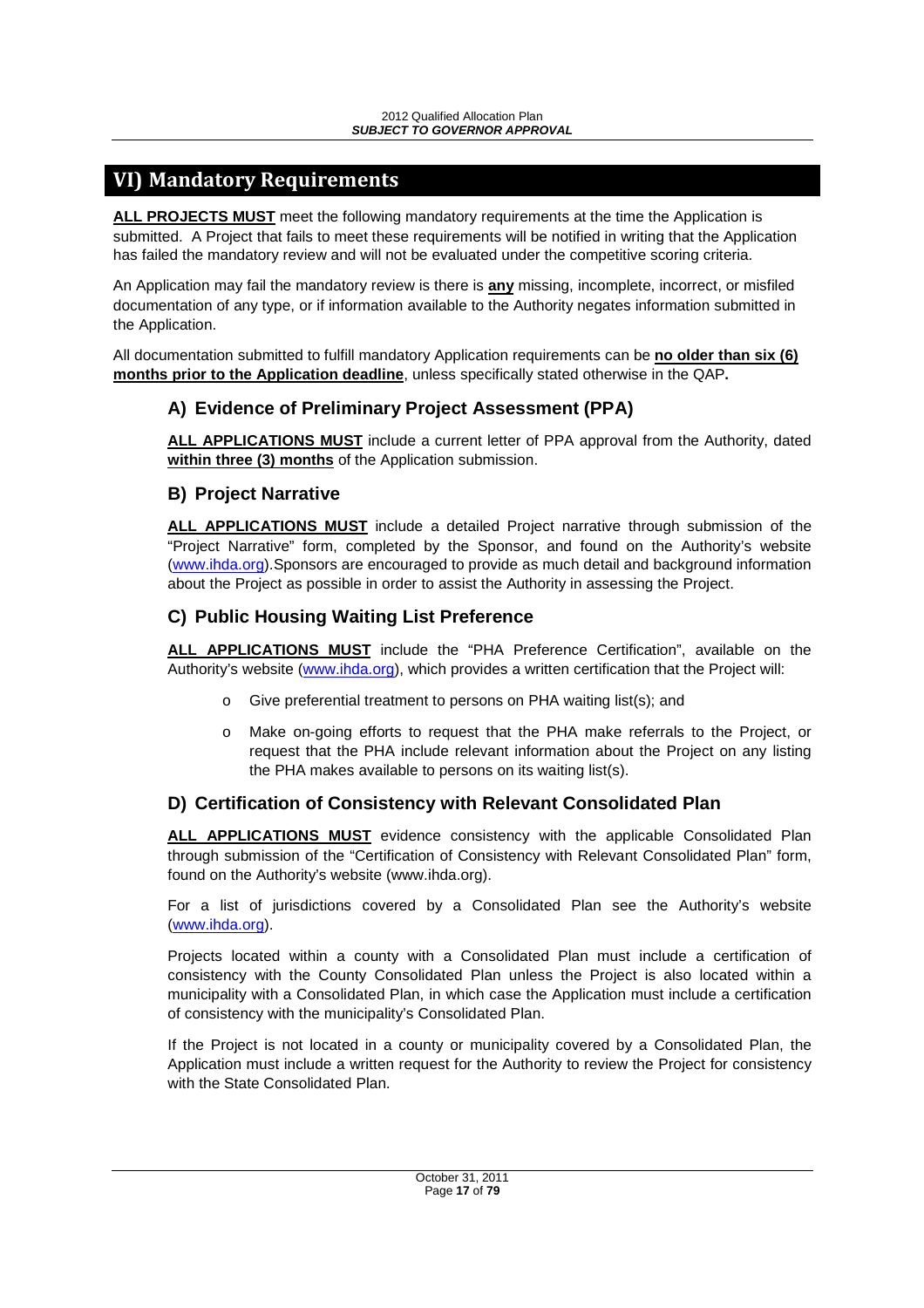# **VI) Mandatory Requirements**

**ALL PROJECTS MUST** meet the following mandatory requirements at the time the Application is submitted. A Project that fails to meet these requirements will be notified in writing that the Application has failed the mandatory review and will not be evaluated under the competitive scoring criteria.

An Application may fail the mandatory review is there is **any** missing, incomplete, incorrect, or misfiled documentation of any type, or if information available to the Authority negates information submitted in the Application.

All documentation submitted to fulfill mandatory Application requirements can be **no older than six (6) months prior to the Application deadline**, unless specifically stated otherwise in the QAP**.** 

## **A) Evidence of Preliminary Project Assessment (PPA)**

**ALL APPLICATIONS MUST** include a current letter of PPA approval from the Authority, dated **within three (3) months** of the Application submission.

## **B) Project Narrative**

**ALL APPLICATIONS MUST** include a detailed Project narrative through submission of the "Project Narrative" form, completed by the Sponsor, and found on the Authority's website (www.ihda.org).Sponsors are encouraged to provide as much detail and background information about the Project as possible in order to assist the Authority in assessing the Project.

## **C) Public Housing Waiting List Preference**

**ALL APPLICATIONS MUST** include the "PHA Preference Certification", available on the Authority's website (www.ihda.org), which provides a written certification that the Project will:

- o Give preferential treatment to persons on PHA waiting list(s); and
- o Make on-going efforts to request that the PHA make referrals to the Project, or request that the PHA include relevant information about the Project on any listing the PHA makes available to persons on its waiting list(s).

## **D) Certification of Consistency with Relevant Consolidated Plan**

**ALL APPLICATIONS MUST** evidence consistency with the applicable Consolidated Plan through submission of the "Certification of Consistency with Relevant Consolidated Plan" form, found on the Authority's website (www.ihda.org).

For a list of jurisdictions covered by a Consolidated Plan see the Authority's website (www.ihda.org).

Projects located within a county with a Consolidated Plan must include a certification of consistency with the County Consolidated Plan unless the Project is also located within a municipality with a Consolidated Plan, in which case the Application must include a certification of consistency with the municipality's Consolidated Plan.

If the Project is not located in a county or municipality covered by a Consolidated Plan, the Application must include a written request for the Authority to review the Project for consistency with the State Consolidated Plan.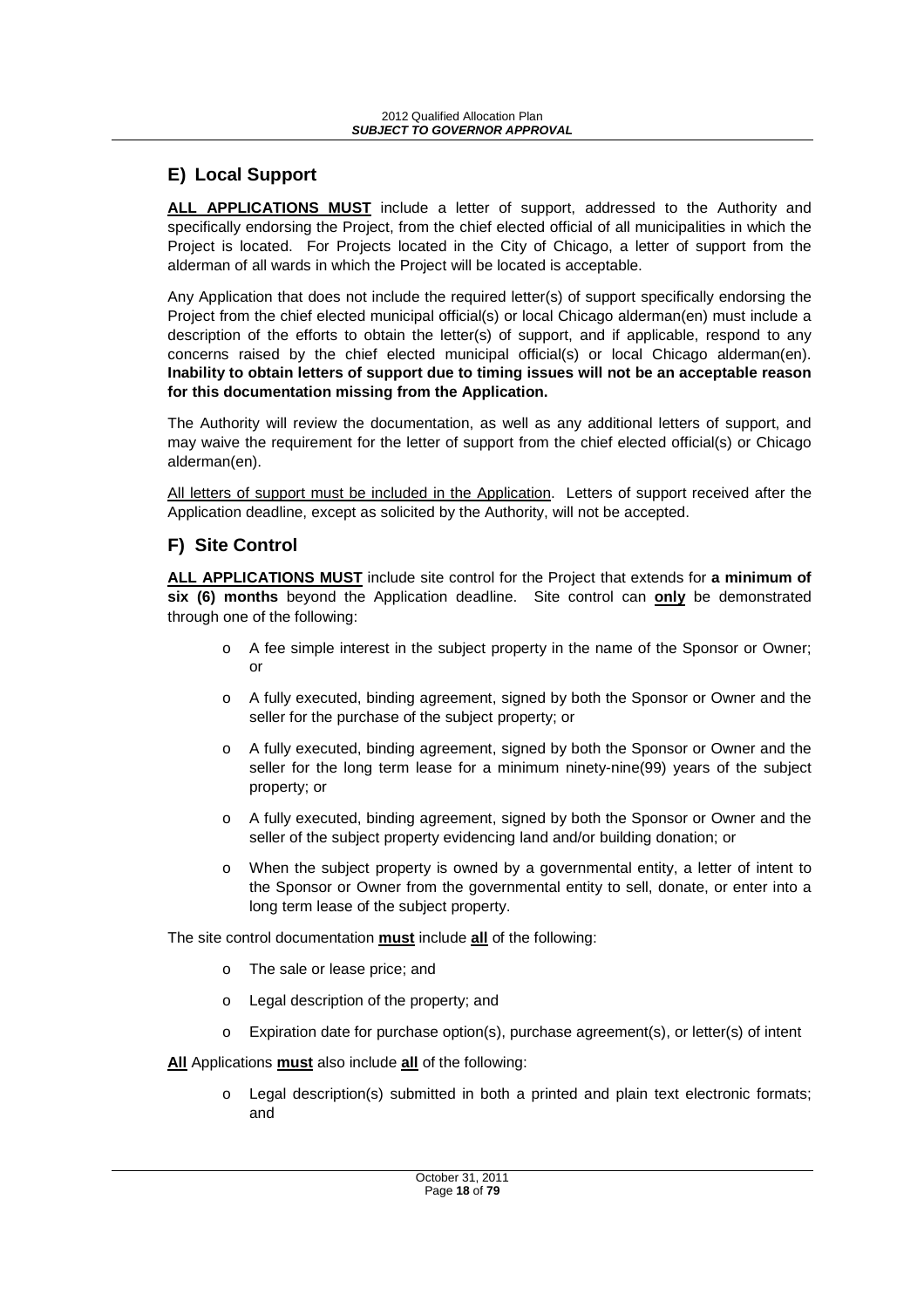## **E) Local Support**

**ALL APPLICATIONS MUST** include a letter of support, addressed to the Authority and specifically endorsing the Project, from the chief elected official of all municipalities in which the Project is located. For Projects located in the City of Chicago, a letter of support from the alderman of all wards in which the Project will be located is acceptable.

Any Application that does not include the required letter(s) of support specifically endorsing the Project from the chief elected municipal official(s) or local Chicago alderman(en) must include a description of the efforts to obtain the letter(s) of support, and if applicable, respond to any concerns raised by the chief elected municipal official(s) or local Chicago alderman(en). **Inability to obtain letters of support due to timing issues will not be an acceptable reason for this documentation missing from the Application.** 

The Authority will review the documentation, as well as any additional letters of support, and may waive the requirement for the letter of support from the chief elected official(s) or Chicago alderman(en).

All letters of support must be included in the Application. Letters of support received after the Application deadline, except as solicited by the Authority, will not be accepted.

## **F) Site Control**

**ALL APPLICATIONS MUST** include site control for the Project that extends for **a minimum of six (6) months** beyond the Application deadline. Site control can **only** be demonstrated through one of the following:

- o A fee simple interest in the subject property in the name of the Sponsor or Owner; or
- o A fully executed, binding agreement, signed by both the Sponsor or Owner and the seller for the purchase of the subject property; or
- o A fully executed, binding agreement, signed by both the Sponsor or Owner and the seller for the long term lease for a minimum ninety-nine(99) years of the subject property; or
- o A fully executed, binding agreement, signed by both the Sponsor or Owner and the seller of the subject property evidencing land and/or building donation; or
- o When the subject property is owned by a governmental entity, a letter of intent to the Sponsor or Owner from the governmental entity to sell, donate, or enter into a long term lease of the subject property.

The site control documentation **must** include **all** of the following:

- o The sale or lease price; and
- o Legal description of the property; and
- $\circ$  Expiration date for purchase option(s), purchase agreement(s), or letter(s) of intent

**All** Applications **must** also include **all** of the following:

o Legal description(s) submitted in both a printed and plain text electronic formats; and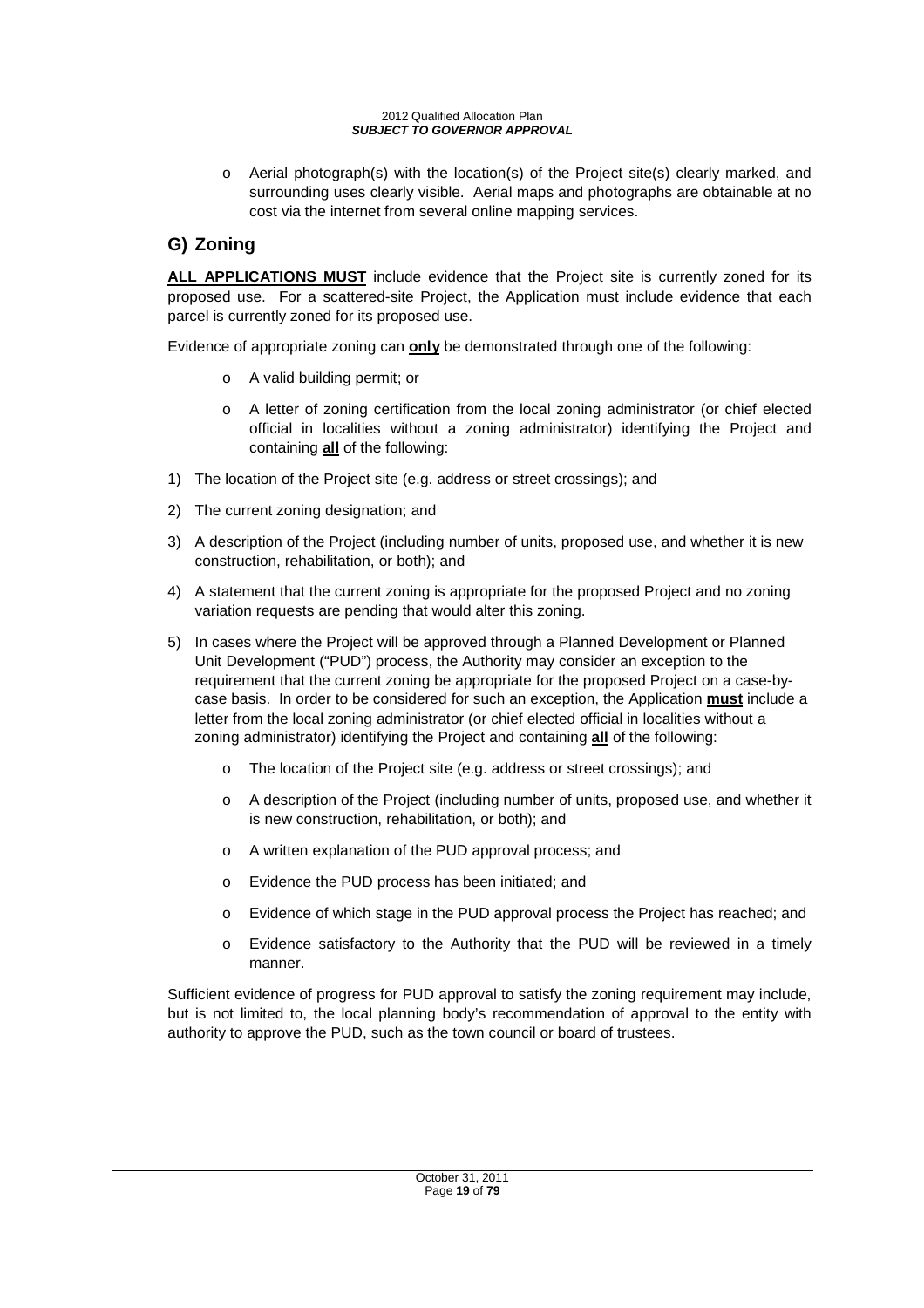o Aerial photograph(s) with the location(s) of the Project site(s) clearly marked, and surrounding uses clearly visible. Aerial maps and photographs are obtainable at no cost via the internet from several online mapping services.

# **G) Zoning**

**ALL APPLICATIONS MUST** include evidence that the Project site is currently zoned for its proposed use. For a scattered-site Project, the Application must include evidence that each parcel is currently zoned for its proposed use.

Evidence of appropriate zoning can **only** be demonstrated through one of the following:

- o A valid building permit; or
- o A letter of zoning certification from the local zoning administrator (or chief elected official in localities without a zoning administrator) identifying the Project and containing **all** of the following:
- 1) The location of the Project site (e.g. address or street crossings); and
- 2) The current zoning designation; and
- 3) A description of the Project (including number of units, proposed use, and whether it is new construction, rehabilitation, or both); and
- 4) A statement that the current zoning is appropriate for the proposed Project and no zoning variation requests are pending that would alter this zoning.
- 5) In cases where the Project will be approved through a Planned Development or Planned Unit Development ("PUD") process, the Authority may consider an exception to the requirement that the current zoning be appropriate for the proposed Project on a case-bycase basis. In order to be considered for such an exception, the Application **must** include a letter from the local zoning administrator (or chief elected official in localities without a zoning administrator) identifying the Project and containing **all** of the following:
	- o The location of the Project site (e.g. address or street crossings); and
	- o A description of the Project (including number of units, proposed use, and whether it is new construction, rehabilitation, or both); and
	- o A written explanation of the PUD approval process; and
	- o Evidence the PUD process has been initiated; and
	- o Evidence of which stage in the PUD approval process the Project has reached; and
	- o Evidence satisfactory to the Authority that the PUD will be reviewed in a timely manner.

Sufficient evidence of progress for PUD approval to satisfy the zoning requirement may include, but is not limited to, the local planning body's recommendation of approval to the entity with authority to approve the PUD, such as the town council or board of trustees.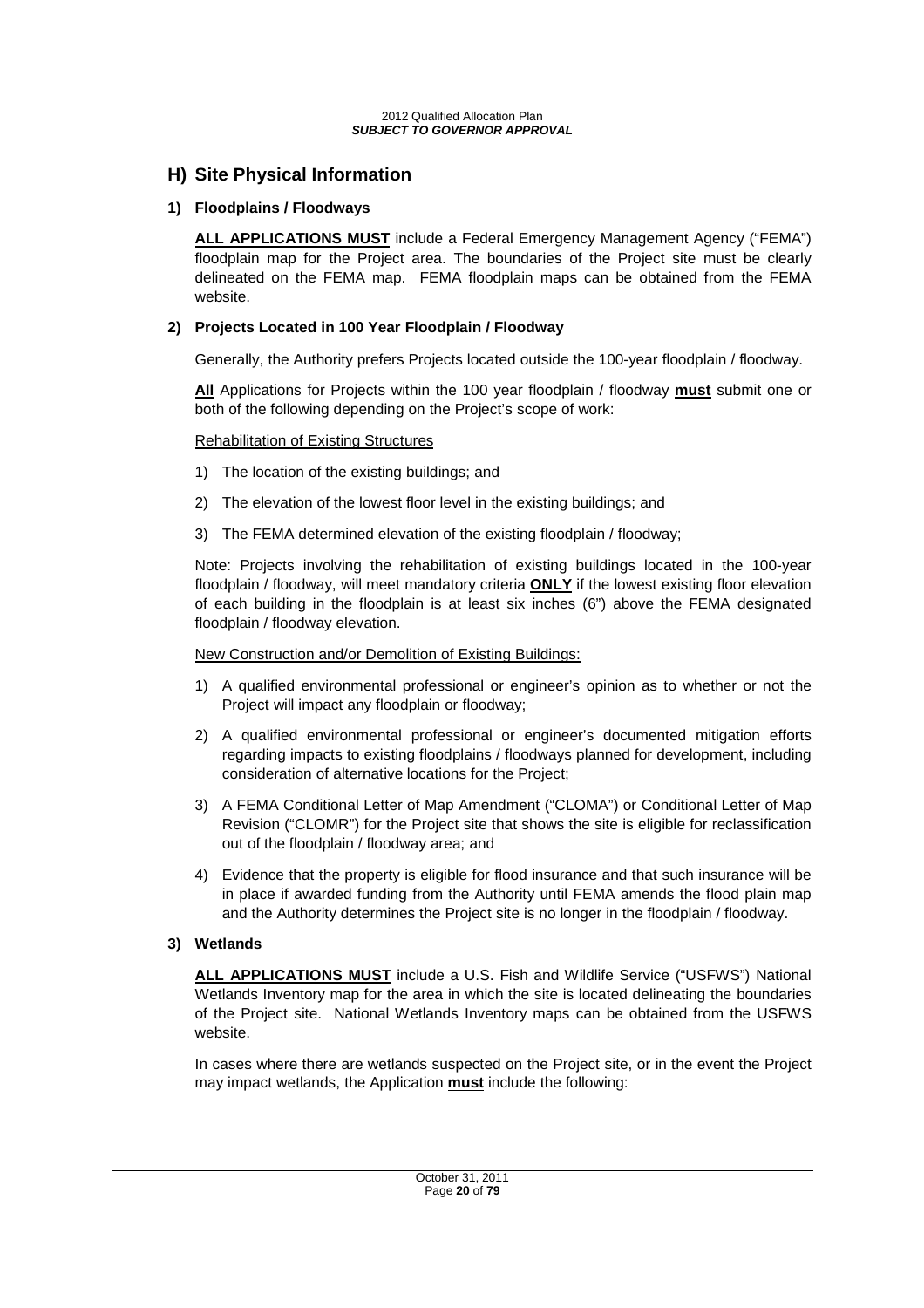## **H) Site Physical Information**

#### **1) Floodplains / Floodways**

**ALL APPLICATIONS MUST** include a Federal Emergency Management Agency ("FEMA") floodplain map for the Project area. The boundaries of the Project site must be clearly delineated on the FEMA map. FEMA floodplain maps can be obtained from the FEMA website.

#### **2) Projects Located in 100 Year Floodplain / Floodway**

Generally, the Authority prefers Projects located outside the 100-year floodplain / floodway.

**All** Applications for Projects within the 100 year floodplain / floodway **must** submit one or both of the following depending on the Project's scope of work:

Rehabilitation of Existing Structures

- 1) The location of the existing buildings; and
- 2) The elevation of the lowest floor level in the existing buildings; and
- 3) The FEMA determined elevation of the existing floodplain / floodway;

Note: Projects involving the rehabilitation of existing buildings located in the 100-year floodplain / floodway, will meet mandatory criteria **ONLY** if the lowest existing floor elevation of each building in the floodplain is at least six inches (6") above the FEMA designated floodplain / floodway elevation.

New Construction and/or Demolition of Existing Buildings:

- 1) A qualified environmental professional or engineer's opinion as to whether or not the Project will impact any floodplain or floodway;
- 2) A qualified environmental professional or engineer's documented mitigation efforts regarding impacts to existing floodplains / floodways planned for development, including consideration of alternative locations for the Project;
- 3) A FEMA Conditional Letter of Map Amendment ("CLOMA") or Conditional Letter of Map Revision ("CLOMR") for the Project site that shows the site is eligible for reclassification out of the floodplain / floodway area; and
- 4) Evidence that the property is eligible for flood insurance and that such insurance will be in place if awarded funding from the Authority until FEMA amends the flood plain map and the Authority determines the Project site is no longer in the floodplain / floodway.

#### **3) Wetlands**

**ALL APPLICATIONS MUST** include a U.S. Fish and Wildlife Service ("USFWS") National Wetlands Inventory map for the area in which the site is located delineating the boundaries of the Project site. National Wetlands Inventory maps can be obtained from the USFWS website.

In cases where there are wetlands suspected on the Project site, or in the event the Project may impact wetlands, the Application **must** include the following: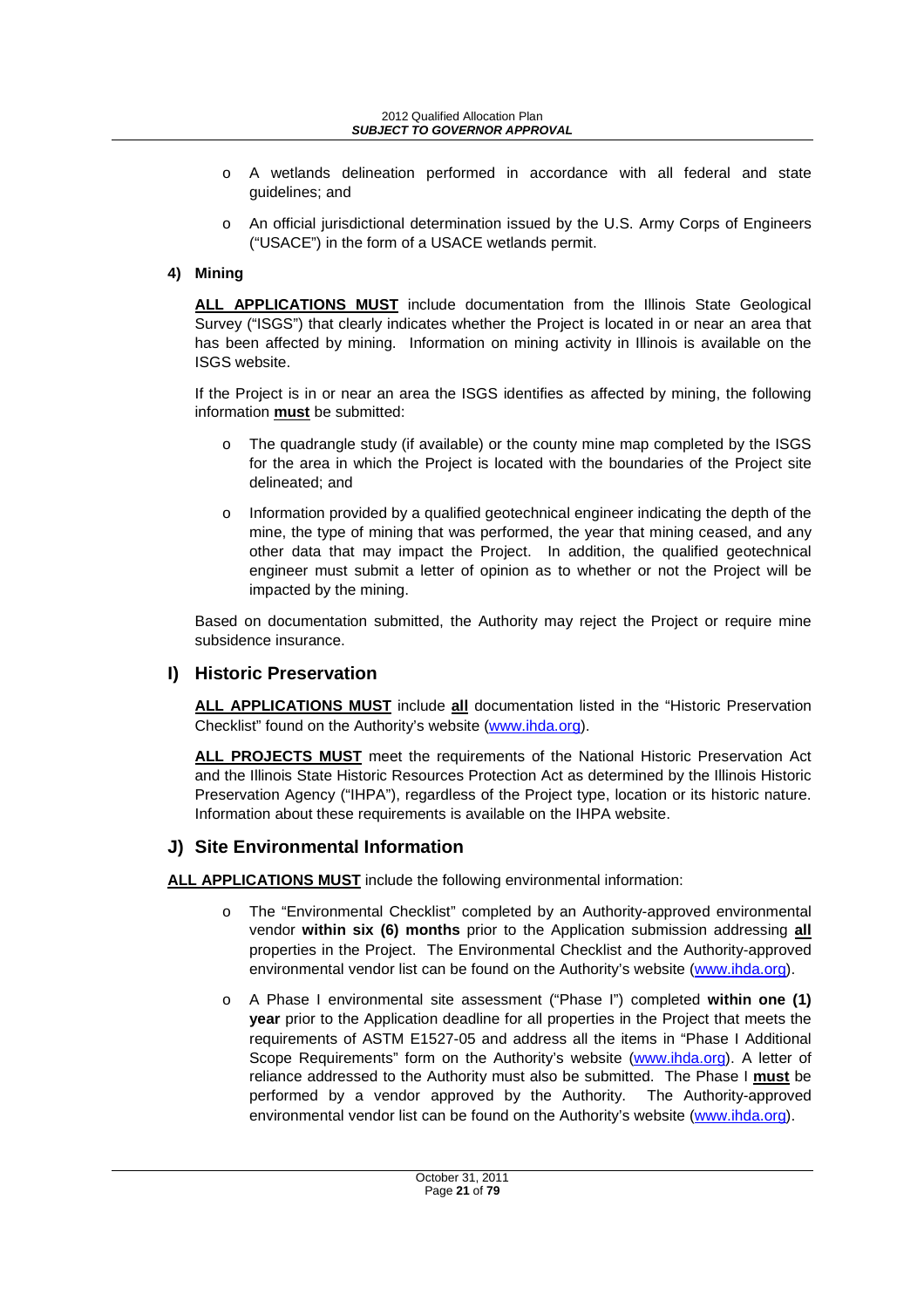#### 2012 Qualified Allocation Plan **SUBJECT TO GOVERNOR APPROVAL**

- o A wetlands delineation performed in accordance with all federal and state guidelines; and
- o An official jurisdictional determination issued by the U.S. Army Corps of Engineers ("USACE") in the form of a USACE wetlands permit.

## **4) Mining**

**ALL APPLICATIONS MUST** include documentation from the Illinois State Geological Survey ("ISGS") that clearly indicates whether the Project is located in or near an area that has been affected by mining. Information on mining activity in Illinois is available on the ISGS website.

If the Project is in or near an area the ISGS identifies as affected by mining, the following information **must** be submitted:

- o The quadrangle study (if available) or the county mine map completed by the ISGS for the area in which the Project is located with the boundaries of the Project site delineated; and
- $\circ$  Information provided by a qualified geotechnical engineer indicating the depth of the mine, the type of mining that was performed, the year that mining ceased, and any other data that may impact the Project. In addition, the qualified geotechnical engineer must submit a letter of opinion as to whether or not the Project will be impacted by the mining.

Based on documentation submitted, the Authority may reject the Project or require mine subsidence insurance.

## **I) Historic Preservation**

**ALL APPLICATIONS MUST** include **all** documentation listed in the "Historic Preservation Checklist" found on the Authority's website (www.ihda.org).

**ALL PROJECTS MUST** meet the requirements of the National Historic Preservation Act and the Illinois State Historic Resources Protection Act as determined by the Illinois Historic Preservation Agency ("IHPA"), regardless of the Project type, location or its historic nature. Information about these requirements is available on the IHPA website.

## **J) Site Environmental Information**

**ALL APPLICATIONS MUST** include the following environmental information:

- o The "Environmental Checklist" completed by an Authority-approved environmental vendor **within six (6) months** prior to the Application submission addressing **all** properties in the Project. The Environmental Checklist and the Authority-approved environmental vendor list can be found on the Authority's website (www.ihda.org).
- o A Phase I environmental site assessment ("Phase I") completed **within one (1) year** prior to the Application deadline for all properties in the Project that meets the requirements of ASTM E1527-05 and address all the items in "Phase I Additional Scope Requirements" form on the Authority's website (www.ihda.org). A letter of reliance addressed to the Authority must also be submitted. The Phase I **must** be performed by a vendor approved by the Authority. The Authority-approved environmental vendor list can be found on the Authority's website (www.ihda.org).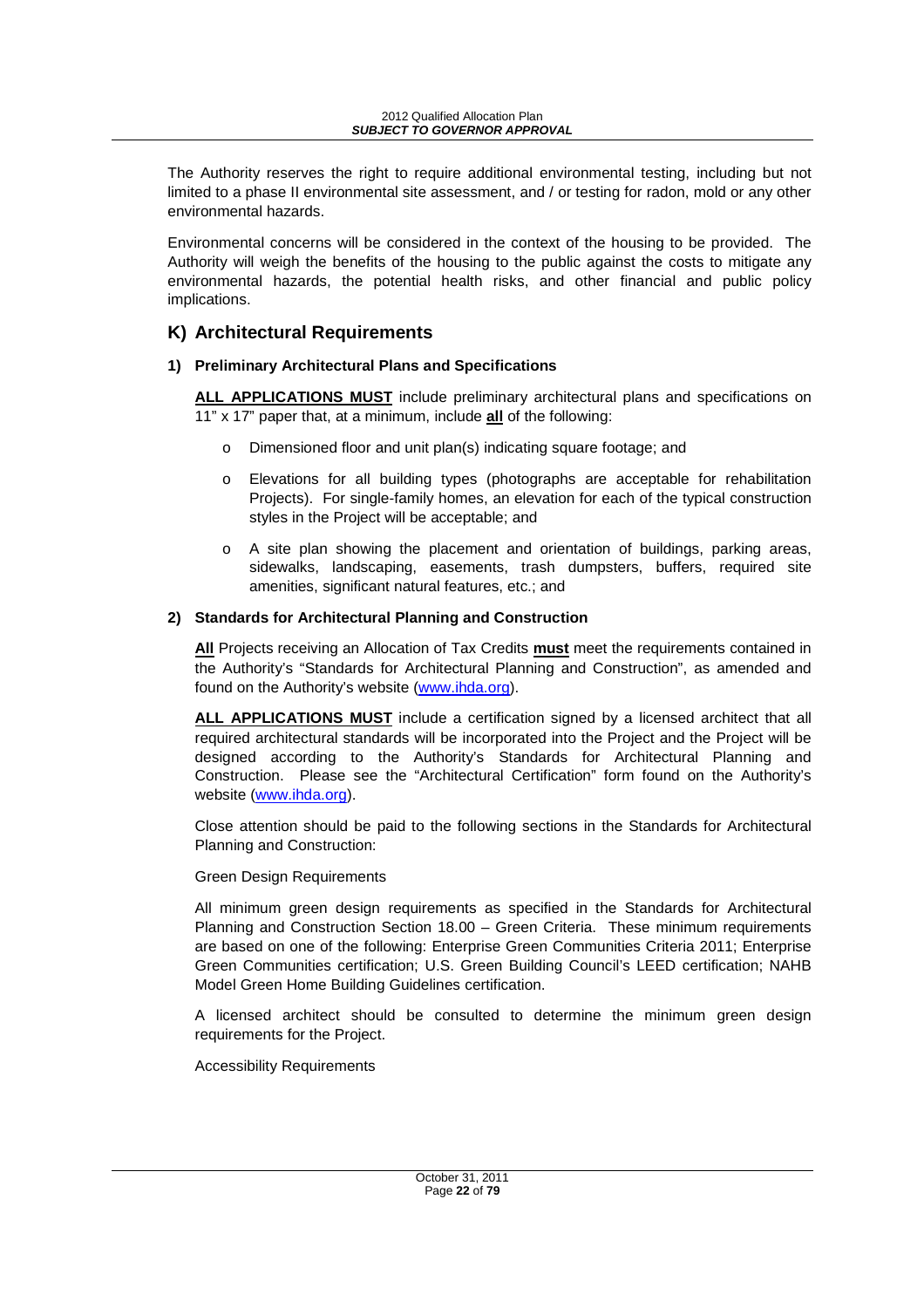The Authority reserves the right to require additional environmental testing, including but not limited to a phase II environmental site assessment, and / or testing for radon, mold or any other environmental hazards.

Environmental concerns will be considered in the context of the housing to be provided. The Authority will weigh the benefits of the housing to the public against the costs to mitigate any environmental hazards, the potential health risks, and other financial and public policy implications.

## **K) Architectural Requirements**

## **1) Preliminary Architectural Plans and Specifications**

**ALL APPLICATIONS MUST** include preliminary architectural plans and specifications on 11" x 17" paper that, at a minimum, include **all** of the following:

- Dimensioned floor and unit plan(s) indicating square footage; and
- o Elevations for all building types (photographs are acceptable for rehabilitation Projects). For single-family homes, an elevation for each of the typical construction styles in the Project will be acceptable; and
- $\circ$  A site plan showing the placement and orientation of buildings, parking areas, sidewalks, landscaping, easements, trash dumpsters, buffers, required site amenities, significant natural features, etc.; and

#### **2) Standards for Architectural Planning and Construction**

**All** Projects receiving an Allocation of Tax Credits **must** meet the requirements contained in the Authority's "Standards for Architectural Planning and Construction", as amended and found on the Authority's website (www.ihda.org).

**ALL APPLICATIONS MUST** include a certification signed by a licensed architect that all required architectural standards will be incorporated into the Project and the Project will be designed according to the Authority's Standards for Architectural Planning and Construction. Please see the "Architectural Certification" form found on the Authority's website (www.ihda.org).

Close attention should be paid to the following sections in the Standards for Architectural Planning and Construction:

## Green Design Requirements

All minimum green design requirements as specified in the Standards for Architectural Planning and Construction Section 18.00 – Green Criteria. These minimum requirements are based on one of the following: Enterprise Green Communities Criteria 2011; Enterprise Green Communities certification; U.S. Green Building Council's LEED certification; NAHB Model Green Home Building Guidelines certification.

A licensed architect should be consulted to determine the minimum green design requirements for the Project.

Accessibility Requirements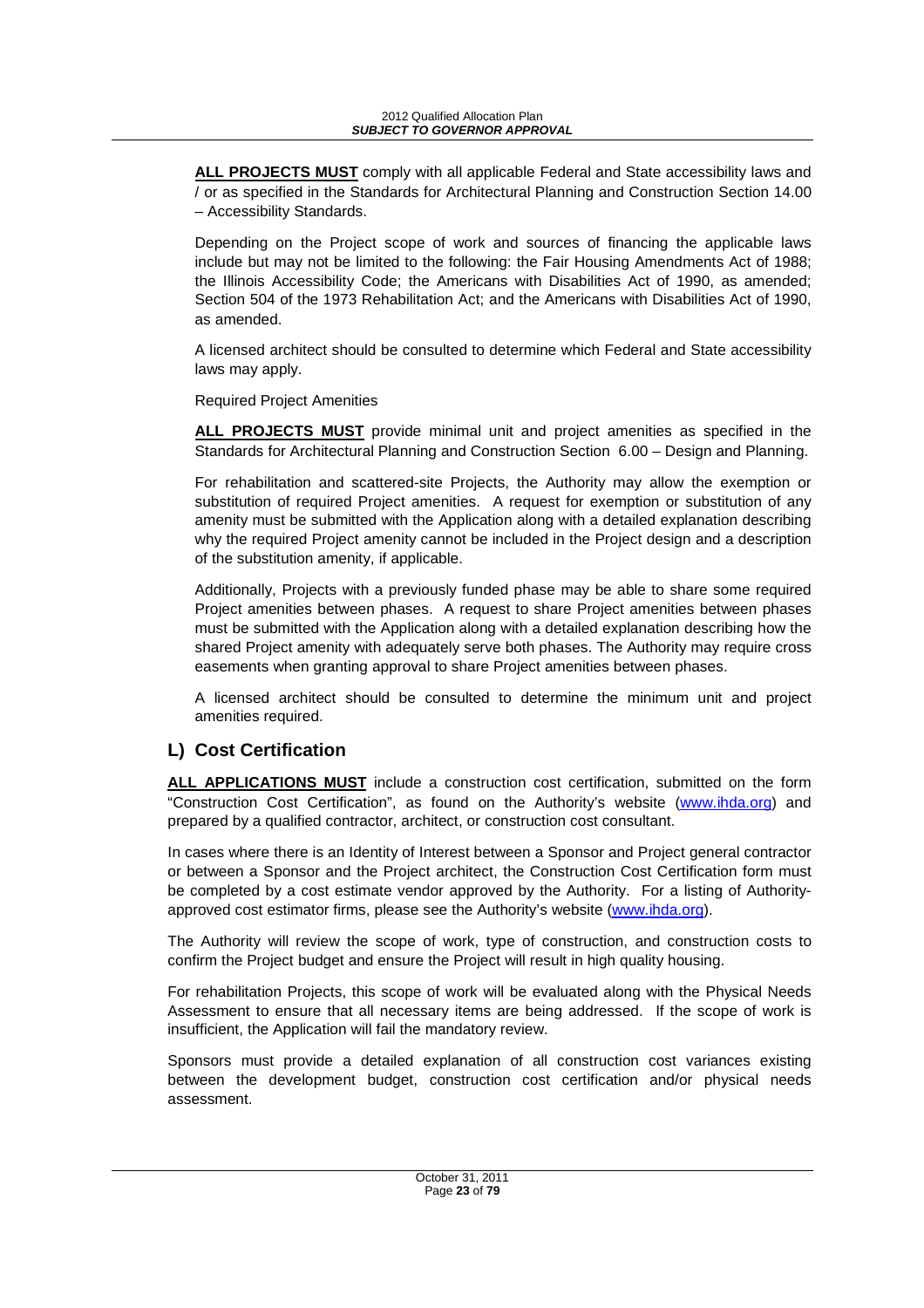**ALL PROJECTS MUST** comply with all applicable Federal and State accessibility laws and / or as specified in the Standards for Architectural Planning and Construction Section 14.00 – Accessibility Standards.

Depending on the Project scope of work and sources of financing the applicable laws include but may not be limited to the following: the Fair Housing Amendments Act of 1988; the Illinois Accessibility Code; the Americans with Disabilities Act of 1990, as amended; Section 504 of the 1973 Rehabilitation Act; and the Americans with Disabilities Act of 1990, as amended.

A licensed architect should be consulted to determine which Federal and State accessibility laws may apply.

Required Project Amenities

**ALL PROJECTS MUST** provide minimal unit and project amenities as specified in the Standards for Architectural Planning and Construction Section 6.00 – Design and Planning.

For rehabilitation and scattered-site Projects, the Authority may allow the exemption or substitution of required Project amenities. A request for exemption or substitution of any amenity must be submitted with the Application along with a detailed explanation describing why the required Project amenity cannot be included in the Project design and a description of the substitution amenity, if applicable.

Additionally, Projects with a previously funded phase may be able to share some required Project amenities between phases. A request to share Project amenities between phases must be submitted with the Application along with a detailed explanation describing how the shared Project amenity with adequately serve both phases. The Authority may require cross easements when granting approval to share Project amenities between phases.

A licensed architect should be consulted to determine the minimum unit and project amenities required.

# **L) Cost Certification**

**ALL APPLICATIONS MUST** include a construction cost certification, submitted on the form "Construction Cost Certification", as found on the Authority's website (www.ihda.org) and prepared by a qualified contractor, architect, or construction cost consultant.

In cases where there is an Identity of Interest between a Sponsor and Project general contractor or between a Sponsor and the Project architect, the Construction Cost Certification form must be completed by a cost estimate vendor approved by the Authority. For a listing of Authorityapproved cost estimator firms, please see the Authority's website (www.ihda.org).

The Authority will review the scope of work, type of construction, and construction costs to confirm the Project budget and ensure the Project will result in high quality housing.

For rehabilitation Projects, this scope of work will be evaluated along with the Physical Needs Assessment to ensure that all necessary items are being addressed. If the scope of work is insufficient, the Application will fail the mandatory review.

Sponsors must provide a detailed explanation of all construction cost variances existing between the development budget, construction cost certification and/or physical needs assessment.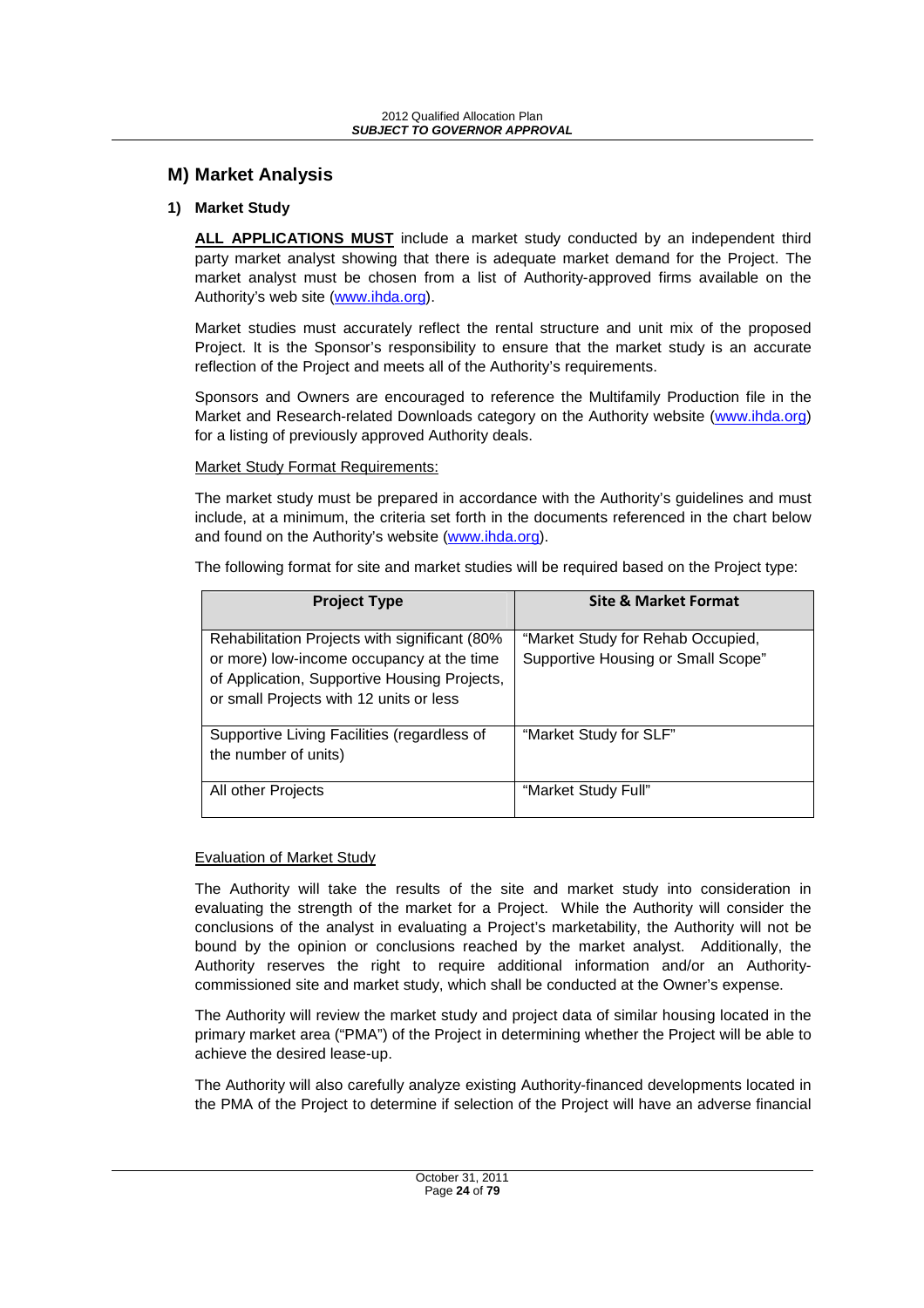## **M) Market Analysis**

#### **1) Market Study**

**ALL APPLICATIONS MUST** include a market study conducted by an independent third party market analyst showing that there is adequate market demand for the Project. The market analyst must be chosen from a list of Authority-approved firms available on the Authority's web site (www.ihda.org).

Market studies must accurately reflect the rental structure and unit mix of the proposed Project. It is the Sponsor's responsibility to ensure that the market study is an accurate reflection of the Project and meets all of the Authority's requirements.

Sponsors and Owners are encouraged to reference the Multifamily Production file in the Market and Research-related Downloads category on the Authority website (www.ihda.org) for a listing of previously approved Authority deals.

#### Market Study Format Requirements:

The market study must be prepared in accordance with the Authority's guidelines and must include, at a minimum, the criteria set forth in the documents referenced in the chart below and found on the Authority's website (www.ihda.org).

The following format for site and market studies will be required based on the Project type:

| <b>Project Type</b>                                                                                                                                                                    | <b>Site &amp; Market Format</b>                                         |
|----------------------------------------------------------------------------------------------------------------------------------------------------------------------------------------|-------------------------------------------------------------------------|
| Rehabilitation Projects with significant (80%)<br>or more) low-income occupancy at the time<br>of Application, Supportive Housing Projects,<br>or small Projects with 12 units or less | "Market Study for Rehab Occupied,<br>Supportive Housing or Small Scope" |
| Supportive Living Facilities (regardless of<br>the number of units)                                                                                                                    | "Market Study for SLF"                                                  |
| All other Projects                                                                                                                                                                     | "Market Study Full"                                                     |

#### Evaluation of Market Study

The Authority will take the results of the site and market study into consideration in evaluating the strength of the market for a Project. While the Authority will consider the conclusions of the analyst in evaluating a Project's marketability, the Authority will not be bound by the opinion or conclusions reached by the market analyst. Additionally, the Authority reserves the right to require additional information and/or an Authoritycommissioned site and market study, which shall be conducted at the Owner's expense.

The Authority will review the market study and project data of similar housing located in the primary market area ("PMA") of the Project in determining whether the Project will be able to achieve the desired lease-up.

The Authority will also carefully analyze existing Authority-financed developments located in the PMA of the Project to determine if selection of the Project will have an adverse financial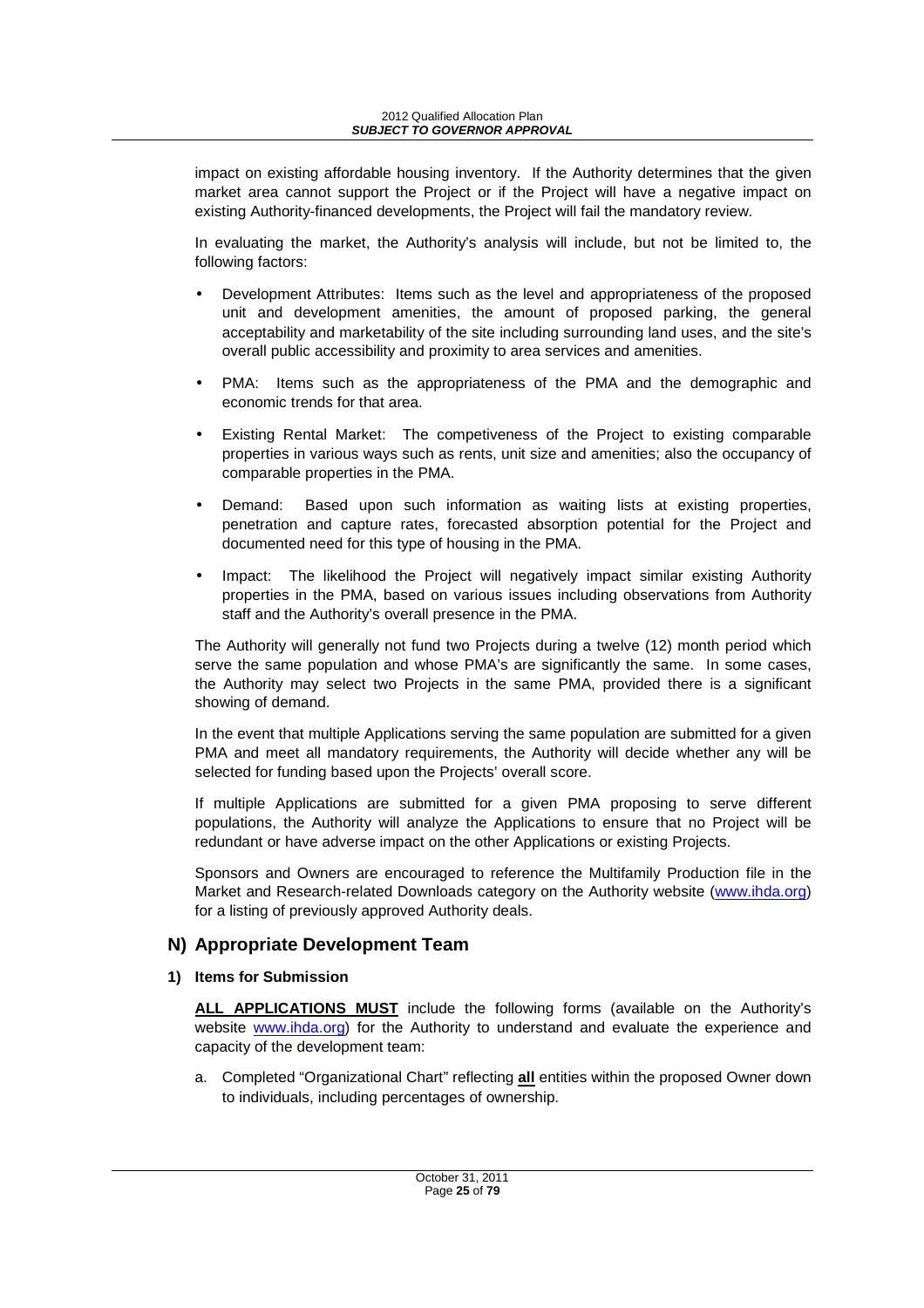impact on existing affordable housing inventory. If the Authority determines that the given market area cannot support the Project or if the Project will have a negative impact on existing Authority-financed developments, the Project will fail the mandatory review.

In evaluating the market, the Authority's analysis will include, but not be limited to, the following factors:

- Development Attributes: Items such as the level and appropriateness of the proposed unit and development amenities, the amount of proposed parking, the general acceptability and marketability of the site including surrounding land uses, and the site's overall public accessibility and proximity to area services and amenities.
- PMA: Items such as the appropriateness of the PMA and the demographic and economic trends for that area.
- Existing Rental Market: The competiveness of the Project to existing comparable properties in various ways such as rents, unit size and amenities; also the occupancy of comparable properties in the PMA.
- Demand: Based upon such information as waiting lists at existing properties, penetration and capture rates, forecasted absorption potential for the Project and documented need for this type of housing in the PMA.
- Impact: The likelihood the Project will negatively impact similar existing Authority properties in the PMA, based on various issues including observations from Authority staff and the Authority's overall presence in the PMA.

The Authority will generally not fund two Projects during a twelve (12) month period which serve the same population and whose PMA's are significantly the same. In some cases, the Authority may select two Projects in the same PMA, provided there is a significant showing of demand.

In the event that multiple Applications serving the same population are submitted for a given PMA and meet all mandatory requirements, the Authority will decide whether any will be selected for funding based upon the Projects' overall score.

If multiple Applications are submitted for a given PMA proposing to serve different populations, the Authority will analyze the Applications to ensure that no Project will be redundant or have adverse impact on the other Applications or existing Projects.

Sponsors and Owners are encouraged to reference the Multifamily Production file in the Market and Research-related Downloads category on the Authority website (www.ihda.org) for a listing of previously approved Authority deals.

## **N) Appropriate Development Team**

**1) Items for Submission** 

**ALL APPLICATIONS MUST** include the following forms (available on the Authority's website www.ihda.org) for the Authority to understand and evaluate the experience and capacity of the development team:

a. Completed "Organizational Chart" reflecting **all** entities within the proposed Owner down to individuals, including percentages of ownership.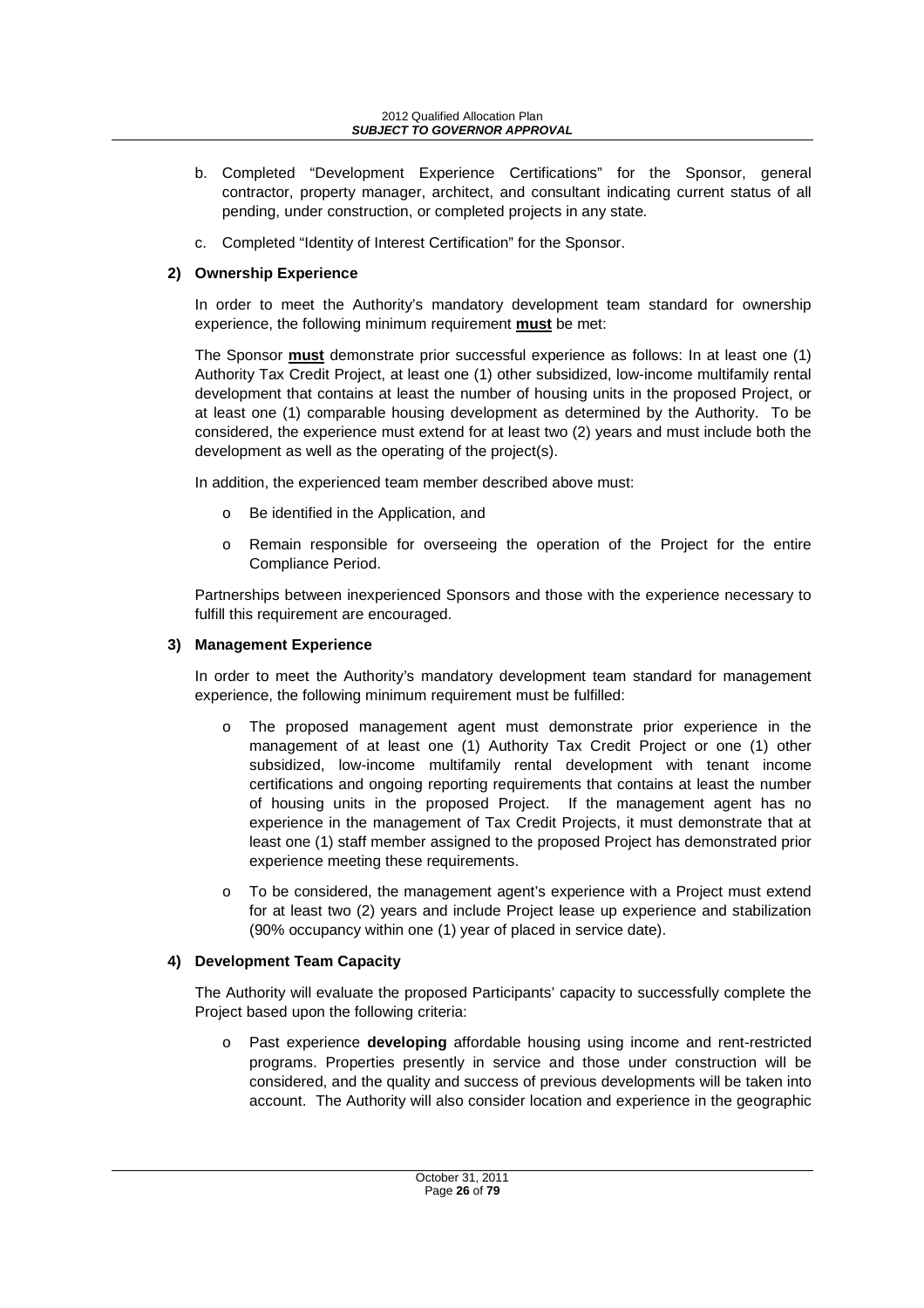- b. Completed "Development Experience Certifications" for the Sponsor, general contractor, property manager, architect, and consultant indicating current status of all pending, under construction, or completed projects in any state.
- c. Completed "Identity of Interest Certification" for the Sponsor.

## **2) Ownership Experience**

In order to meet the Authority's mandatory development team standard for ownership experience, the following minimum requirement **must** be met:

The Sponsor **must** demonstrate prior successful experience as follows: In at least one (1) Authority Tax Credit Project, at least one (1) other subsidized, low-income multifamily rental development that contains at least the number of housing units in the proposed Project, or at least one (1) comparable housing development as determined by the Authority. To be considered, the experience must extend for at least two (2) years and must include both the development as well as the operating of the project(s).

In addition, the experienced team member described above must:

- Be identified in the Application, and
- o Remain responsible for overseeing the operation of the Project for the entire Compliance Period.

Partnerships between inexperienced Sponsors and those with the experience necessary to fulfill this requirement are encouraged.

## **3) Management Experience**

In order to meet the Authority's mandatory development team standard for management experience, the following minimum requirement must be fulfilled:

- The proposed management agent must demonstrate prior experience in the management of at least one (1) Authority Tax Credit Project or one (1) other subsidized, low-income multifamily rental development with tenant income certifications and ongoing reporting requirements that contains at least the number of housing units in the proposed Project. If the management agent has no experience in the management of Tax Credit Projects, it must demonstrate that at least one (1) staff member assigned to the proposed Project has demonstrated prior experience meeting these requirements.
- o To be considered, the management agent's experience with a Project must extend for at least two (2) years and include Project lease up experience and stabilization (90% occupancy within one (1) year of placed in service date).

## **4) Development Team Capacity**

The Authority will evaluate the proposed Participants' capacity to successfully complete the Project based upon the following criteria:

o Past experience **developing** affordable housing using income and rent-restricted programs. Properties presently in service and those under construction will be considered, and the quality and success of previous developments will be taken into account. The Authority will also consider location and experience in the geographic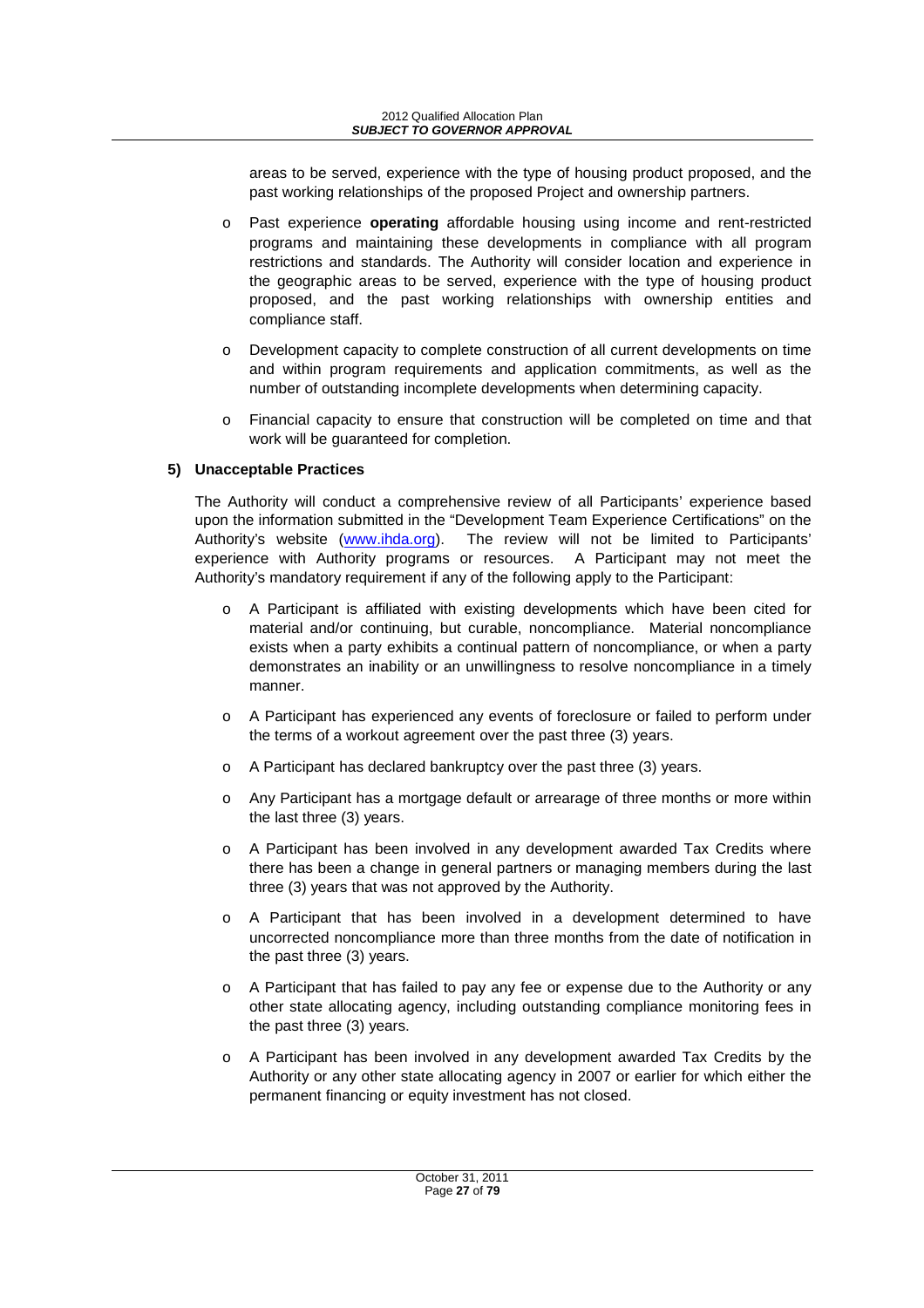areas to be served, experience with the type of housing product proposed, and the past working relationships of the proposed Project and ownership partners.

- o Past experience **operating** affordable housing using income and rent-restricted programs and maintaining these developments in compliance with all program restrictions and standards. The Authority will consider location and experience in the geographic areas to be served, experience with the type of housing product proposed, and the past working relationships with ownership entities and compliance staff.
- o Development capacity to complete construction of all current developments on time and within program requirements and application commitments, as well as the number of outstanding incomplete developments when determining capacity.
- o Financial capacity to ensure that construction will be completed on time and that work will be guaranteed for completion.

## **5) Unacceptable Practices**

The Authority will conduct a comprehensive review of all Participants' experience based upon the information submitted in the "Development Team Experience Certifications" on the Authority's website (www.ihda.org). The review will not be limited to Participants' experience with Authority programs or resources. A Participant may not meet the Authority's mandatory requirement if any of the following apply to the Participant:

- o A Participant is affiliated with existing developments which have been cited for material and/or continuing, but curable, noncompliance. Material noncompliance exists when a party exhibits a continual pattern of noncompliance, or when a party demonstrates an inability or an unwillingness to resolve noncompliance in a timely manner.
- o A Participant has experienced any events of foreclosure or failed to perform under the terms of a workout agreement over the past three (3) years.
- o A Participant has declared bankruptcy over the past three (3) years.
- o Any Participant has a mortgage default or arrearage of three months or more within the last three (3) years.
- o A Participant has been involved in any development awarded Tax Credits where there has been a change in general partners or managing members during the last three (3) years that was not approved by the Authority.
- o A Participant that has been involved in a development determined to have uncorrected noncompliance more than three months from the date of notification in the past three (3) years.
- $\circ$  A Participant that has failed to pay any fee or expense due to the Authority or any other state allocating agency, including outstanding compliance monitoring fees in the past three (3) years.
- o A Participant has been involved in any development awarded Tax Credits by the Authority or any other state allocating agency in 2007 or earlier for which either the permanent financing or equity investment has not closed.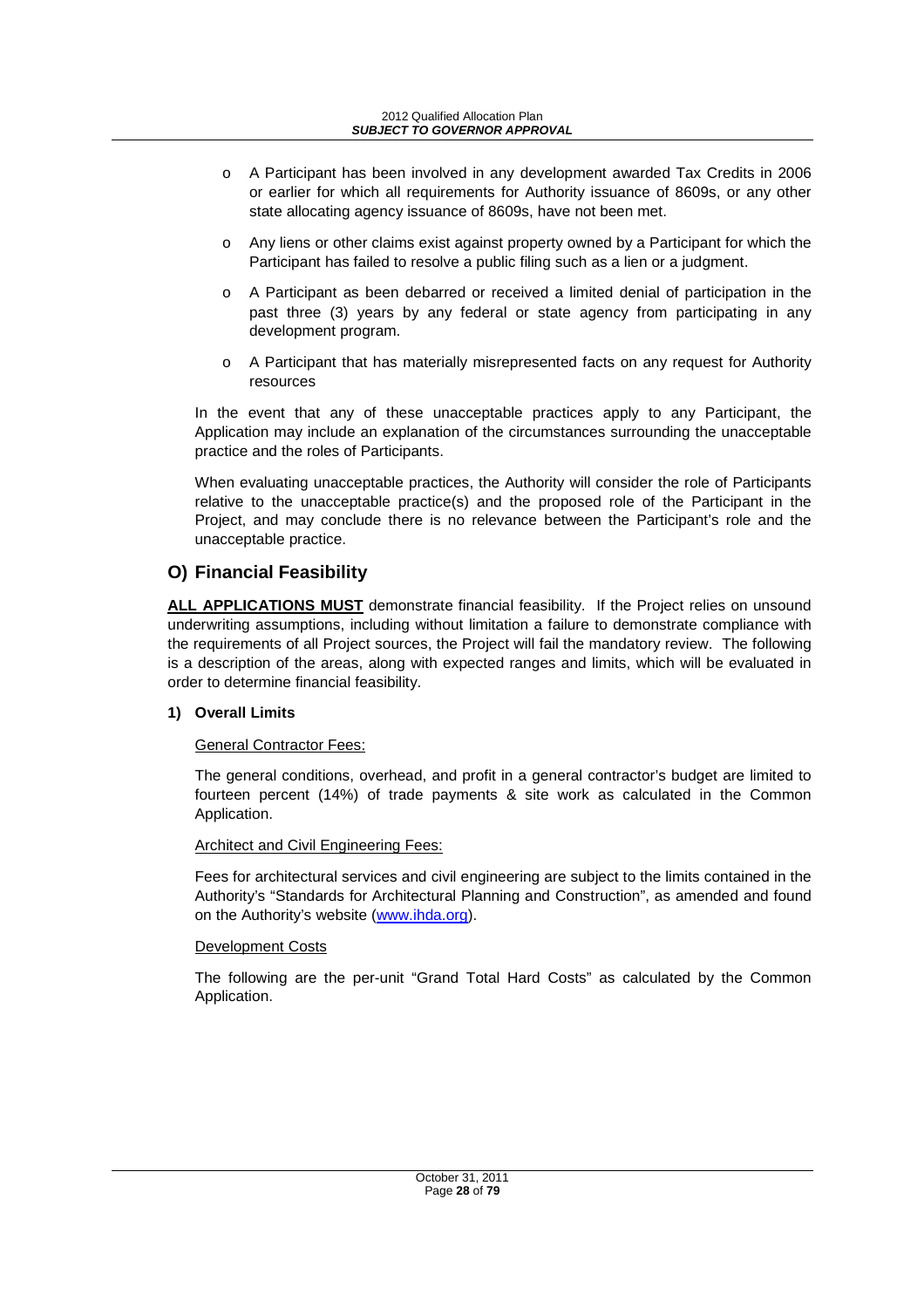- o A Participant has been involved in any development awarded Tax Credits in 2006 or earlier for which all requirements for Authority issuance of 8609s, or any other state allocating agency issuance of 8609s, have not been met.
- o Any liens or other claims exist against property owned by a Participant for which the Participant has failed to resolve a public filing such as a lien or a judgment.
- o A Participant as been debarred or received a limited denial of participation in the past three (3) years by any federal or state agency from participating in any development program.
- o A Participant that has materially misrepresented facts on any request for Authority resources

In the event that any of these unacceptable practices apply to any Participant, the Application may include an explanation of the circumstances surrounding the unacceptable practice and the roles of Participants.

When evaluating unacceptable practices, the Authority will consider the role of Participants relative to the unacceptable practice(s) and the proposed role of the Participant in the Project, and may conclude there is no relevance between the Participant's role and the unacceptable practice.

## **O) Financial Feasibility**

**ALL APPLICATIONS MUST** demonstrate financial feasibility. If the Project relies on unsound underwriting assumptions, including without limitation a failure to demonstrate compliance with the requirements of all Project sources, the Project will fail the mandatory review. The following is a description of the areas, along with expected ranges and limits, which will be evaluated in order to determine financial feasibility.

## **1) Overall Limits**

## General Contractor Fees:

The general conditions, overhead, and profit in a general contractor's budget are limited to fourteen percent (14%) of trade payments & site work as calculated in the Common Application.

## Architect and Civil Engineering Fees:

Fees for architectural services and civil engineering are subject to the limits contained in the Authority's "Standards for Architectural Planning and Construction", as amended and found on the Authority's website (www.ihda.org).

## Development Costs

The following are the per-unit "Grand Total Hard Costs" as calculated by the Common Application.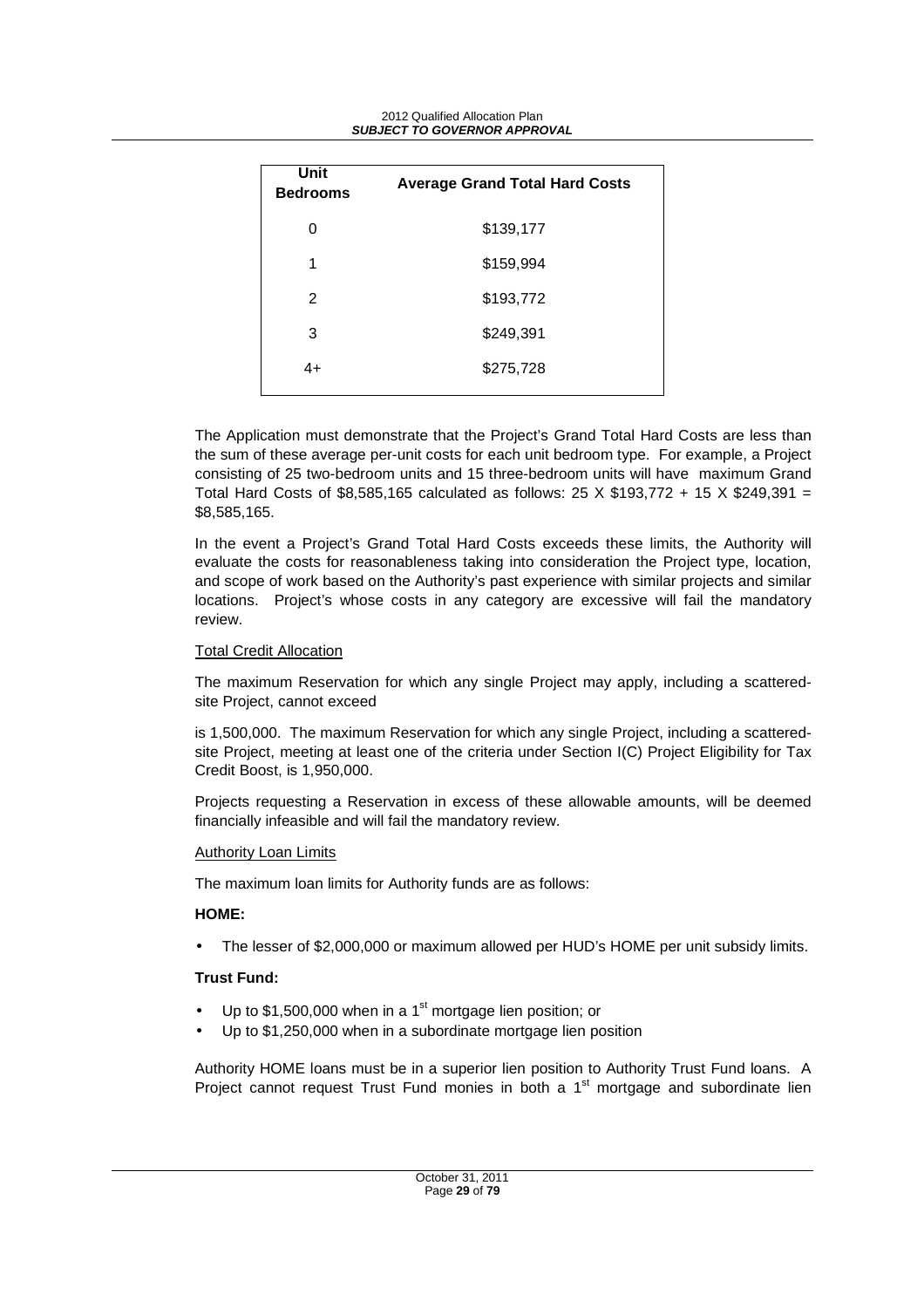| Unit<br><b>Bedrooms</b> | <b>Average Grand Total Hard Costs</b> |
|-------------------------|---------------------------------------|
| 0                       | \$139,177                             |
| 1                       | \$159,994                             |
| 2                       | \$193,772                             |
| 3                       | \$249,391                             |
| 4+                      | \$275,728                             |

The Application must demonstrate that the Project's Grand Total Hard Costs are less than the sum of these average per-unit costs for each unit bedroom type. For example, a Project consisting of 25 two-bedroom units and 15 three-bedroom units will have maximum Grand Total Hard Costs of \$8,585,165 calculated as follows:  $25 \times $193,772 + 15 \times $249,391 =$ \$8,585,165.

In the event a Project's Grand Total Hard Costs exceeds these limits, the Authority will evaluate the costs for reasonableness taking into consideration the Project type, location, and scope of work based on the Authority's past experience with similar projects and similar locations. Project's whose costs in any category are excessive will fail the mandatory review.

#### Total Credit Allocation

The maximum Reservation for which any single Project may apply, including a scatteredsite Project, cannot exceed

is 1,500,000. The maximum Reservation for which any single Project, including a scatteredsite Project, meeting at least one of the criteria under Section I(C) Project Eligibility for Tax Credit Boost, is 1,950,000.

Projects requesting a Reservation in excess of these allowable amounts, will be deemed financially infeasible and will fail the mandatory review.

#### Authority Loan Limits

The maximum loan limits for Authority funds are as follows:

## **HOME:**

• The lesser of \$2,000,000 or maximum allowed per HUD's HOME per unit subsidy limits.

#### **Trust Fund:**

- Up to  $$1,500,000$  when in a 1<sup>st</sup> mortgage lien position; or
- Up to \$1,250,000 when in a subordinate mortgage lien position

Authority HOME loans must be in a superior lien position to Authority Trust Fund loans. A Project cannot request Trust Fund monies in both a  $1<sup>st</sup>$  mortgage and subordinate lien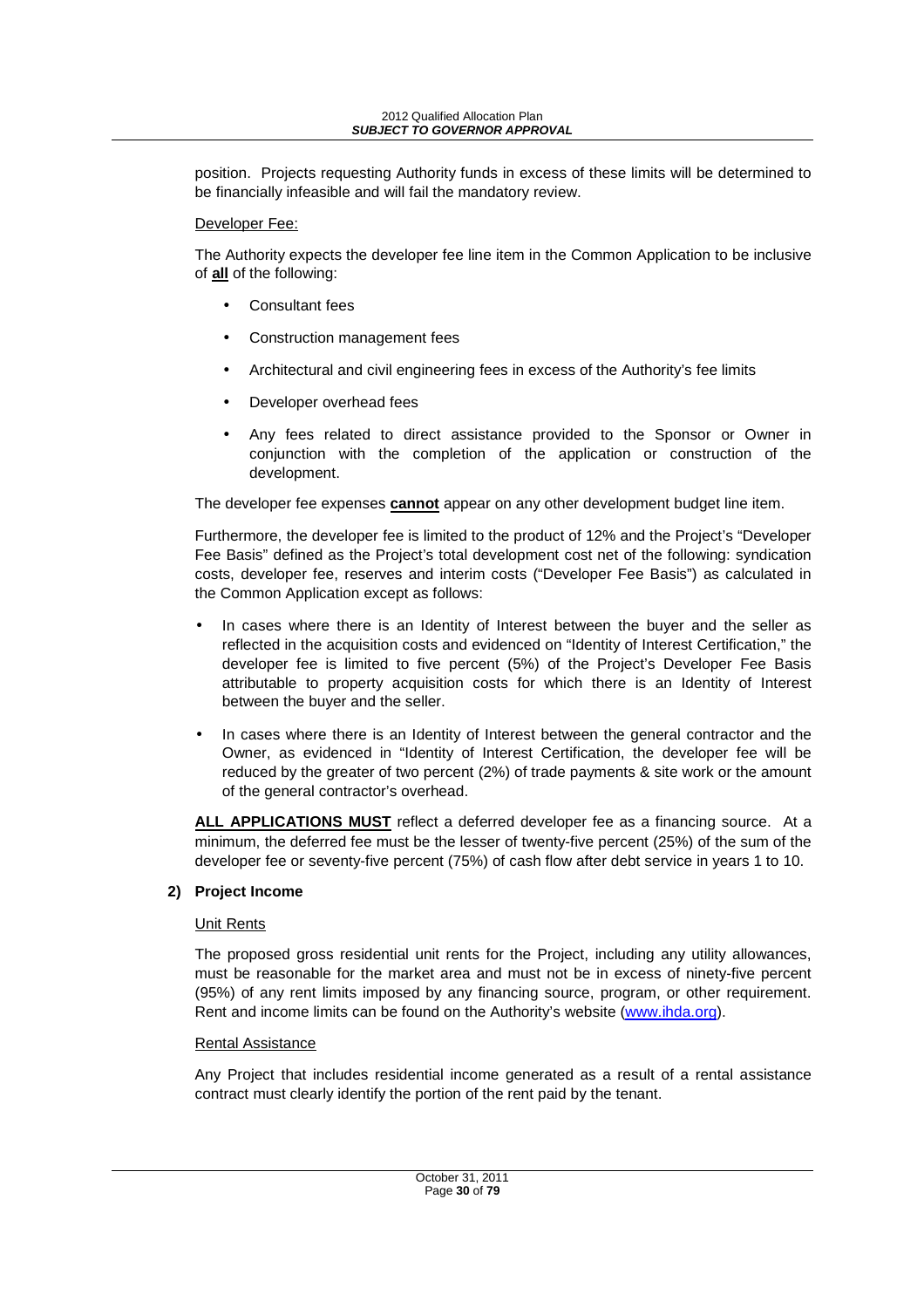position. Projects requesting Authority funds in excess of these limits will be determined to be financially infeasible and will fail the mandatory review.

#### Developer Fee:

The Authority expects the developer fee line item in the Common Application to be inclusive of **all** of the following:

- Consultant fees
- Construction management fees
- Architectural and civil engineering fees in excess of the Authority's fee limits
- Developer overhead fees
- Any fees related to direct assistance provided to the Sponsor or Owner in conjunction with the completion of the application or construction of the development.

The developer fee expenses **cannot** appear on any other development budget line item.

Furthermore, the developer fee is limited to the product of 12% and the Project's "Developer Fee Basis" defined as the Project's total development cost net of the following: syndication costs, developer fee, reserves and interim costs ("Developer Fee Basis") as calculated in the Common Application except as follows:

- In cases where there is an Identity of Interest between the buyer and the seller as reflected in the acquisition costs and evidenced on "Identity of Interest Certification," the developer fee is limited to five percent (5%) of the Project's Developer Fee Basis attributable to property acquisition costs for which there is an Identity of Interest between the buyer and the seller.
- In cases where there is an Identity of Interest between the general contractor and the Owner, as evidenced in "Identity of Interest Certification, the developer fee will be reduced by the greater of two percent (2%) of trade payments & site work or the amount of the general contractor's overhead.

**ALL APPLICATIONS MUST** reflect a deferred developer fee as a financing source. At a minimum, the deferred fee must be the lesser of twenty-five percent (25%) of the sum of the developer fee or seventy-five percent (75%) of cash flow after debt service in years 1 to 10.

## **2) Project Income**

## Unit Rents

The proposed gross residential unit rents for the Project, including any utility allowances, must be reasonable for the market area and must not be in excess of ninety-five percent (95%) of any rent limits imposed by any financing source, program, or other requirement. Rent and income limits can be found on the Authority's website (www.ihda.org).

## Rental Assistance

Any Project that includes residential income generated as a result of a rental assistance contract must clearly identify the portion of the rent paid by the tenant.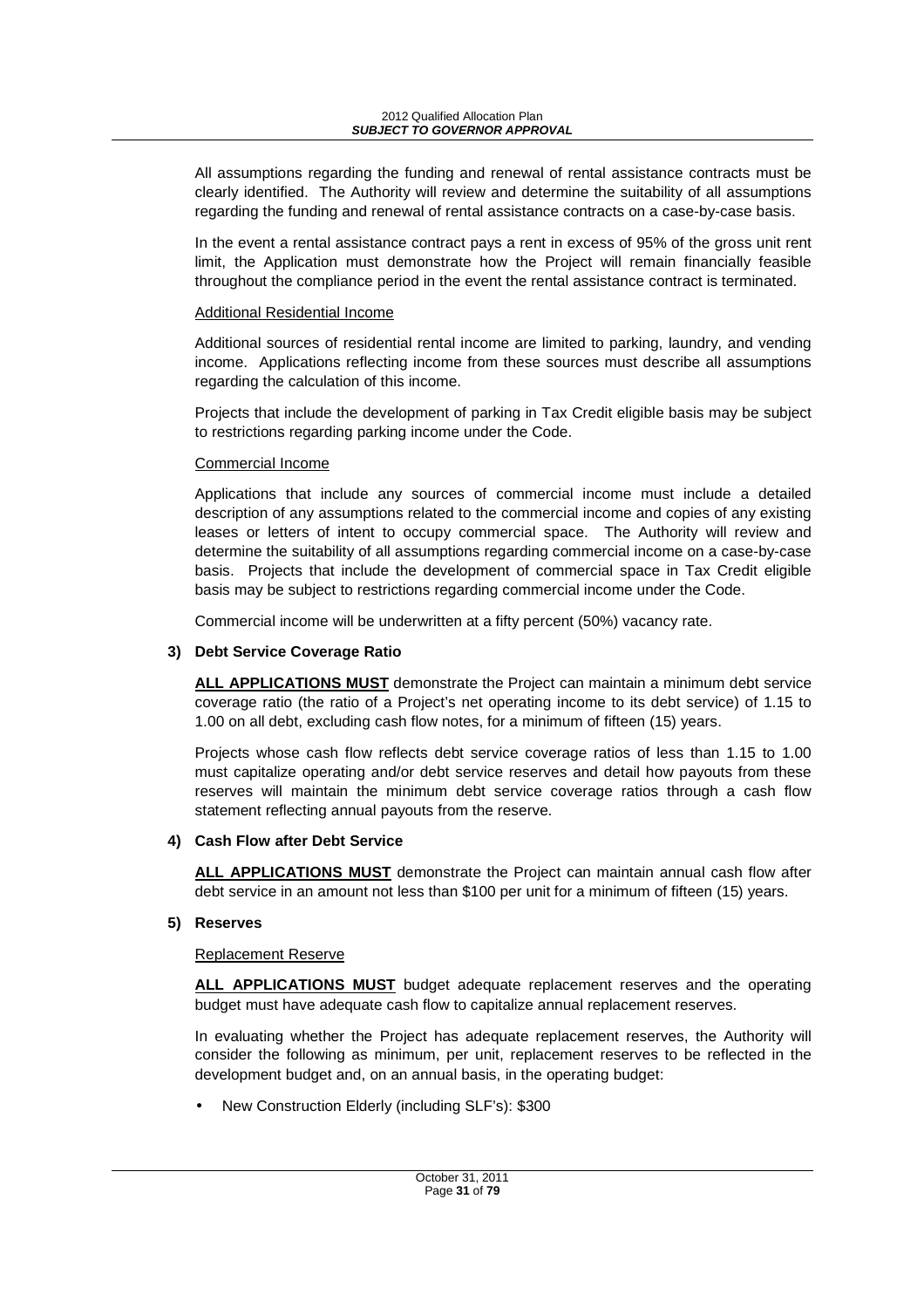All assumptions regarding the funding and renewal of rental assistance contracts must be clearly identified. The Authority will review and determine the suitability of all assumptions regarding the funding and renewal of rental assistance contracts on a case-by-case basis.

In the event a rental assistance contract pays a rent in excess of 95% of the gross unit rent limit, the Application must demonstrate how the Project will remain financially feasible throughout the compliance period in the event the rental assistance contract is terminated.

#### Additional Residential Income

Additional sources of residential rental income are limited to parking, laundry, and vending income. Applications reflecting income from these sources must describe all assumptions regarding the calculation of this income.

Projects that include the development of parking in Tax Credit eligible basis may be subject to restrictions regarding parking income under the Code.

#### Commercial Income

Applications that include any sources of commercial income must include a detailed description of any assumptions related to the commercial income and copies of any existing leases or letters of intent to occupy commercial space. The Authority will review and determine the suitability of all assumptions regarding commercial income on a case-by-case basis. Projects that include the development of commercial space in Tax Credit eligible basis may be subject to restrictions regarding commercial income under the Code.

Commercial income will be underwritten at a fifty percent (50%) vacancy rate.

## **3) Debt Service Coverage Ratio**

**ALL APPLICATIONS MUST** demonstrate the Project can maintain a minimum debt service coverage ratio (the ratio of a Project's net operating income to its debt service) of 1.15 to 1.00 on all debt, excluding cash flow notes, for a minimum of fifteen (15) years.

Projects whose cash flow reflects debt service coverage ratios of less than 1.15 to 1.00 must capitalize operating and/or debt service reserves and detail how payouts from these reserves will maintain the minimum debt service coverage ratios through a cash flow statement reflecting annual payouts from the reserve.

## **4) Cash Flow after Debt Service**

**ALL APPLICATIONS MUST** demonstrate the Project can maintain annual cash flow after debt service in an amount not less than \$100 per unit for a minimum of fifteen (15) years.

## **5) Reserves**

## Replacement Reserve

**ALL APPLICATIONS MUST** budget adequate replacement reserves and the operating budget must have adequate cash flow to capitalize annual replacement reserves.

In evaluating whether the Project has adequate replacement reserves, the Authority will consider the following as minimum, per unit, replacement reserves to be reflected in the development budget and, on an annual basis, in the operating budget:

• New Construction Elderly (including SLF's): \$300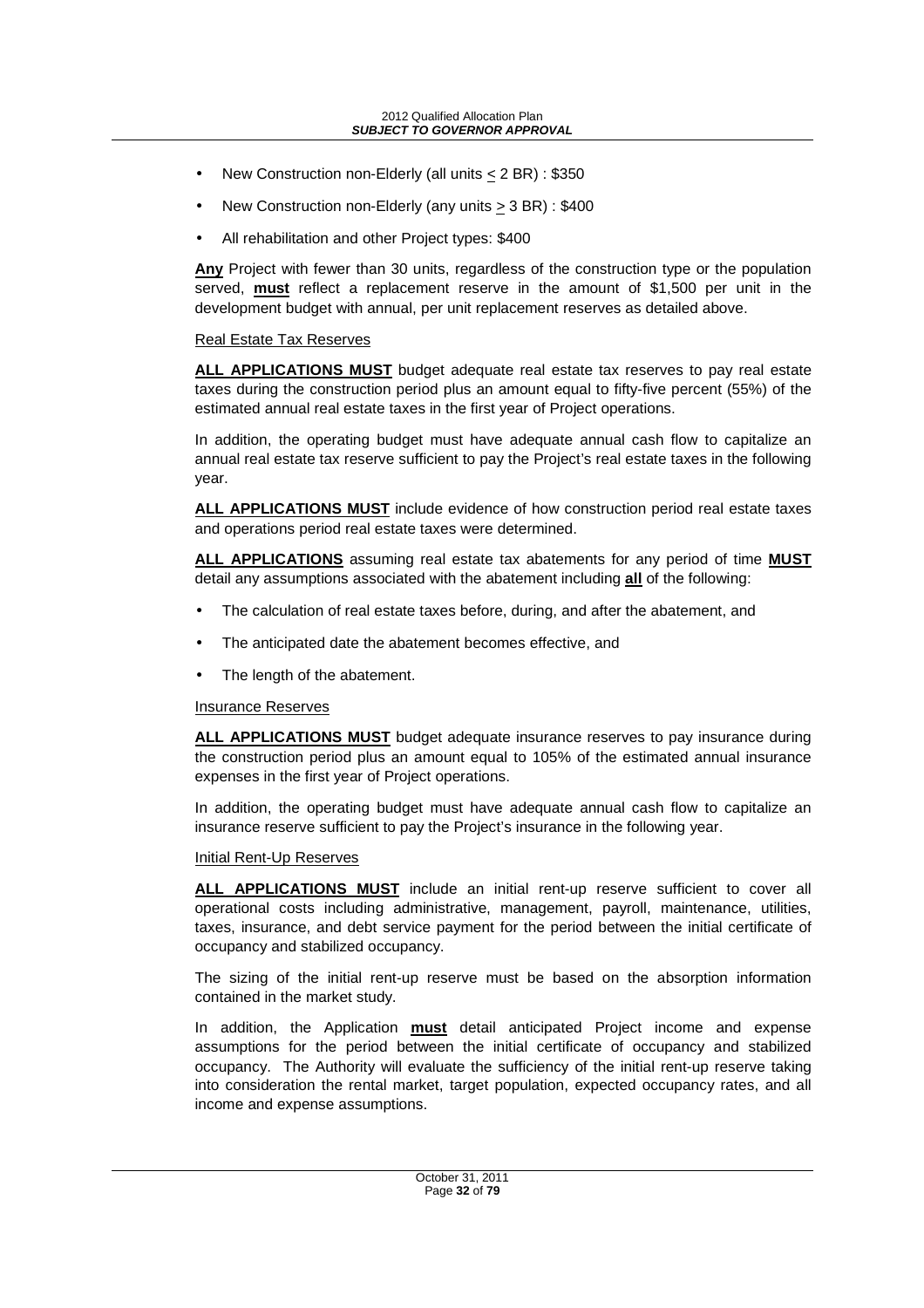- New Construction non-Elderly (all units < 2 BR) : \$350
- New Construction non-Elderly (any units  $\geq$  3 BR) : \$400
- All rehabilitation and other Project types: \$400

**Any** Project with fewer than 30 units, regardless of the construction type or the population served, **must** reflect a replacement reserve in the amount of \$1,500 per unit in the development budget with annual, per unit replacement reserves as detailed above.

#### Real Estate Tax Reserves

**ALL APPLICATIONS MUST** budget adequate real estate tax reserves to pay real estate taxes during the construction period plus an amount equal to fifty-five percent (55%) of the estimated annual real estate taxes in the first year of Project operations.

In addition, the operating budget must have adequate annual cash flow to capitalize an annual real estate tax reserve sufficient to pay the Project's real estate taxes in the following year.

**ALL APPLICATIONS MUST** include evidence of how construction period real estate taxes and operations period real estate taxes were determined.

**ALL APPLICATIONS** assuming real estate tax abatements for any period of time **MUST** detail any assumptions associated with the abatement including **all** of the following:

- The calculation of real estate taxes before, during, and after the abatement, and
- The anticipated date the abatement becomes effective, and
- The length of the abatement.

#### Insurance Reserves

**ALL APPLICATIONS MUST** budget adequate insurance reserves to pay insurance during the construction period plus an amount equal to 105% of the estimated annual insurance expenses in the first year of Project operations.

In addition, the operating budget must have adequate annual cash flow to capitalize an insurance reserve sufficient to pay the Project's insurance in the following year.

#### Initial Rent-Up Reserves

**ALL APPLICATIONS MUST** include an initial rent-up reserve sufficient to cover all operational costs including administrative, management, payroll, maintenance, utilities, taxes, insurance, and debt service payment for the period between the initial certificate of occupancy and stabilized occupancy.

The sizing of the initial rent-up reserve must be based on the absorption information contained in the market study.

In addition, the Application **must** detail anticipated Project income and expense assumptions for the period between the initial certificate of occupancy and stabilized occupancy. The Authority will evaluate the sufficiency of the initial rent-up reserve taking into consideration the rental market, target population, expected occupancy rates, and all income and expense assumptions.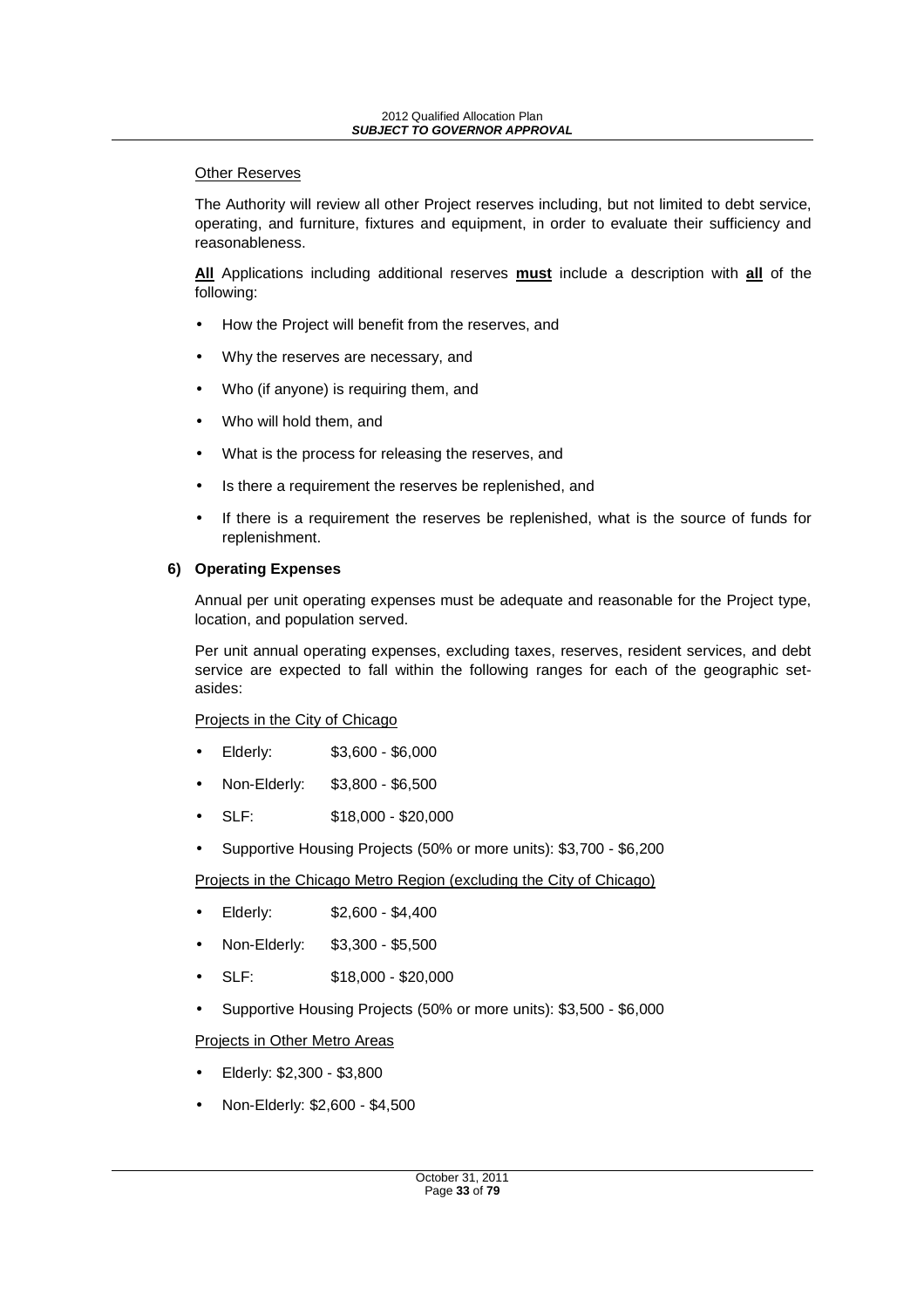#### **Other Reserves**

The Authority will review all other Project reserves including, but not limited to debt service, operating, and furniture, fixtures and equipment, in order to evaluate their sufficiency and reasonableness.

**All** Applications including additional reserves **must** include a description with **all** of the following:

- How the Project will benefit from the reserves, and
- Why the reserves are necessary, and
- Who (if anyone) is requiring them, and
- Who will hold them, and
- What is the process for releasing the reserves, and
- Is there a requirement the reserves be replenished, and
- If there is a requirement the reserves be replenished, what is the source of funds for replenishment.

#### **6) Operating Expenses**

Annual per unit operating expenses must be adequate and reasonable for the Project type, location, and population served.

Per unit annual operating expenses, excluding taxes, reserves, resident services, and debt service are expected to fall within the following ranges for each of the geographic setasides:

Projects in the City of Chicago

- Elderly: \$3,600 \$6,000
- Non-Elderly: \$3,800 \$6,500
- SLF: \$18,000 \$20,000
- Supportive Housing Projects (50% or more units): \$3,700 \$6,200

Projects in the Chicago Metro Region (excluding the City of Chicago)

- Elderly: \$2,600 \$4,400
- Non-Elderly: \$3,300 \$5,500
- SLF: \$18,000 \$20,000
- Supportive Housing Projects (50% or more units): \$3,500 \$6,000

Projects in Other Metro Areas

- Elderly: \$2,300 \$3,800
- Non-Elderly: \$2,600 \$4,500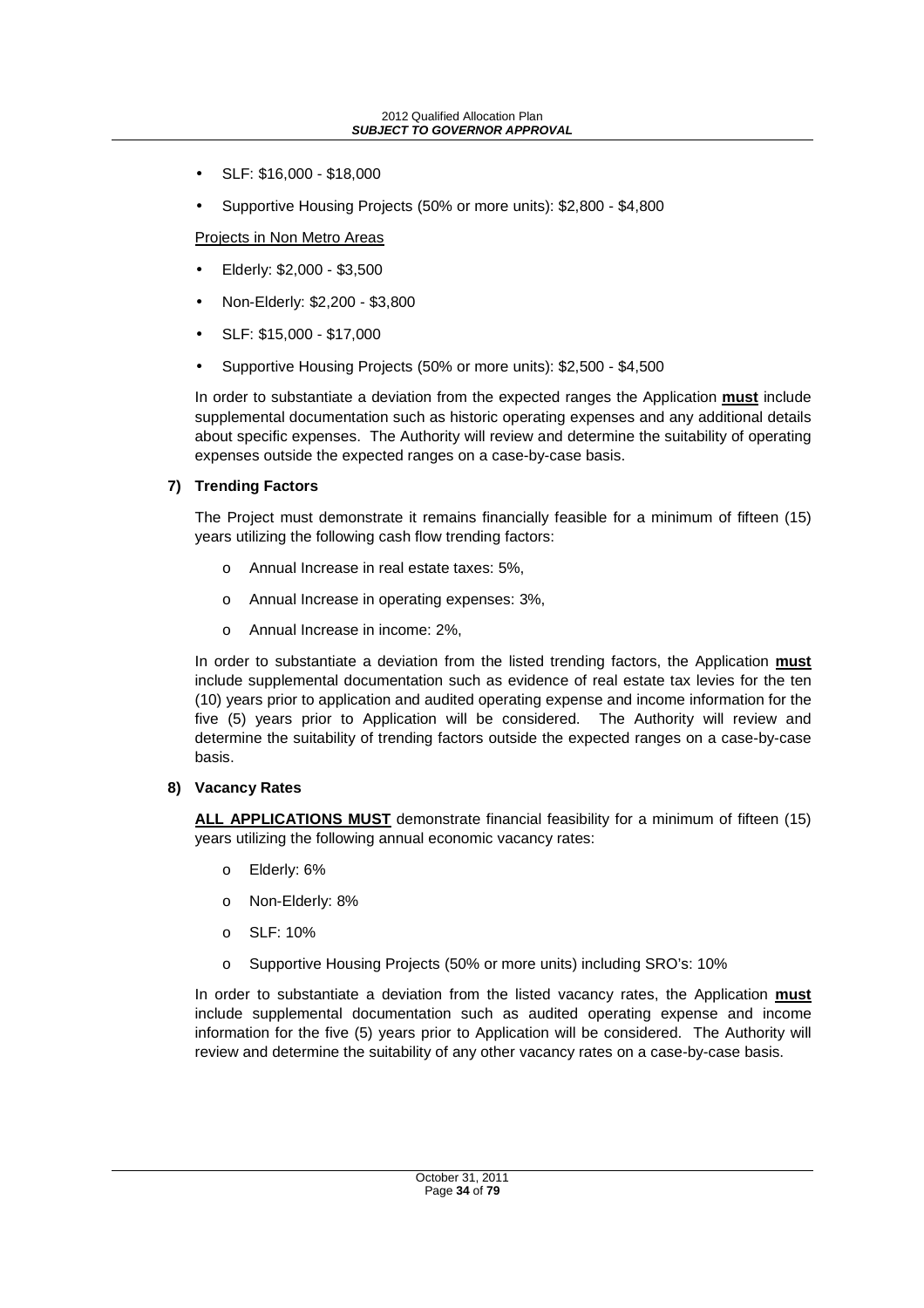- SLF: \$16,000 \$18,000
- Supportive Housing Projects (50% or more units): \$2,800 \$4,800

Projects in Non Metro Areas

- Elderly: \$2,000 \$3,500
- Non-Elderly: \$2,200 \$3,800
- SLF: \$15,000 \$17,000
- Supportive Housing Projects (50% or more units): \$2,500 \$4,500

In order to substantiate a deviation from the expected ranges the Application **must** include supplemental documentation such as historic operating expenses and any additional details about specific expenses. The Authority will review and determine the suitability of operating expenses outside the expected ranges on a case-by-case basis.

#### **7) Trending Factors**

The Project must demonstrate it remains financially feasible for a minimum of fifteen (15) years utilizing the following cash flow trending factors:

- o Annual Increase in real estate taxes: 5%,
- o Annual Increase in operating expenses: 3%,
- o Annual Increase in income: 2%,

In order to substantiate a deviation from the listed trending factors, the Application **must** include supplemental documentation such as evidence of real estate tax levies for the ten (10) years prior to application and audited operating expense and income information for the five (5) years prior to Application will be considered. The Authority will review and determine the suitability of trending factors outside the expected ranges on a case-by-case basis.

#### **8) Vacancy Rates**

**ALL APPLICATIONS MUST** demonstrate financial feasibility for a minimum of fifteen (15) years utilizing the following annual economic vacancy rates:

- o Elderly: 6%
- o Non-Elderly: 8%
- o SLF: 10%
- o Supportive Housing Projects (50% or more units) including SRO's: 10%

In order to substantiate a deviation from the listed vacancy rates, the Application **must** include supplemental documentation such as audited operating expense and income information for the five (5) years prior to Application will be considered. The Authority will review and determine the suitability of any other vacancy rates on a case-by-case basis.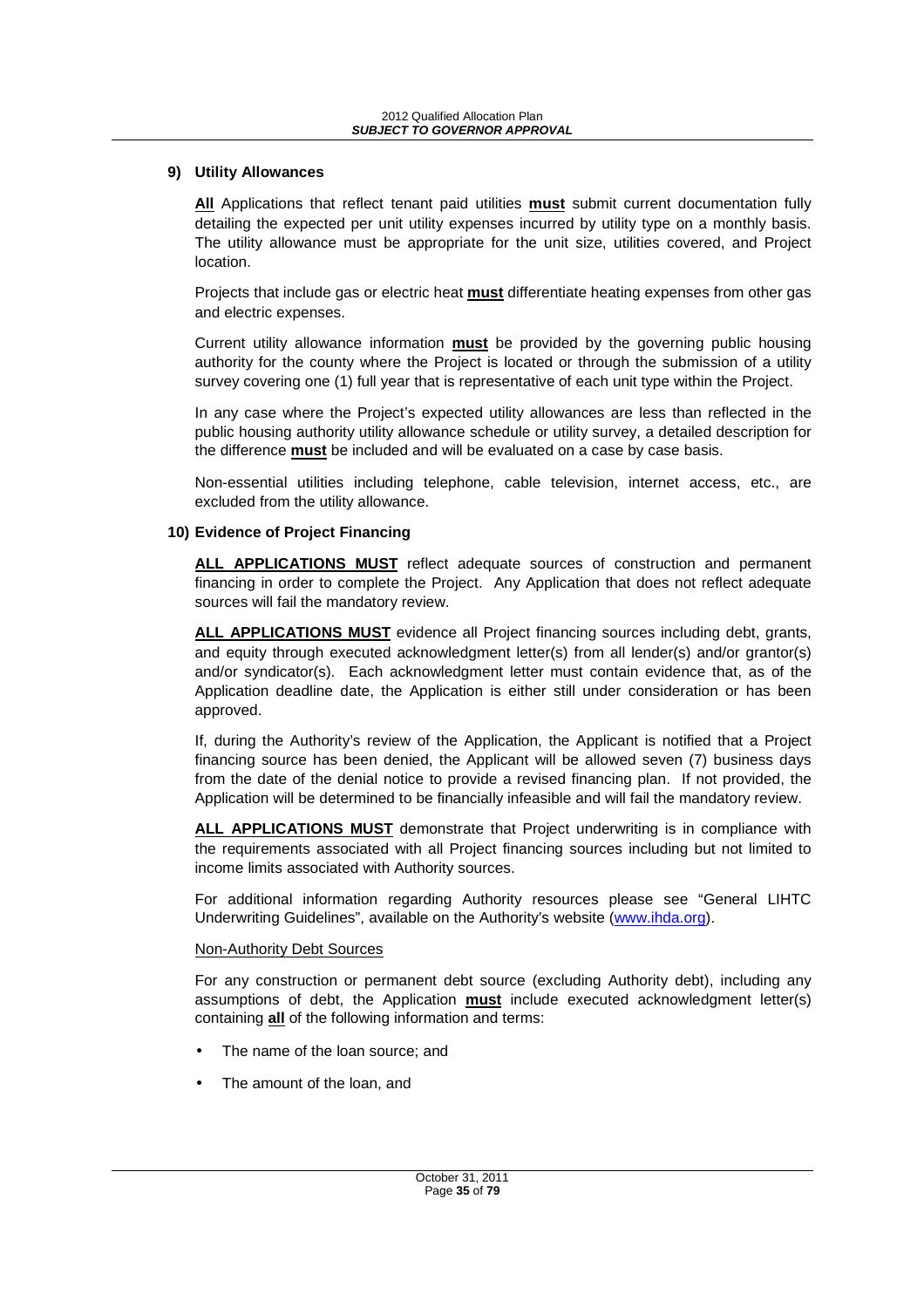#### **9) Utility Allowances**

**All** Applications that reflect tenant paid utilities **must** submit current documentation fully detailing the expected per unit utility expenses incurred by utility type on a monthly basis. The utility allowance must be appropriate for the unit size, utilities covered, and Project location.

Projects that include gas or electric heat **must** differentiate heating expenses from other gas and electric expenses.

Current utility allowance information **must** be provided by the governing public housing authority for the county where the Project is located or through the submission of a utility survey covering one (1) full year that is representative of each unit type within the Project.

In any case where the Project's expected utility allowances are less than reflected in the public housing authority utility allowance schedule or utility survey, a detailed description for the difference **must** be included and will be evaluated on a case by case basis.

Non-essential utilities including telephone, cable television, internet access, etc., are excluded from the utility allowance.

#### **10) Evidence of Project Financing**

**ALL APPLICATIONS MUST** reflect adequate sources of construction and permanent financing in order to complete the Project. Any Application that does not reflect adequate sources will fail the mandatory review.

**ALL APPLICATIONS MUST** evidence all Project financing sources including debt, grants, and equity through executed acknowledgment letter(s) from all lender(s) and/or grantor(s) and/or syndicator(s). Each acknowledgment letter must contain evidence that, as of the Application deadline date, the Application is either still under consideration or has been approved.

If, during the Authority's review of the Application, the Applicant is notified that a Project financing source has been denied, the Applicant will be allowed seven (7) business days from the date of the denial notice to provide a revised financing plan. If not provided, the Application will be determined to be financially infeasible and will fail the mandatory review.

**ALL APPLICATIONS MUST** demonstrate that Project underwriting is in compliance with the requirements associated with all Project financing sources including but not limited to income limits associated with Authority sources.

For additional information regarding Authority resources please see "General LIHTC Underwriting Guidelines", available on the Authority's website (www.ihda.org).

#### Non-Authority Debt Sources

For any construction or permanent debt source (excluding Authority debt), including any assumptions of debt, the Application **must** include executed acknowledgment letter(s) containing **all** of the following information and terms:

- The name of the loan source; and
- The amount of the loan, and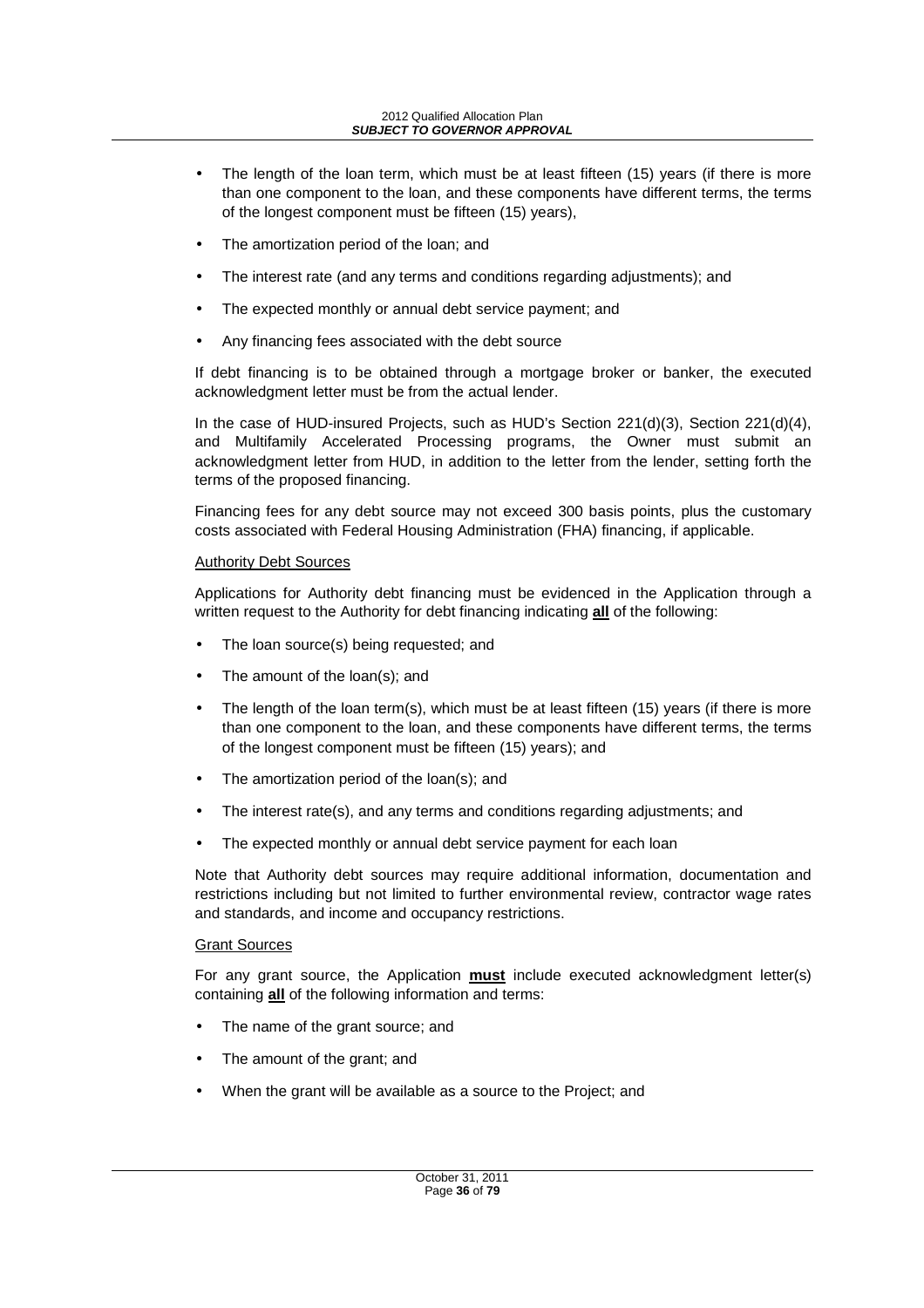- The length of the loan term, which must be at least fifteen (15) years (if there is more than one component to the loan, and these components have different terms, the terms of the longest component must be fifteen (15) years),
- The amortization period of the loan; and
- The interest rate (and any terms and conditions regarding adjustments); and
- The expected monthly or annual debt service payment; and
- Any financing fees associated with the debt source

If debt financing is to be obtained through a mortgage broker or banker, the executed acknowledgment letter must be from the actual lender.

In the case of HUD-insured Projects, such as HUD's Section 221(d)(3), Section 221(d)(4), and Multifamily Accelerated Processing programs, the Owner must submit an acknowledgment letter from HUD, in addition to the letter from the lender, setting forth the terms of the proposed financing.

Financing fees for any debt source may not exceed 300 basis points, plus the customary costs associated with Federal Housing Administration (FHA) financing, if applicable.

#### Authority Debt Sources

Applications for Authority debt financing must be evidenced in the Application through a written request to the Authority for debt financing indicating **all** of the following:

- The loan source(s) being requested; and
- The amount of the loan(s); and
- The length of the loan term(s), which must be at least fifteen  $(15)$  years (if there is more than one component to the loan, and these components have different terms, the terms of the longest component must be fifteen (15) years); and
- The amortization period of the loan(s); and
- The interest rate(s), and any terms and conditions regarding adjustments; and
- The expected monthly or annual debt service payment for each loan

Note that Authority debt sources may require additional information, documentation and restrictions including but not limited to further environmental review, contractor wage rates and standards, and income and occupancy restrictions.

## Grant Sources

For any grant source, the Application **must** include executed acknowledgment letter(s) containing **all** of the following information and terms:

- The name of the grant source; and
- The amount of the grant; and
- When the grant will be available as a source to the Project; and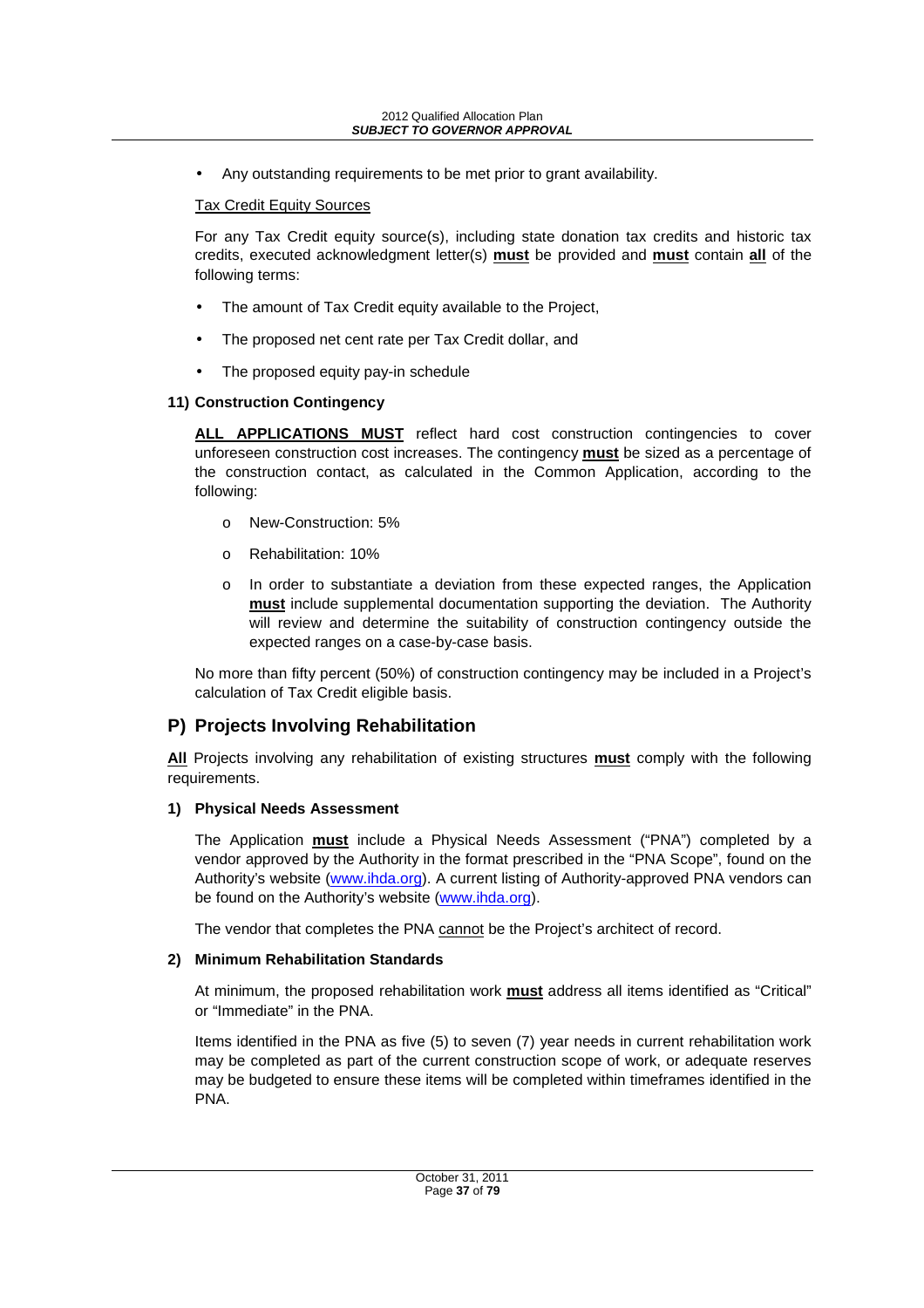• Any outstanding requirements to be met prior to grant availability.

#### Tax Credit Equity Sources

For any Tax Credit equity source(s), including state donation tax credits and historic tax credits, executed acknowledgment letter(s) **must** be provided and **must** contain **all** of the following terms:

- The amount of Tax Credit equity available to the Project,
- The proposed net cent rate per Tax Credit dollar, and
- The proposed equity pay-in schedule

#### **11) Construction Contingency**

**ALL APPLICATIONS MUST** reflect hard cost construction contingencies to cover unforeseen construction cost increases. The contingency **must** be sized as a percentage of the construction contact, as calculated in the Common Application, according to the following:

- o New-Construction: 5%
- o Rehabilitation: 10%
- o In order to substantiate a deviation from these expected ranges, the Application **must** include supplemental documentation supporting the deviation. The Authority will review and determine the suitability of construction contingency outside the expected ranges on a case-by-case basis.

No more than fifty percent (50%) of construction contingency may be included in a Project's calculation of Tax Credit eligible basis.

# **P) Projects Involving Rehabilitation**

**All** Projects involving any rehabilitation of existing structures **must** comply with the following requirements.

#### **1) Physical Needs Assessment**

The Application **must** include a Physical Needs Assessment ("PNA") completed by a vendor approved by the Authority in the format prescribed in the "PNA Scope", found on the Authority's website (www.ihda.org). A current listing of Authority-approved PNA vendors can be found on the Authority's website (www.ihda.org).

The vendor that completes the PNA cannot be the Project's architect of record.

#### **2) Minimum Rehabilitation Standards**

At minimum, the proposed rehabilitation work **must** address all items identified as "Critical" or "Immediate" in the PNA.

Items identified in the PNA as five (5) to seven (7) year needs in current rehabilitation work may be completed as part of the current construction scope of work, or adequate reserves may be budgeted to ensure these items will be completed within timeframes identified in the PNA.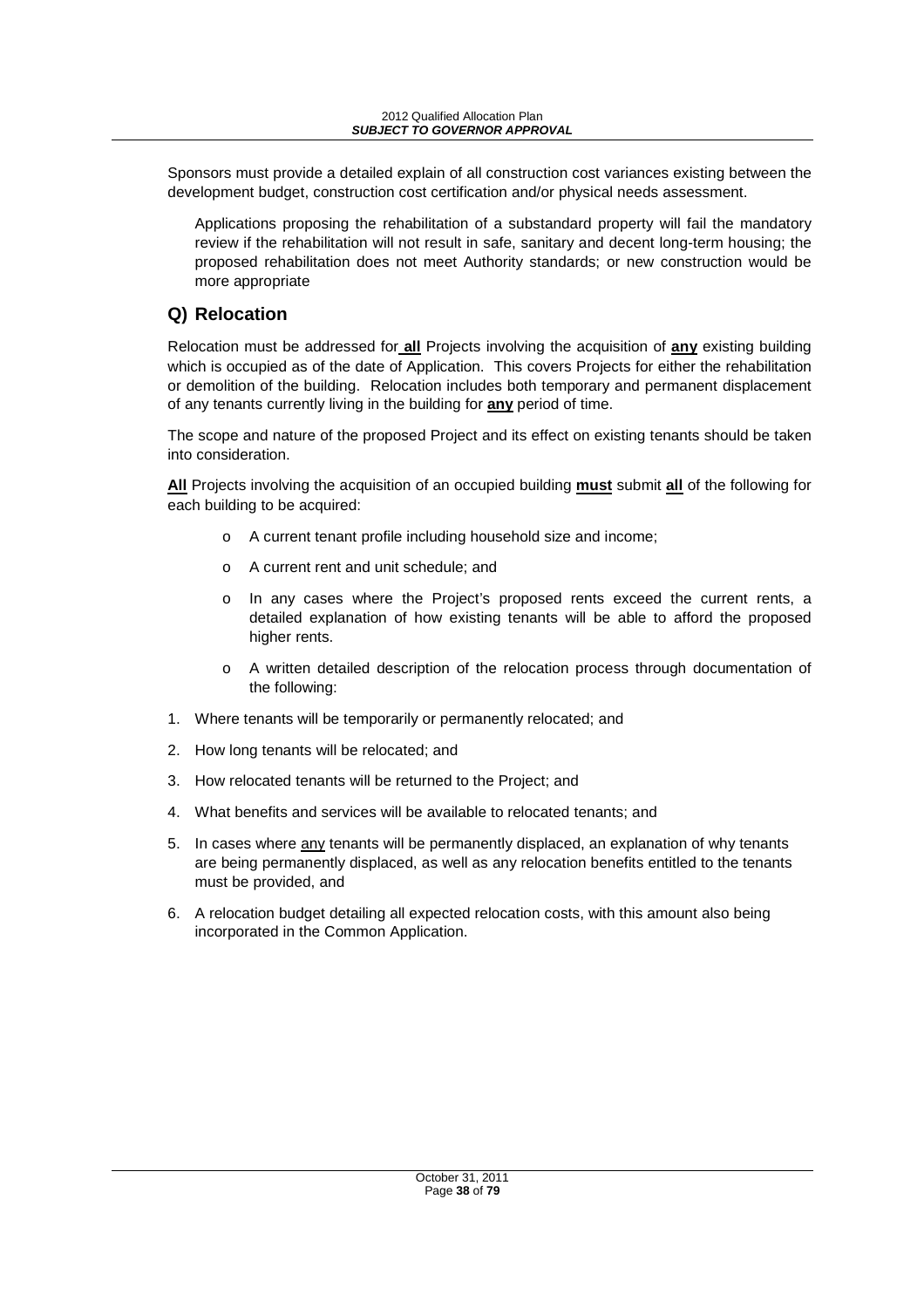Sponsors must provide a detailed explain of all construction cost variances existing between the development budget, construction cost certification and/or physical needs assessment.

Applications proposing the rehabilitation of a substandard property will fail the mandatory review if the rehabilitation will not result in safe, sanitary and decent long-term housing; the proposed rehabilitation does not meet Authority standards; or new construction would be more appropriate

# **Q) Relocation**

Relocation must be addressed for **all** Projects involving the acquisition of **any** existing building which is occupied as of the date of Application. This covers Projects for either the rehabilitation or demolition of the building. Relocation includes both temporary and permanent displacement of any tenants currently living in the building for **any** period of time.

The scope and nature of the proposed Project and its effect on existing tenants should be taken into consideration.

**All** Projects involving the acquisition of an occupied building **must** submit **all** of the following for each building to be acquired:

- o A current tenant profile including household size and income;
- o A current rent and unit schedule; and
- o In any cases where the Project's proposed rents exceed the current rents, a detailed explanation of how existing tenants will be able to afford the proposed higher rents.
- o A written detailed description of the relocation process through documentation of the following:
- 1. Where tenants will be temporarily or permanently relocated; and
- 2. How long tenants will be relocated; and
- 3. How relocated tenants will be returned to the Project; and
- 4. What benefits and services will be available to relocated tenants; and
- 5. In cases where any tenants will be permanently displaced, an explanation of why tenants are being permanently displaced, as well as any relocation benefits entitled to the tenants must be provided, and
- 6. A relocation budget detailing all expected relocation costs, with this amount also being incorporated in the Common Application.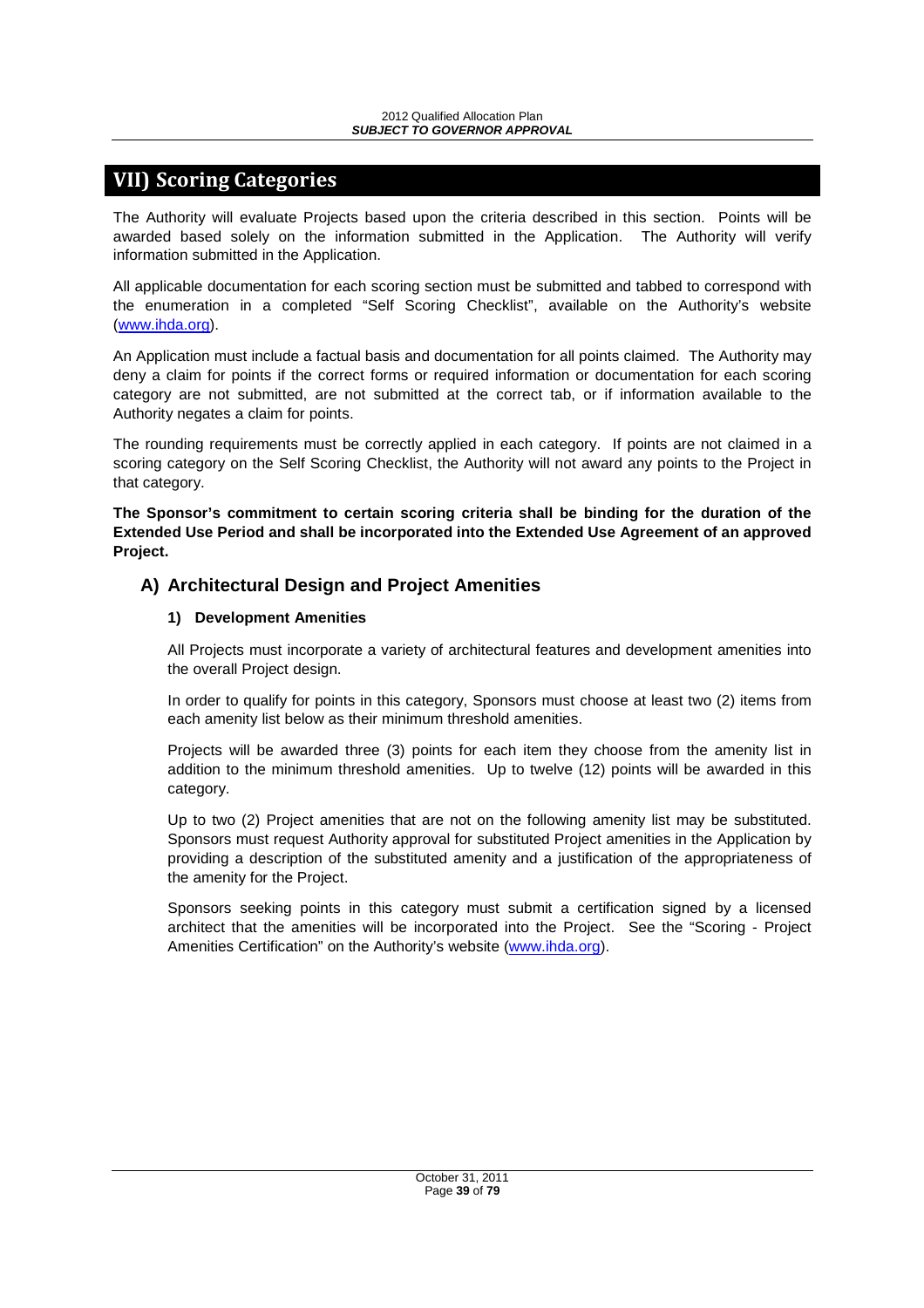# **VII) Scoring Categories**

The Authority will evaluate Projects based upon the criteria described in this section. Points will be awarded based solely on the information submitted in the Application. The Authority will verify information submitted in the Application.

All applicable documentation for each scoring section must be submitted and tabbed to correspond with the enumeration in a completed "Self Scoring Checklist", available on the Authority's website (www.ihda.org).

An Application must include a factual basis and documentation for all points claimed. The Authority may deny a claim for points if the correct forms or required information or documentation for each scoring category are not submitted, are not submitted at the correct tab, or if information available to the Authority negates a claim for points.

The rounding requirements must be correctly applied in each category. If points are not claimed in a scoring category on the Self Scoring Checklist, the Authority will not award any points to the Project in that category.

**The Sponsor's commitment to certain scoring criteria shall be binding for the duration of the Extended Use Period and shall be incorporated into the Extended Use Agreement of an approved Project.** 

### **A) Architectural Design and Project Amenities**

#### **1) Development Amenities**

All Projects must incorporate a variety of architectural features and development amenities into the overall Project design.

In order to qualify for points in this category, Sponsors must choose at least two (2) items from each amenity list below as their minimum threshold amenities.

Projects will be awarded three (3) points for each item they choose from the amenity list in addition to the minimum threshold amenities. Up to twelve (12) points will be awarded in this category.

Up to two (2) Project amenities that are not on the following amenity list may be substituted. Sponsors must request Authority approval for substituted Project amenities in the Application by providing a description of the substituted amenity and a justification of the appropriateness of the amenity for the Project.

Sponsors seeking points in this category must submit a certification signed by a licensed architect that the amenities will be incorporated into the Project. See the "Scoring - Project Amenities Certification" on the Authority's website (www.ihda.org).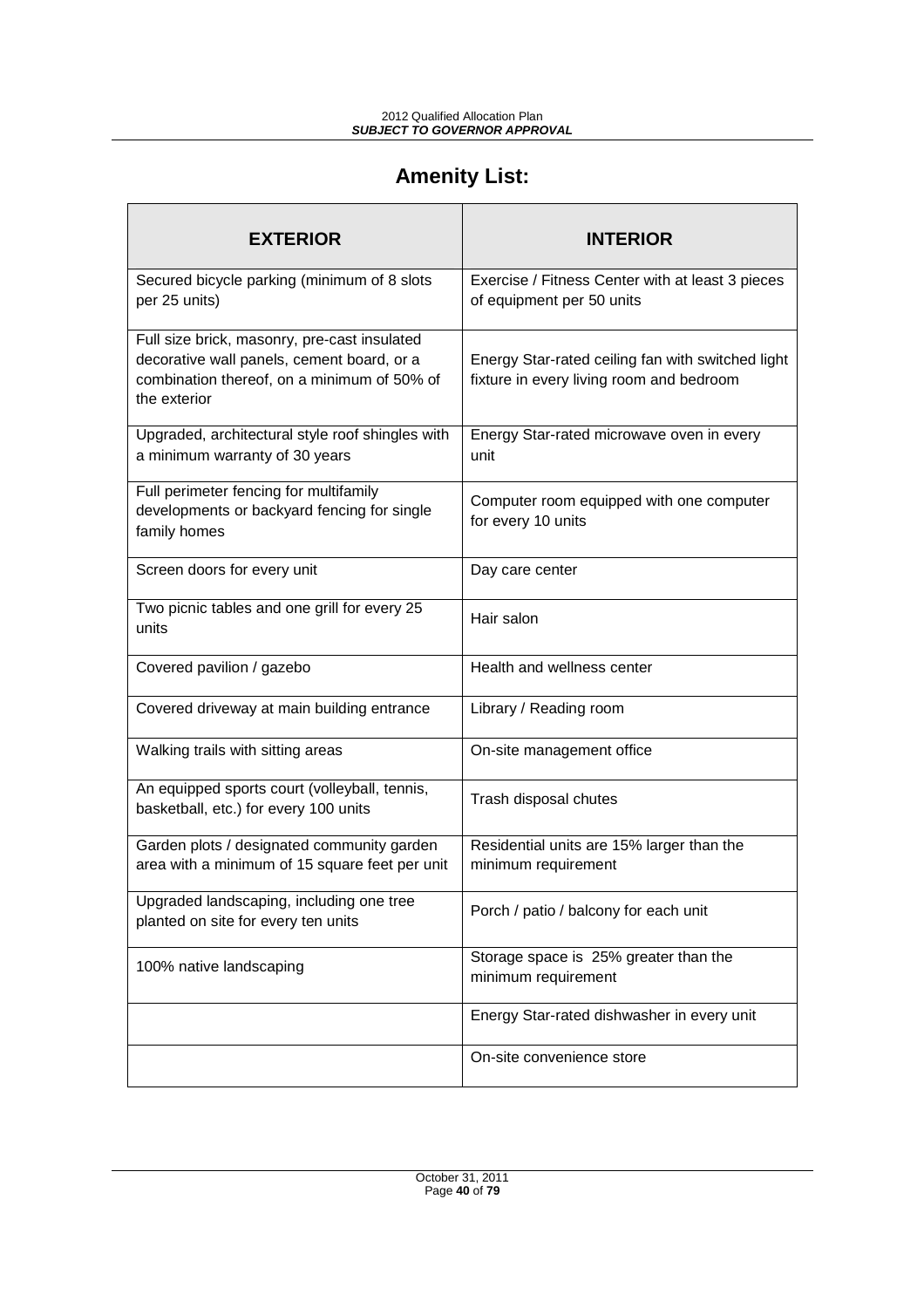# **Amenity List:**

Г

| <b>EXTERIOR</b>                                                                                                                                           | <b>INTERIOR</b>                                                                               |  |
|-----------------------------------------------------------------------------------------------------------------------------------------------------------|-----------------------------------------------------------------------------------------------|--|
| Secured bicycle parking (minimum of 8 slots<br>per 25 units)                                                                                              | Exercise / Fitness Center with at least 3 pieces<br>of equipment per 50 units                 |  |
| Full size brick, masonry, pre-cast insulated<br>decorative wall panels, cement board, or a<br>combination thereof, on a minimum of 50% of<br>the exterior | Energy Star-rated ceiling fan with switched light<br>fixture in every living room and bedroom |  |
| Upgraded, architectural style roof shingles with<br>a minimum warranty of 30 years                                                                        | Energy Star-rated microwave oven in every<br>unit                                             |  |
| Full perimeter fencing for multifamily<br>developments or backyard fencing for single<br>family homes                                                     | Computer room equipped with one computer<br>for every 10 units                                |  |
| Screen doors for every unit                                                                                                                               | Day care center                                                                               |  |
| Two picnic tables and one grill for every 25<br>units                                                                                                     | Hair salon                                                                                    |  |
| Covered pavilion / gazebo                                                                                                                                 | Health and wellness center                                                                    |  |
| Covered driveway at main building entrance                                                                                                                | Library / Reading room                                                                        |  |
| Walking trails with sitting areas                                                                                                                         | On-site management office                                                                     |  |
| An equipped sports court (volleyball, tennis,<br>basketball, etc.) for every 100 units                                                                    | Trash disposal chutes                                                                         |  |
| Garden plots / designated community garden<br>area with a minimum of 15 square feet per unit                                                              | Residential units are 15% larger than the<br>minimum requirement                              |  |
| Upgraded landscaping, including one tree<br>planted on site for every ten units                                                                           | Porch / patio / balcony for each unit                                                         |  |
| 100% native landscaping                                                                                                                                   | Storage space is 25% greater than the<br>minimum requirement                                  |  |
|                                                                                                                                                           | Energy Star-rated dishwasher in every unit                                                    |  |
|                                                                                                                                                           | On-site convenience store                                                                     |  |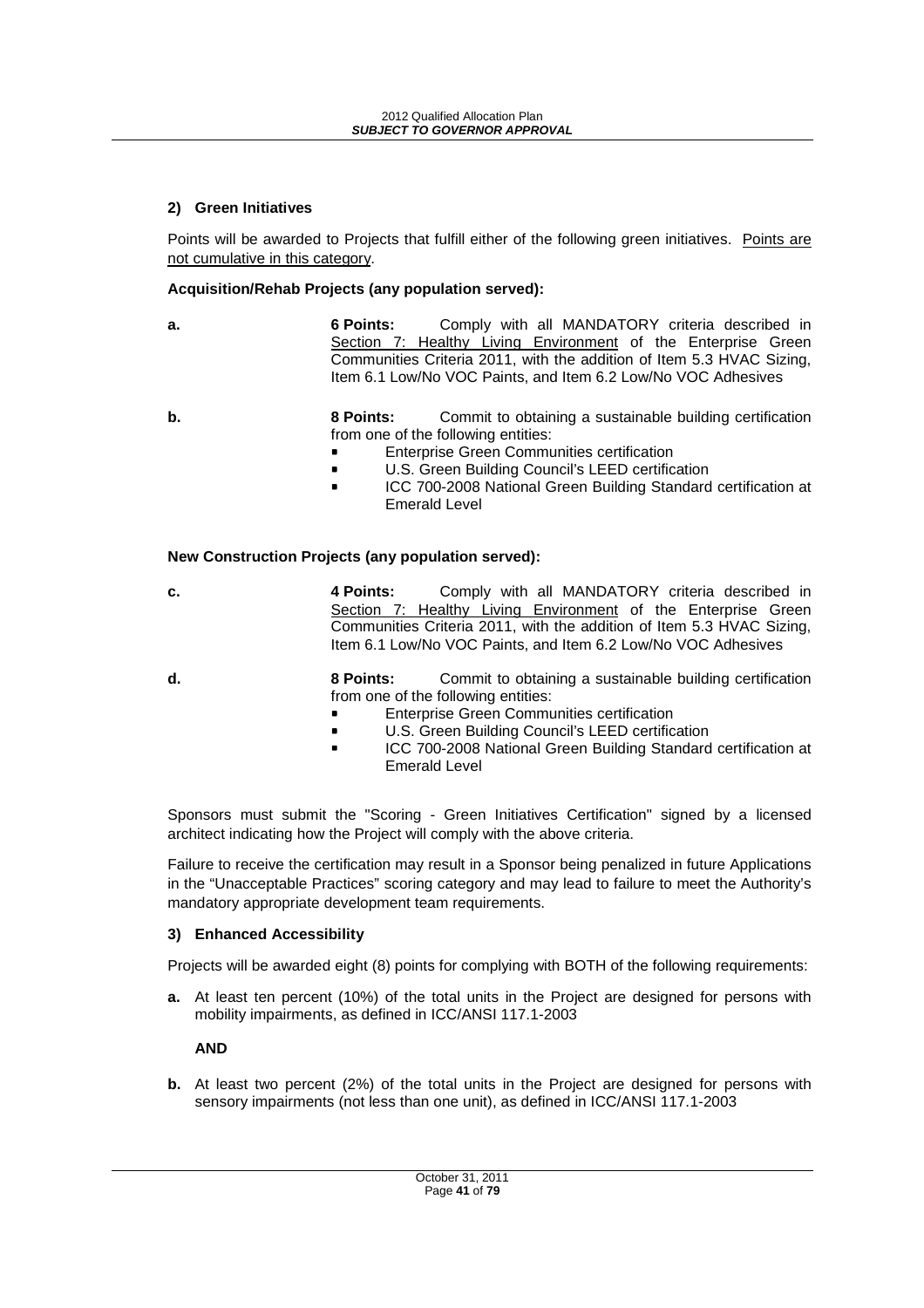#### **2) Green Initiatives**

Points will be awarded to Projects that fulfill either of the following green initiatives. Points are not cumulative in this category.

#### **Acquisition/Rehab Projects (any population served):**

**a.** 6 **Points:** Comply with all MANDATORY criteria described in Section 7: Healthy Living Environment of the Enterprise Green Communities Criteria 2011, with the addition of Item 5.3 HVAC Sizing, Item 6.1 Low/No VOC Paints, and Item 6.2 Low/No VOC Adhesives

- **b.** 8 Points: Commit to obtaining a sustainable building certification from one of the following entities:
	- -Enterprise Green Communities certification
	- -U.S. Green Building Council's LEED certification
	- - ICC 700-2008 National Green Building Standard certification at Emerald Level

#### **New Construction Projects (any population served):**

- **c. 4 Points:** Comply with all MANDATORY criteria described in Section 7: Healthy Living Environment of the Enterprise Green Communities Criteria 2011, with the addition of Item 5.3 HVAC Sizing, Item 6.1 Low/No VOC Paints, and Item 6.2 Low/No VOC Adhesives
- **d. 8 Points:** Commit to obtaining a sustainable building certification from one of the following entities:
	- -Enterprise Green Communities certification
	- -U.S. Green Building Council's LEED certification
	- - ICC 700-2008 National Green Building Standard certification at Emerald Level

Sponsors must submit the "Scoring - Green Initiatives Certification" signed by a licensed architect indicating how the Project will comply with the above criteria.

Failure to receive the certification may result in a Sponsor being penalized in future Applications in the "Unacceptable Practices" scoring category and may lead to failure to meet the Authority's mandatory appropriate development team requirements.

#### **3) Enhanced Accessibility**

Projects will be awarded eight (8) points for complying with BOTH of the following requirements:

**a.** At least ten percent (10%) of the total units in the Project are designed for persons with mobility impairments, as defined in ICC/ANSI 117.1-2003

**AND** 

**b.** At least two percent (2%) of the total units in the Project are designed for persons with sensory impairments (not less than one unit), as defined in ICC/ANSI 117.1-2003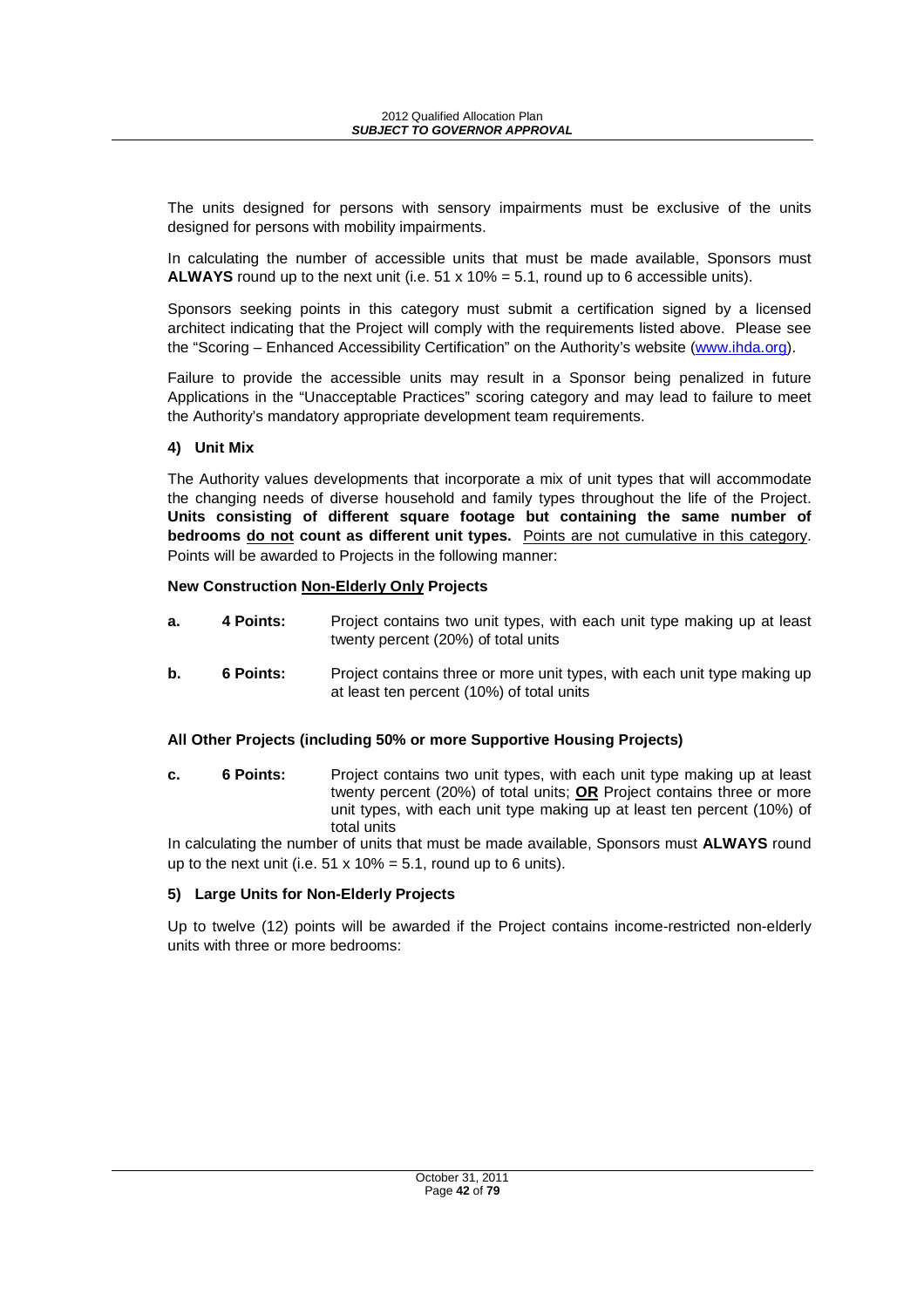The units designed for persons with sensory impairments must be exclusive of the units designed for persons with mobility impairments.

In calculating the number of accessible units that must be made available, Sponsors must **ALWAYS** round up to the next unit (i.e.  $51 \times 10\% = 5.1$ , round up to 6 accessible units).

Sponsors seeking points in this category must submit a certification signed by a licensed architect indicating that the Project will comply with the requirements listed above. Please see the "Scoring – Enhanced Accessibility Certification" on the Authority's website (www.ihda.org).

Failure to provide the accessible units may result in a Sponsor being penalized in future Applications in the "Unacceptable Practices" scoring category and may lead to failure to meet the Authority's mandatory appropriate development team requirements.

#### **4) Unit Mix**

The Authority values developments that incorporate a mix of unit types that will accommodate the changing needs of diverse household and family types throughout the life of the Project. **Units consisting of different square footage but containing the same number of bedrooms do not count as different unit types.** Points are not cumulative in this category. Points will be awarded to Projects in the following manner:

#### **New Construction Non-Elderly Only Projects**

- **a.** 4 **Points:** Project contains two unit types, with each unit type making up at least twenty percent (20%) of total units
- **b.** 6 Points: Project contains three or more unit types, with each unit type making up at least ten percent (10%) of total units

#### **All Other Projects (including 50% or more Supportive Housing Projects)**

**c. 6 Points:** Project contains two unit types, with each unit type making up at least twenty percent (20%) of total units; **OR** Project contains three or more unit types, with each unit type making up at least ten percent (10%) of total units

In calculating the number of units that must be made available, Sponsors must **ALWAYS** round up to the next unit (i.e.  $51 \times 10\% = 5.1$ , round up to 6 units).

#### **5) Large Units for Non-Elderly Projects**

Up to twelve (12) points will be awarded if the Project contains income-restricted non-elderly units with three or more bedrooms: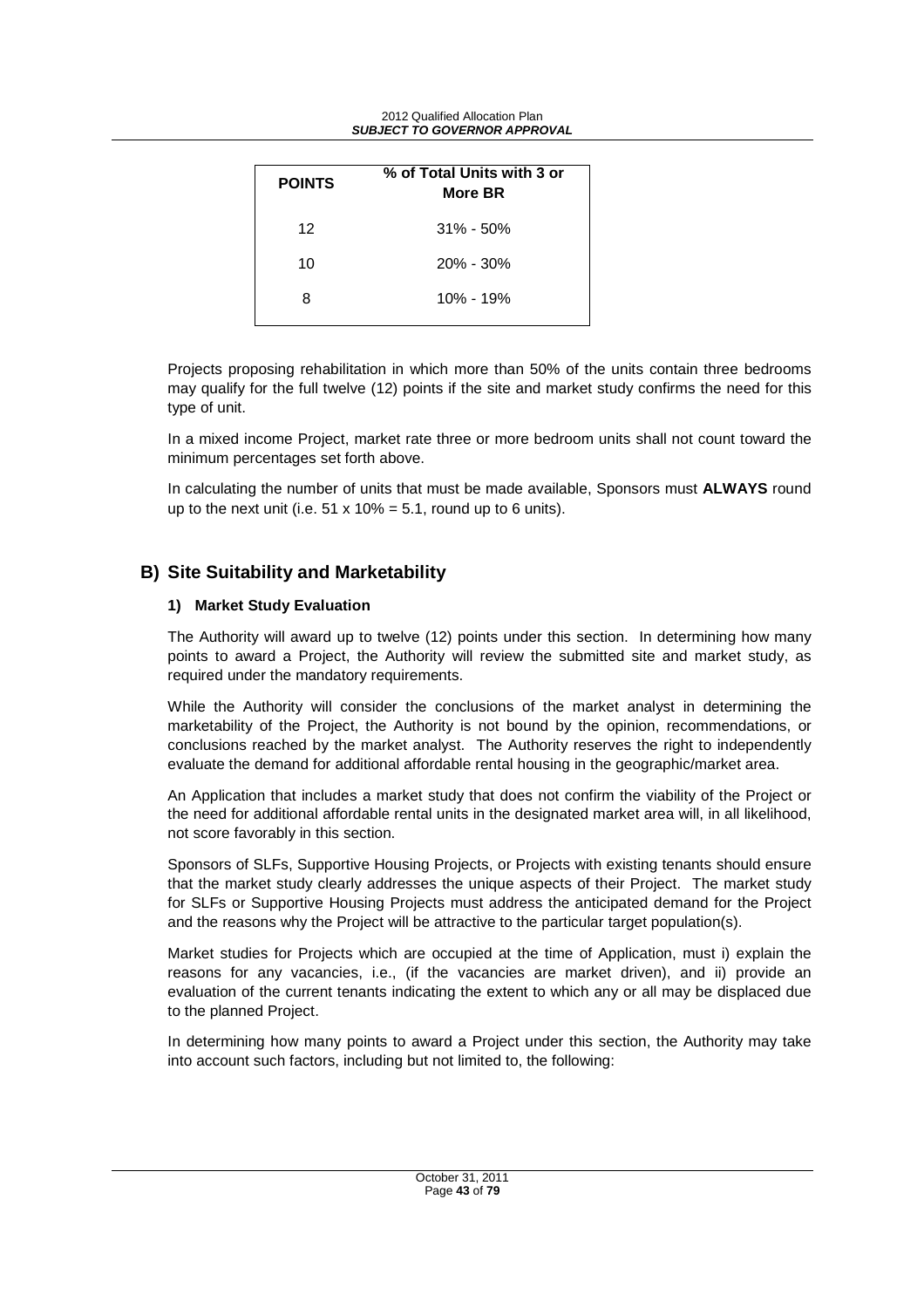| <b>POINTS</b> | % of Total Units with 3 or<br>More BR |
|---------------|---------------------------------------|
| 12            | $31\% - 50\%$                         |
| 10            | $20\% - 30\%$                         |
| 8             | 10% - 19%                             |

Projects proposing rehabilitation in which more than 50% of the units contain three bedrooms may qualify for the full twelve (12) points if the site and market study confirms the need for this type of unit.

In a mixed income Project, market rate three or more bedroom units shall not count toward the minimum percentages set forth above.

In calculating the number of units that must be made available, Sponsors must **ALWAYS** round up to the next unit (i.e.  $51 \times 10\% = 5.1$ , round up to 6 units).

# **B) Site Suitability and Marketability**

#### **1) Market Study Evaluation**

The Authority will award up to twelve (12) points under this section. In determining how many points to award a Project, the Authority will review the submitted site and market study, as required under the mandatory requirements.

While the Authority will consider the conclusions of the market analyst in determining the marketability of the Project, the Authority is not bound by the opinion, recommendations, or conclusions reached by the market analyst. The Authority reserves the right to independently evaluate the demand for additional affordable rental housing in the geographic/market area.

An Application that includes a market study that does not confirm the viability of the Project or the need for additional affordable rental units in the designated market area will, in all likelihood, not score favorably in this section.

Sponsors of SLFs, Supportive Housing Projects, or Projects with existing tenants should ensure that the market study clearly addresses the unique aspects of their Project. The market study for SLFs or Supportive Housing Projects must address the anticipated demand for the Project and the reasons why the Project will be attractive to the particular target population(s).

Market studies for Projects which are occupied at the time of Application, must i) explain the reasons for any vacancies, i.e., (if the vacancies are market driven), and ii) provide an evaluation of the current tenants indicating the extent to which any or all may be displaced due to the planned Project.

In determining how many points to award a Project under this section, the Authority may take into account such factors, including but not limited to, the following: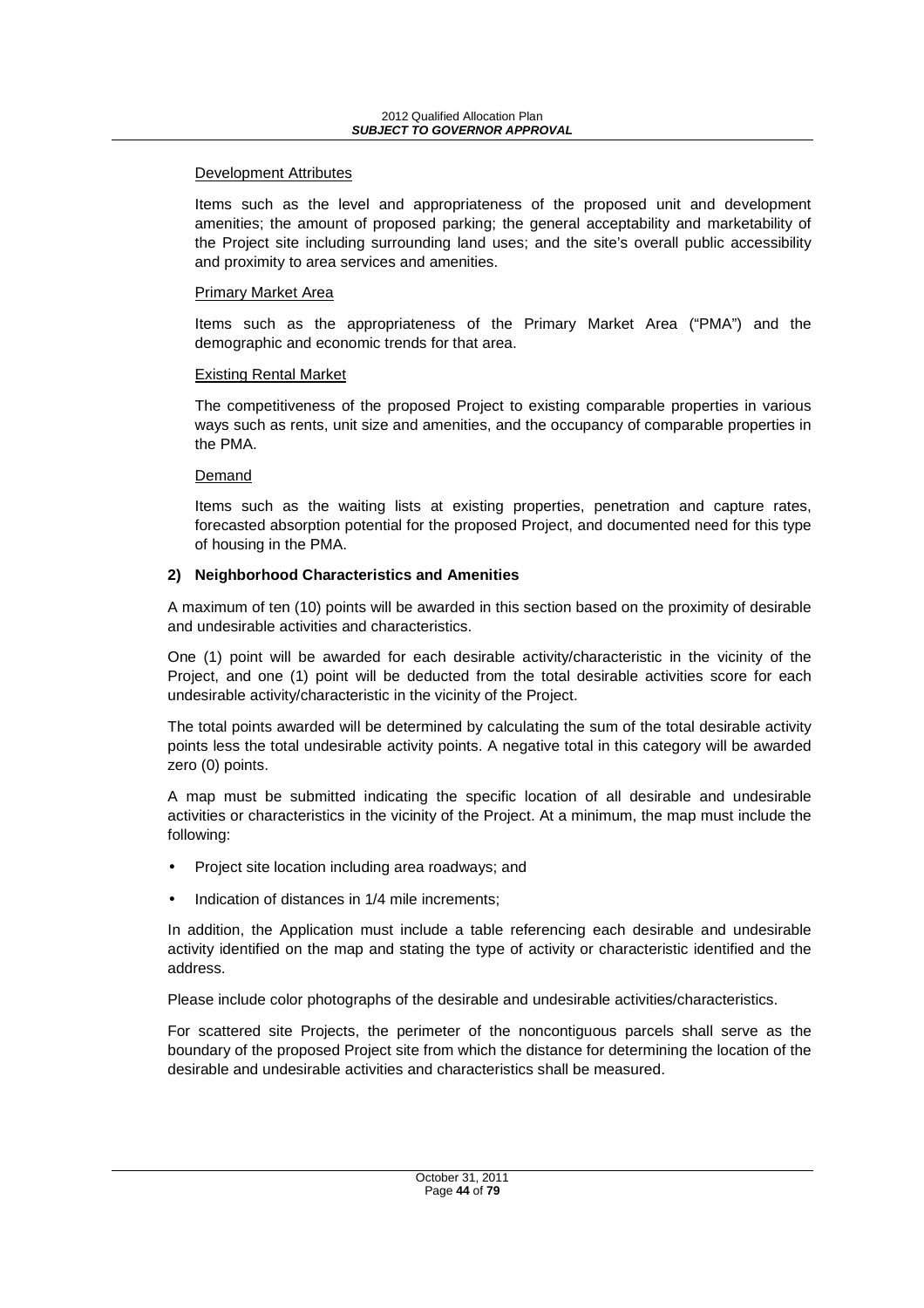#### Development Attributes

Items such as the level and appropriateness of the proposed unit and development amenities; the amount of proposed parking; the general acceptability and marketability of the Project site including surrounding land uses; and the site's overall public accessibility and proximity to area services and amenities.

#### Primary Market Area

Items such as the appropriateness of the Primary Market Area ("PMA") and the demographic and economic trends for that area.

#### Existing Rental Market

The competitiveness of the proposed Project to existing comparable properties in various ways such as rents, unit size and amenities, and the occupancy of comparable properties in the PMA.

#### Demand

Items such as the waiting lists at existing properties, penetration and capture rates, forecasted absorption potential for the proposed Project, and documented need for this type of housing in the PMA.

#### **2) Neighborhood Characteristics and Amenities**

A maximum of ten (10) points will be awarded in this section based on the proximity of desirable and undesirable activities and characteristics.

One (1) point will be awarded for each desirable activity/characteristic in the vicinity of the Project, and one (1) point will be deducted from the total desirable activities score for each undesirable activity/characteristic in the vicinity of the Project.

The total points awarded will be determined by calculating the sum of the total desirable activity points less the total undesirable activity points. A negative total in this category will be awarded zero (0) points.

A map must be submitted indicating the specific location of all desirable and undesirable activities or characteristics in the vicinity of the Project. At a minimum, the map must include the following:

- Project site location including area roadways; and
- Indication of distances in 1/4 mile increments:

In addition, the Application must include a table referencing each desirable and undesirable activity identified on the map and stating the type of activity or characteristic identified and the address.

Please include color photographs of the desirable and undesirable activities/characteristics.

For scattered site Projects, the perimeter of the noncontiguous parcels shall serve as the boundary of the proposed Project site from which the distance for determining the location of the desirable and undesirable activities and characteristics shall be measured.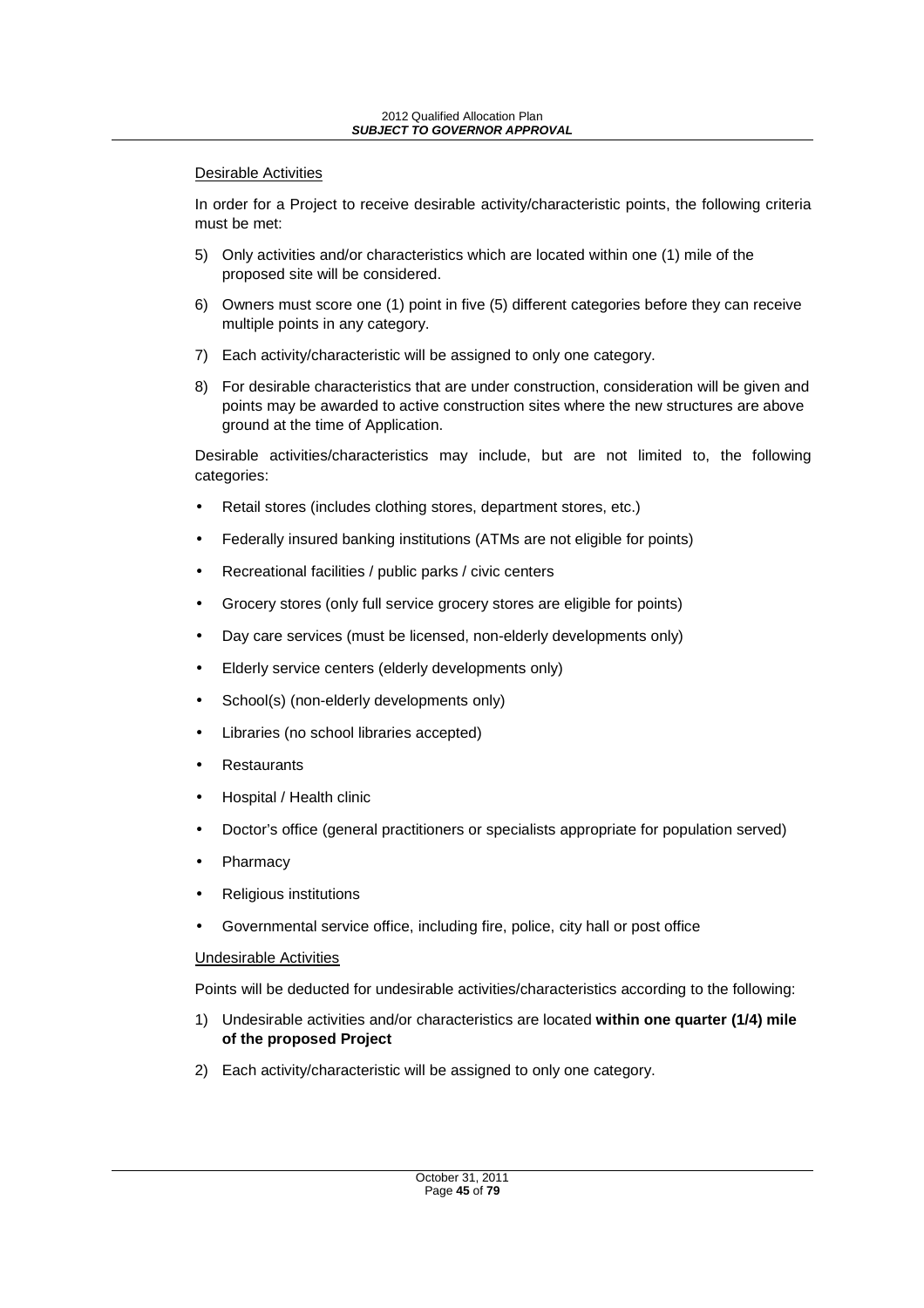#### Desirable Activities

In order for a Project to receive desirable activity/characteristic points, the following criteria must be met:

- 5) Only activities and/or characteristics which are located within one (1) mile of the proposed site will be considered.
- 6) Owners must score one (1) point in five (5) different categories before they can receive multiple points in any category.
- 7) Each activity/characteristic will be assigned to only one category.
- 8) For desirable characteristics that are under construction, consideration will be given and points may be awarded to active construction sites where the new structures are above ground at the time of Application.

Desirable activities/characteristics may include, but are not limited to, the following categories:

- Retail stores (includes clothing stores, department stores, etc.)
- Federally insured banking institutions (ATMs are not eligible for points)
- Recreational facilities / public parks / civic centers
- Grocery stores (only full service grocery stores are eligible for points)
- Day care services (must be licensed, non-elderly developments only)
- Elderly service centers (elderly developments only)
- School(s) (non-elderly developments only)
- Libraries (no school libraries accepted)
- **Restaurants**
- Hospital / Health clinic
- Doctor's office (general practitioners or specialists appropriate for population served)
- **Pharmacy**
- Religious institutions
- Governmental service office, including fire, police, city hall or post office

#### Undesirable Activities

Points will be deducted for undesirable activities/characteristics according to the following:

- 1) Undesirable activities and/or characteristics are located **within one quarter (1/4) mile of the proposed Project**
- 2) Each activity/characteristic will be assigned to only one category.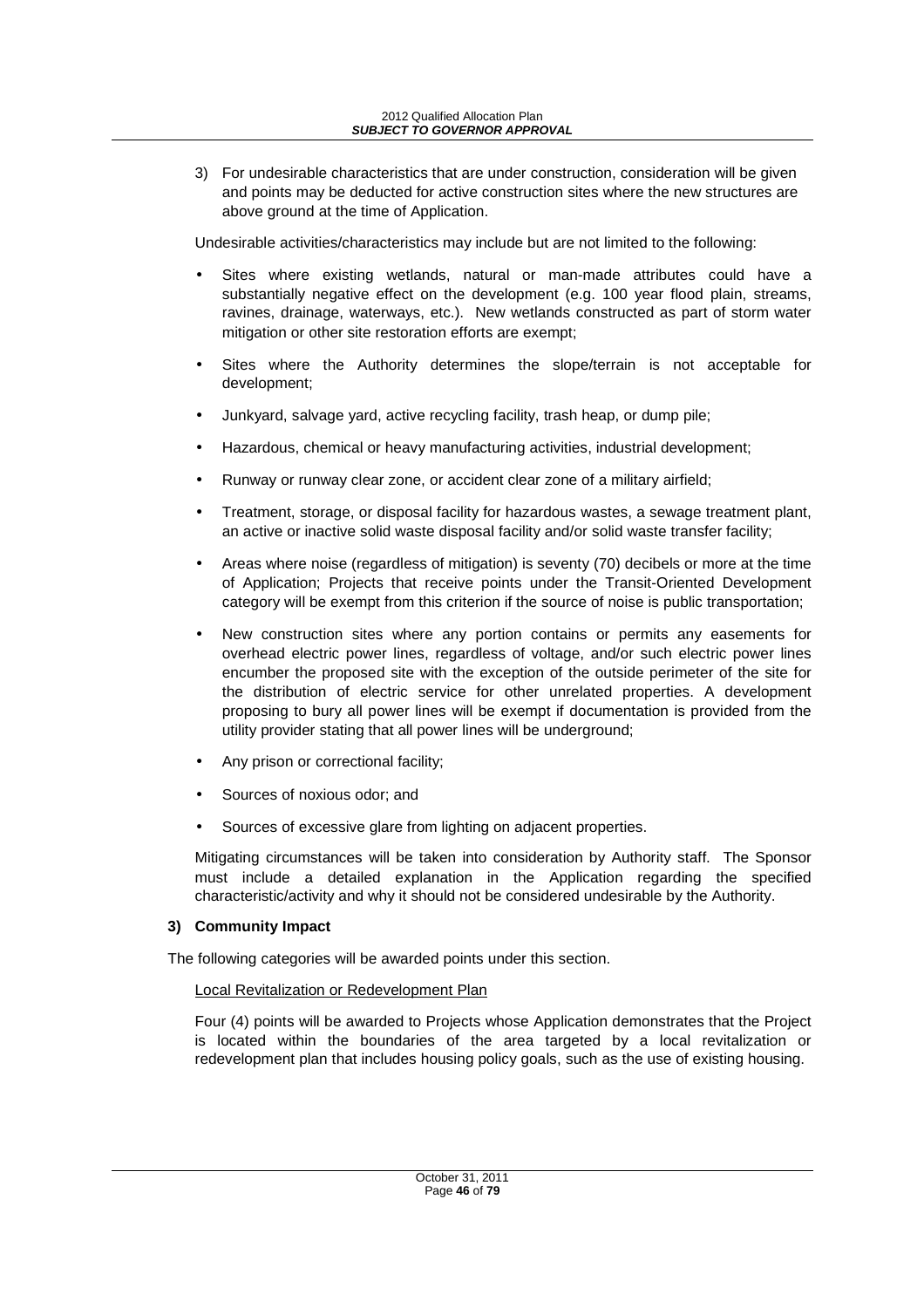3) For undesirable characteristics that are under construction, consideration will be given and points may be deducted for active construction sites where the new structures are above ground at the time of Application.

Undesirable activities/characteristics may include but are not limited to the following:

- Sites where existing wetlands, natural or man-made attributes could have a substantially negative effect on the development (e.g. 100 year flood plain, streams, ravines, drainage, waterways, etc.). New wetlands constructed as part of storm water mitigation or other site restoration efforts are exempt;
- Sites where the Authority determines the slope/terrain is not acceptable for development;
- Junkyard, salvage yard, active recycling facility, trash heap, or dump pile;
- Hazardous, chemical or heavy manufacturing activities, industrial development;
- Runway or runway clear zone, or accident clear zone of a military airfield;
- Treatment, storage, or disposal facility for hazardous wastes, a sewage treatment plant, an active or inactive solid waste disposal facility and/or solid waste transfer facility;
- Areas where noise (regardless of mitigation) is seventy (70) decibels or more at the time of Application; Projects that receive points under the Transit-Oriented Development category will be exempt from this criterion if the source of noise is public transportation;
- New construction sites where any portion contains or permits any easements for overhead electric power lines, regardless of voltage, and/or such electric power lines encumber the proposed site with the exception of the outside perimeter of the site for the distribution of electric service for other unrelated properties. A development proposing to bury all power lines will be exempt if documentation is provided from the utility provider stating that all power lines will be underground;
- Any prison or correctional facility;
- Sources of noxious odor; and
- Sources of excessive glare from lighting on adjacent properties.

Mitigating circumstances will be taken into consideration by Authority staff. The Sponsor must include a detailed explanation in the Application regarding the specified characteristic/activity and why it should not be considered undesirable by the Authority.

### **3) Community Impact**

The following categories will be awarded points under this section.

### Local Revitalization or Redevelopment Plan

Four (4) points will be awarded to Projects whose Application demonstrates that the Project is located within the boundaries of the area targeted by a local revitalization or redevelopment plan that includes housing policy goals, such as the use of existing housing.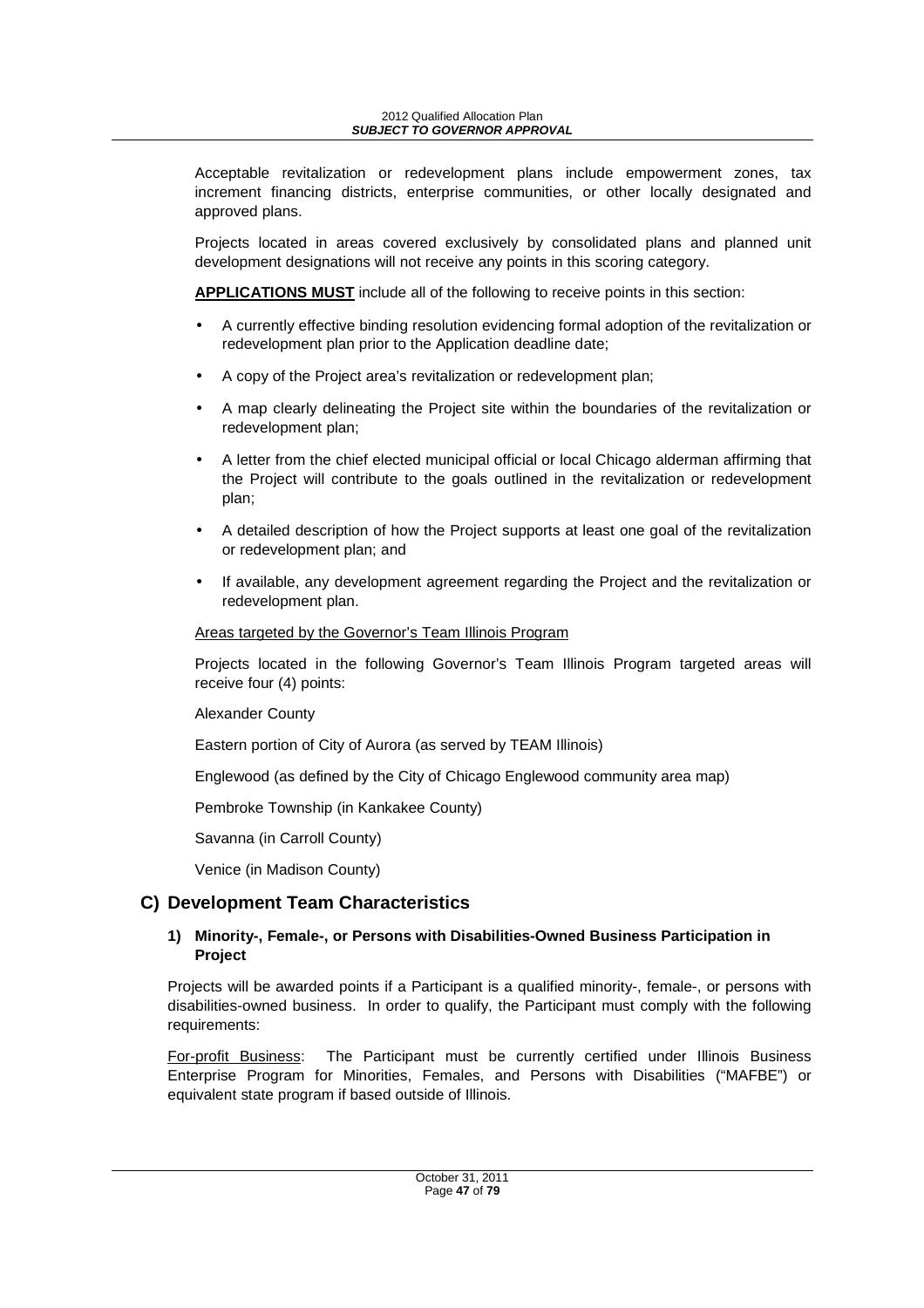2012 Qualified Allocation Plan **SUBJECT TO GOVERNOR APPROVAL** 

Acceptable revitalization or redevelopment plans include empowerment zones, tax increment financing districts, enterprise communities, or other locally designated and approved plans.

Projects located in areas covered exclusively by consolidated plans and planned unit development designations will not receive any points in this scoring category.

**APPLICATIONS MUST** include all of the following to receive points in this section:

- A currently effective binding resolution evidencing formal adoption of the revitalization or redevelopment plan prior to the Application deadline date;
- A copy of the Project area's revitalization or redevelopment plan;
- A map clearly delineating the Project site within the boundaries of the revitalization or redevelopment plan;
- A letter from the chief elected municipal official or local Chicago alderman affirming that the Project will contribute to the goals outlined in the revitalization or redevelopment plan;
- A detailed description of how the Project supports at least one goal of the revitalization or redevelopment plan; and
- If available, any development agreement regarding the Project and the revitalization or redevelopment plan.

#### Areas targeted by the Governor's Team Illinois Program

Projects located in the following Governor's Team Illinois Program targeted areas will receive four (4) points:

#### Alexander County

Eastern portion of City of Aurora (as served by TEAM Illinois)

Englewood (as defined by the City of Chicago Englewood community area map)

Pembroke Township (in Kankakee County)

Savanna (in Carroll County)

Venice (in Madison County)

# **C) Development Team Characteristics**

#### **1) Minority-, Female-, or Persons with Disabilities-Owned Business Participation in Project**

Projects will be awarded points if a Participant is a qualified minority-, female-, or persons with disabilities-owned business. In order to qualify, the Participant must comply with the following requirements:

For-profit Business: The Participant must be currently certified under Illinois Business Enterprise Program for Minorities, Females, and Persons with Disabilities ("MAFBE") or equivalent state program if based outside of Illinois.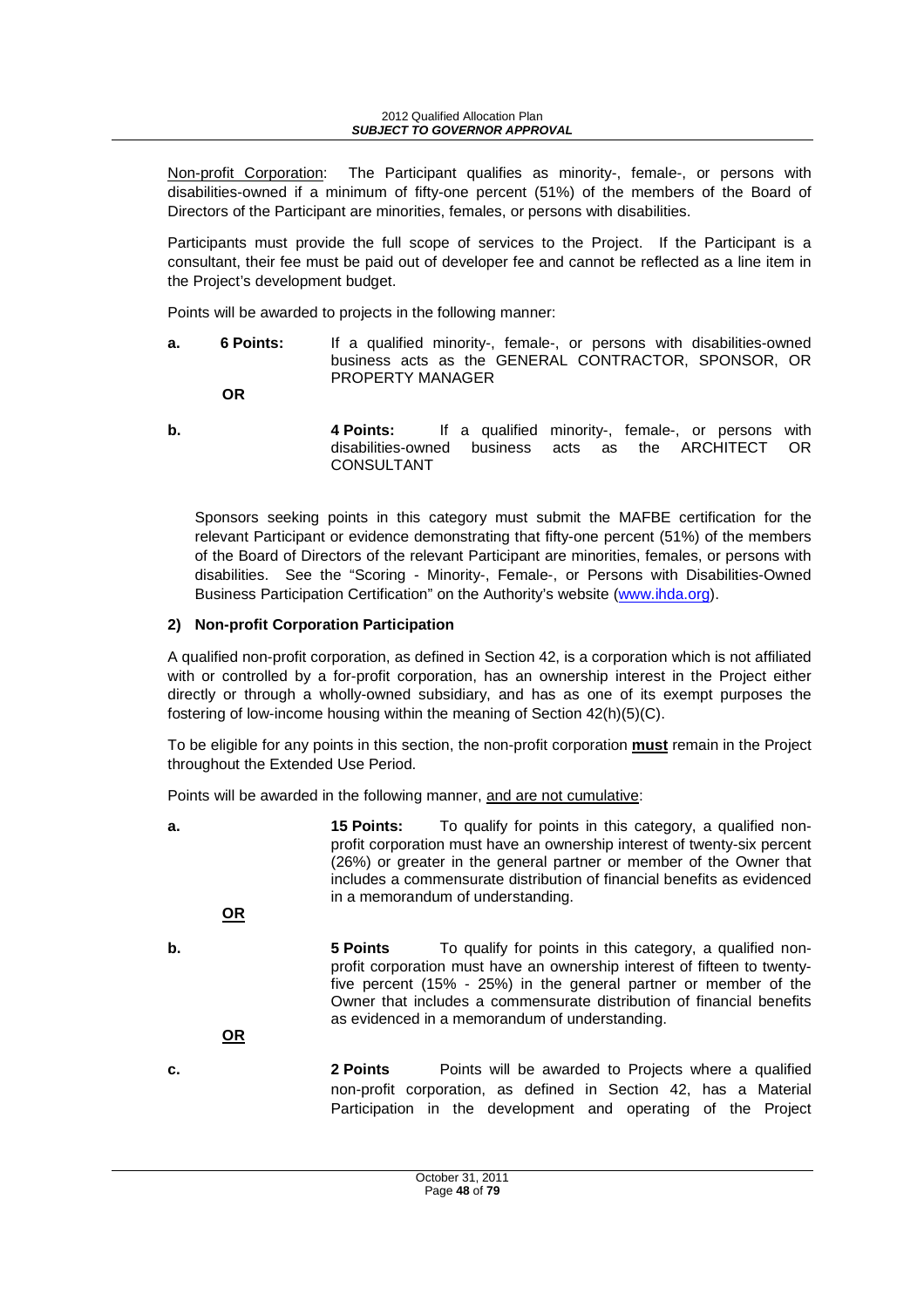Non-profit Corporation: The Participant qualifies as minority-, female-, or persons with disabilities-owned if a minimum of fifty-one percent (51%) of the members of the Board of Directors of the Participant are minorities, females, or persons with disabilities.

Participants must provide the full scope of services to the Project. If the Participant is a consultant, their fee must be paid out of developer fee and cannot be reflected as a line item in the Project's development budget.

Points will be awarded to projects in the following manner:

**a.** 6 Points: If a qualified minority-, female-, or persons with disabilities-owned business acts as the GENERAL CONTRACTOR, SPONSOR, OR PROPERTY MANAGER

**OR** 

- 
- **b. 4 Points:** If a qualified minority-, female-, or persons with disabilities-owned business acts as the ARCHITECT OR CONSULTANT

Sponsors seeking points in this category must submit the MAFBE certification for the relevant Participant or evidence demonstrating that fifty-one percent (51%) of the members of the Board of Directors of the relevant Participant are minorities, females, or persons with disabilities. See the "Scoring - Minority-, Female-, or Persons with Disabilities-Owned Business Participation Certification" on the Authority's website (www.ihda.org).

### **2) Non-profit Corporation Participation**

A qualified non-profit corporation, as defined in Section 42, is a corporation which is not affiliated with or controlled by a for-profit corporation, has an ownership interest in the Project either directly or through a wholly-owned subsidiary, and has as one of its exempt purposes the fostering of low-income housing within the meaning of Section 42(h)(5)(C).

To be eligible for any points in this section, the non-profit corporation **must** remain in the Project throughout the Extended Use Period.

Points will be awarded in the following manner, and are not cumulative:

**a.** 15 Points: To qualify for points in this category, a qualified nonprofit corporation must have an ownership interest of twenty-six percent (26%) or greater in the general partner or member of the Owner that includes a commensurate distribution of financial benefits as evidenced in a memorandum of understanding.  **OR b.** 5 Points **To qualify for points in this category, a qualified non**profit corporation must have an ownership interest of fifteen to twentyfive percent (15% - 25%) in the general partner or member of the Owner that includes a commensurate distribution of financial benefits as evidenced in a memorandum of understanding. **OR c. 2 Points** Points will be awarded to Projects where a qualified non-profit corporation, as defined in Section 42, has a Material Participation in the development and operating of the Project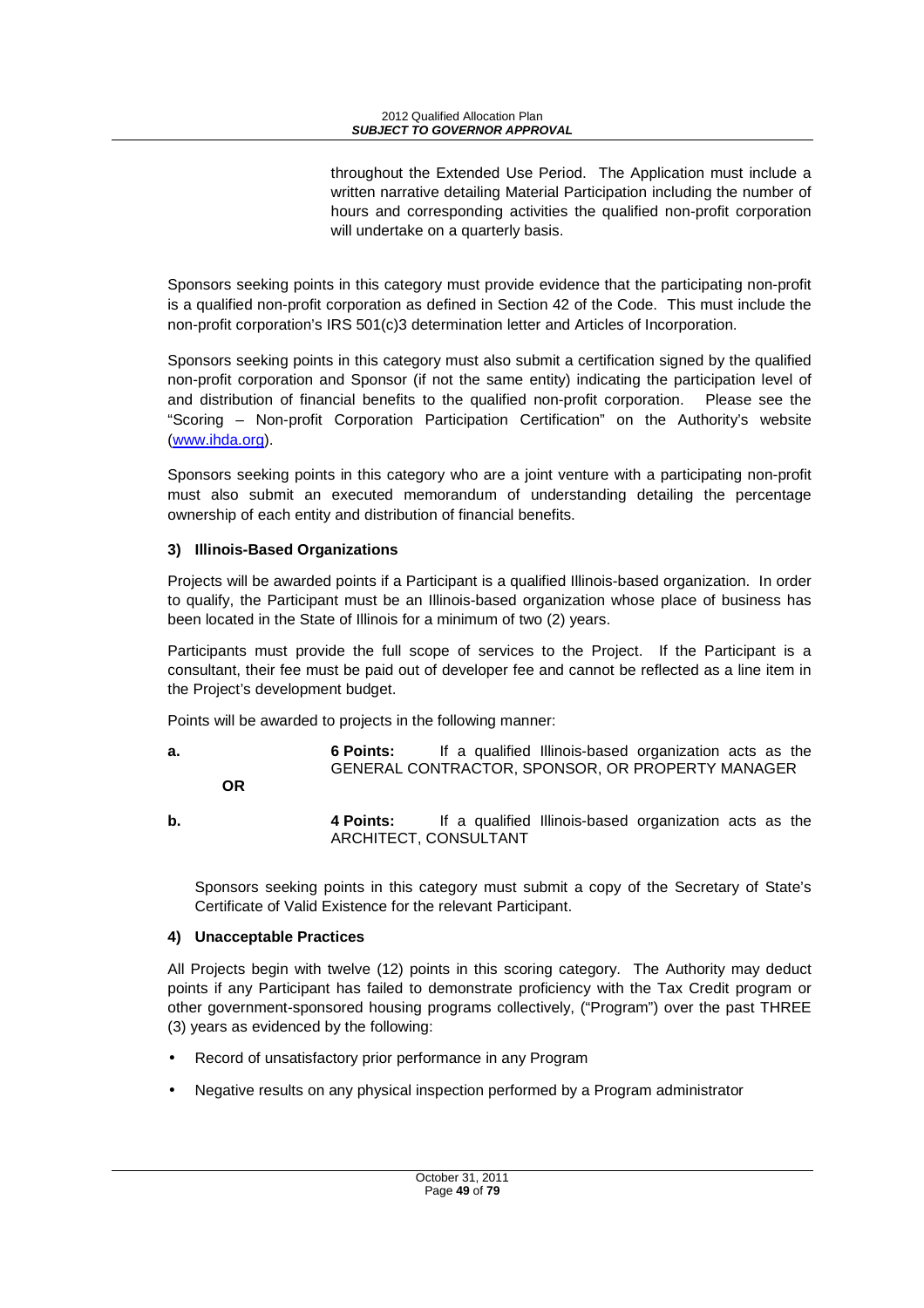throughout the Extended Use Period. The Application must include a written narrative detailing Material Participation including the number of hours and corresponding activities the qualified non-profit corporation will undertake on a quarterly basis.

Sponsors seeking points in this category must provide evidence that the participating non-profit is a qualified non-profit corporation as defined in Section 42 of the Code. This must include the non-profit corporation's IRS 501(c)3 determination letter and Articles of Incorporation.

Sponsors seeking points in this category must also submit a certification signed by the qualified non-profit corporation and Sponsor (if not the same entity) indicating the participation level of and distribution of financial benefits to the qualified non-profit corporation. Please see the "Scoring – Non-profit Corporation Participation Certification" on the Authority's website (www.ihda.org).

Sponsors seeking points in this category who are a joint venture with a participating non-profit must also submit an executed memorandum of understanding detailing the percentage ownership of each entity and distribution of financial benefits.

### **3) Illinois-Based Organizations**

Projects will be awarded points if a Participant is a qualified Illinois-based organization. In order to qualify, the Participant must be an Illinois-based organization whose place of business has been located in the State of Illinois for a minimum of two (2) years.

Participants must provide the full scope of services to the Project. If the Participant is a consultant, their fee must be paid out of developer fee and cannot be reflected as a line item in the Project's development budget.

Points will be awarded to projects in the following manner:

- **a. 6 Points:** If a qualified Illinois-based organization acts as the GENERAL CONTRACTOR, SPONSOR, OR PROPERTY MANAGER **OR**
- **b. 4 Points:** If a qualified Illinois-based organization acts as the ARCHITECT, CONSULTANT

Sponsors seeking points in this category must submit a copy of the Secretary of State's Certificate of Valid Existence for the relevant Participant.

# **4) Unacceptable Practices**

All Projects begin with twelve (12) points in this scoring category. The Authority may deduct points if any Participant has failed to demonstrate proficiency with the Tax Credit program or other government-sponsored housing programs collectively, ("Program") over the past THREE (3) years as evidenced by the following:

- Record of unsatisfactory prior performance in any Program
- Negative results on any physical inspection performed by a Program administrator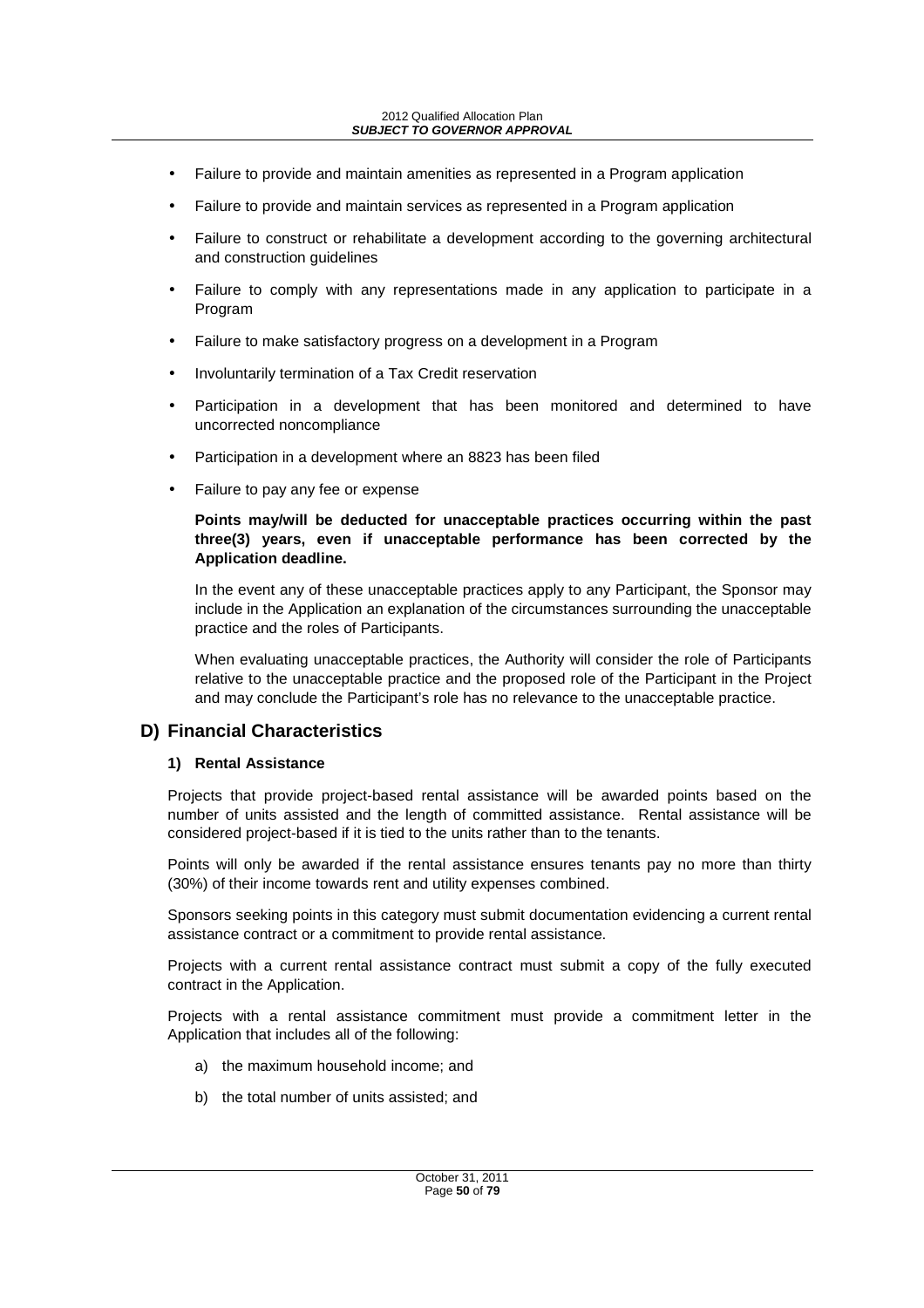#### 2012 Qualified Allocation Plan **SUBJECT TO GOVERNOR APPROVAL**

- Failure to provide and maintain amenities as represented in a Program application
- Failure to provide and maintain services as represented in a Program application
- Failure to construct or rehabilitate a development according to the governing architectural and construction guidelines
- Failure to comply with any representations made in any application to participate in a Program
- Failure to make satisfactory progress on a development in a Program
- Involuntarily termination of a Tax Credit reservation
- Participation in a development that has been monitored and determined to have uncorrected noncompliance
- Participation in a development where an 8823 has been filed
- Failure to pay any fee or expense

#### **Points may/will be deducted for unacceptable practices occurring within the past three(3) years, even if unacceptable performance has been corrected by the Application deadline.**

In the event any of these unacceptable practices apply to any Participant, the Sponsor may include in the Application an explanation of the circumstances surrounding the unacceptable practice and the roles of Participants.

When evaluating unacceptable practices, the Authority will consider the role of Participants relative to the unacceptable practice and the proposed role of the Participant in the Project and may conclude the Participant's role has no relevance to the unacceptable practice.

# **D) Financial Characteristics**

#### **1) Rental Assistance**

Projects that provide project-based rental assistance will be awarded points based on the number of units assisted and the length of committed assistance. Rental assistance will be considered project-based if it is tied to the units rather than to the tenants.

Points will only be awarded if the rental assistance ensures tenants pay no more than thirty (30%) of their income towards rent and utility expenses combined.

Sponsors seeking points in this category must submit documentation evidencing a current rental assistance contract or a commitment to provide rental assistance.

Projects with a current rental assistance contract must submit a copy of the fully executed contract in the Application.

Projects with a rental assistance commitment must provide a commitment letter in the Application that includes all of the following:

- a) the maximum household income; and
- b) the total number of units assisted; and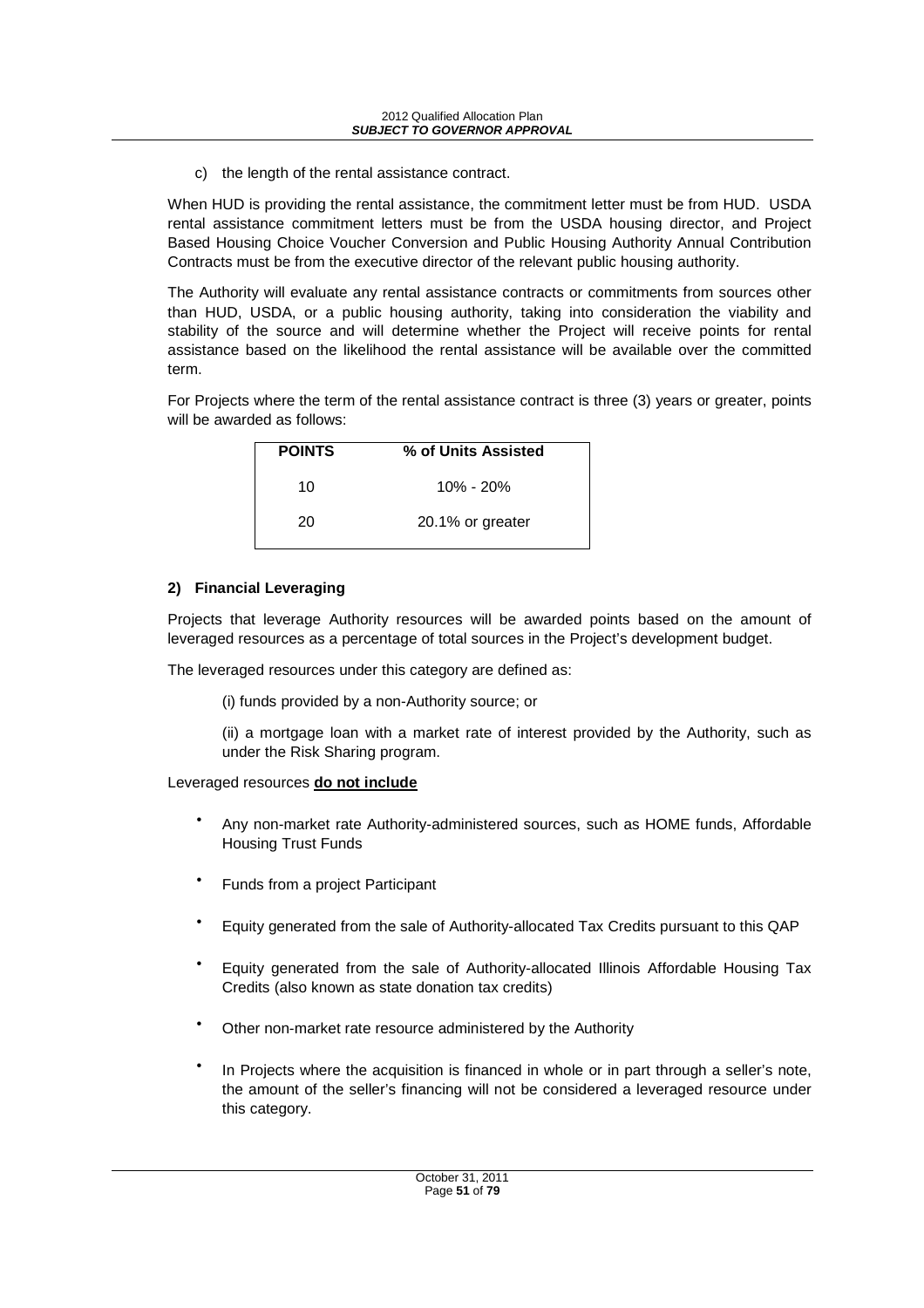c) the length of the rental assistance contract.

When HUD is providing the rental assistance, the commitment letter must be from HUD. USDA rental assistance commitment letters must be from the USDA housing director, and Project Based Housing Choice Voucher Conversion and Public Housing Authority Annual Contribution Contracts must be from the executive director of the relevant public housing authority.

The Authority will evaluate any rental assistance contracts or commitments from sources other than HUD, USDA, or a public housing authority, taking into consideration the viability and stability of the source and will determine whether the Project will receive points for rental assistance based on the likelihood the rental assistance will be available over the committed term.

For Projects where the term of the rental assistance contract is three (3) years or greater, points will be awarded as follows:

| <b>POINTS</b> | % of Units Assisted |
|---------------|---------------------|
| 10            | $10\% - 20\%$       |
| 20            | 20.1% or greater    |

### **2) Financial Leveraging**

Projects that leverage Authority resources will be awarded points based on the amount of leveraged resources as a percentage of total sources in the Project's development budget.

The leveraged resources under this category are defined as:

(i) funds provided by a non-Authority source; or

(ii) a mortgage loan with a market rate of interest provided by the Authority, such as under the Risk Sharing program.

Leveraged resources **do not include**

- Any non-market rate Authority-administered sources, such as HOME funds, Affordable Housing Trust Funds
- Funds from a project Participant
- Equity generated from the sale of Authority-allocated Tax Credits pursuant to this QAP
- Equity generated from the sale of Authority-allocated Illinois Affordable Housing Tax Credits (also known as state donation tax credits)
- Other non-market rate resource administered by the Authority
- In Projects where the acquisition is financed in whole or in part through a seller's note, the amount of the seller's financing will not be considered a leveraged resource under this category.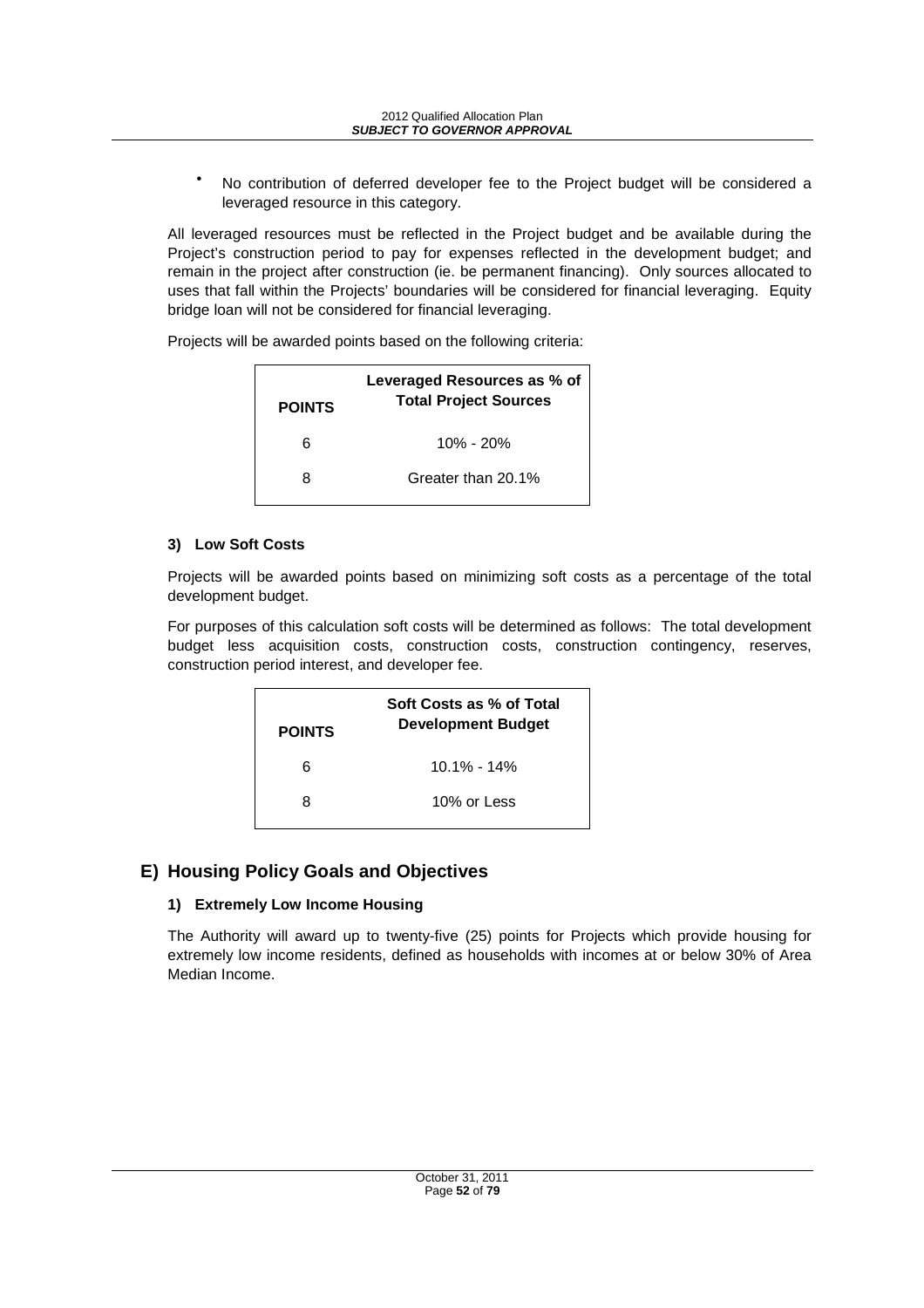No contribution of deferred developer fee to the Project budget will be considered a leveraged resource in this category.

All leveraged resources must be reflected in the Project budget and be available during the Project's construction period to pay for expenses reflected in the development budget; and remain in the project after construction (ie. be permanent financing). Only sources allocated to uses that fall within the Projects' boundaries will be considered for financial leveraging. Equity bridge loan will not be considered for financial leveraging.

Projects will be awarded points based on the following criteria:

| <b>POINTS</b> | Leveraged Resources as % of<br><b>Total Project Sources</b> |
|---------------|-------------------------------------------------------------|
| 6             | $10\% - 20\%$                                               |
| R             | Greater than 20.1%                                          |

#### **3) Low Soft Costs**

Projects will be awarded points based on minimizing soft costs as a percentage of the total development budget.

For purposes of this calculation soft costs will be determined as follows: The total development budget less acquisition costs, construction costs, construction contingency, reserves, construction period interest, and developer fee.

| <b>POINTS</b> | Soft Costs as % of Total<br><b>Development Budget</b> |
|---------------|-------------------------------------------------------|
| 6             | 10.1% - 14%                                           |
| 8             | 10% or Less                                           |

# **E) Housing Policy Goals and Objectives**

### **1) Extremely Low Income Housing**

The Authority will award up to twenty-five (25) points for Projects which provide housing for extremely low income residents, defined as households with incomes at or below 30% of Area Median Income.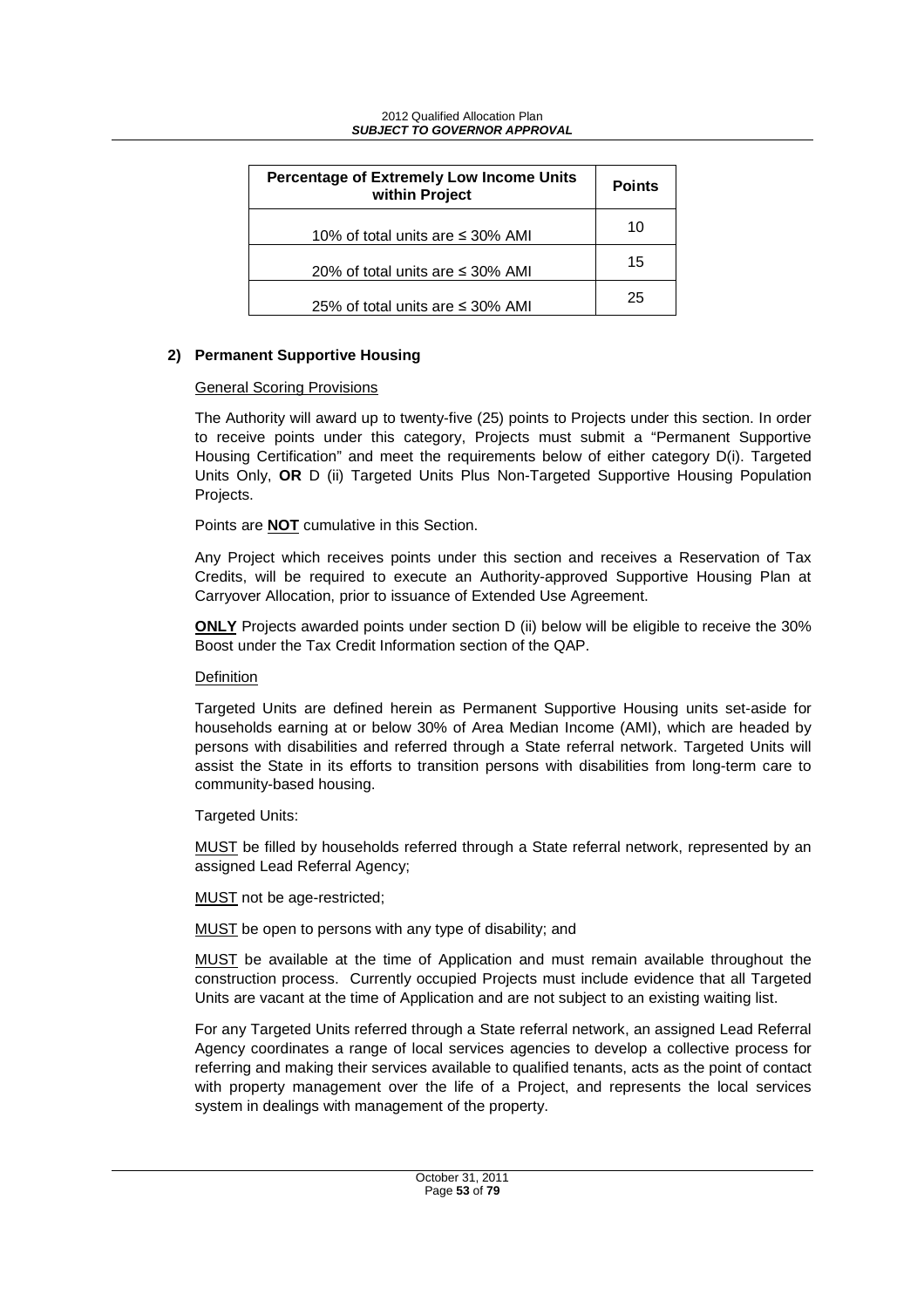| <b>Percentage of Extremely Low Income Units</b><br>within Project | <b>Points</b> |
|-------------------------------------------------------------------|---------------|
| 10% of total units are $\leq$ 30% AMI                             | 10            |
| 20% of total units are $\leq$ 30% AMI                             | 15            |
| 25% of total units are $\leq$ 30% AMI                             | 25            |

#### **2) Permanent Supportive Housing**

#### General Scoring Provisions

The Authority will award up to twenty-five (25) points to Projects under this section. In order to receive points under this category, Projects must submit a "Permanent Supportive Housing Certification" and meet the requirements below of either category D(i). Targeted Units Only, **OR** D (ii) Targeted Units Plus Non-Targeted Supportive Housing Population Projects.

Points are **NOT** cumulative in this Section.

Any Project which receives points under this section and receives a Reservation of Tax Credits, will be required to execute an Authority-approved Supportive Housing Plan at Carryover Allocation, prior to issuance of Extended Use Agreement.

**ONLY** Projects awarded points under section D (ii) below will be eligible to receive the 30% Boost under the Tax Credit Information section of the QAP.

#### Definition

Targeted Units are defined herein as Permanent Supportive Housing units set-aside for households earning at or below 30% of Area Median Income (AMI), which are headed by persons with disabilities and referred through a State referral network. Targeted Units will assist the State in its efforts to transition persons with disabilities from long-term care to community-based housing.

Targeted Units:

MUST be filled by households referred through a State referral network, represented by an assigned Lead Referral Agency;

MUST not be age-restricted;

MUST be open to persons with any type of disability; and

MUST be available at the time of Application and must remain available throughout the construction process. Currently occupied Projects must include evidence that all Targeted Units are vacant at the time of Application and are not subject to an existing waiting list.

For any Targeted Units referred through a State referral network, an assigned Lead Referral Agency coordinates a range of local services agencies to develop a collective process for referring and making their services available to qualified tenants, acts as the point of contact with property management over the life of a Project, and represents the local services system in dealings with management of the property.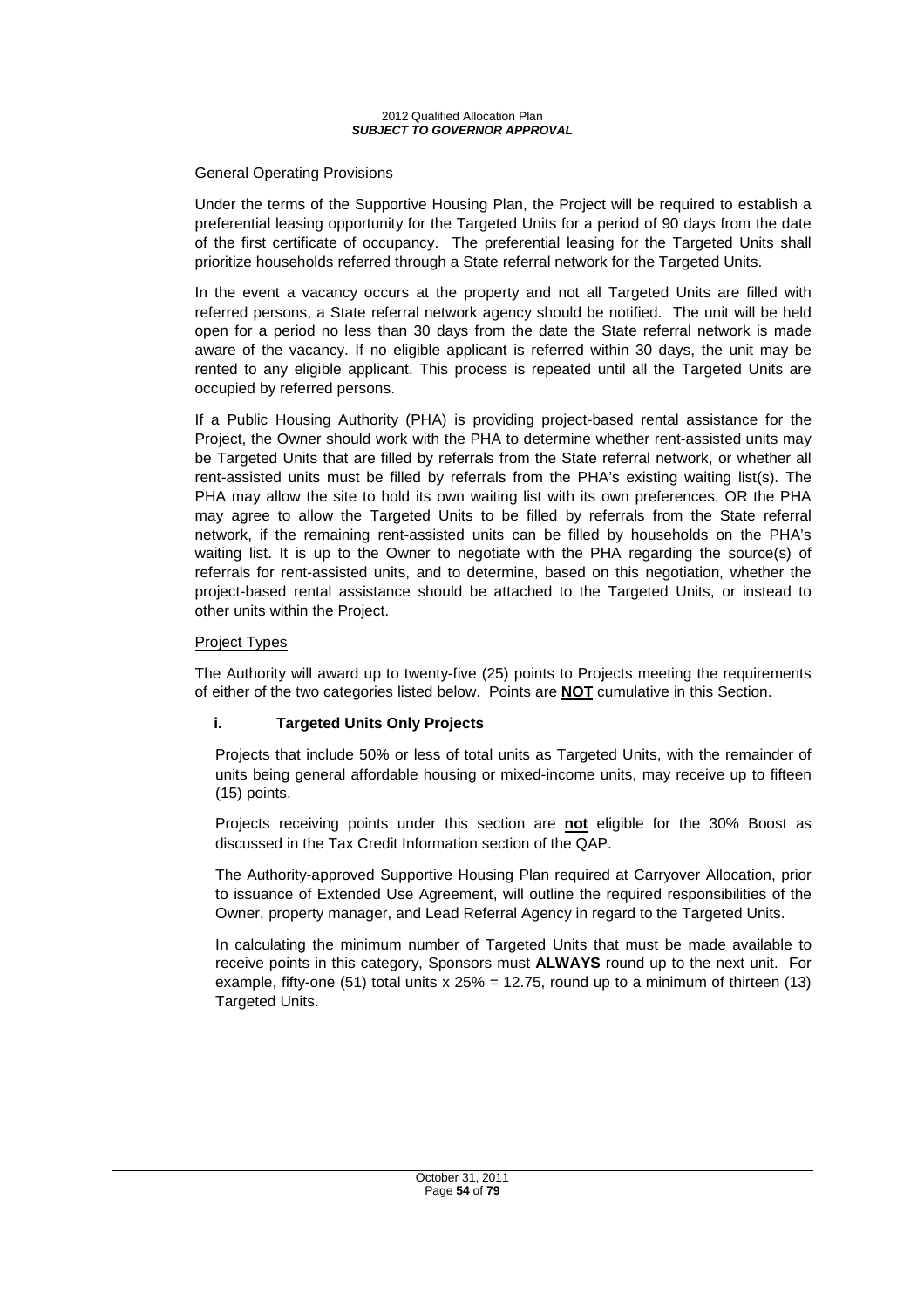### General Operating Provisions

Under the terms of the Supportive Housing Plan, the Project will be required to establish a preferential leasing opportunity for the Targeted Units for a period of 90 days from the date of the first certificate of occupancy. The preferential leasing for the Targeted Units shall prioritize households referred through a State referral network for the Targeted Units.

In the event a vacancy occurs at the property and not all Targeted Units are filled with referred persons, a State referral network agency should be notified. The unit will be held open for a period no less than 30 days from the date the State referral network is made aware of the vacancy. If no eligible applicant is referred within 30 days, the unit may be rented to any eligible applicant. This process is repeated until all the Targeted Units are occupied by referred persons.

If a Public Housing Authority (PHA) is providing project-based rental assistance for the Project, the Owner should work with the PHA to determine whether rent-assisted units may be Targeted Units that are filled by referrals from the State referral network, or whether all rent-assisted units must be filled by referrals from the PHA's existing waiting list(s). The PHA may allow the site to hold its own waiting list with its own preferences, OR the PHA may agree to allow the Targeted Units to be filled by referrals from the State referral network, if the remaining rent-assisted units can be filled by households on the PHA's waiting list. It is up to the Owner to negotiate with the PHA regarding the source(s) of referrals for rent-assisted units, and to determine, based on this negotiation, whether the project-based rental assistance should be attached to the Targeted Units, or instead to other units within the Project.

### Project Types

The Authority will award up to twenty-five (25) points to Projects meeting the requirements of either of the two categories listed below. Points are **NOT** cumulative in this Section.

### **i. Targeted Units Only Projects**

Projects that include 50% or less of total units as Targeted Units, with the remainder of units being general affordable housing or mixed-income units, may receive up to fifteen (15) points.

Projects receiving points under this section are **not** eligible for the 30% Boost as discussed in the Tax Credit Information section of the QAP.

The Authority-approved Supportive Housing Plan required at Carryover Allocation, prior to issuance of Extended Use Agreement, will outline the required responsibilities of the Owner, property manager, and Lead Referral Agency in regard to the Targeted Units.

In calculating the minimum number of Targeted Units that must be made available to receive points in this category, Sponsors must **ALWAYS** round up to the next unit. For example, fifty-one (51) total units  $x 25% = 12.75$ , round up to a minimum of thirteen (13) Targeted Units.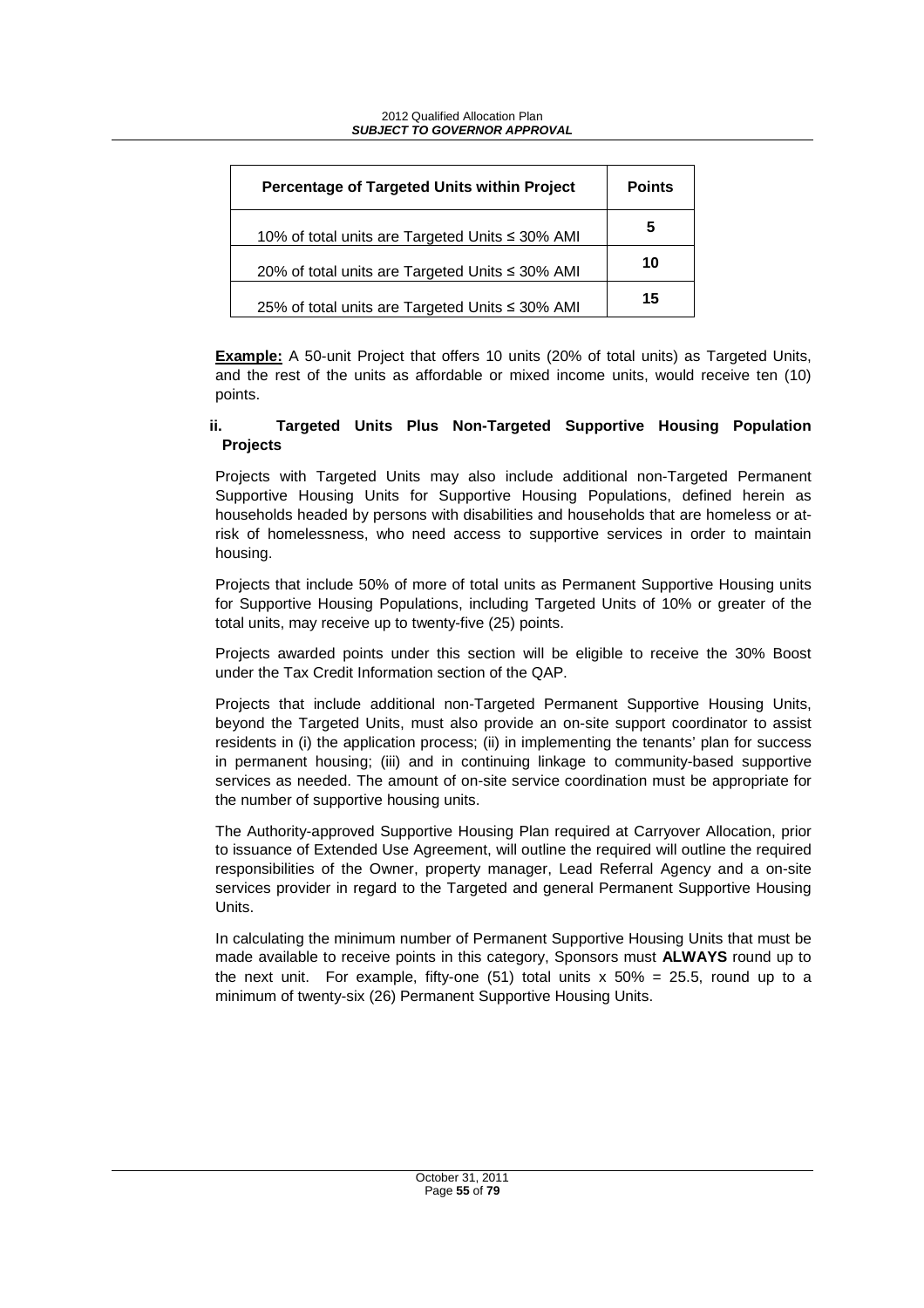| Percentage of Targeted Units within Project     | <b>Points</b> |
|-------------------------------------------------|---------------|
| 10% of total units are Targeted Units ≤ 30% AMI | 5             |
| 20% of total units are Targeted Units ≤ 30% AMI | 10            |
| 25% of total units are Targeted Units ≤ 30% AMI | 15            |

**Example:** A 50-unit Project that offers 10 units (20% of total units) as Targeted Units, and the rest of the units as affordable or mixed income units, would receive ten (10) points.

### **ii. Targeted Units Plus Non-Targeted Supportive Housing Population Projects**

Projects with Targeted Units may also include additional non-Targeted Permanent Supportive Housing Units for Supportive Housing Populations, defined herein as households headed by persons with disabilities and households that are homeless or atrisk of homelessness, who need access to supportive services in order to maintain housing.

Projects that include 50% of more of total units as Permanent Supportive Housing units for Supportive Housing Populations, including Targeted Units of 10% or greater of the total units, may receive up to twenty-five (25) points.

Projects awarded points under this section will be eligible to receive the 30% Boost under the Tax Credit Information section of the QAP.

Projects that include additional non-Targeted Permanent Supportive Housing Units, beyond the Targeted Units, must also provide an on-site support coordinator to assist residents in (i) the application process; (ii) in implementing the tenants' plan for success in permanent housing; (iii) and in continuing linkage to community-based supportive services as needed. The amount of on-site service coordination must be appropriate for the number of supportive housing units.

The Authority-approved Supportive Housing Plan required at Carryover Allocation, prior to issuance of Extended Use Agreement, will outline the required will outline the required responsibilities of the Owner, property manager, Lead Referral Agency and a on-site services provider in regard to the Targeted and general Permanent Supportive Housing Units.

In calculating the minimum number of Permanent Supportive Housing Units that must be made available to receive points in this category, Sponsors must **ALWAYS** round up to the next unit. For example, fifty-one  $(51)$  total units x  $50\% = 25.5$ , round up to a minimum of twenty-six (26) Permanent Supportive Housing Units.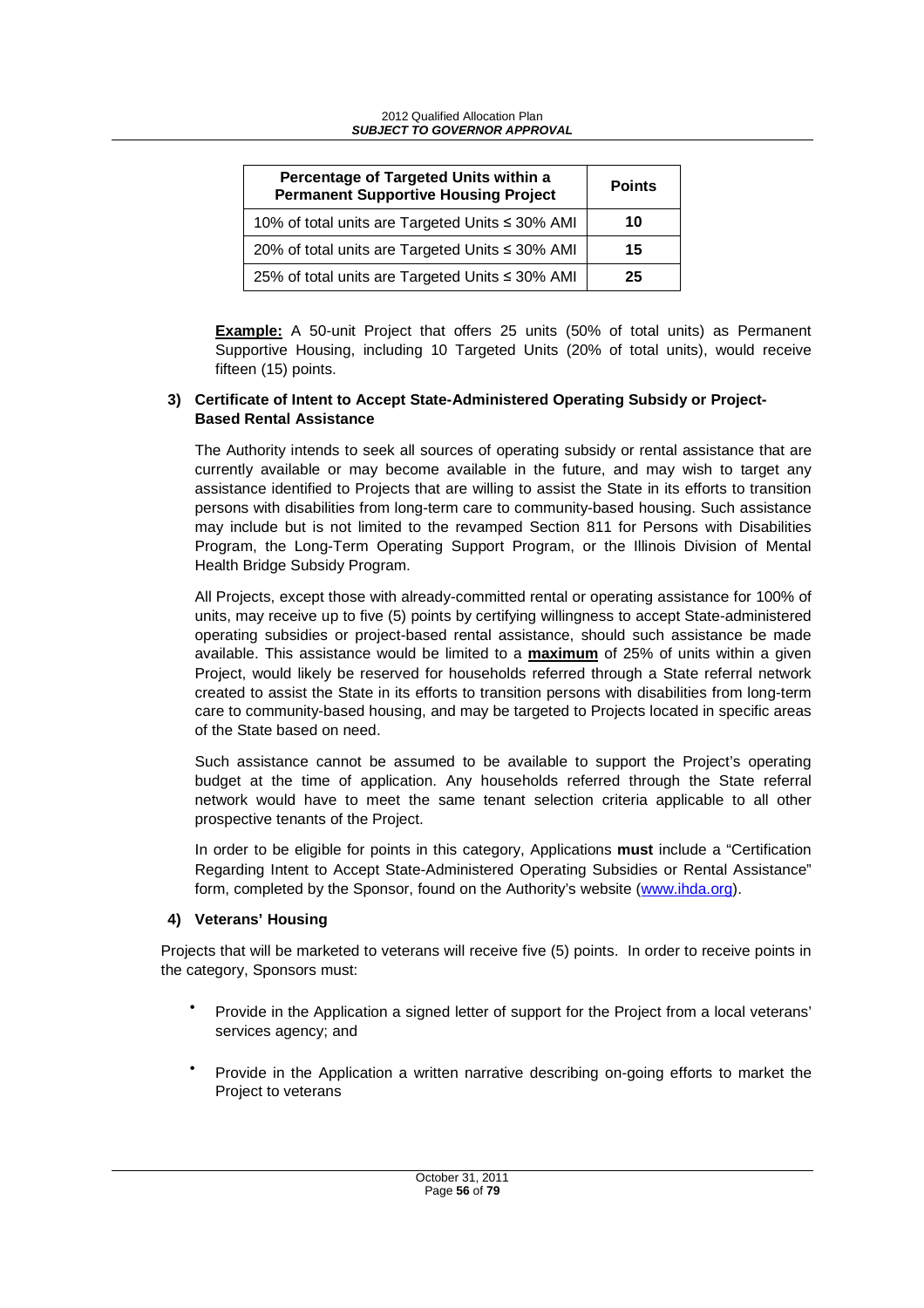| Percentage of Targeted Units within a<br><b>Permanent Supportive Housing Project</b> | <b>Points</b> |
|--------------------------------------------------------------------------------------|---------------|
| 10% of total units are Targeted Units ≤ 30% AMI                                      | 10            |
| 20% of total units are Targeted Units ≤ 30% AMI                                      | 15            |
| 25% of total units are Targeted Units ≤ 30% AMI                                      | 25            |

**Example:** A 50-unit Project that offers 25 units (50% of total units) as Permanent Supportive Housing, including 10 Targeted Units (20% of total units), would receive fifteen (15) points.

#### **3) Certificate of Intent to Accept State-Administered Operating Subsidy or Project-Based Rental Assistance**

The Authority intends to seek all sources of operating subsidy or rental assistance that are currently available or may become available in the future, and may wish to target any assistance identified to Projects that are willing to assist the State in its efforts to transition persons with disabilities from long-term care to community-based housing. Such assistance may include but is not limited to the revamped Section 811 for Persons with Disabilities Program, the Long-Term Operating Support Program, or the Illinois Division of Mental Health Bridge Subsidy Program.

All Projects, except those with already-committed rental or operating assistance for 100% of units, may receive up to five (5) points by certifying willingness to accept State-administered operating subsidies or project-based rental assistance, should such assistance be made available. This assistance would be limited to a **maximum** of 25% of units within a given Project, would likely be reserved for households referred through a State referral network created to assist the State in its efforts to transition persons with disabilities from long-term care to community-based housing, and may be targeted to Projects located in specific areas of the State based on need.

Such assistance cannot be assumed to be available to support the Project's operating budget at the time of application. Any households referred through the State referral network would have to meet the same tenant selection criteria applicable to all other prospective tenants of the Project.

In order to be eligible for points in this category, Applications **must** include a "Certification Regarding Intent to Accept State-Administered Operating Subsidies or Rental Assistance" form, completed by the Sponsor, found on the Authority's website (www.ihda.org).

### **4) Veterans' Housing**

Projects that will be marketed to veterans will receive five (5) points. In order to receive points in the category, Sponsors must:

- Provide in the Application a signed letter of support for the Project from a local veterans' services agency; and
- Provide in the Application a written narrative describing on-going efforts to market the Project to veterans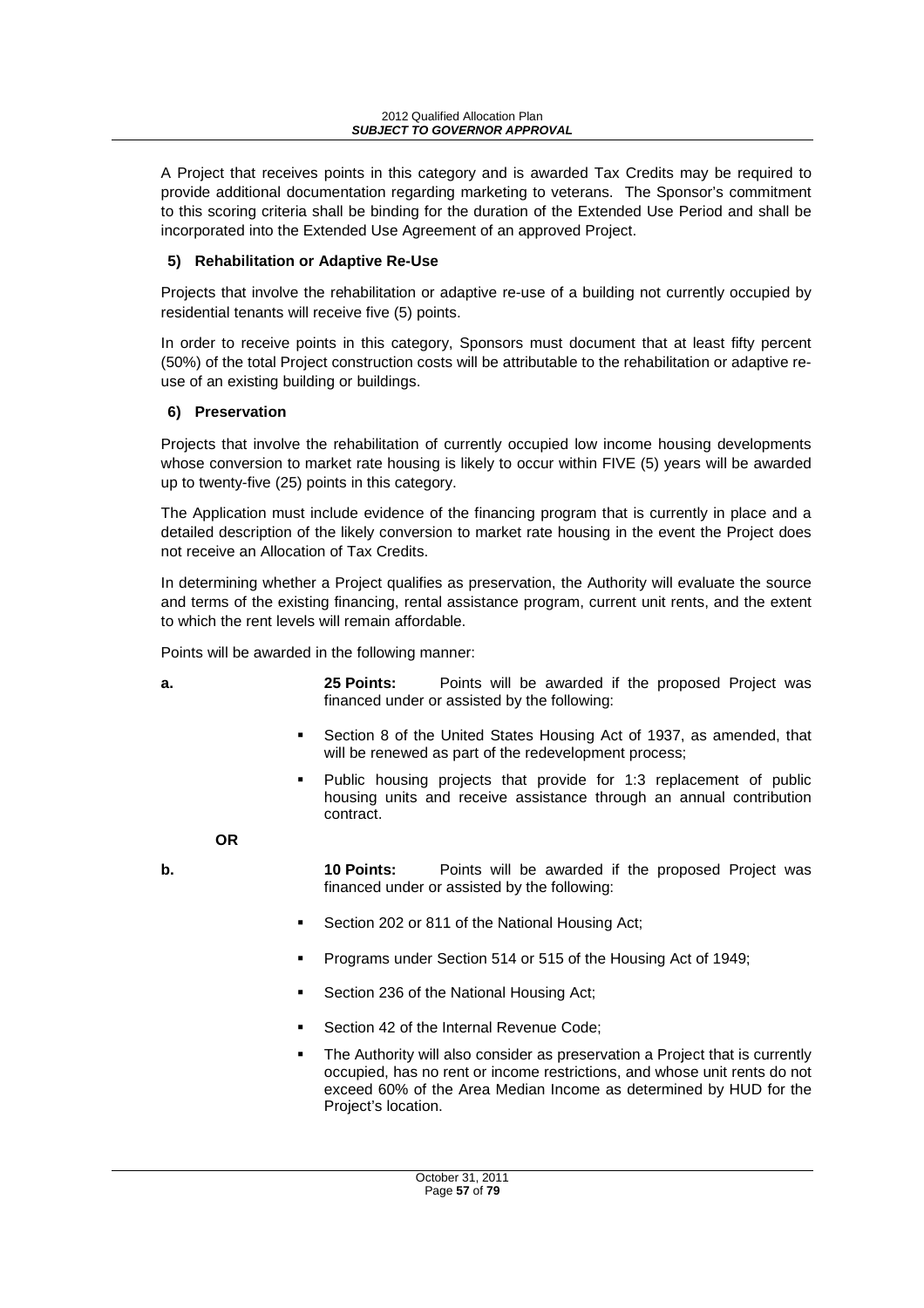A Project that receives points in this category and is awarded Tax Credits may be required to provide additional documentation regarding marketing to veterans. The Sponsor's commitment to this scoring criteria shall be binding for the duration of the Extended Use Period and shall be incorporated into the Extended Use Agreement of an approved Project.

### **5) Rehabilitation or Adaptive Re-Use**

Projects that involve the rehabilitation or adaptive re-use of a building not currently occupied by residential tenants will receive five (5) points.

In order to receive points in this category, Sponsors must document that at least fifty percent (50%) of the total Project construction costs will be attributable to the rehabilitation or adaptive reuse of an existing building or buildings.

#### **6) Preservation**

Projects that involve the rehabilitation of currently occupied low income housing developments whose conversion to market rate housing is likely to occur within FIVE (5) years will be awarded up to twenty-five (25) points in this category.

The Application must include evidence of the financing program that is currently in place and a detailed description of the likely conversion to market rate housing in the event the Project does not receive an Allocation of Tax Credits.

In determining whether a Project qualifies as preservation, the Authority will evaluate the source and terms of the existing financing, rental assistance program, current unit rents, and the extent to which the rent levels will remain affordable.

Points will be awarded in the following manner:

- **a.** 25 Points: Points will be awarded if the proposed Project was financed under or assisted by the following:
	- - Section 8 of the United States Housing Act of 1937, as amended, that will be renewed as part of the redevelopment process;
	- - Public housing projects that provide for 1:3 replacement of public housing units and receive assistance through an annual contribution contract.

**OR** 

**b. 10 Points:** Points will be awarded if the proposed Project was financed under or assisted by the following:

- -Section 202 or 811 of the National Housing Act;
- -Programs under Section 514 or 515 of the Housing Act of 1949;
- -Section 236 of the National Housing Act;
- -Section 42 of the Internal Revenue Code;
- - The Authority will also consider as preservation a Project that is currently occupied, has no rent or income restrictions, and whose unit rents do not exceed 60% of the Area Median Income as determined by HUD for the Project's location.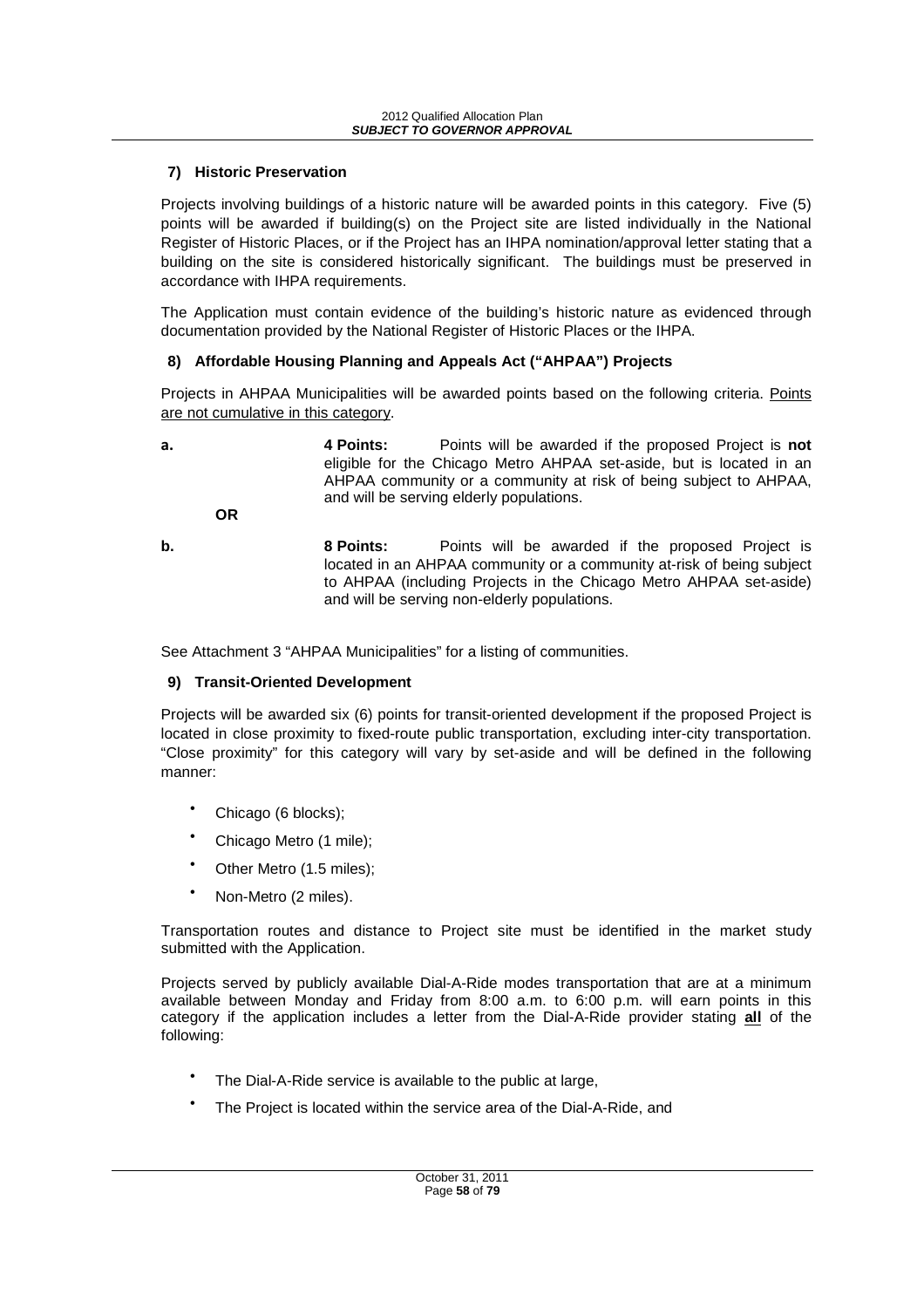### **7) Historic Preservation**

Projects involving buildings of a historic nature will be awarded points in this category. Five (5) points will be awarded if building(s) on the Project site are listed individually in the National Register of Historic Places, or if the Project has an IHPA nomination/approval letter stating that a building on the site is considered historically significant. The buildings must be preserved in accordance with IHPA requirements.

The Application must contain evidence of the building's historic nature as evidenced through documentation provided by the National Register of Historic Places or the IHPA.

#### **8) Affordable Housing Planning and Appeals Act ("AHPAA") Projects**

Projects in AHPAA Municipalities will be awarded points based on the following criteria. Points are not cumulative in this category.

**a. 4 Points:** Points will be awarded if the proposed Project is **not** eligible for the Chicago Metro AHPAA set-aside, but is located in an AHPAA community or a community at risk of being subject to AHPAA, and will be serving elderly populations. **OR** 

**b. 8 Points:** Points will be awarded if the proposed Project is located in an AHPAA community or a community at-risk of being subject to AHPAA (including Projects in the Chicago Metro AHPAA set-aside) and will be serving non-elderly populations.

See Attachment 3 "AHPAA Municipalities" for a listing of communities.

### **9) Transit-Oriented Development**

Projects will be awarded six (6) points for transit-oriented development if the proposed Project is located in close proximity to fixed-route public transportation, excluding inter-city transportation. "Close proximity" for this category will vary by set-aside and will be defined in the following manner:

- Chicago (6 blocks);
- Chicago Metro (1 mile);
- Other Metro (1.5 miles);
- Non-Metro (2 miles).

Transportation routes and distance to Project site must be identified in the market study submitted with the Application.

Projects served by publicly available Dial-A-Ride modes transportation that are at a minimum available between Monday and Friday from 8:00 a.m. to 6:00 p.m. will earn points in this category if the application includes a letter from the Dial-A-Ride provider stating **all** of the following:

- The Dial-A-Ride service is available to the public at large,
- The Project is located within the service area of the Dial-A-Ride, and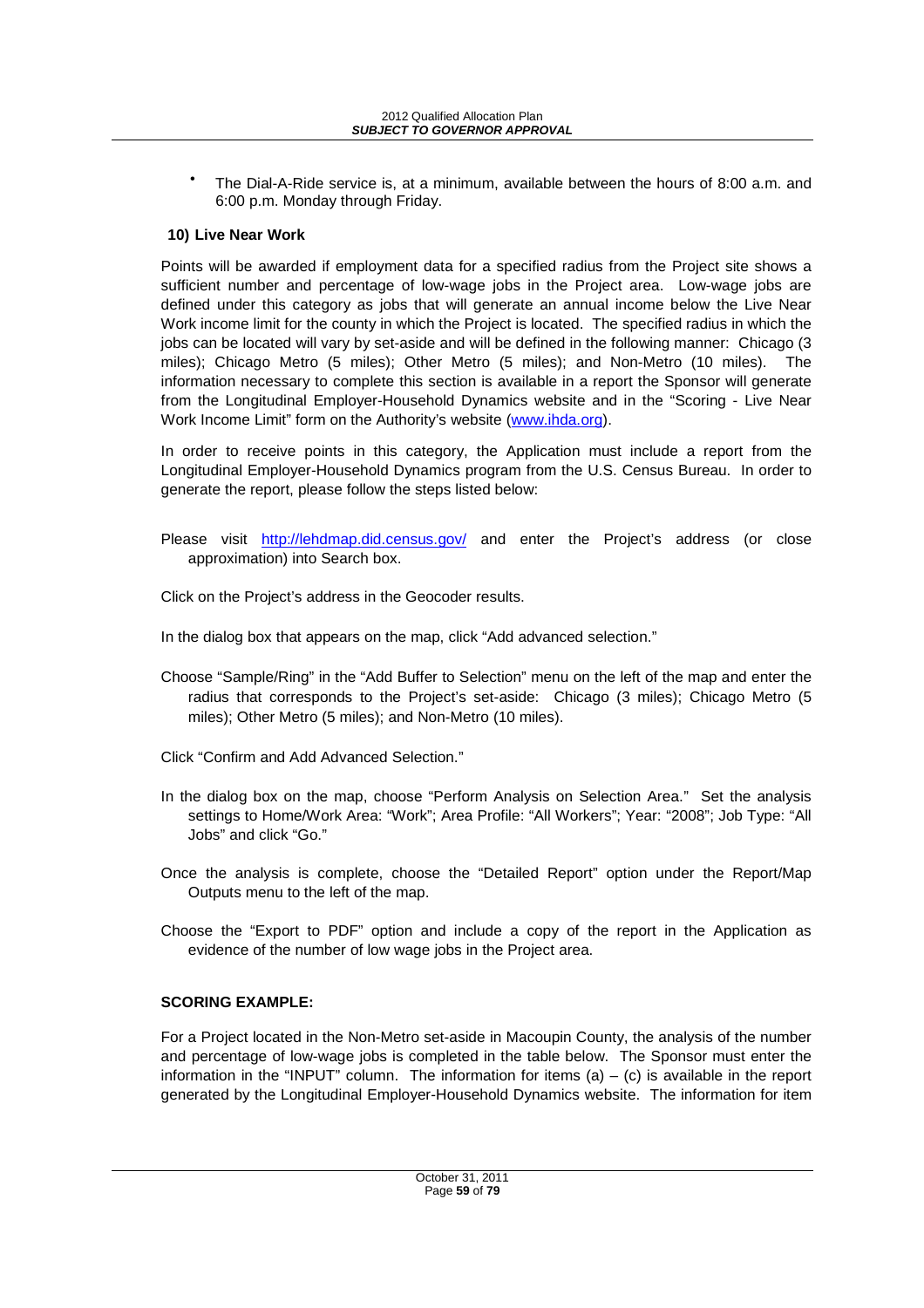The Dial-A-Ride service is, at a minimum, available between the hours of 8:00 a.m. and 6:00 p.m. Monday through Friday.

### **10) Live Near Work**

Points will be awarded if employment data for a specified radius from the Project site shows a sufficient number and percentage of low-wage jobs in the Project area. Low-wage jobs are defined under this category as jobs that will generate an annual income below the Live Near Work income limit for the county in which the Project is located. The specified radius in which the jobs can be located will vary by set-aside and will be defined in the following manner: Chicago (3 miles); Chicago Metro (5 miles); Other Metro (5 miles); and Non-Metro (10 miles). The information necessary to complete this section is available in a report the Sponsor will generate from the Longitudinal Employer-Household Dynamics website and in the "Scoring - Live Near Work Income Limit" form on the Authority's website (www.ihda.org).

In order to receive points in this category, the Application must include a report from the Longitudinal Employer-Household Dynamics program from the U.S. Census Bureau. In order to generate the report, please follow the steps listed below:

Please visit http://lehdmap.did.census.gov/ and enter the Project's address (or close approximation) into Search box.

Click on the Project's address in the Geocoder results.

In the dialog box that appears on the map, click "Add advanced selection."

- Choose "Sample/Ring" in the "Add Buffer to Selection" menu on the left of the map and enter the radius that corresponds to the Project's set-aside: Chicago (3 miles); Chicago Metro (5 miles); Other Metro (5 miles); and Non-Metro (10 miles).
- Click "Confirm and Add Advanced Selection."
- In the dialog box on the map, choose "Perform Analysis on Selection Area." Set the analysis settings to Home/Work Area: "Work"; Area Profile: "All Workers"; Year: "2008"; Job Type: "All Jobs" and click "Go."
- Once the analysis is complete, choose the "Detailed Report" option under the Report/Map Outputs menu to the left of the map.
- Choose the "Export to PDF" option and include a copy of the report in the Application as evidence of the number of low wage jobs in the Project area.

### **SCORING EXAMPLE:**

For a Project located in the Non-Metro set-aside in Macoupin County, the analysis of the number and percentage of low-wage jobs is completed in the table below. The Sponsor must enter the information in the "INPUT" column. The information for items  $(a) - (c)$  is available in the report generated by the Longitudinal Employer-Household Dynamics website. The information for item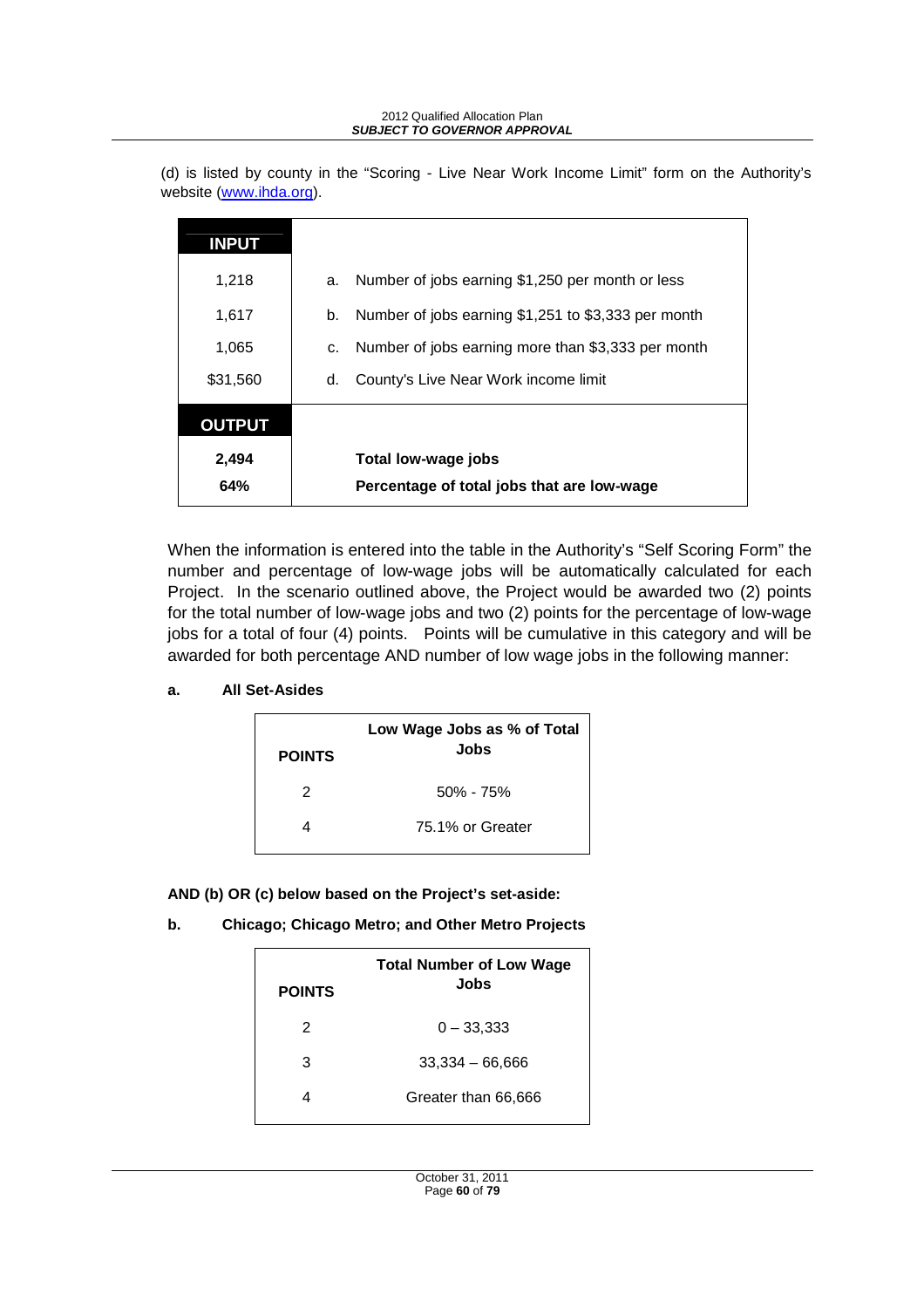#### 2012 Qualified Allocation Plan **SUBJECT TO GOVERNOR APPROVAL**

(d) is listed by county in the "Scoring - Live Near Work Income Limit" form on the Authority's website (www.ihda.org).

| <b>INPUT</b>  |    |                                                     |
|---------------|----|-----------------------------------------------------|
| 1,218         | a. | Number of jobs earning \$1,250 per month or less    |
| 1,617         | b. | Number of jobs earning \$1,251 to \$3,333 per month |
| 1,065         | c. | Number of jobs earning more than \$3,333 per month  |
| \$31,560      | d. | County's Live Near Work income limit                |
| <b>OUTPUT</b> |    |                                                     |
| 2,494         |    | Total low-wage jobs                                 |
| 64%           |    | Percentage of total jobs that are low-wage          |

When the information is entered into the table in the Authority's "Self Scoring Form" the number and percentage of low-wage jobs will be automatically calculated for each Project. In the scenario outlined above, the Project would be awarded two (2) points for the total number of low-wage jobs and two (2) points for the percentage of low-wage jobs for a total of four (4) points. Points will be cumulative in this category and will be awarded for both percentage AND number of low wage jobs in the following manner:

**a. All Set-Asides** 

|               | Low Wage Jobs as % of Total<br>Jobs |
|---------------|-------------------------------------|
| <b>POINTS</b> |                                     |
| 2             | $50\% - 75\%$                       |
|               | 75.1% or Greater                    |

**AND (b) OR (c) below based on the Project's set-aside:** 

**b. Chicago; Chicago Metro; and Other Metro Projects**

| <b>POINTS</b> | <b>Total Number of Low Wage</b><br>Jobs |
|---------------|-----------------------------------------|
| 2             | $0 - 33,333$                            |
| 3             | $33,334 - 66,666$                       |
| 4             | Greater than 66,666                     |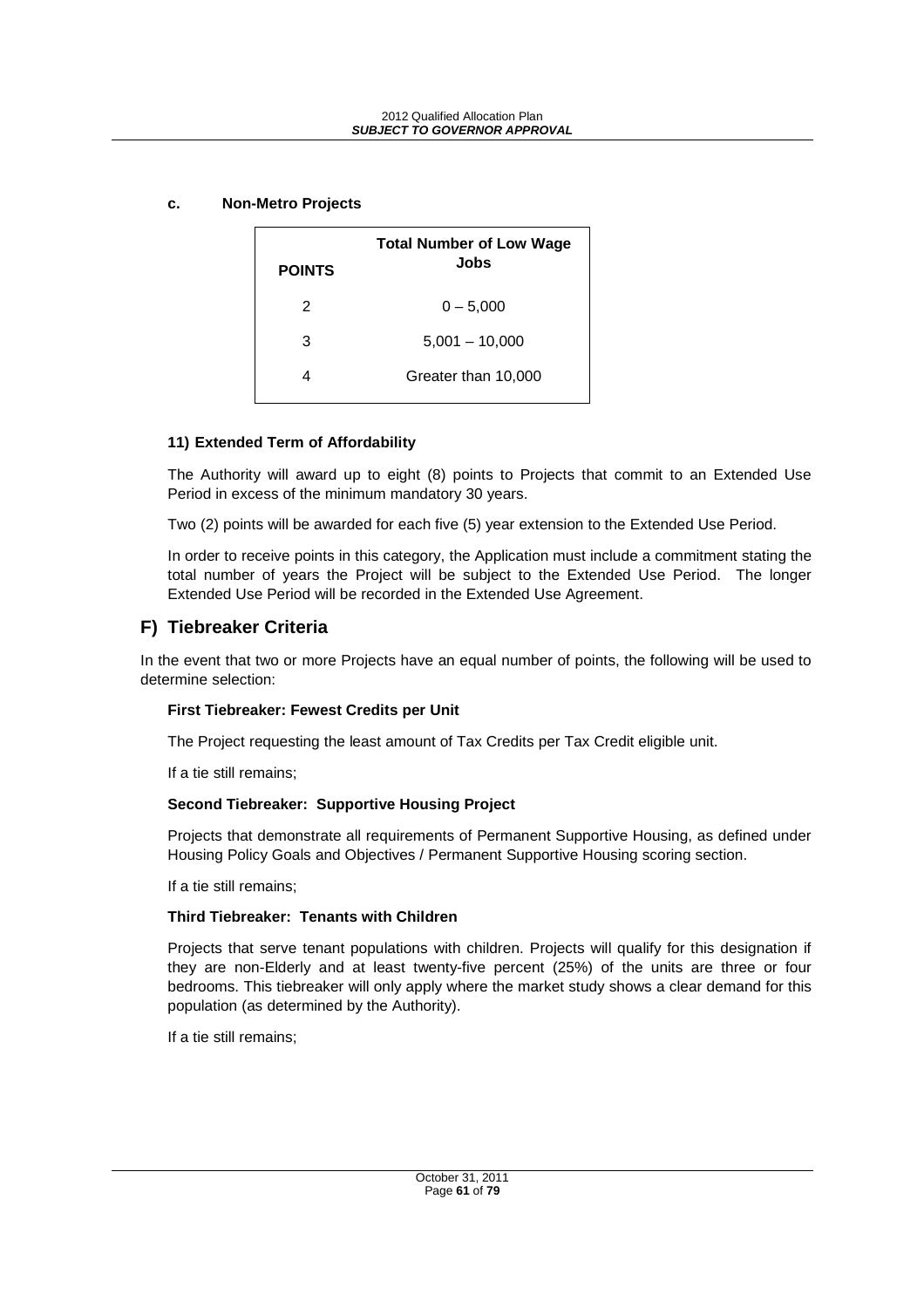**POINTS Total Number of Low Wage Jobs**  2  $0 - 5.000$ 3 5,001 – 10,000 4 Greater than 10,000

#### **c. Non-Metro Projects**

#### **11) Extended Term of Affordability**

The Authority will award up to eight (8) points to Projects that commit to an Extended Use Period in excess of the minimum mandatory 30 years.

Two (2) points will be awarded for each five (5) year extension to the Extended Use Period.

In order to receive points in this category, the Application must include a commitment stating the total number of years the Project will be subject to the Extended Use Period. The longer Extended Use Period will be recorded in the Extended Use Agreement.

### **F) Tiebreaker Criteria**

In the event that two or more Projects have an equal number of points, the following will be used to determine selection:

#### **First Tiebreaker: Fewest Credits per Unit**

The Project requesting the least amount of Tax Credits per Tax Credit eligible unit.

If a tie still remains;

#### **Second Tiebreaker: Supportive Housing Project**

Projects that demonstrate all requirements of Permanent Supportive Housing, as defined under Housing Policy Goals and Objectives / Permanent Supportive Housing scoring section.

If a tie still remains;

### **Third Tiebreaker: Tenants with Children**

Projects that serve tenant populations with children. Projects will qualify for this designation if they are non-Elderly and at least twenty-five percent (25%) of the units are three or four bedrooms. This tiebreaker will only apply where the market study shows a clear demand for this population (as determined by the Authority).

If a tie still remains;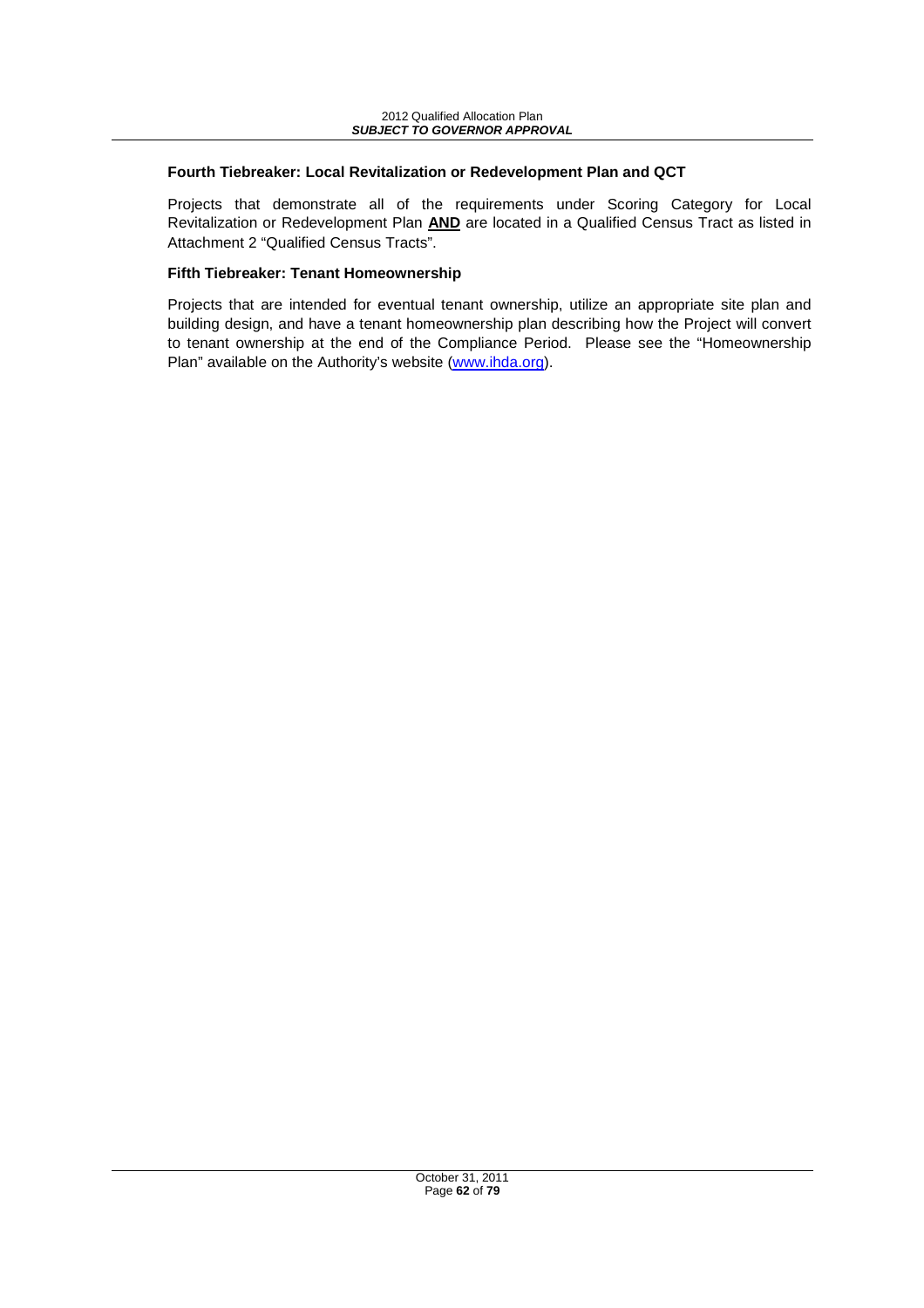#### **Fourth Tiebreaker: Local Revitalization or Redevelopment Plan and QCT**

Projects that demonstrate all of the requirements under Scoring Category for Local Revitalization or Redevelopment Plan **AND** are located in a Qualified Census Tract as listed in Attachment 2 "Qualified Census Tracts".

#### **Fifth Tiebreaker: Tenant Homeownership**

Projects that are intended for eventual tenant ownership, utilize an appropriate site plan and building design, and have a tenant homeownership plan describing how the Project will convert to tenant ownership at the end of the Compliance Period. Please see the "Homeownership Plan" available on the Authority's website (www.ihda.org).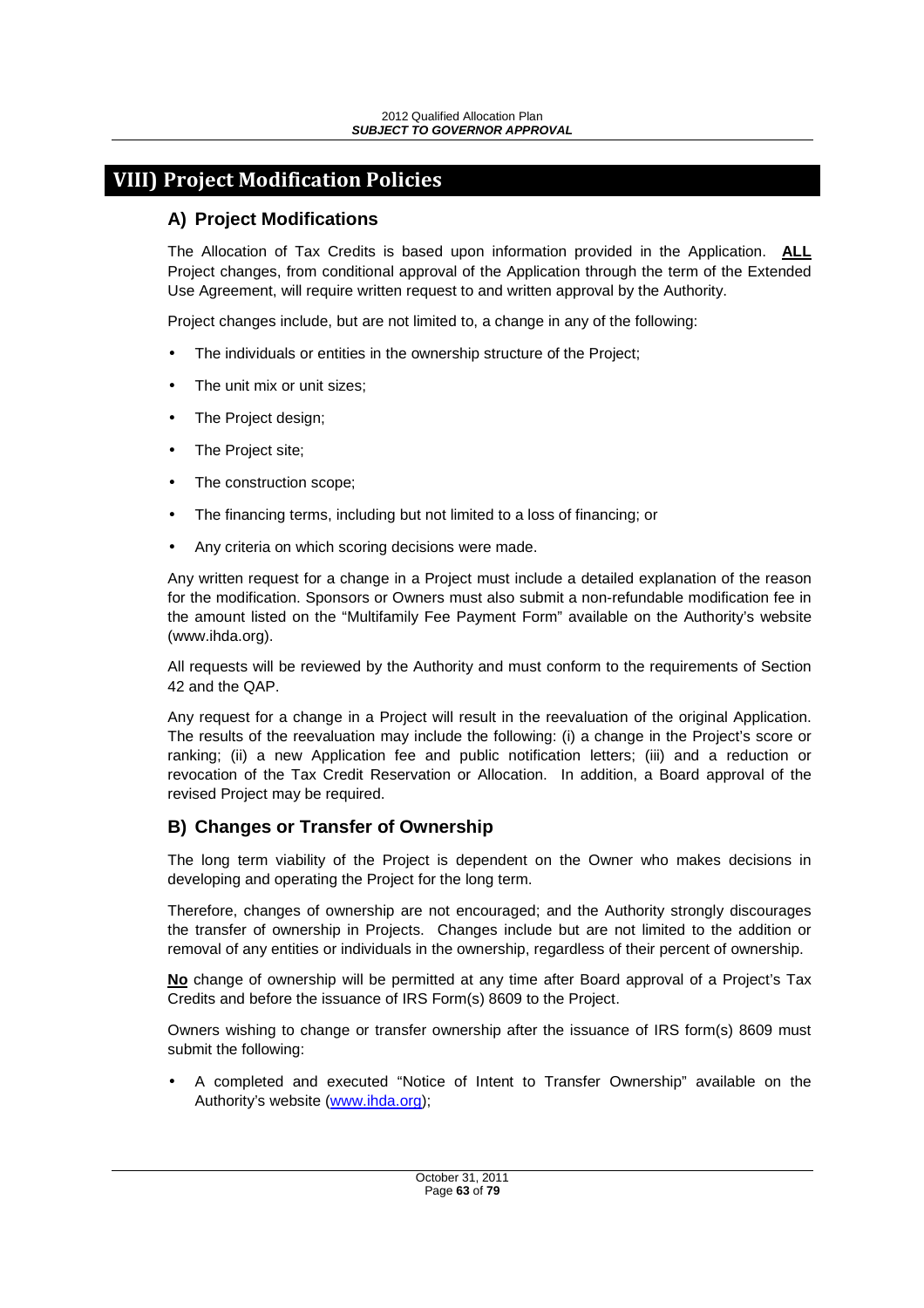# **VIII) Project Modification Policies**

# **A) Project Modifications**

The Allocation of Tax Credits is based upon information provided in the Application. **ALL**  Project changes, from conditional approval of the Application through the term of the Extended Use Agreement, will require written request to and written approval by the Authority.

Project changes include, but are not limited to, a change in any of the following:

- The individuals or entities in the ownership structure of the Project;
- The unit mix or unit sizes;
- The Project design;
- The Project site;
- The construction scope;
- The financing terms, including but not limited to a loss of financing; or
- Any criteria on which scoring decisions were made.

Any written request for a change in a Project must include a detailed explanation of the reason for the modification. Sponsors or Owners must also submit a non-refundable modification fee in the amount listed on the "Multifamily Fee Payment Form" available on the Authority's website (www.ihda.org).

All requests will be reviewed by the Authority and must conform to the requirements of Section 42 and the QAP.

Any request for a change in a Project will result in the reevaluation of the original Application. The results of the reevaluation may include the following: (i) a change in the Project's score or ranking; (ii) a new Application fee and public notification letters; (iii) and a reduction or revocation of the Tax Credit Reservation or Allocation. In addition, a Board approval of the revised Project may be required.

# **B) Changes or Transfer of Ownership**

The long term viability of the Project is dependent on the Owner who makes decisions in developing and operating the Project for the long term.

Therefore, changes of ownership are not encouraged; and the Authority strongly discourages the transfer of ownership in Projects. Changes include but are not limited to the addition or removal of any entities or individuals in the ownership, regardless of their percent of ownership.

**No** change of ownership will be permitted at any time after Board approval of a Project's Tax Credits and before the issuance of IRS Form(s) 8609 to the Project.

Owners wishing to change or transfer ownership after the issuance of IRS form(s) 8609 must submit the following:

• A completed and executed "Notice of Intent to Transfer Ownership" available on the Authority's website (www.ihda.org);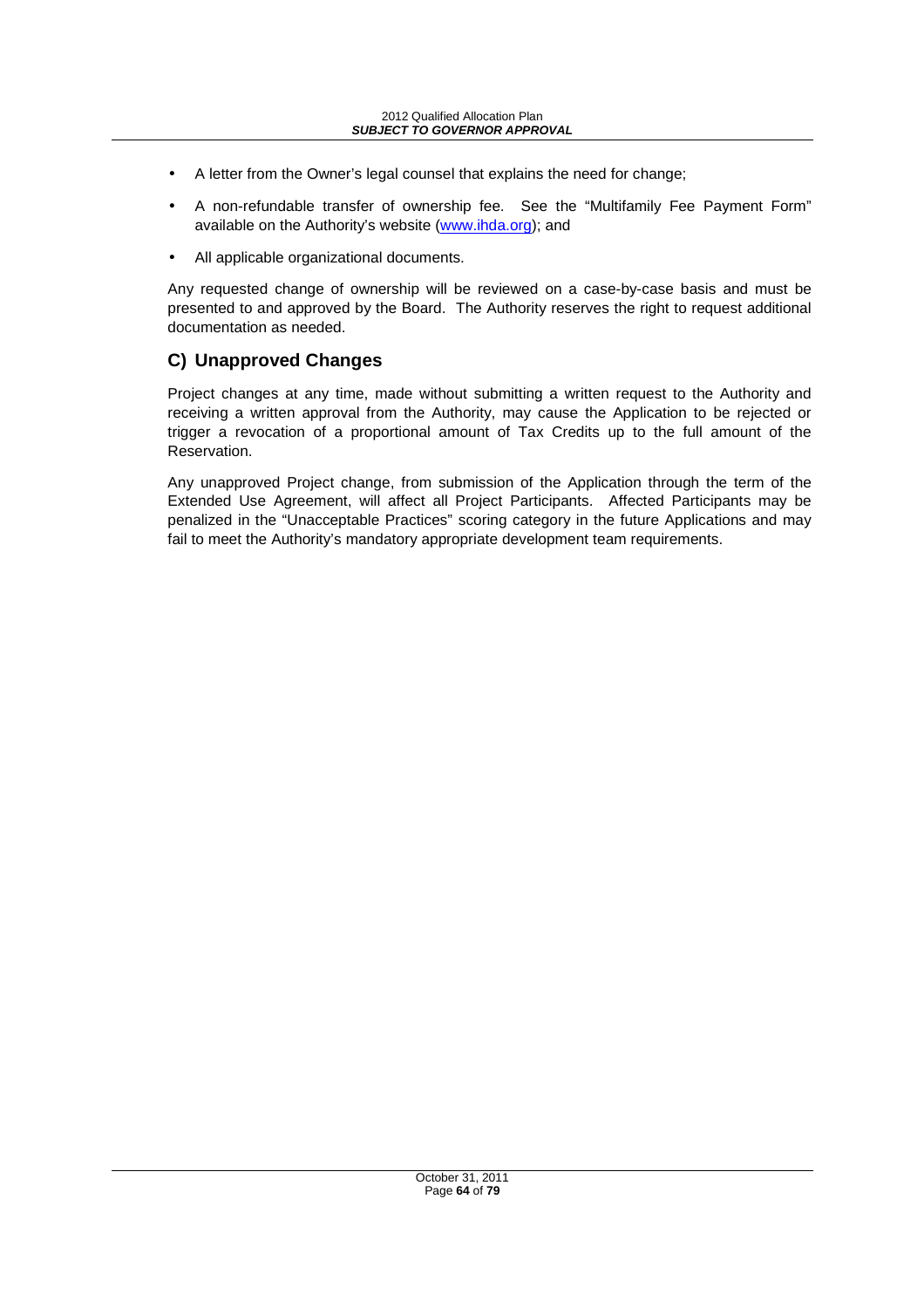- A letter from the Owner's legal counsel that explains the need for change;
- A non-refundable transfer of ownership fee. See the "Multifamily Fee Payment Form" available on the Authority's website (www.ihda.org); and
- All applicable organizational documents.

Any requested change of ownership will be reviewed on a case-by-case basis and must be presented to and approved by the Board. The Authority reserves the right to request additional documentation as needed.

# **C) Unapproved Changes**

Project changes at any time, made without submitting a written request to the Authority and receiving a written approval from the Authority, may cause the Application to be rejected or trigger a revocation of a proportional amount of Tax Credits up to the full amount of the Reservation.

Any unapproved Project change, from submission of the Application through the term of the Extended Use Agreement, will affect all Project Participants. Affected Participants may be penalized in the "Unacceptable Practices" scoring category in the future Applications and may fail to meet the Authority's mandatory appropriate development team requirements.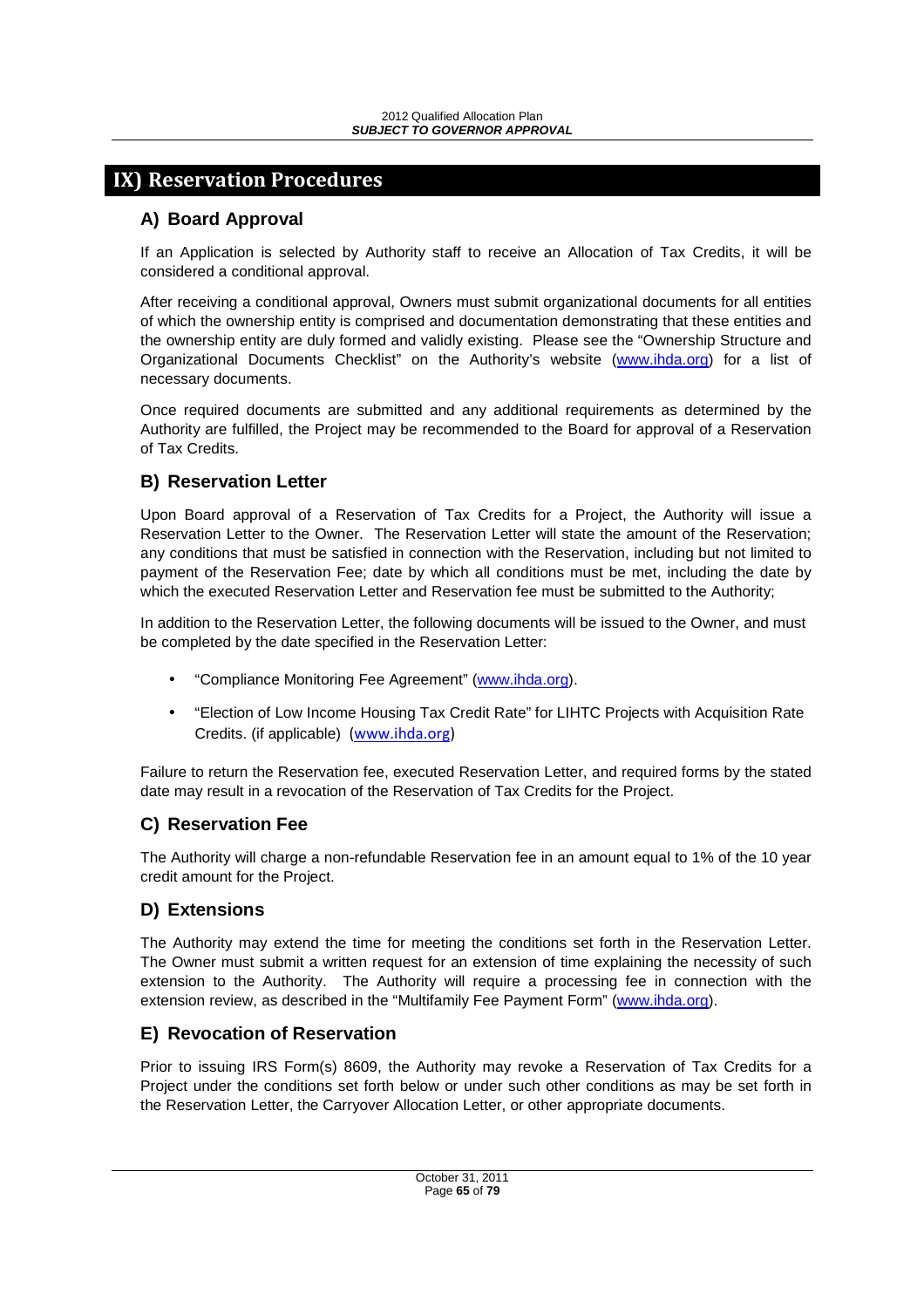# **IX) Reservation Procedures**

# **A) Board Approval**

If an Application is selected by Authority staff to receive an Allocation of Tax Credits, it will be considered a conditional approval.

After receiving a conditional approval, Owners must submit organizational documents for all entities of which the ownership entity is comprised and documentation demonstrating that these entities and the ownership entity are duly formed and validly existing. Please see the "Ownership Structure and Organizational Documents Checklist" on the Authority's website (www.ihda.org) for a list of necessary documents.

Once required documents are submitted and any additional requirements as determined by the Authority are fulfilled, the Project may be recommended to the Board for approval of a Reservation of Tax Credits.

# **B) Reservation Letter**

Upon Board approval of a Reservation of Tax Credits for a Project, the Authority will issue a Reservation Letter to the Owner. The Reservation Letter will state the amount of the Reservation; any conditions that must be satisfied in connection with the Reservation, including but not limited to payment of the Reservation Fee; date by which all conditions must be met, including the date by which the executed Reservation Letter and Reservation fee must be submitted to the Authority;

In addition to the Reservation Letter, the following documents will be issued to the Owner, and must be completed by the date specified in the Reservation Letter:

- "Compliance Monitoring Fee Agreement" (www.ihda.org).
- "Election of Low Income Housing Tax Credit Rate" for LIHTC Projects with Acquisition Rate Credits. (if applicable) (www.ihda.org)

Failure to return the Reservation fee, executed Reservation Letter, and required forms by the stated date may result in a revocation of the Reservation of Tax Credits for the Project.

# **C) Reservation Fee**

The Authority will charge a non-refundable Reservation fee in an amount equal to 1% of the 10 year credit amount for the Project.

# **D) Extensions**

The Authority may extend the time for meeting the conditions set forth in the Reservation Letter. The Owner must submit a written request for an extension of time explaining the necessity of such extension to the Authority. The Authority will require a processing fee in connection with the extension review, as described in the "Multifamily Fee Payment Form" (www.ihda.org).

# **E) Revocation of Reservation**

Prior to issuing IRS Form(s) 8609, the Authority may revoke a Reservation of Tax Credits for a Project under the conditions set forth below or under such other conditions as may be set forth in the Reservation Letter, the Carryover Allocation Letter, or other appropriate documents.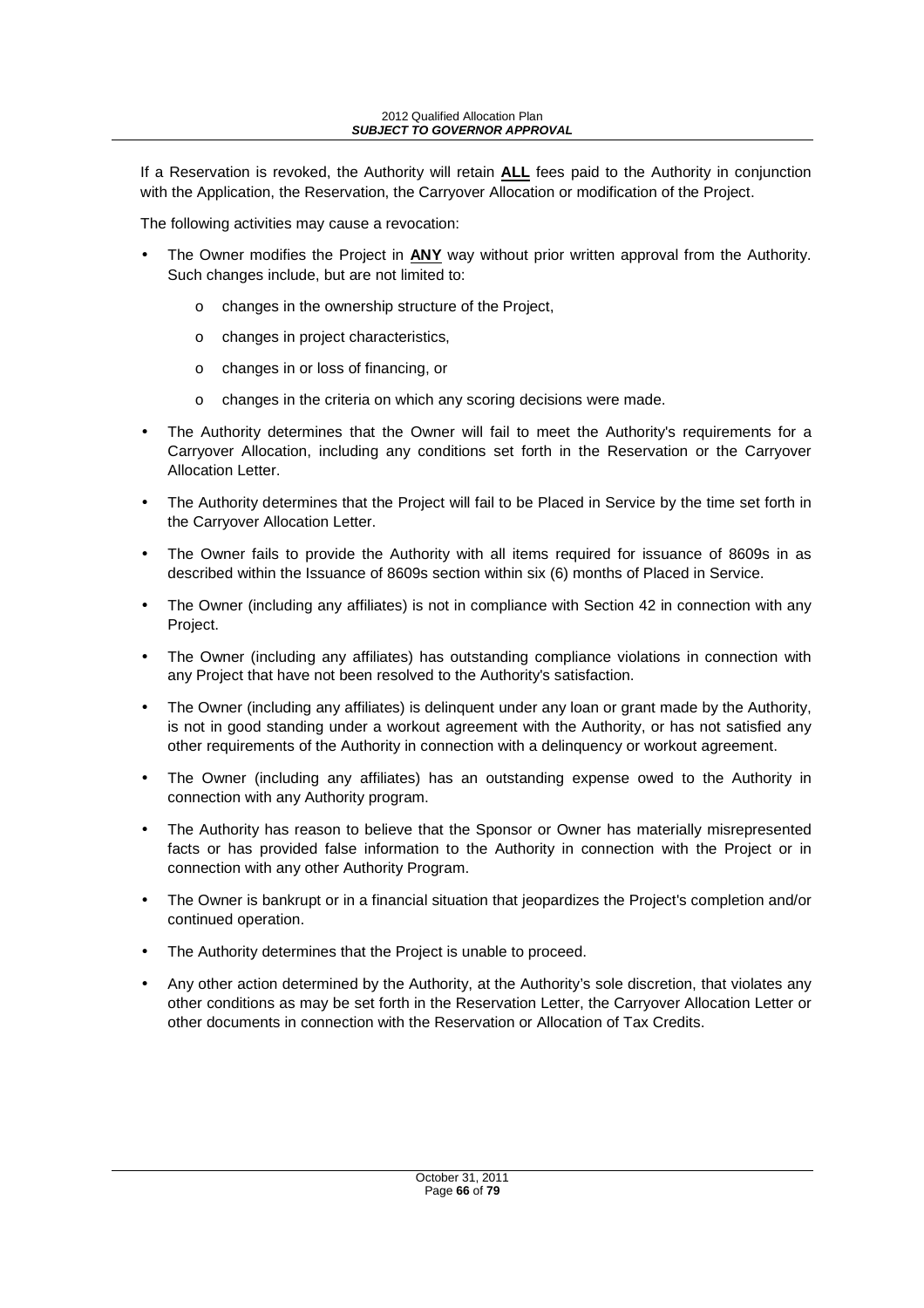If a Reservation is revoked, the Authority will retain **ALL** fees paid to the Authority in conjunction with the Application, the Reservation, the Carryover Allocation or modification of the Project.

The following activities may cause a revocation:

- The Owner modifies the Project in **ANY** way without prior written approval from the Authority. Such changes include, but are not limited to:
	- o changes in the ownership structure of the Project,
	- o changes in project characteristics,
	- o changes in or loss of financing, or
	- o changes in the criteria on which any scoring decisions were made.
- The Authority determines that the Owner will fail to meet the Authority's requirements for a Carryover Allocation, including any conditions set forth in the Reservation or the Carryover Allocation Letter.
- The Authority determines that the Project will fail to be Placed in Service by the time set forth in the Carryover Allocation Letter.
- The Owner fails to provide the Authority with all items required for issuance of 8609s in as described within the Issuance of 8609s section within six (6) months of Placed in Service.
- The Owner (including any affiliates) is not in compliance with Section 42 in connection with any Project.
- The Owner (including any affiliates) has outstanding compliance violations in connection with any Project that have not been resolved to the Authority's satisfaction.
- The Owner (including any affiliates) is delinguent under any loan or grant made by the Authority, is not in good standing under a workout agreement with the Authority, or has not satisfied any other requirements of the Authority in connection with a delinquency or workout agreement.
- The Owner (including any affiliates) has an outstanding expense owed to the Authority in connection with any Authority program.
- The Authority has reason to believe that the Sponsor or Owner has materially misrepresented facts or has provided false information to the Authority in connection with the Project or in connection with any other Authority Program.
- The Owner is bankrupt or in a financial situation that jeopardizes the Project's completion and/or continued operation.
- The Authority determines that the Project is unable to proceed.
- Any other action determined by the Authority, at the Authority's sole discretion, that violates any other conditions as may be set forth in the Reservation Letter, the Carryover Allocation Letter or other documents in connection with the Reservation or Allocation of Tax Credits.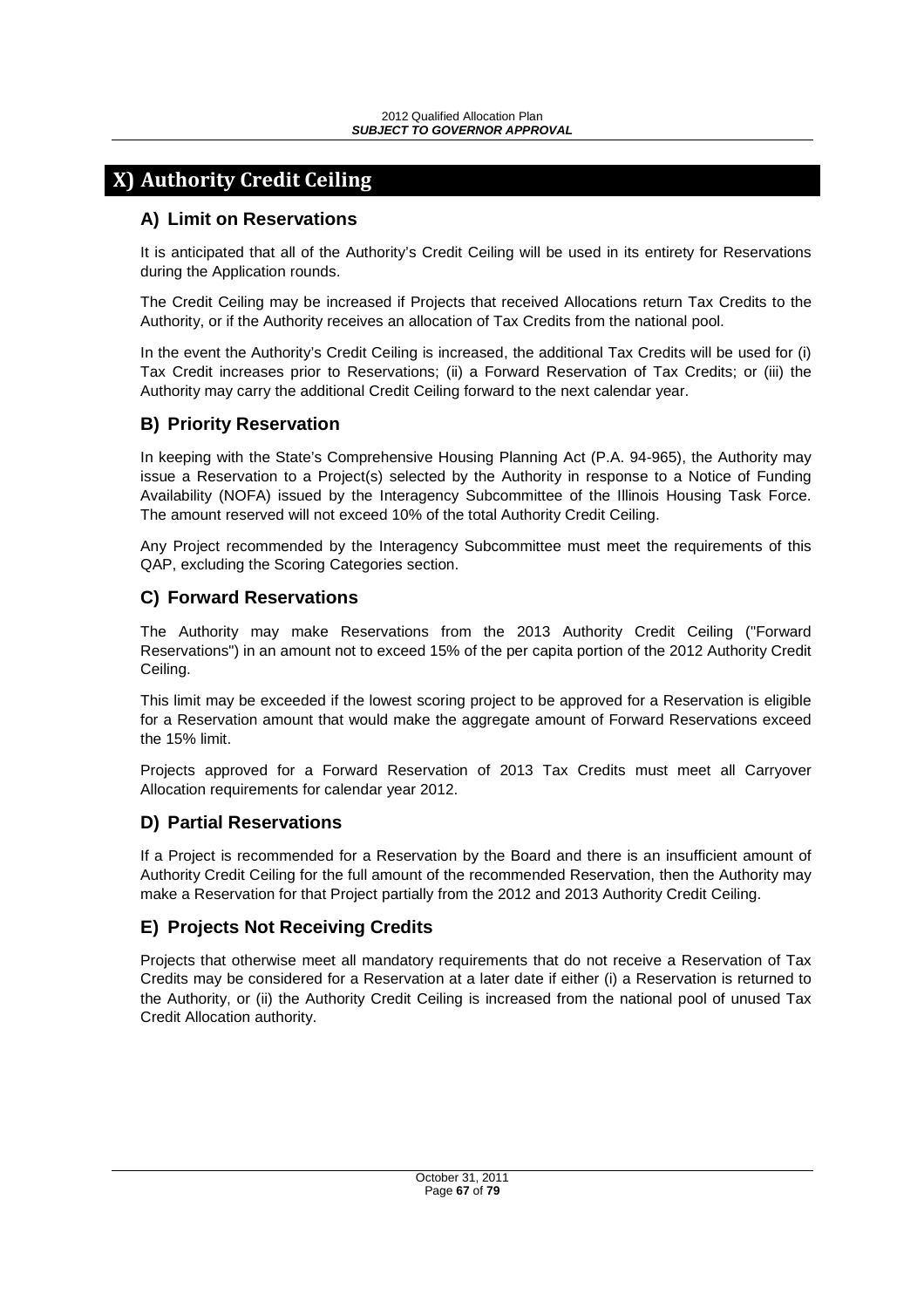# **X) Authority Credit Ceiling**

# **A) Limit on Reservations**

It is anticipated that all of the Authority's Credit Ceiling will be used in its entirety for Reservations during the Application rounds.

The Credit Ceiling may be increased if Projects that received Allocations return Tax Credits to the Authority, or if the Authority receives an allocation of Tax Credits from the national pool.

In the event the Authority's Credit Ceiling is increased, the additional Tax Credits will be used for (i) Tax Credit increases prior to Reservations; (ii) a Forward Reservation of Tax Credits; or (iii) the Authority may carry the additional Credit Ceiling forward to the next calendar year.

# **B) Priority Reservation**

In keeping with the State's Comprehensive Housing Planning Act (P.A. 94-965), the Authority may issue a Reservation to a Project(s) selected by the Authority in response to a Notice of Funding Availability (NOFA) issued by the Interagency Subcommittee of the Illinois Housing Task Force. The amount reserved will not exceed 10% of the total Authority Credit Ceiling.

Any Project recommended by the Interagency Subcommittee must meet the requirements of this QAP, excluding the Scoring Categories section.

# **C) Forward Reservations**

The Authority may make Reservations from the 2013 Authority Credit Ceiling ("Forward Reservations") in an amount not to exceed 15% of the per capita portion of the 2012 Authority Credit Ceiling.

This limit may be exceeded if the lowest scoring project to be approved for a Reservation is eligible for a Reservation amount that would make the aggregate amount of Forward Reservations exceed the 15% limit.

Projects approved for a Forward Reservation of 2013 Tax Credits must meet all Carryover Allocation requirements for calendar year 2012.

# **D) Partial Reservations**

If a Project is recommended for a Reservation by the Board and there is an insufficient amount of Authority Credit Ceiling for the full amount of the recommended Reservation, then the Authority may make a Reservation for that Project partially from the 2012 and 2013 Authority Credit Ceiling.

# **E) Projects Not Receiving Credits**

Projects that otherwise meet all mandatory requirements that do not receive a Reservation of Tax Credits may be considered for a Reservation at a later date if either (i) a Reservation is returned to the Authority, or (ii) the Authority Credit Ceiling is increased from the national pool of unused Tax Credit Allocation authority.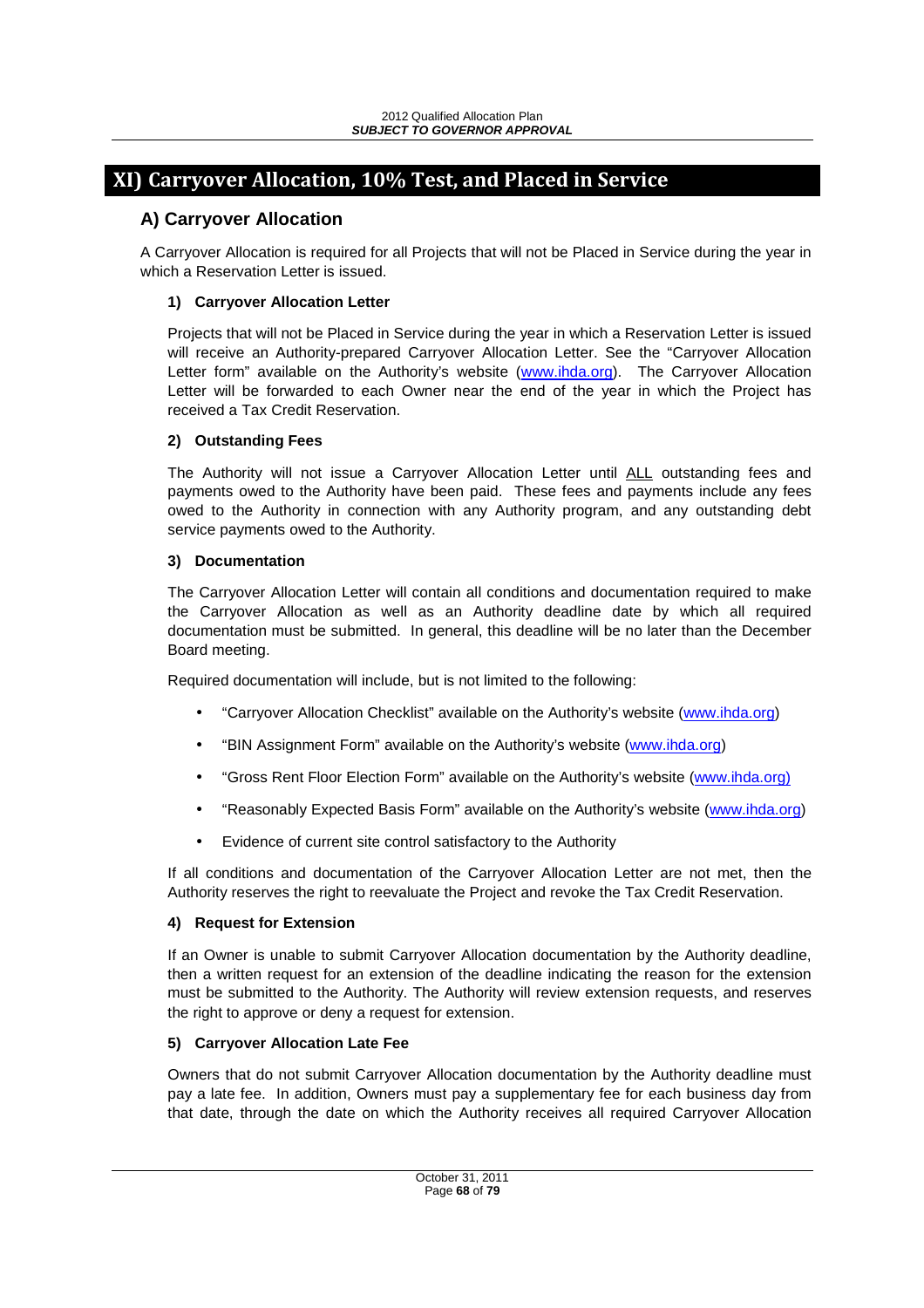# **XI) Carryover Allocation, 10% Test, and Placed in Service**

# **A) Carryover Allocation**

A Carryover Allocation is required for all Projects that will not be Placed in Service during the year in which a Reservation Letter is issued.

### **1) Carryover Allocation Letter**

Projects that will not be Placed in Service during the year in which a Reservation Letter is issued will receive an Authority-prepared Carryover Allocation Letter. See the "Carryover Allocation Letter form" available on the Authority's website (www.ihda.org). The Carryover Allocation Letter will be forwarded to each Owner near the end of the year in which the Project has received a Tax Credit Reservation.

### **2) Outstanding Fees**

The Authority will not issue a Carryover Allocation Letter until ALL outstanding fees and payments owed to the Authority have been paid. These fees and payments include any fees owed to the Authority in connection with any Authority program, and any outstanding debt service payments owed to the Authority.

#### **3) Documentation**

The Carryover Allocation Letter will contain all conditions and documentation required to make the Carryover Allocation as well as an Authority deadline date by which all required documentation must be submitted. In general, this deadline will be no later than the December Board meeting.

Required documentation will include, but is not limited to the following:

- "Carryover Allocation Checklist" available on the Authority's website (www.ihda.org)
- "BIN Assignment Form" available on the Authority's website (www.ihda.org)
- "Gross Rent Floor Election Form" available on the Authority's website (www.ihda.org)
- "Reasonably Expected Basis Form" available on the Authority's website (www.ihda.org)
- Evidence of current site control satisfactory to the Authority

If all conditions and documentation of the Carryover Allocation Letter are not met, then the Authority reserves the right to reevaluate the Project and revoke the Tax Credit Reservation.

### **4) Request for Extension**

If an Owner is unable to submit Carryover Allocation documentation by the Authority deadline, then a written request for an extension of the deadline indicating the reason for the extension must be submitted to the Authority. The Authority will review extension requests, and reserves the right to approve or deny a request for extension.

### **5) Carryover Allocation Late Fee**

Owners that do not submit Carryover Allocation documentation by the Authority deadline must pay a late fee. In addition, Owners must pay a supplementary fee for each business day from that date, through the date on which the Authority receives all required Carryover Allocation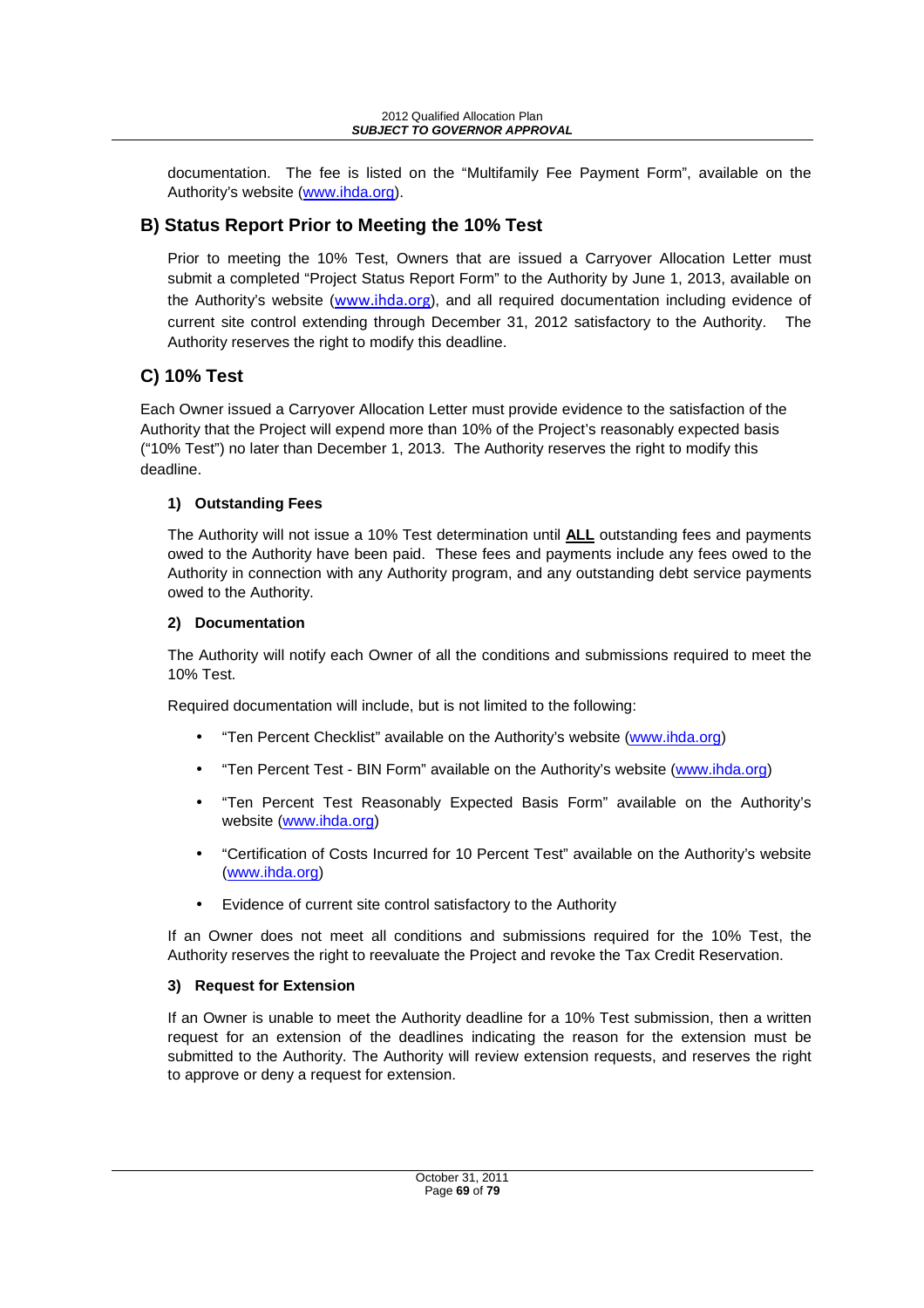documentation. The fee is listed on the "Multifamily Fee Payment Form", available on the Authority's website (www.ihda.org).

# **B) Status Report Prior to Meeting the 10% Test**

Prior to meeting the 10% Test, Owners that are issued a Carryover Allocation Letter must submit a completed "Project Status Report Form" to the Authority by June 1, 2013, available on the Authority's website (www.ihda.org), and all required documentation including evidence of current site control extending through December 31, 2012 satisfactory to the Authority. The Authority reserves the right to modify this deadline.

# **C) 10% Test**

Each Owner issued a Carryover Allocation Letter must provide evidence to the satisfaction of the Authority that the Project will expend more than 10% of the Project's reasonably expected basis ("10% Test") no later than December 1, 2013. The Authority reserves the right to modify this deadline.

# **1) Outstanding Fees**

The Authority will not issue a 10% Test determination until **ALL** outstanding fees and payments owed to the Authority have been paid. These fees and payments include any fees owed to the Authority in connection with any Authority program, and any outstanding debt service payments owed to the Authority.

### **2) Documentation**

The Authority will notify each Owner of all the conditions and submissions required to meet the 10% Test.

Required documentation will include, but is not limited to the following:

- "Ten Percent Checklist" available on the Authority's website (www.ihda.org)
- "Ten Percent Test BIN Form" available on the Authority's website (www.ihda.org)
- "Ten Percent Test Reasonably Expected Basis Form" available on the Authority's website (www.ihda.org)
- "Certification of Costs Incurred for 10 Percent Test" available on the Authority's website (www.ihda.org)
- Evidence of current site control satisfactory to the Authority

If an Owner does not meet all conditions and submissions required for the 10% Test, the Authority reserves the right to reevaluate the Project and revoke the Tax Credit Reservation.

# **3) Request for Extension**

If an Owner is unable to meet the Authority deadline for a 10% Test submission, then a written request for an extension of the deadlines indicating the reason for the extension must be submitted to the Authority. The Authority will review extension requests, and reserves the right to approve or deny a request for extension.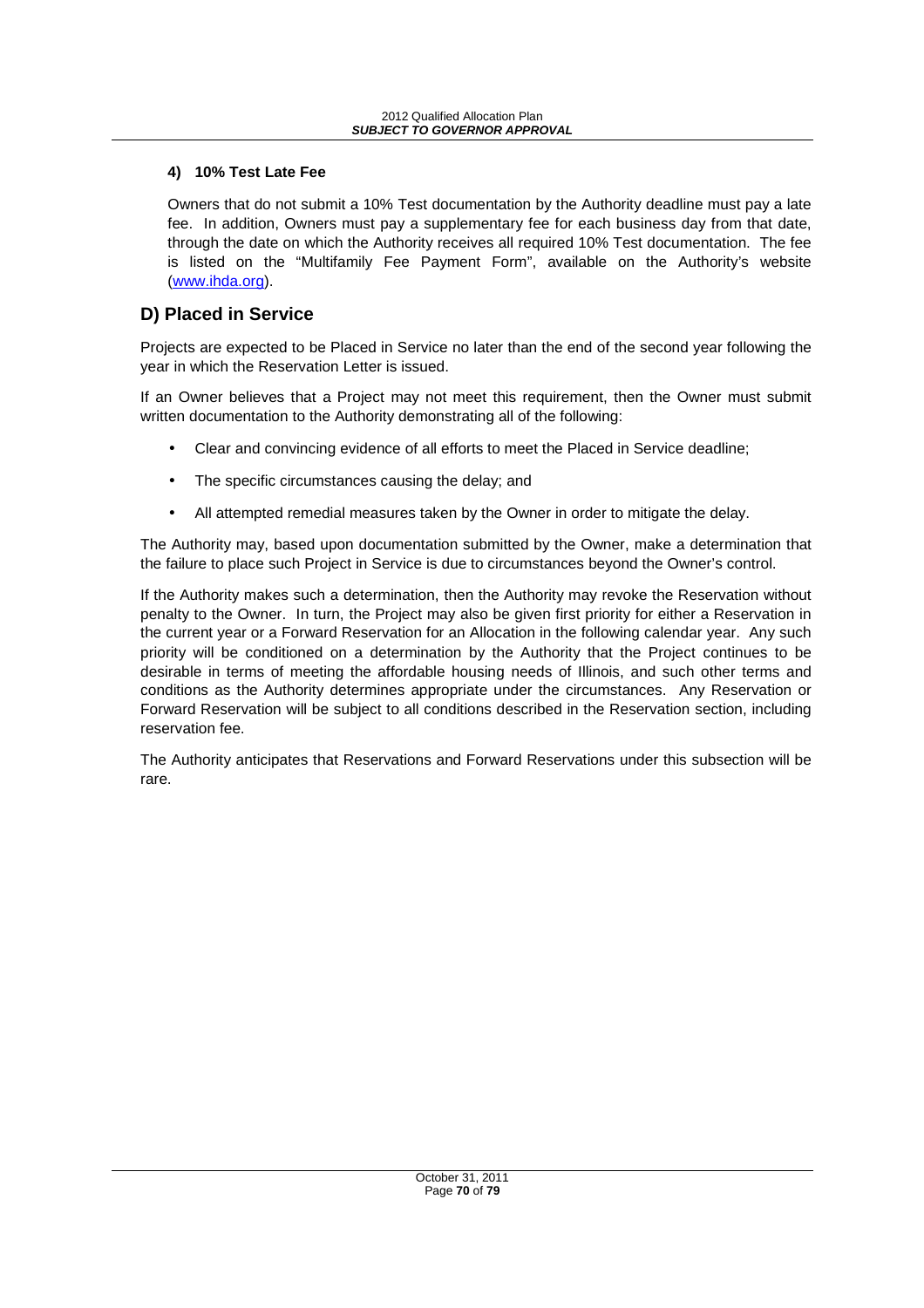#### **4) 10% Test Late Fee**

Owners that do not submit a 10% Test documentation by the Authority deadline must pay a late fee. In addition, Owners must pay a supplementary fee for each business day from that date, through the date on which the Authority receives all required 10% Test documentation. The fee is listed on the "Multifamily Fee Payment Form", available on the Authority's website (www.ihda.org).

# **D) Placed in Service**

Projects are expected to be Placed in Service no later than the end of the second year following the year in which the Reservation Letter is issued.

If an Owner believes that a Project may not meet this requirement, then the Owner must submit written documentation to the Authority demonstrating all of the following:

- Clear and convincing evidence of all efforts to meet the Placed in Service deadline;
- The specific circumstances causing the delay; and
- All attempted remedial measures taken by the Owner in order to mitigate the delay.

The Authority may, based upon documentation submitted by the Owner, make a determination that the failure to place such Project in Service is due to circumstances beyond the Owner's control.

If the Authority makes such a determination, then the Authority may revoke the Reservation without penalty to the Owner. In turn, the Project may also be given first priority for either a Reservation in the current year or a Forward Reservation for an Allocation in the following calendar year. Any such priority will be conditioned on a determination by the Authority that the Project continues to be desirable in terms of meeting the affordable housing needs of Illinois, and such other terms and conditions as the Authority determines appropriate under the circumstances. Any Reservation or Forward Reservation will be subject to all conditions described in the Reservation section, including reservation fee.

The Authority anticipates that Reservations and Forward Reservations under this subsection will be rare.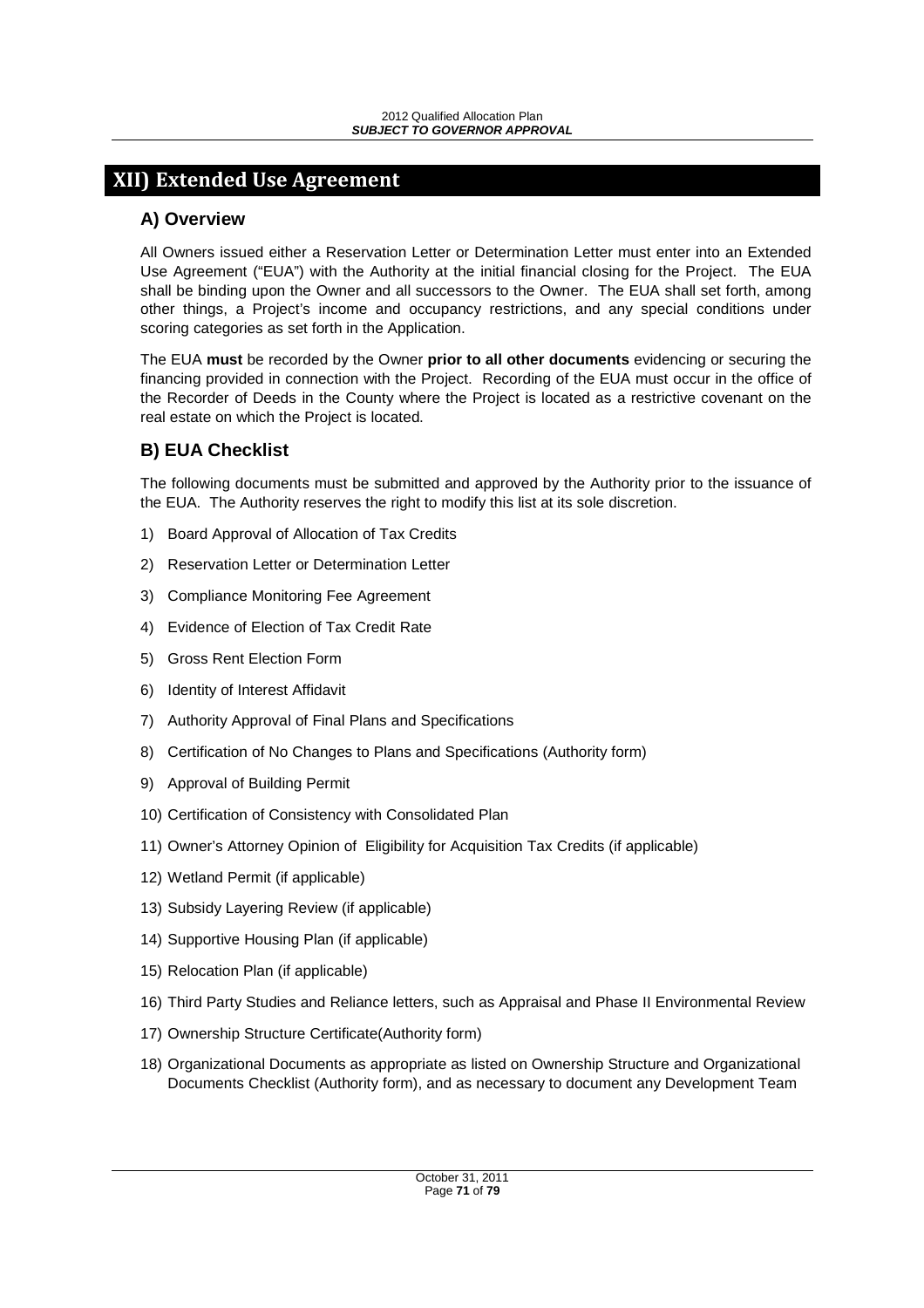# **XII) Extended Use Agreement**

# **A) Overview**

All Owners issued either a Reservation Letter or Determination Letter must enter into an Extended Use Agreement ("EUA") with the Authority at the initial financial closing for the Project. The EUA shall be binding upon the Owner and all successors to the Owner. The EUA shall set forth, among other things, a Project's income and occupancy restrictions, and any special conditions under scoring categories as set forth in the Application.

The EUA **must** be recorded by the Owner **prior to all other documents** evidencing or securing the financing provided in connection with the Project. Recording of the EUA must occur in the office of the Recorder of Deeds in the County where the Project is located as a restrictive covenant on the real estate on which the Project is located.

# **B) EUA Checklist**

The following documents must be submitted and approved by the Authority prior to the issuance of the EUA. The Authority reserves the right to modify this list at its sole discretion.

- 1) Board Approval of Allocation of Tax Credits
- 2) Reservation Letter or Determination Letter
- 3) Compliance Monitoring Fee Agreement
- 4) Evidence of Election of Tax Credit Rate
- 5) Gross Rent Election Form
- 6) Identity of Interest Affidavit
- 7) Authority Approval of Final Plans and Specifications
- 8) Certification of No Changes to Plans and Specifications (Authority form)
- 9) Approval of Building Permit
- 10) Certification of Consistency with Consolidated Plan
- 11) Owner's Attorney Opinion of Eligibility for Acquisition Tax Credits (if applicable)
- 12) Wetland Permit (if applicable)
- 13) Subsidy Layering Review (if applicable)
- 14) Supportive Housing Plan (if applicable)
- 15) Relocation Plan (if applicable)
- 16) Third Party Studies and Reliance letters, such as Appraisal and Phase II Environmental Review
- 17) Ownership Structure Certificate(Authority form)
- 18) Organizational Documents as appropriate as listed on Ownership Structure and Organizational Documents Checklist (Authority form), and as necessary to document any Development Team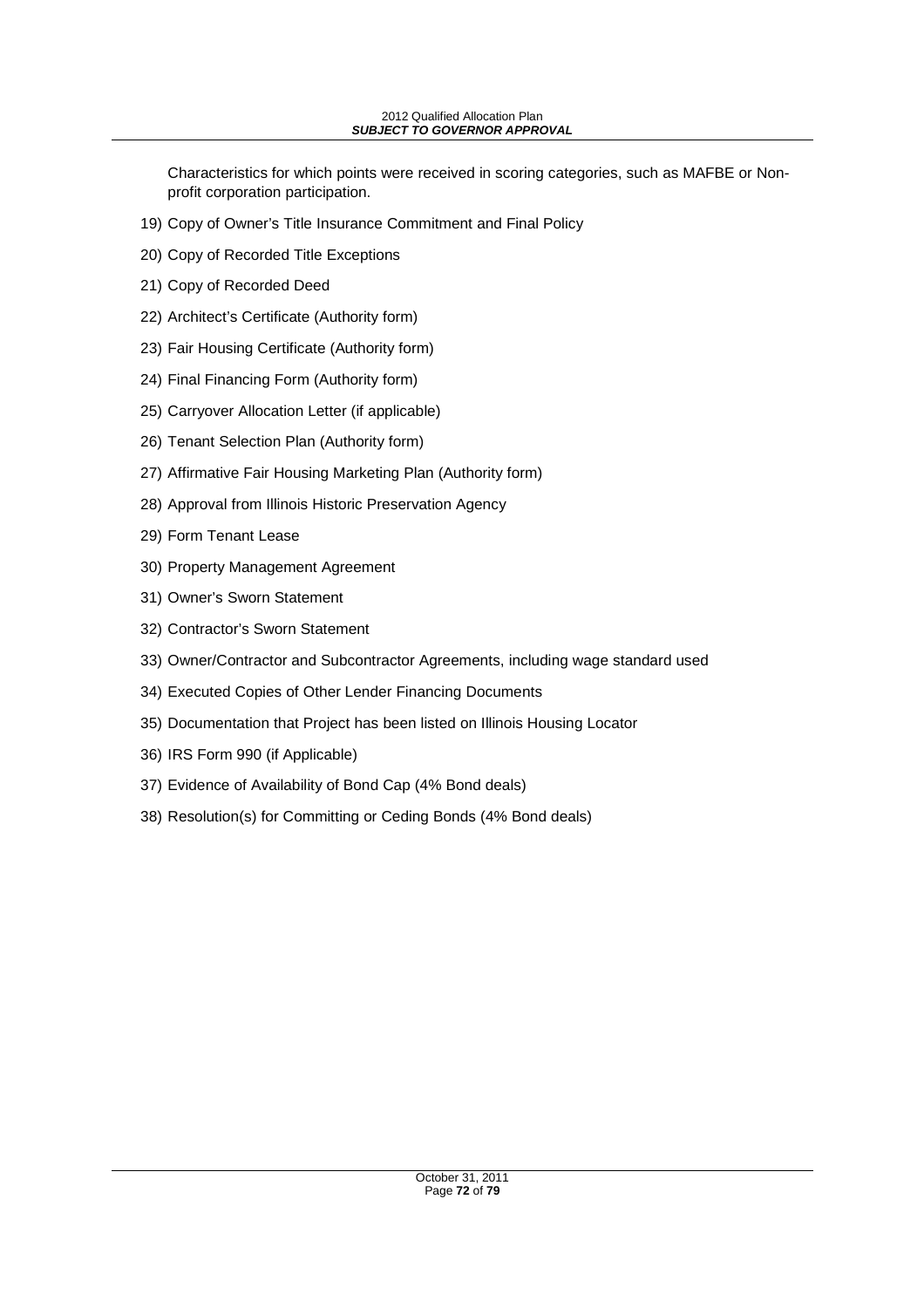Characteristics for which points were received in scoring categories, such as MAFBE or Nonprofit corporation participation.

- 19) Copy of Owner's Title Insurance Commitment and Final Policy
- 20) Copy of Recorded Title Exceptions
- 21) Copy of Recorded Deed
- 22) Architect's Certificate (Authority form)
- 23) Fair Housing Certificate (Authority form)
- 24) Final Financing Form (Authority form)
- 25) Carryover Allocation Letter (if applicable)
- 26) Tenant Selection Plan (Authority form)
- 27) Affirmative Fair Housing Marketing Plan (Authority form)
- 28) Approval from Illinois Historic Preservation Agency
- 29) Form Tenant Lease
- 30) Property Management Agreement
- 31) Owner's Sworn Statement
- 32) Contractor's Sworn Statement
- 33) Owner/Contractor and Subcontractor Agreements, including wage standard used
- 34) Executed Copies of Other Lender Financing Documents
- 35) Documentation that Project has been listed on Illinois Housing Locator
- 36) IRS Form 990 (if Applicable)
- 37) Evidence of Availability of Bond Cap (4% Bond deals)
- 38) Resolution(s) for Committing or Ceding Bonds (4% Bond deals)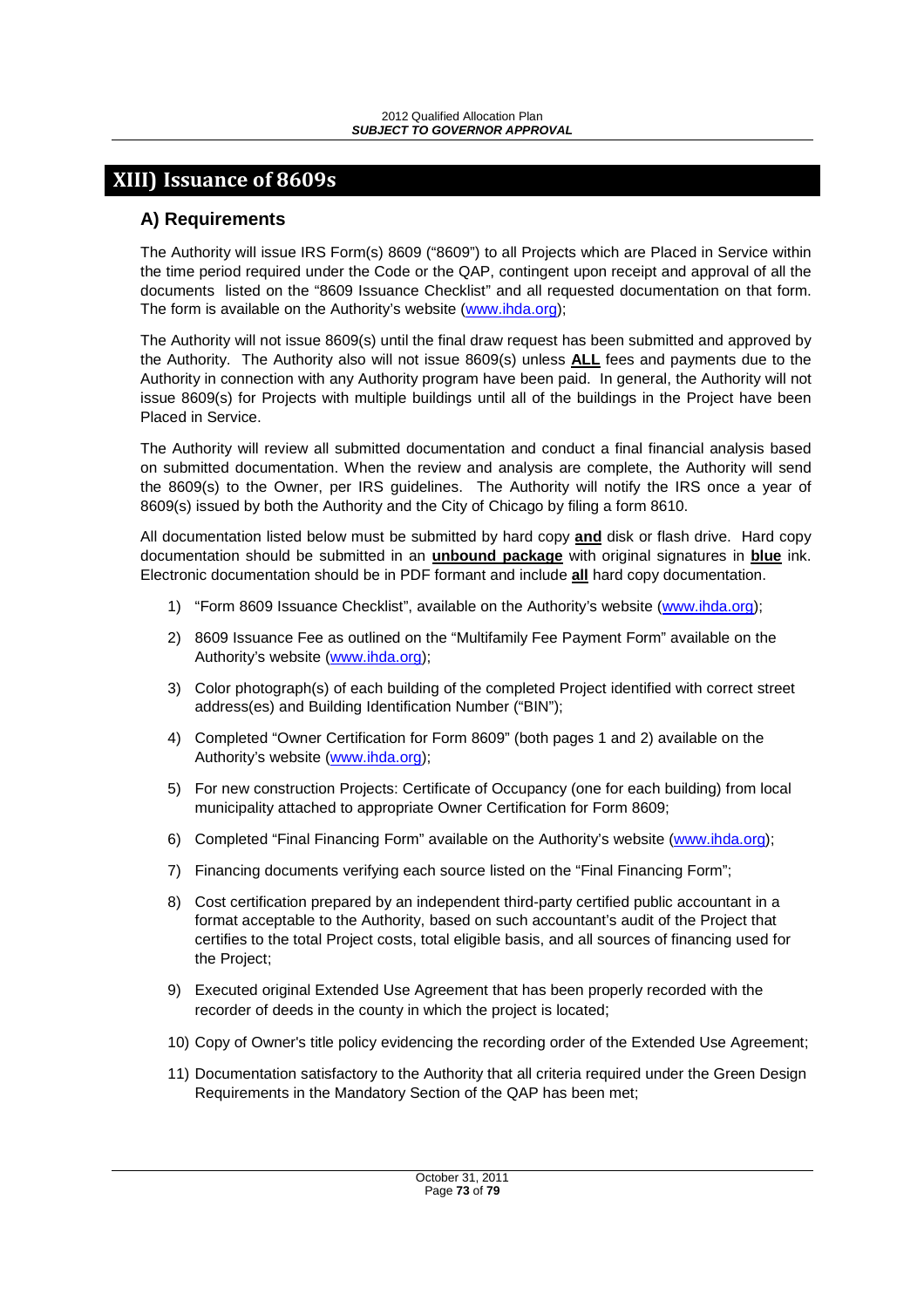# **XIII) Issuance of 8609s**

#### **A) Requirements**

The Authority will issue IRS Form(s) 8609 ("8609") to all Projects which are Placed in Service within the time period required under the Code or the QAP, contingent upon receipt and approval of all the documents listed on the "8609 Issuance Checklist" and all requested documentation on that form. The form is available on the Authority's website (www.ihda.org);

The Authority will not issue 8609(s) until the final draw request has been submitted and approved by the Authority. The Authority also will not issue 8609(s) unless **ALL** fees and payments due to the Authority in connection with any Authority program have been paid. In general, the Authority will not issue 8609(s) for Projects with multiple buildings until all of the buildings in the Project have been Placed in Service.

The Authority will review all submitted documentation and conduct a final financial analysis based on submitted documentation. When the review and analysis are complete, the Authority will send the 8609(s) to the Owner, per IRS guidelines. The Authority will notify the IRS once a year of 8609(s) issued by both the Authority and the City of Chicago by filing a form 8610.

All documentation listed below must be submitted by hard copy **and** disk or flash drive. Hard copy documentation should be submitted in an **unbound package** with original signatures in **blue** ink. Electronic documentation should be in PDF formant and include **all** hard copy documentation.

- 1) "Form 8609 Issuance Checklist", available on the Authority's website (www.ihda.org);
- 2) 8609 Issuance Fee as outlined on the "Multifamily Fee Payment Form" available on the Authority's website (www.ihda.org);
- 3) Color photograph(s) of each building of the completed Project identified with correct street address(es) and Building Identification Number ("BIN");
- 4) Completed "Owner Certification for Form 8609" (both pages 1 and 2) available on the Authority's website (www.ihda.org);
- 5) For new construction Projects: Certificate of Occupancy (one for each building) from local municipality attached to appropriate Owner Certification for Form 8609;
- 6) Completed "Final Financing Form" available on the Authority's website (www.ihda.org);
- 7) Financing documents verifying each source listed on the "Final Financing Form";
- 8) Cost certification prepared by an independent third-party certified public accountant in a format acceptable to the Authority, based on such accountant's audit of the Project that certifies to the total Project costs, total eligible basis, and all sources of financing used for the Project;
- 9) Executed original Extended Use Agreement that has been properly recorded with the recorder of deeds in the county in which the project is located;
- 10) Copy of Owner's title policy evidencing the recording order of the Extended Use Agreement;
- 11) Documentation satisfactory to the Authority that all criteria required under the Green Design Requirements in the Mandatory Section of the QAP has been met;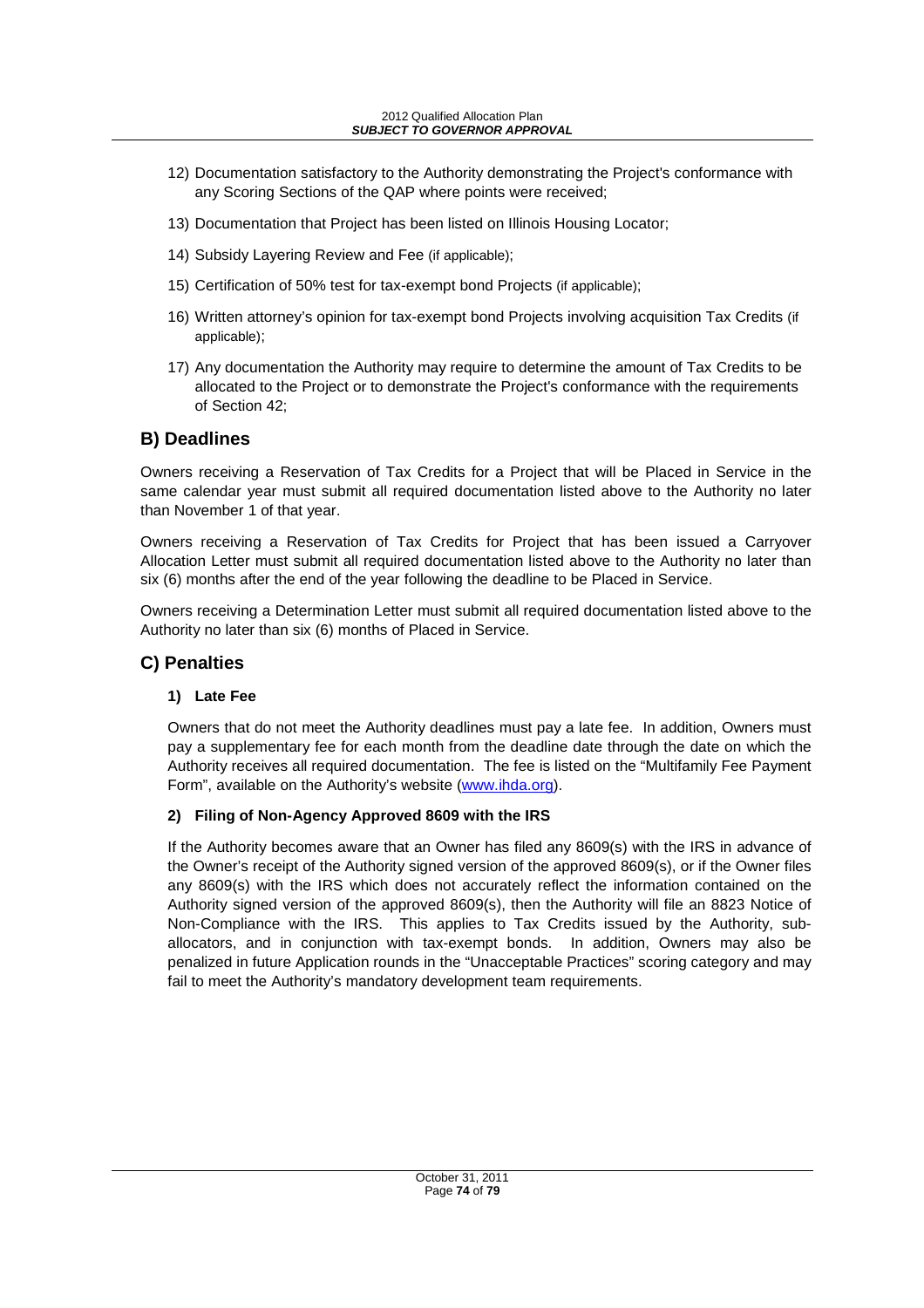- 12) Documentation satisfactory to the Authority demonstrating the Project's conformance with any Scoring Sections of the QAP where points were received;
- 13) Documentation that Project has been listed on Illinois Housing Locator;
- 14) Subsidy Layering Review and Fee (if applicable);
- 15) Certification of 50% test for tax-exempt bond Projects (if applicable);
- 16) Written attorney's opinion for tax-exempt bond Projects involving acquisition Tax Credits (if applicable);
- 17) Any documentation the Authority may require to determine the amount of Tax Credits to be allocated to the Project or to demonstrate the Project's conformance with the requirements of Section 42;

#### **B) Deadlines**

Owners receiving a Reservation of Tax Credits for a Project that will be Placed in Service in the same calendar year must submit all required documentation listed above to the Authority no later than November 1 of that year.

Owners receiving a Reservation of Tax Credits for Project that has been issued a Carryover Allocation Letter must submit all required documentation listed above to the Authority no later than six (6) months after the end of the year following the deadline to be Placed in Service.

Owners receiving a Determination Letter must submit all required documentation listed above to the Authority no later than six (6) months of Placed in Service.

#### **C) Penalties**

#### **1) Late Fee**

Owners that do not meet the Authority deadlines must pay a late fee. In addition, Owners must pay a supplementary fee for each month from the deadline date through the date on which the Authority receives all required documentation. The fee is listed on the "Multifamily Fee Payment Form", available on the Authority's website (www.ihda.org).

#### **2) Filing of Non-Agency Approved 8609 with the IRS**

If the Authority becomes aware that an Owner has filed any 8609(s) with the IRS in advance of the Owner's receipt of the Authority signed version of the approved 8609(s), or if the Owner files any 8609(s) with the IRS which does not accurately reflect the information contained on the Authority signed version of the approved 8609(s), then the Authority will file an 8823 Notice of Non-Compliance with the IRS. This applies to Tax Credits issued by the Authority, suballocators, and in conjunction with tax-exempt bonds. In addition, Owners may also be penalized in future Application rounds in the "Unacceptable Practices" scoring category and may fail to meet the Authority's mandatory development team requirements.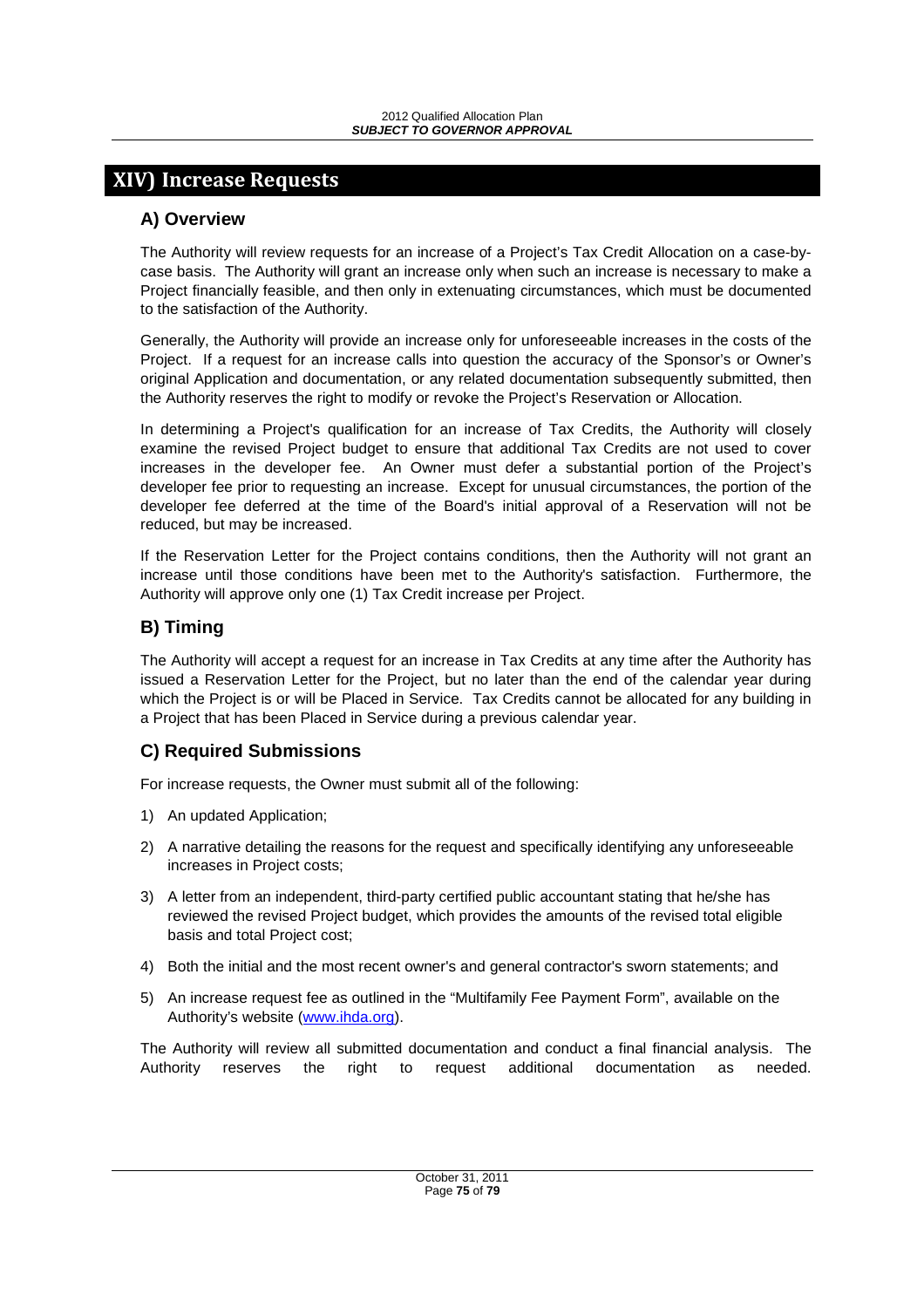## **XIV) Increase Requests**

#### **A) Overview**

The Authority will review requests for an increase of a Project's Tax Credit Allocation on a case-bycase basis. The Authority will grant an increase only when such an increase is necessary to make a Project financially feasible, and then only in extenuating circumstances, which must be documented to the satisfaction of the Authority.

Generally, the Authority will provide an increase only for unforeseeable increases in the costs of the Project. If a request for an increase calls into question the accuracy of the Sponsor's or Owner's original Application and documentation, or any related documentation subsequently submitted, then the Authority reserves the right to modify or revoke the Project's Reservation or Allocation.

In determining a Project's qualification for an increase of Tax Credits, the Authority will closely examine the revised Project budget to ensure that additional Tax Credits are not used to cover increases in the developer fee. An Owner must defer a substantial portion of the Project's developer fee prior to requesting an increase. Except for unusual circumstances, the portion of the developer fee deferred at the time of the Board's initial approval of a Reservation will not be reduced, but may be increased.

If the Reservation Letter for the Project contains conditions, then the Authority will not grant an increase until those conditions have been met to the Authority's satisfaction. Furthermore, the Authority will approve only one (1) Tax Credit increase per Project.

#### **B) Timing**

The Authority will accept a request for an increase in Tax Credits at any time after the Authority has issued a Reservation Letter for the Project, but no later than the end of the calendar year during which the Project is or will be Placed in Service. Tax Credits cannot be allocated for any building in a Project that has been Placed in Service during a previous calendar year.

#### **C) Required Submissions**

For increase requests, the Owner must submit all of the following:

- 1) An updated Application;
- 2) A narrative detailing the reasons for the request and specifically identifying any unforeseeable increases in Project costs;
- 3) A letter from an independent, third-party certified public accountant stating that he/she has reviewed the revised Project budget, which provides the amounts of the revised total eligible basis and total Project cost;
- 4) Both the initial and the most recent owner's and general contractor's sworn statements; and
- 5) An increase request fee as outlined in the "Multifamily Fee Payment Form", available on the Authority's website (www.ihda.org).

The Authority will review all submitted documentation and conduct a final financial analysis. The Authority reserves the right to request additional documentation as needed.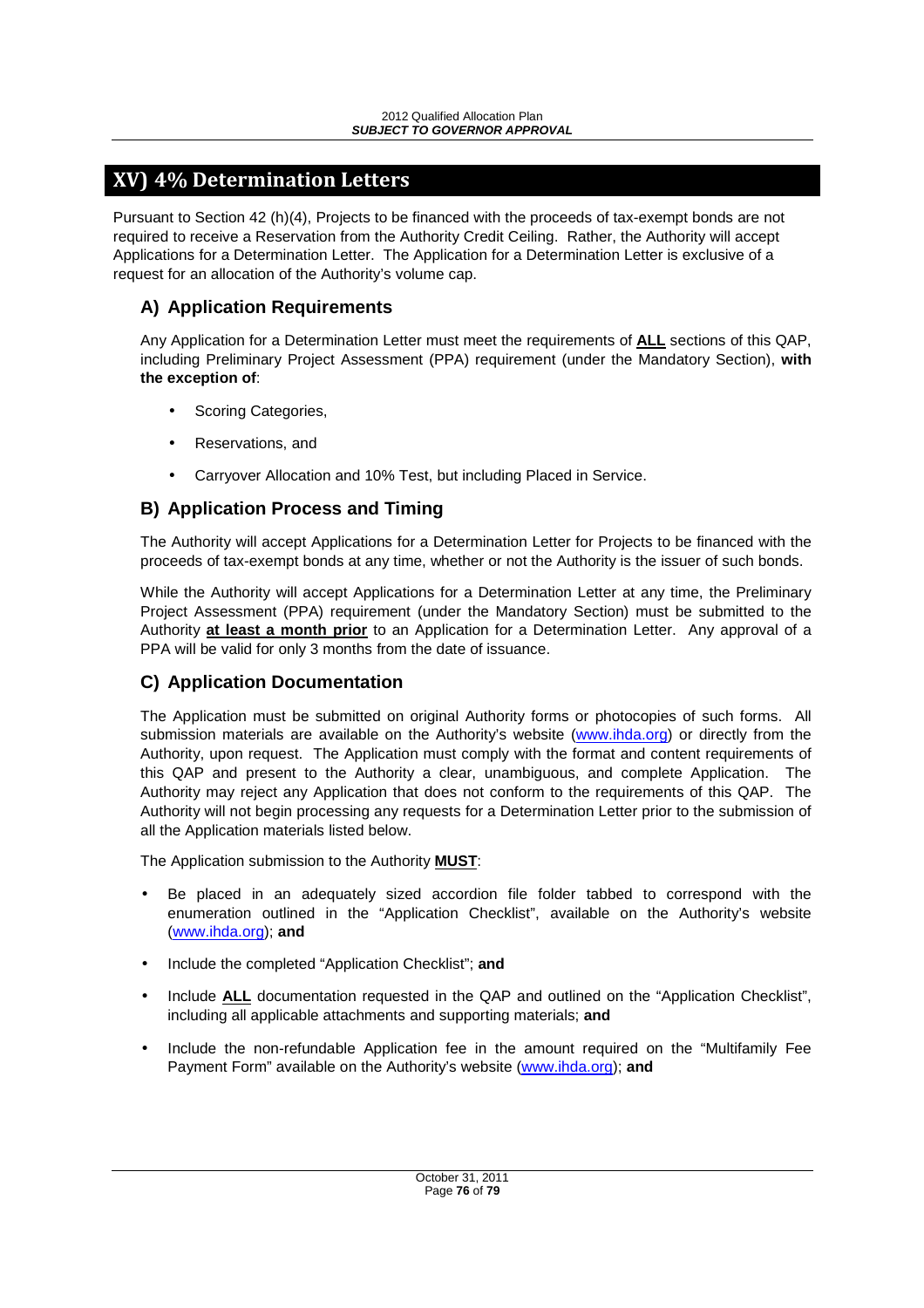# **XV) 4% Determination Letters**

Pursuant to Section 42 (h)(4), Projects to be financed with the proceeds of tax-exempt bonds are not required to receive a Reservation from the Authority Credit Ceiling. Rather, the Authority will accept Applications for a Determination Letter. The Application for a Determination Letter is exclusive of a request for an allocation of the Authority's volume cap.

## **A) Application Requirements**

Any Application for a Determination Letter must meet the requirements of **ALL** sections of this QAP, including Preliminary Project Assessment (PPA) requirement (under the Mandatory Section), **with the exception of**:

- Scoring Categories,
- Reservations, and
- Carryover Allocation and 10% Test, but including Placed in Service.

## **B) Application Process and Timing**

The Authority will accept Applications for a Determination Letter for Projects to be financed with the proceeds of tax-exempt bonds at any time, whether or not the Authority is the issuer of such bonds.

While the Authority will accept Applications for a Determination Letter at any time, the Preliminary Project Assessment (PPA) requirement (under the Mandatory Section) must be submitted to the Authority **at least a month prior** to an Application for a Determination Letter. Any approval of a PPA will be valid for only 3 months from the date of issuance.

## **C) Application Documentation**

The Application must be submitted on original Authority forms or photocopies of such forms. All submission materials are available on the Authority's website (www.ihda.org) or directly from the Authority, upon request. The Application must comply with the format and content requirements of this QAP and present to the Authority a clear, unambiguous, and complete Application. The Authority may reject any Application that does not conform to the requirements of this QAP. The Authority will not begin processing any requests for a Determination Letter prior to the submission of all the Application materials listed below.

The Application submission to the Authority **MUST**:

- Be placed in an adequately sized accordion file folder tabbed to correspond with the enumeration outlined in the "Application Checklist", available on the Authority's website (www.ihda.org); **and**
- Include the completed "Application Checklist"; **and**
- Include **ALL** documentation requested in the QAP and outlined on the "Application Checklist", including all applicable attachments and supporting materials; **and**
- Include the non-refundable Application fee in the amount required on the "Multifamily Fee Payment Form" available on the Authority's website (www.ihda.org); **and**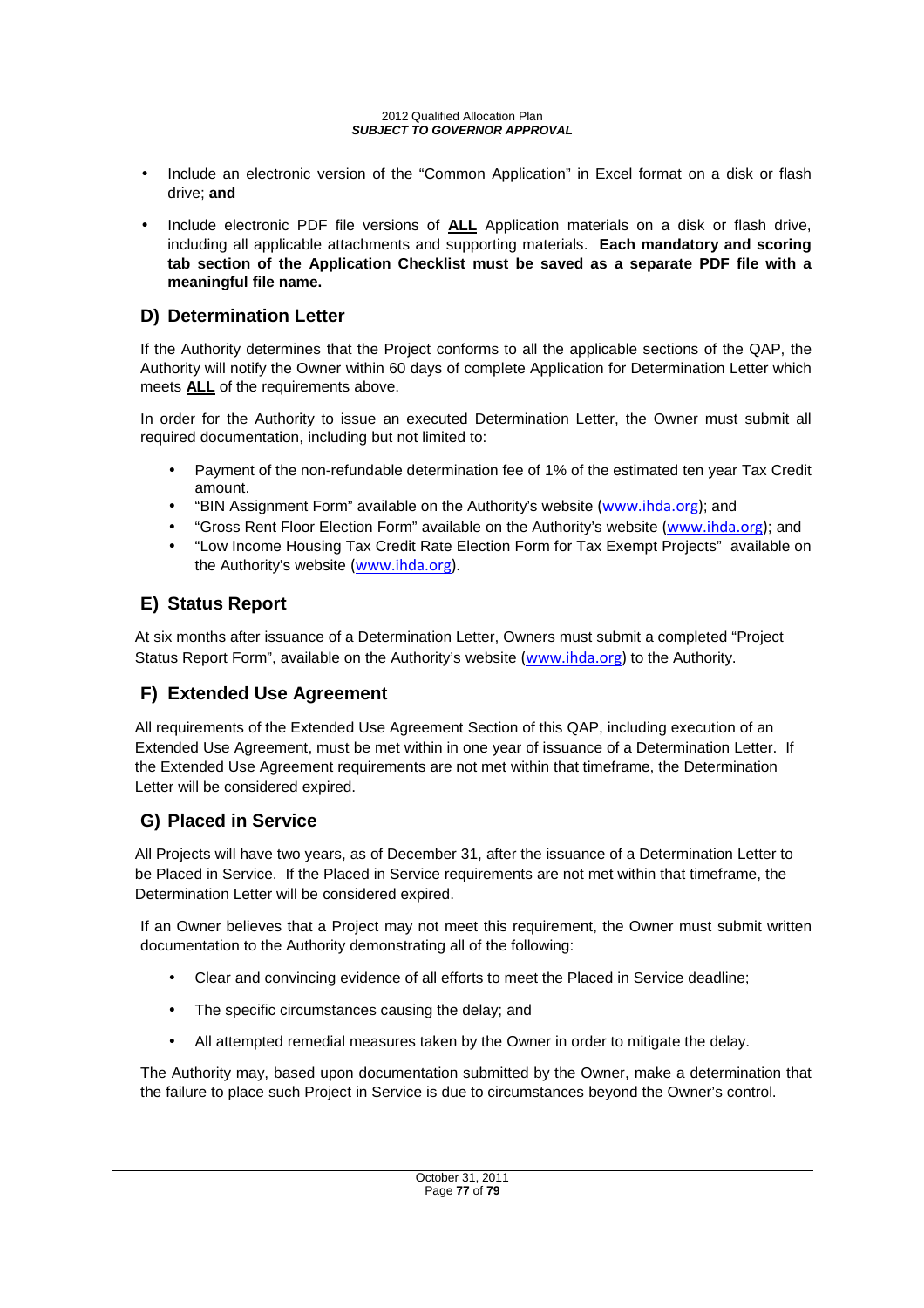- Include an electronic version of the "Common Application" in Excel format on a disk or flash drive; **and**
- Include electronic PDF file versions of **ALL** Application materials on a disk or flash drive, including all applicable attachments and supporting materials. **Each mandatory and scoring tab section of the Application Checklist must be saved as a separate PDF file with a meaningful file name.**

## **D) Determination Letter**

If the Authority determines that the Project conforms to all the applicable sections of the QAP, the Authority will notify the Owner within 60 days of complete Application for Determination Letter which meets **ALL** of the requirements above.

In order for the Authority to issue an executed Determination Letter, the Owner must submit all required documentation, including but not limited to:

- Payment of the non-refundable determination fee of 1% of the estimated ten year Tax Credit amount.
- "BIN Assignment Form" available on the Authority's website (www.ihda.org); and
- "Gross Rent Floor Election Form" available on the Authority's website (www.ihda.org); and
- "Low Income Housing Tax Credit Rate Election Form for Tax Exempt Projects" available on the Authority's website (www.ihda.org).

## **E) Status Report**

At six months after issuance of a Determination Letter, Owners must submit a completed "Project Status Report Form", available on the Authority's website (www.ihda.org) to the Authority.

## **F) Extended Use Agreement**

All requirements of the Extended Use Agreement Section of this QAP, including execution of an Extended Use Agreement, must be met within in one year of issuance of a Determination Letter. If the Extended Use Agreement requirements are not met within that timeframe, the Determination Letter will be considered expired.

## **G) Placed in Service**

All Projects will have two years, as of December 31, after the issuance of a Determination Letter to be Placed in Service. If the Placed in Service requirements are not met within that timeframe, the Determination Letter will be considered expired.

If an Owner believes that a Project may not meet this requirement, the Owner must submit written documentation to the Authority demonstrating all of the following:

- Clear and convincing evidence of all efforts to meet the Placed in Service deadline;
- The specific circumstances causing the delay; and
- All attempted remedial measures taken by the Owner in order to mitigate the delay.

The Authority may, based upon documentation submitted by the Owner, make a determination that the failure to place such Project in Service is due to circumstances beyond the Owner's control.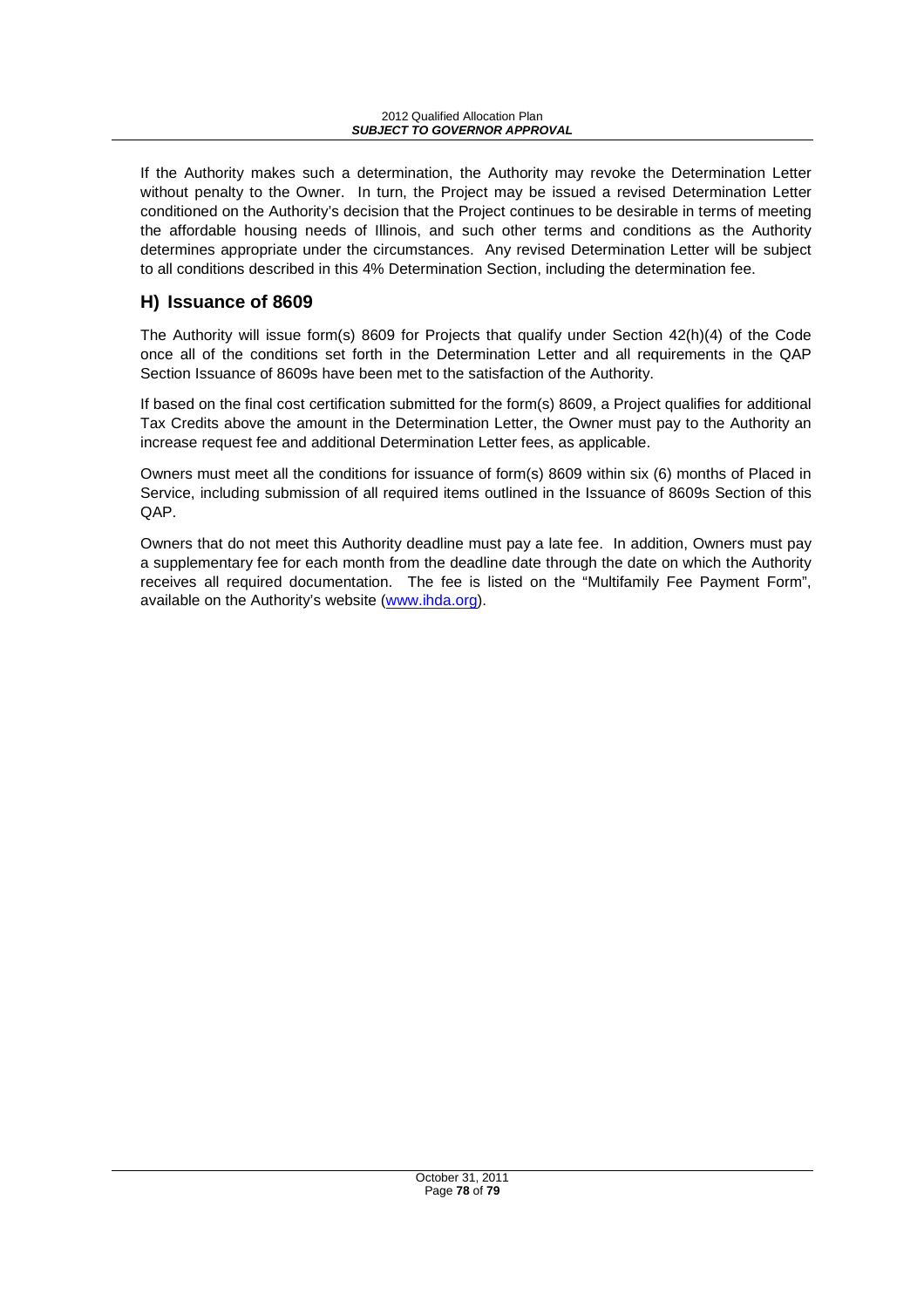If the Authority makes such a determination, the Authority may revoke the Determination Letter without penalty to the Owner. In turn, the Project may be issued a revised Determination Letter conditioned on the Authority's decision that the Project continues to be desirable in terms of meeting the affordable housing needs of Illinois, and such other terms and conditions as the Authority determines appropriate under the circumstances. Any revised Determination Letter will be subject to all conditions described in this 4% Determination Section, including the determination fee.

## **H) Issuance of 8609**

The Authority will issue form(s) 8609 for Projects that qualify under Section 42(h)(4) of the Code once all of the conditions set forth in the Determination Letter and all requirements in the QAP Section Issuance of 8609s have been met to the satisfaction of the Authority.

If based on the final cost certification submitted for the form(s) 8609, a Project qualifies for additional Tax Credits above the amount in the Determination Letter, the Owner must pay to the Authority an increase request fee and additional Determination Letter fees, as applicable.

Owners must meet all the conditions for issuance of form(s) 8609 within six (6) months of Placed in Service, including submission of all required items outlined in the Issuance of 8609s Section of this QAP.

Owners that do not meet this Authority deadline must pay a late fee. In addition, Owners must pay a supplementary fee for each month from the deadline date through the date on which the Authority receives all required documentation. The fee is listed on the "Multifamily Fee Payment Form", available on the Authority's website (www.ihda.org).